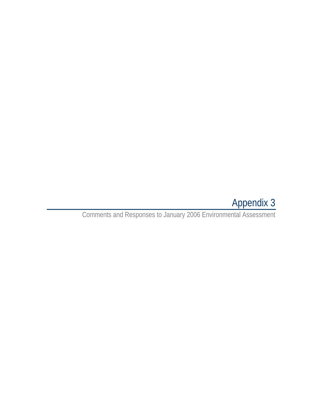# Appendix 3

Comments and Responses to January 2006 Environmental Assessment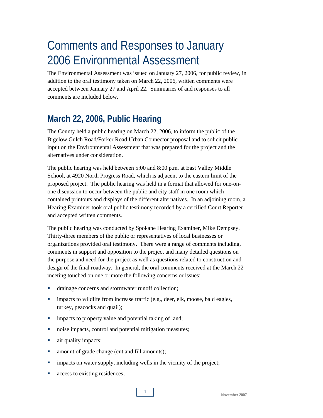# Comments and Responses to January 2006 Environmental Assessment

The Environmental Assessment was issued on January 27, 2006, for public review, in addition to the oral testimony taken on March 22, 2006, written comments were accepted between January 27 and April 22. Summaries of and responses to all comments are included below.

# **March 22, 2006, Public Hearing**

The County held a public hearing on March 22, 2006, to inform the public of the Bigelow Gulch Road/Forker Road Urban Connector proposal and to solicit public input on the Environmental Assessment that was prepared for the project and the alternatives under consideration.

The public hearing was held between 5:00 and 8:00 p.m. at East Valley Middle School, at 4920 North Progress Road, which is adjacent to the eastern limit of the proposed project. The public hearing was held in a format that allowed for one-onone discussion to occur between the public and city staff in one room which contained printouts and displays of the different alternatives. In an adjoining room, a Hearing Examiner took oral public testimony recorded by a certified Court Reporter and accepted written comments.

The public hearing was conducted by Spokane Hearing Examiner, Mike Dempsey. Thirty-three members of the public or representatives of local businesses or organizations provided oral testimony. There were a range of comments including, comments in support and opposition to the project and many detailed questions on the purpose and need for the project as well as questions related to construction and design of the final roadway. In general, the oral comments received at the March 22 meeting touched on one or more the following concerns or issues:

- drainage concerns and stormwater runoff collection;
- **impacts to wildlife from increase traffic (e.g., deer, elk, moose, bald eagles,** turkey, peacocks and quail);
- **impacts to property value and potential taking of land;**
- noise impacts, control and potential mitigation measures;
- air quality impacts;
- amount of grade change (cut and fill amounts);
- impacts on water supply, including wells in the vicinity of the project;

**1** 

**access to existing residences;**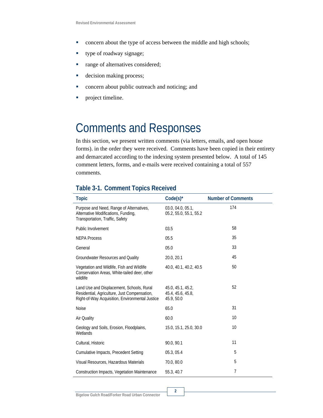- **•** concern about the type of access between the middle and high schools;
- **type of roadway signage;**
- range of alternatives considered;
- decision making process;
- **•** concern about public outreach and noticing; and
- **•** project timeline.

# Comments and Responses

In this section, we present written comments (via letters, emails, and open house forms). in the order they were received. Comments have been copied in their entirety and demarcated according to the indexing system presented below. A total of 145 comment letters, forms, and e-mails were received containing a total of 557 comments.

### **Table 3-1. Comment Topics Received**

| <b>Topic</b>                                                                                                                                 | $Code(s)^{*}$                                        | <b>Number of Comments</b> |
|----------------------------------------------------------------------------------------------------------------------------------------------|------------------------------------------------------|---------------------------|
| Purpose and Need, Range of Alternatives,<br>Alternative Modifications, Funding,<br>Transportation, Traffic, Safety                           | 03.0, 04.0, 05.1,<br>05.2, 55.0, 55.1, 55.2          | 174                       |
| Public Involvement                                                                                                                           | 03.5                                                 | 58                        |
| <b>NEPA Process</b>                                                                                                                          | 05.5                                                 | 35                        |
| General                                                                                                                                      | 05.0                                                 | 33                        |
| Groundwater Resources and Quality                                                                                                            | 20.0, 20.1                                           | 45                        |
| Vegetation and Wildlife, Fish and Wildlife<br>Conservation Areas, White-tailed deer, other<br>wildlife                                       | 40.0, 40.1, 40.2, 40.5                               | 50                        |
| Land Use and Displacement, Schools, Rural<br>Residential, Agriculture, Just Compensation,<br>Right-of-Way Acquisition, Environmental Justice | 45.0, 45.1, 45.2,<br>45.4, 45.6, 45.8,<br>45.9, 50.0 | 52                        |
| <b>Noise</b>                                                                                                                                 | 65.0                                                 | 31                        |
| Air Quality                                                                                                                                  | 60.0                                                 | 10                        |
| Geology and Soils, Erosion, Floodplains,<br>Wetlands                                                                                         | 15.0, 15.1, 25.0, 30.0                               | 10                        |
| Cultural, Historic                                                                                                                           | 90.0, 90.1                                           | 11                        |
| Cumulative Impacts, Precedent Setting                                                                                                        | 05.3, 05.4                                           | 5                         |
| Visual Resources, Hazardous Materials                                                                                                        | 70.0, 80.0                                           | 5                         |
| Construction Impacts, Vegetation Maintenance                                                                                                 | 55.3, 40.7                                           | $\overline{7}$            |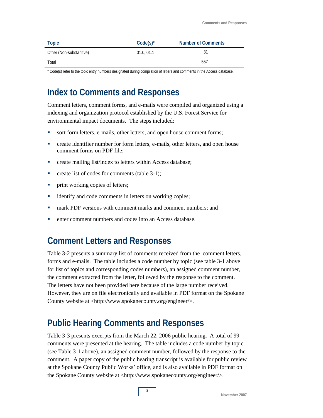| Topic                   | $Code(s)^{*}$ | <b>Number of Comments</b> |
|-------------------------|---------------|---------------------------|
| Other (Non-substantive) | 01.0, 01.1    | 31                        |
| Total                   |               | 557                       |

\* Code(s) refer to the topic entry numbers designated during compilation of letters and comments in the Access database.

# **Index to Comments and Responses**

Comment letters, comment forms, and e-mails were compiled and organized using a indexing and organization protocol established by the U.S. Forest Service for environmental impact documents. The steps included:

- sort form letters, e-mails, other letters, and open house comment forms;
- create identifier number for form letters, e-mails, other letters, and open house comment forms on PDF file;
- **•** create mailing list/index to letters within Access database;
- **•** create list of codes for comments (table 3-1);
- **print working copies of letters;**
- **·** identify and code comments in letters on working copies;
- mark PDF versions with comment marks and comment numbers; and
- enter comment numbers and codes into an Access database.

## **Comment Letters and Responses**

Table 3-2 presents a summary list of comments received from the comment letters, forms and e-mails. The table includes a code number by topic (see table 3-1 above for list of topics and corresponding codes numbers), an assigned comment number, the comment extracted from the letter, followed by the response to the comment. The letters have not been provided here because of the large number received. However, they are on file electronically and available in PDF format on the Spokane County website at <http://www.spokanecounty.org/engineer/>.

# **Public Hearing Comments and Responses**

Table 3-3 presents excerpts from the March 22, 2006 public hearing. A total of 99 comments were presented at the hearing. The table includes a code number by topic (see Table 3-1 above), an assigned comment number, followed by the response to the comment. A paper copy of the public hearing transcript is available for public review at the Spokane County Public Works' office, and is also available in PDF format on the Spokane County website at <http://www.spokanecounty.org/engineer/>.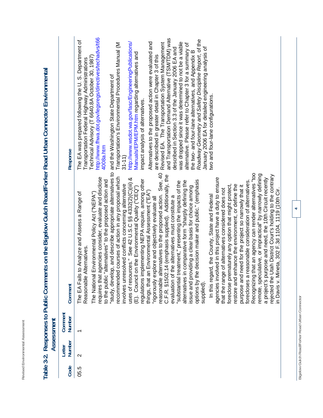| -<br>-<br>í<br>à<br>×<br>ı.<br>◡<br>∸<br>۰<br>ï<br>٠<br>ï<br>ï<br>٠<br>۰<br>J<br>u<br>š<br>J<br>ı<br>ä<br>ı<br>١<br>J<br>i<br>ä<br>J<br>ι<br>é<br>۰<br>٠<br>∼ |
|---------------------------------------------------------------------------------------------------------------------------------------------------------------|
| $\overline{\phantom{a}}$<br>-<br>ţ<br>l<br>J<br>٠<br>۰                                                                                                        |
| Ë<br>í<br>¢<br>ر<br>ł<br>۰                                                                                                                                    |
| 1<br>∽<br>∽<br>J<br>I<br>ï<br>l<br>$\overline{\phantom{a}}$<br>٠                                                                                              |
| s<br>٠<br>è<br>r<br>÷<br>п<br>ᅭ                                                                                                                               |
| ÷<br>ì<br>ś<br>×<br>×<br>h<br>١                                                                                                                               |
| é<br>٠<br>i.<br>۰<br>٠<br>ć<br>J<br>$\approx$                                                                                                                 |
|                                                                                                                                                               |

|      |                   | Assessment               |                                                                                                                                                                                                                                                                                                                                                                                                                                                                                                                                                                                                                                                                                                                                                                                                                                                                                                                                                                                                                                                                                                                                                                                                                                                                                                                                                                                                                                                                                                                                                                                                                                                                                                                                                                                                                                                        |                                                                                                                                                                                                                                                                                                                                                                                                                                                                                                                                                                                                                                                                                                                                                                                                                                                                                                                                                                                                                                                                                                                       |
|------|-------------------|--------------------------|--------------------------------------------------------------------------------------------------------------------------------------------------------------------------------------------------------------------------------------------------------------------------------------------------------------------------------------------------------------------------------------------------------------------------------------------------------------------------------------------------------------------------------------------------------------------------------------------------------------------------------------------------------------------------------------------------------------------------------------------------------------------------------------------------------------------------------------------------------------------------------------------------------------------------------------------------------------------------------------------------------------------------------------------------------------------------------------------------------------------------------------------------------------------------------------------------------------------------------------------------------------------------------------------------------------------------------------------------------------------------------------------------------------------------------------------------------------------------------------------------------------------------------------------------------------------------------------------------------------------------------------------------------------------------------------------------------------------------------------------------------------------------------------------------------------------------------------------------------|-----------------------------------------------------------------------------------------------------------------------------------------------------------------------------------------------------------------------------------------------------------------------------------------------------------------------------------------------------------------------------------------------------------------------------------------------------------------------------------------------------------------------------------------------------------------------------------------------------------------------------------------------------------------------------------------------------------------------------------------------------------------------------------------------------------------------------------------------------------------------------------------------------------------------------------------------------------------------------------------------------------------------------------------------------------------------------------------------------------------------|
| Code | Number<br>Letter  | Comment<br><b>Number</b> | Comment                                                                                                                                                                                                                                                                                                                                                                                                                                                                                                                                                                                                                                                                                                                                                                                                                                                                                                                                                                                                                                                                                                                                                                                                                                                                                                                                                                                                                                                                                                                                                                                                                                                                                                                                                                                                                                                | Response                                                                                                                                                                                                                                                                                                                                                                                                                                                                                                                                                                                                                                                                                                                                                                                                                                                                                                                                                                                                                                                                                                              |
| 05.5 | $\mathbf{\Omega}$ |                          | "study, develop, and describe appropriate alternatives to<br>reasonable alternatives to the proposed action. See, 40<br>Recognizing that an agency can render alternatives "too<br>remote, speculative, or impractical" by narrowly defining<br>14 (emphasis supplied). Additionally, the<br>rejected the Utah District Court's holding to the contrary<br>in Davis v. Mineta, 302 F.3d 1104, 1119 (10th Cir.<br>courses of action in any proposal which<br>requires that agencies consider, evaluate and disclose<br>a project's purpose and need, the 10th Circuit recently<br>agencies involved in this project have a duty to ensure<br>uses of resources." See 42 U.S.C §§ 4332(2)(C)(iii) &<br>regulations implementing NEPA require, among other<br>decision maker and public." (emphasis<br>to the public "alternatives" to the proposed action and<br>alternatives in comparative form "sharply defining the<br>"substantial treatment," presenting the impacts of the<br>forecloses a reasonable consideration of alternatives<br>involves unresolved conflicts concerning alternative<br>restore and enhance the environment, or define the<br>foreclose prematurely any option that might protect,<br>purpose and need for the project so narrowly that it<br>issue and providing a clear basis for choice among<br>(E). Council on the Environmental Quality ("CEQ")<br>that the range of alternatives considered does not<br>things, that an Environmental Assessment ("EA")<br>The EA Fails to Analyze and Assess a Range of<br>The National Environmental Policy Act ("NEPA")<br>In this regard, the County, State and Federal<br>he alternatives must constitute a<br>"rigorously explore and objectively evaluate all<br>Reasonable Alternatives<br>recommended<br>options by the<br>evaluation of th<br>C.F.R. §1502.<br>supplied). | http://www.fhwa.dot.gov/legsregs/directives/techadvs/t66<br>and Transportation Demand Alternative (TSM/TDM) was<br>Roadway Geometry and Safety Discipline Report, of the<br>The EA was prepared following the U.S. Department of<br>Alternatives to the proposed action were evaluated and<br>was dropped since it was determined to not be a viable<br>http://www.wsdot.wa.gov/fasc/EngineeringPublications/<br>Transportation's Environmental Procedures Manual (M<br>are described in greater detail in Chapter 3 of this<br>Revised EA. The Transportation System Management<br>alternative. Please refer to Chapter 3 for a summary of<br>described in Section 3.3 of the January 2006 EA and<br>January 2006 EA for detailed engineering analysis of<br>the two- and four-lane alternatives, and Appendix B<br>Manuals/EPM/EPM.htm regarding alternatives and<br>Technical Advisory (T 6640.8A October 30, 1987)<br>Transportation Federal Highway Administrations<br>and the Washington State Department of<br>two and four-lane configurations.<br>impact analysis of alternatives.<br>4008a.htm<br>$31 - 11$ |

# Table 3-2. Responses to Public Comments on the Bigelow Gulch Road/Forker Road Urban Connector Environmental **Table 3-2. Responses to Public Comments on the Bigelow Gulch Road/Forker Road Urban Connector Environmental**

**4**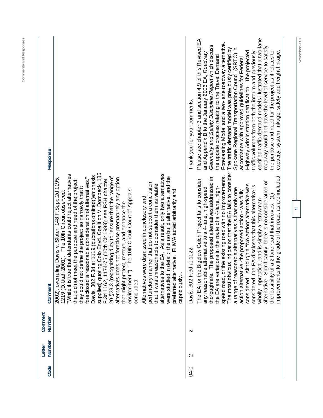| -<br>1 |  |
|--------|--|
| I      |  |
|        |  |

| Code | Number<br>Letter  | Comment<br>Number | Comment                                                                                                                                                                                                                                                                                                                                                                                                                                                                                                                                                                                                                                                                                                                                                                                                                                                                                                                                                                                                                                                                                                                                                 | Response                                                                                                                                                                                                                                                                                                                                                                                                                                                                                                                                                                                                                                                                                                                                                                                                                                |
|------|-------------------|-------------------|---------------------------------------------------------------------------------------------------------------------------------------------------------------------------------------------------------------------------------------------------------------------------------------------------------------------------------------------------------------------------------------------------------------------------------------------------------------------------------------------------------------------------------------------------------------------------------------------------------------------------------------------------------------------------------------------------------------------------------------------------------------------------------------------------------------------------------------------------------------------------------------------------------------------------------------------------------------------------------------------------------------------------------------------------------------------------------------------------------------------------------------------------------|-----------------------------------------------------------------------------------------------------------------------------------------------------------------------------------------------------------------------------------------------------------------------------------------------------------------------------------------------------------------------------------------------------------------------------------------------------------------------------------------------------------------------------------------------------------------------------------------------------------------------------------------------------------------------------------------------------------------------------------------------------------------------------------------------------------------------------------------|
|      |                   |                   | supplied) quoting Colo Envtl. Coalition V. Dombeck, 185<br>alternatives to the EA. As a result, only two alternatives<br>"While it is true that defendants could reject alternatives<br>Davis, 302 F.3d at 1119 (quotations omitted) (emphasis<br>detail: the no build alternative, and the<br>20 §23.3 (recognizing duty to "ensure that the range of<br>foreclosed a reasonable consideration of alternatives."<br>2002), overruling Davis v. Slater, 148 F.Supp.2d 1195,<br>alternatives does not foreclose prematurely any option<br>F.3d 1162, 1174-75 (10th Cir 1999); see FSH chapter<br>that did not meet the purpose and need of the project,<br>perfunctory manner that do not support a conclusion<br>that it was unreasonable to consider them as viable<br>they could not define the project so narrowly that it<br>The 10th Circuit Court of Appeals<br>ative. FHWA acted arbitrarily and<br>1219 (D. Utah 2001). The 10th Circuit observed:<br>Alternatives were dismissed in conclusory and<br>ect, restore, and enhance the<br>were studied in<br>preferred altern<br>that might prote<br>environment.")<br>capriciously<br>concluded: |                                                                                                                                                                                                                                                                                                                                                                                                                                                                                                                                                                                                                                                                                                                                                                                                                                         |
| 04.0 | $\mathbf{\Omega}$ | $\mathbf{\Omega}$ | The most obvious indication that the EA fails to consider<br>the existing road with no improvements.<br>to the grade of the road, as are included<br>The proposed alternatives addressed in<br>The EA for the Bigelow Gulch Project fails to consider<br>alternative. Significantly, there is no consideration of<br>though a "No Action" alternative was<br>the EA are variations in the route of a 4-lane, high-<br>considered, the EA discloses that this alternative is<br>any reasonable alternative to a 4-lane, high-speed<br>a range of reasonable alternatives is that only one<br>action alternative -the proposed action - was fully<br>the feasibility of a 2-lane road that involves: (1)<br>wholly impractical, and is simply a "strawman"<br>Davis, 302 F.3d at 1122<br>speed road, or<br>considered. Al<br>improvements<br>thoroughfare.                                                                                                                                                                                                                                                                                                | certified traffic demand models illustrated that a two-lane<br>Please see chapter 3 and section 4.9 of this Revised EA<br>Forecasting Model and a two-lane roadway alternative.<br>Geometry and Safety Discipline Report which discuss<br>roadway would not have the level of service to satisfy<br>The traffic demand model was previously certified by<br>Spokane Regional Transportation Council (SRTC) in<br>Highway Administration certification. The projected<br>the purpose and need for the project as it relates to<br>capacity, system linkage, safety and freight linkage.<br>traffic volumes from both the interim and previously<br>and Appendix B to the January 2006 EA, Roadway<br>the update process relating to the Travel Demand<br>accordance with approved guidelines for Federal<br>Thank you for your comments. |

November 2007 **November 2007**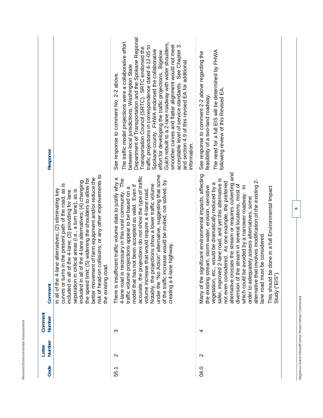| <b>Response</b>          |                                                                                                                                                                                                                                                                                                                                                                                                                                                                                                                         | Department of Transportation and the Spokane Regional<br>The traffic model projections were a collaborative effort<br>Gulch rebuilt to a 2-lane roadway with wider shoulders,<br>smoother curves and flatter alignment would not meet<br>traffic projections in correspondence dated 4-12-05 to<br>acceptable level of service standards. See Chapter 3<br>Transportation Council (SRTC). SRTC endorsed the<br>Spokane county. FHWA endorsed the collaborative<br>effort for developing the traffic projections. Bigelow<br>and section 4.9 of this revised EA for additional<br>between local jurisdictions, Washington State<br>See response to comment No. 2-2 above.<br>information. | The need for a full EIS will be determined by FHWA<br>See response to comment 2-2 above regarding the<br>following review of this Revised EA.<br>feasibility of a two-land roadway.                                                                                                                                                                                                                                                                                                                                                                                                                                                                                                          |
|--------------------------|-------------------------------------------------------------------------------------------------------------------------------------------------------------------------------------------------------------------------------------------------------------------------------------------------------------------------------------------------------------------------------------------------------------------------------------------------------------------------------------------------------------------------|------------------------------------------------------------------------------------------------------------------------------------------------------------------------------------------------------------------------------------------------------------------------------------------------------------------------------------------------------------------------------------------------------------------------------------------------------------------------------------------------------------------------------------------------------------------------------------------------------------------------------------------------------------------------------------------|----------------------------------------------------------------------------------------------------------------------------------------------------------------------------------------------------------------------------------------------------------------------------------------------------------------------------------------------------------------------------------------------------------------------------------------------------------------------------------------------------------------------------------------------------------------------------------------------------------------------------------------------------------------------------------------------|
| Comment                  | risk of head-on collisions; or any other improvements to<br>better movement of farm equipment and/or reduce the<br>the speed limit; (5) widening the shoulders to allow for<br>of the 4-lane alternatives; (4) changing<br>is in the present path of the road, as is<br>lane alternatives; (2) eliminating key<br>critical areas (i.e., a turn lane), as is<br>of the 4-lane; (3) providing for lane<br>the existing road.<br>curves or turn<br>in all of the 4-<br>included in all<br>included in all<br>separation in | Action" alternative, suggesting that some<br>projections do not show the type of traffic<br>There is insufficient traffic volume data to justify why a<br>necessary in this rural community. The<br>of the traffic increase would be invited, not solved, by<br>Notably, the projections show a lower traffic volume<br>model that has not been accepted as valid. Even if<br>projections appear to be based on a<br>volume increase that would require a 4-lane road.<br>creating a 4-lane highway<br>4-lane road is<br>traffic volume<br>under the "No<br>accurate, the                                                                                                                | alternative crosses the stream or requires culverting and<br>Many of the significant environmental impacts, affecting<br>safer, improved 2-lane road, and yet this alternative is<br>alternative that involves modification of the existing 2-<br>not even considered. As one example, the preferred<br>vegetation, etc., would be dramatically reduced by a<br>diversion of the stream in several locations, most of<br>which could be avoided by a narrower roadway. In<br>the existing stream, storm water, erosion, sensitive<br>e done in a full Environmental Impact<br>order to adequately assess alternatives, some<br>ane road must be considered<br>This should b<br>Study ("EIS") |
| Comment<br><b>Number</b> |                                                                                                                                                                                                                                                                                                                                                                                                                                                                                                                         | ო                                                                                                                                                                                                                                                                                                                                                                                                                                                                                                                                                                                                                                                                                        | 4                                                                                                                                                                                                                                                                                                                                                                                                                                                                                                                                                                                                                                                                                            |
| Number<br>Letter         |                                                                                                                                                                                                                                                                                                                                                                                                                                                                                                                         | $\mathbf{\sim}$                                                                                                                                                                                                                                                                                                                                                                                                                                                                                                                                                                                                                                                                          | $\mathbf{\sim}$                                                                                                                                                                                                                                                                                                                                                                                                                                                                                                                                                                                                                                                                              |
| Code                     |                                                                                                                                                                                                                                                                                                                                                                                                                                                                                                                         | 55.1                                                                                                                                                                                                                                                                                                                                                                                                                                                                                                                                                                                                                                                                                     | 04.0                                                                                                                                                                                                                                                                                                                                                                                                                                                                                                                                                                                                                                                                                         |

Revised Environmental Assessment

Bigelow Gulch Road/Forker Road Urban Connector **Bigelow Gulch Road/Forker Road Urban Connector**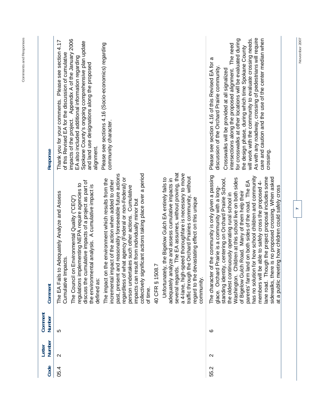| As with any roadway, crossing of pedestrians will require<br>will work with the community to evaluate crossing needs.<br>care and caution and the use of the center median when<br>for crosswalks at other locations will be evaluated during<br>2006<br>Thank you for your comments. Please see section 4.17<br>Spokane County's ongoing comprehensive plan update<br>Please see sections 4.16 (Socio-economics) regarding<br>intersections along the proposed alignment. The need<br>the design phase, during which time Spokane County<br>impacts of the project. Appendix A of the January<br>of this Revised EA for the discussion of cumulative<br>EA also included additional information regarding<br>Please see section 4.16 of this Revised EA for a<br>and land use designations along the proposed<br>discussion of the Orchard Prairie community.<br>Crosswalks will be provided at all signalized<br>community character.<br>alignment.<br>Response<br>several regards. The EA assumes, without proving, that<br>a 4-lane, high-speed thoroughfare is necessary to move<br>and reasonably foreseeable future actions<br>collectively significant actions taking place over a period<br>of the community is only given a passing<br>traffic through the Orchard Prairies community, without<br>has no solution for how school children and community<br>what agency (Federal or non-Federal) or<br>standing identity, centering on Orchard Prairie School,<br>Unfortunately, the Bigelow Gulch EA entirely fails to<br>nalyze and assess cumulative impacts in<br>Children at this school live on both sides<br>i the environment which results from the<br>incremental impact of the action when added to other<br>land on both sides of the road. The EA<br>be able to safely cross the proposed 4-<br>discuss the cumulative impacts of a project as part of<br>regulations implementing NEPA require agencies to<br>the environmental analysis. A cumulative impact is<br>akes such other actions. Cumulative<br>glace. Orchard Prairie is a community with a long-<br>of Bigelow Gulch Road. Many of them help their<br>to Adequately Analyze and Assess<br>tinuously operating rural school in<br>The Council on Environmental Quality ("CEQ")<br>devastating effect on this unique<br>mpacts can result from individually minor but |
|---------------------------------------------------------------------------------------------------------------------------------------------------------------------------------------------------------------------------------------------------------------------------------------------------------------------------------------------------------------------------------------------------------------------------------------------------------------------------------------------------------------------------------------------------------------------------------------------------------------------------------------------------------------------------------------------------------------------------------------------------------------------------------------------------------------------------------------------------------------------------------------------------------------------------------------------------------------------------------------------------------------------------------------------------------------------------------------------------------------------------------------------------------------------------------------------------------------------------------------------------------------------------------------------------------------------------------------------------------------------------------------------------------------------------------------------------------------------------------------------------------------------------------------------------------------------------------------------------------------------------------------------------------------------------------------------------------------------------------------------------------------------------------------------------------------------------------------------------------------------------------------------------------------------------------------------------------------------------------------------------------------------------------------------------------------------------------------------------------------------------------------------------------------------------------------------------------------------------------------------------------------------------------------------------------------------------------------------------------|
| crossing<br>lane road. Though the project proposal includes some<br>sidewalks, there is no proposed crossing. When asked                                                                                                                                                                                                                                                                                                                                                                                                                                                                                                                                                                                                                                                                                                                                                                                                                                                                                                                                                                                                                                                                                                                                                                                                                                                                                                                                                                                                                                                                                                                                                                                                                                                                                                                                                                                                                                                                                                                                                                                                                                                                                                                                                                                                                                |

**November 2007**<br>November 2007

 $\overline{a}$ 

November 2007

**Comments and Responses**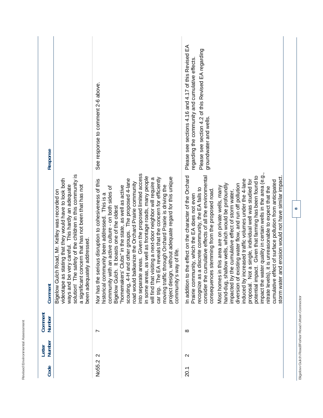| <b>Response</b>          |                                                                                                                                                                                                                                                                                                                    | See response to comment 2-6 above.                                                                                                                                                                                                                                                                                                                                                                                                                                                                                                                                                                                                                                                                                                                                                        | Please see sections 4.16 and 4.17 of this Revised EA<br>Please see section 4.2 of this Revised EA regarding<br>regarding the community and cumulative effects.<br>groundwater and wells.                                                                                                                                                                                                                                                                                                                                                                                                                                                                                                                                                                                                                                                                                                                                                                    |  |
|--------------------------|--------------------------------------------------------------------------------------------------------------------------------------------------------------------------------------------------------------------------------------------------------------------------------------------------------------------|-------------------------------------------------------------------------------------------------------------------------------------------------------------------------------------------------------------------------------------------------------------------------------------------------------------------------------------------------------------------------------------------------------------------------------------------------------------------------------------------------------------------------------------------------------------------------------------------------------------------------------------------------------------------------------------------------------------------------------------------------------------------------------------------|-------------------------------------------------------------------------------------------------------------------------------------------------------------------------------------------------------------------------------------------------------------------------------------------------------------------------------------------------------------------------------------------------------------------------------------------------------------------------------------------------------------------------------------------------------------------------------------------------------------------------------------------------------------------------------------------------------------------------------------------------------------------------------------------------------------------------------------------------------------------------------------------------------------------------------------------------------------|--|
| Comment                  | solution! The safety of the children in this community is<br>stating that they would have to look both<br>ways and be very careful. This hardly an adequate<br>a significant concern that has not been that has not<br>Bigelow Gulch Road, Mr. Kelley was recorded on<br>been adequately addressed<br>videotape as | areas. Given the proposed limited access<br>in some areas, as well as frontage roads, many people<br>project design, without adequate regard for this unique<br>car trip. The EA reveals that the concern for efficiently<br>will find that visiting a next-door neighbor will require a<br>and other groups. The proposed 4-lane<br>Nor has the serious disruption to cohesiveness of this<br>road would balkanize the Orchard Prairie community<br>"homemakers' Clubs" in the state, as well as active<br>moving traffic through Orchard Prairie is driving the<br>community with an active culture - on both sides of<br>historical community been addressed. This is a<br>Bigelow Gulch. It boasts one of the oldest<br>way of life.<br>scouting, 4-H<br>into separate<br>community's | impact the water quality in certain wells in the area (e.g.,<br>In addition to the effect on the character of the Orchard<br>potential impact. Given that farming has been found to<br>cumulative effects of all the environmental<br>storm water and erosion would not have similar impact<br>induced by increased traffic volumes under the 4-lane<br>proposal. Not a single, individual well was studied for<br>ffect of surface pollution from anticipated<br>allow wells, which would be profoundly<br>diversion of existing water flow, and run off pollution<br>in this area are on private wells, many<br>, it is unreasonable to expect that the<br>a discrete community, the EA fails to<br>consequences stemming from the proposed road.<br>impacted by the cumulative effect of storm water,<br>Prairie community, which the EA does not even<br>recognize as<br>nitrate levels)<br>hand-dug, sh<br>cumulative et<br>consider the<br>Most homes |  |
| Comment<br><b>Number</b> |                                                                                                                                                                                                                                                                                                                    | $\overline{\phantom{0}}$                                                                                                                                                                                                                                                                                                                                                                                                                                                                                                                                                                                                                                                                                                                                                                  | ∞                                                                                                                                                                                                                                                                                                                                                                                                                                                                                                                                                                                                                                                                                                                                                                                                                                                                                                                                                           |  |
| Number<br>Letter         |                                                                                                                                                                                                                                                                                                                    | $\mathbf{\Omega}$                                                                                                                                                                                                                                                                                                                                                                                                                                                                                                                                                                                                                                                                                                                                                                         | $\sim$                                                                                                                                                                                                                                                                                                                                                                                                                                                                                                                                                                                                                                                                                                                                                                                                                                                                                                                                                      |  |
| Code                     |                                                                                                                                                                                                                                                                                                                    | No55.2                                                                                                                                                                                                                                                                                                                                                                                                                                                                                                                                                                                                                                                                                                                                                                                    | 20.1                                                                                                                                                                                                                                                                                                                                                                                                                                                                                                                                                                                                                                                                                                                                                                                                                                                                                                                                                        |  |

Revised Environmental Assessment

Bigelow Gulch Road/Forker Road Urban Connector **Bigelow Gulch Road/Forker Road Urban Connector**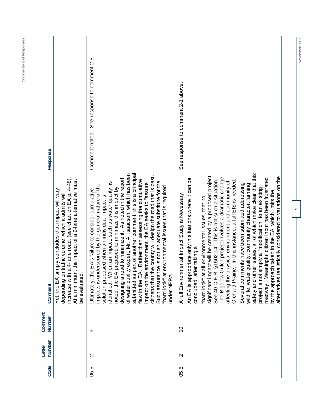| Response          | the impact of a 2-lane alternative must                                                                                                                                                                | See response to comment 2-5.<br>Comment noted.<br>Rather than assessing the cumulative<br>environment, the EA seeks to "assure"<br>erscored by the general nature of the<br>proposed to minimize this impact by<br>EA's failure to consider cumulative                                                                                                                                                                                                                                                                                                                              | See response to comment 2-1 above.<br>§1502.14. This is not such a situation.<br>quality, community character, farming                                                                                                                                                                                                                                                                                                                                                                                                                                                                                                                                                                                                                                                                                                      |
|-------------------|--------------------------------------------------------------------------------------------------------------------------------------------------------------------------------------------------------|-------------------------------------------------------------------------------------------------------------------------------------------------------------------------------------------------------------------------------------------------------------------------------------------------------------------------------------------------------------------------------------------------------------------------------------------------------------------------------------------------------------------------------------------------------------------------------------|-----------------------------------------------------------------------------------------------------------------------------------------------------------------------------------------------------------------------------------------------------------------------------------------------------------------------------------------------------------------------------------------------------------------------------------------------------------------------------------------------------------------------------------------------------------------------------------------------------------------------------------------------------------------------------------------------------------------------------------------------------------------------------------------------------------------------------|
| Comment           | increase with a 4-lane road, (see chart on EA p. 4-48).<br>Yet, the EA simply concludes that impact will vary<br>traffic volume, which it admits will<br>depending on<br>At a minimum<br>be evaluated. | of water quality expert, Mr. Al Isaacson, which has been<br>submitted as part of another comment, this is a principal<br>citizens that the county will design the road that is best.<br>designing a road to minimize it. As noted in the report<br>Such assurance is not an adequate substitute for the<br>identified. When an impact, such as water quality, is<br>"hard look" at environmental issues that is required<br>solution proposed when an individual impact is<br>Ultimately, the<br>impacts is und<br>flaw in the EA.<br>noted, the EA<br>impact on the<br>under NEPA. | safety and other issues, all of which make clear that this<br>significant impact will be created by a proposed project.<br>alternatives realistically considered to variations on the<br>The Bigelow Gulch project involves a dramatic change<br>roadway. Meaningful citizen input has been frustrated<br>An EA is appropriate only in situations where it can be<br>Orchard Prairie. In this instance, a full EIS is needed<br>affecting the physical environment and community of<br>Several comments have been submitted addressing<br>project is not simply a "modification" to an existing<br>by the approach taken in the EA, which limits the<br>A full Environmental Impact Study is Necessary.<br>"hard look" at all environmental issues, that no<br>concluded, after taking a<br>wildlife, water<br>See 40 C.F.R |
| Comment<br>Number |                                                                                                                                                                                                        | တ                                                                                                                                                                                                                                                                                                                                                                                                                                                                                                                                                                                   | $\overline{\phantom{0}}$                                                                                                                                                                                                                                                                                                                                                                                                                                                                                                                                                                                                                                                                                                                                                                                                    |
| Number<br>Letter  |                                                                                                                                                                                                        | $\mathbf{\sim}$                                                                                                                                                                                                                                                                                                                                                                                                                                                                                                                                                                     | $\mathbf{\Omega}$                                                                                                                                                                                                                                                                                                                                                                                                                                                                                                                                                                                                                                                                                                                                                                                                           |
| Code              |                                                                                                                                                                                                        | 05.5                                                                                                                                                                                                                                                                                                                                                                                                                                                                                                                                                                                | 05.5                                                                                                                                                                                                                                                                                                                                                                                                                                                                                                                                                                                                                                                                                                                                                                                                                        |

**November 2007** 

November 2007

**9** 

**Comments and Responses**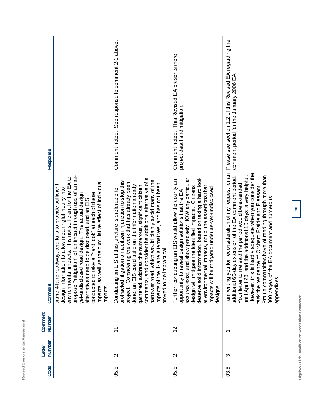| Response          |                                                                                                                                                                                                                                                                                                                                                                                                                                                                      | Comment noted. See response to comment 2-1 above.                                                                                                                                                                                                                                                                                                                                                                                                                                                       | This Revised EA presents more<br>project detail and mitigation.<br>Comment noted.                                                                                                                                                                                                                                                                                                                                                | Please see section 1.2 of this Revised EA regarding the<br>comment period for the January 2006 EA.                                                                                                                                                                                                                                                                                                                                                                              |
|-------------------|----------------------------------------------------------------------------------------------------------------------------------------------------------------------------------------------------------------------------------------------------------------------------------------------------------------------------------------------------------------------------------------------------------------------------------------------------------------------|---------------------------------------------------------------------------------------------------------------------------------------------------------------------------------------------------------------------------------------------------------------------------------------------------------------------------------------------------------------------------------------------------------------------------------------------------------------------------------------------------------|----------------------------------------------------------------------------------------------------------------------------------------------------------------------------------------------------------------------------------------------------------------------------------------------------------------------------------------------------------------------------------------------------------------------------------|---------------------------------------------------------------------------------------------------------------------------------------------------------------------------------------------------------------------------------------------------------------------------------------------------------------------------------------------------------------------------------------------------------------------------------------------------------------------------------|
| Comment           | propose "mitigation" of an impact through use of an as-<br>impacts. It is not sufficient for the EA to<br>impacts, as well as the cumulative effect of individual<br>same 4-lane roadway, and fails to provide sufficient<br>design information to allow meaningful inquiry into<br>conducted to take a "hard look" at each of these<br>yet-undisclosed road design. The actual design<br>alternatives need to be disclosed, and an EIS<br>environmental<br>impacts. | comments, and consider the additional alternative of a<br>which would plainly avoid many of the<br>protracted litigation on a citizen injunction to stop this<br>dering the work that has already been<br>impacts of the 4-lane alternatives, and has not been<br>done, an EIS could build on the information already<br>gathered, address the numerous, significant citizen<br>EIS at this juncture is preferable to<br>proved to be impractical.<br>Conducting an<br>narrower road,<br>project. Consi | deserve solid information, based on taking a hard look<br>and show precisely HOW any particular<br>cting an EIS would allow the county an<br>at environmental impacts, not blithe assertions that<br>gate the identified impacts. Citizens<br>mitigated under as-yet-undisclosed<br>reveal design solutions that the EA<br>design will miti<br>impacts will be<br>Further, condu<br>opportunity to<br>assures exist,<br>designs. | I am writing you for reconsideration of my request for an<br>s hardly adequate when you consider the<br>Prairie communities have of reading through more than<br>additional 60-day extension of the EA comment period.<br>until April 28, and the additional 16 days is very helpful.<br>Your letter to me said the period would be extended<br>task the residence of Orchard Prairie and Pleasant<br>800 pages of the EA document and numerous<br>However, this<br>appendixes. |
| Comment<br>Number |                                                                                                                                                                                                                                                                                                                                                                                                                                                                      | $\tilde{t}$                                                                                                                                                                                                                                                                                                                                                                                                                                                                                             | $\frac{2}{3}$                                                                                                                                                                                                                                                                                                                                                                                                                    | ↽                                                                                                                                                                                                                                                                                                                                                                                                                                                                               |
| Number<br>Letter  |                                                                                                                                                                                                                                                                                                                                                                                                                                                                      | $\mathbf{\Omega}$                                                                                                                                                                                                                                                                                                                                                                                                                                                                                       | $\mathbf{\Omega}$                                                                                                                                                                                                                                                                                                                                                                                                                | ო                                                                                                                                                                                                                                                                                                                                                                                                                                                                               |
| Code              |                                                                                                                                                                                                                                                                                                                                                                                                                                                                      | 05.5                                                                                                                                                                                                                                                                                                                                                                                                                                                                                                    | 05.5                                                                                                                                                                                                                                                                                                                                                                                                                             | 03.5                                                                                                                                                                                                                                                                                                                                                                                                                                                                            |

Revised Environmental Assessment

Bigelow Gulch Road/Forker Road Urban Connector **Bigelow Gulch Road/Forker Road Urban Connector**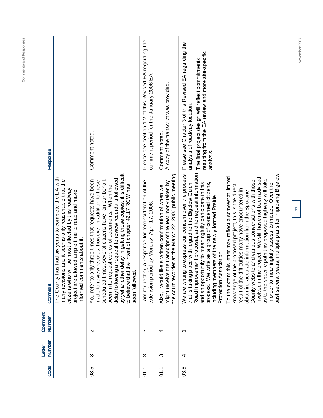| Response                 |                                                                                                                                                                                                                                                          | Comment noted.                                                                                                                                                                                                                                                                                                                                                                                                                  | Please see section 1.2 of this Revised EA regarding the<br>comment period for the January 2006 EA.       | A copy of the transcript was provided.<br>Comment noted.                                                                                                                        | Please see Chapter 3 of this Revised EA regarding the<br>resulting from the EA review and more site-specific<br>The final project design will reflect commitments<br>analysis of roadway location.<br>analysis                                                                                                                                                                   |                                                                                                                                                                                                                                                                                                                                                                                                                                                                                                                                              |
|--------------------------|----------------------------------------------------------------------------------------------------------------------------------------------------------------------------------------------------------------------------------------------------------|---------------------------------------------------------------------------------------------------------------------------------------------------------------------------------------------------------------------------------------------------------------------------------------------------------------------------------------------------------------------------------------------------------------------------------|----------------------------------------------------------------------------------------------------------|---------------------------------------------------------------------------------------------------------------------------------------------------------------------------------|----------------------------------------------------------------------------------------------------------------------------------------------------------------------------------------------------------------------------------------------------------------------------------------------------------------------------------------------------------------------------------|----------------------------------------------------------------------------------------------------------------------------------------------------------------------------------------------------------------------------------------------------------------------------------------------------------------------------------------------------------------------------------------------------------------------------------------------------------------------------------------------------------------------------------------------|
| Comment                  | The County has had six years to complete the EA with<br>many revisions and it seems only reasonable that the<br>citizens who will be most affected by this roadway<br>owed ample time to read and make<br>informed comments about it.<br>project are all | by yet another delay in getting those copies, it is difficult<br>delay following a request to review records is followed<br>scheduled times, several citizens have, on our behalf,<br>You refer to only three times that requests have been<br>made to review records, however in addition to these<br>to believe that the intent of chapter 42.17 RCW has<br>been in to request copies of documents. When the<br>been followed | I am requesting a response for reconsideration of the<br>iod by Monday, April 17, 2006.<br>extension per | the court recorder at the March 22, 2006 public meeting<br>the transcript of the testimony taken by<br>like a written confirmation of when we<br>might receive<br>Also, I would | Road Improvement proposal, and to request information<br>g to express our concern over the process<br>place with regard to the Bigelow Gulch<br>and an opportunity to meaningfully participate in this<br>write as a group of concerned citizens,<br>including members of the newly formed Prairie<br>Protection Association.<br>We are writing<br>process. We<br>that is taking | ears, multiple plans for improving Bigelow<br>this letter may reflect a somewhat limited<br>involved in the project. We still have not been advised<br>as to the specific path this proposed highway will take,<br>County website and various conversations with those<br>in order to meaningfully assess its impact. Over the<br>the proposed project, this is the direct<br>result of the difficulties many have encountered in<br>urate information from the Spokane<br>past several y<br>obtaining accu<br>To the extent<br>knowledge of |
| Comment<br><b>Number</b> |                                                                                                                                                                                                                                                          | $\sim$                                                                                                                                                                                                                                                                                                                                                                                                                          | ო                                                                                                        | 4                                                                                                                                                                               | $\overline{\phantom{0}}$                                                                                                                                                                                                                                                                                                                                                         |                                                                                                                                                                                                                                                                                                                                                                                                                                                                                                                                              |
| Number<br>Letter         |                                                                                                                                                                                                                                                          | က                                                                                                                                                                                                                                                                                                                                                                                                                               | ო                                                                                                        | က                                                                                                                                                                               | 4                                                                                                                                                                                                                                                                                                                                                                                |                                                                                                                                                                                                                                                                                                                                                                                                                                                                                                                                              |
| Code                     |                                                                                                                                                                                                                                                          | 03.5                                                                                                                                                                                                                                                                                                                                                                                                                            | $\overline{5}$                                                                                           | $\overline{01.1}$                                                                                                                                                               | 03.5                                                                                                                                                                                                                                                                                                                                                                             |                                                                                                                                                                                                                                                                                                                                                                                                                                                                                                                                              |

Comments and Responses **Comments and Responses**  November 2007 **November 2007**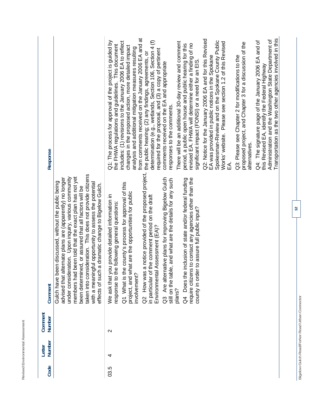| a<br>-<br>×<br>۰<br>٠<br>ä<br>ä<br>۱<br>ļ<br>ı<br>ţ<br>ä<br>۱<br>ı<br>í<br>i<br>ä<br>ï<br>۰                                                                |  |
|------------------------------------------------------------------------------------------------------------------------------------------------------------|--|
| ۰<br>$\overline{\phantom{a}}$                                                                                                                              |  |
| ı<br>٠<br>١<br>١<br>J<br>٠<br>۱<br>á<br>ä<br>٦<br>ţ<br>ı<br>ь.<br>-<br>i<br>ī<br>ä<br>ı<br>í<br>١<br>ï<br>I<br>٠<br>-<br>٠<br>×.<br>٠<br>ì<br>ä<br>×<br>-- |  |
| ٠<br>ı<br>۹<br>é<br>۰<br>ı<br>٠<br>۰<br>×.<br>٠<br>ä<br>ر<br>ν<br>--                                                                                       |  |

| Code | Number<br>Letter | Comment<br>Number | tternate plans are (apparently) no longer<br>en discussed, without the public being<br>Gulch have be<br>advised that al<br>Comment                                                                                                                                                                                                                                                                                                                                                                                                                                                                                                                                                                    | Response                                                                                                                                                                                                                                                                                                                                                                                                                                                                                                                                                                                                                                                                                                                                                                                                                                                                                                                                                                                                                                                                                                                                                                                                              |
|------|------------------|-------------------|-------------------------------------------------------------------------------------------------------------------------------------------------------------------------------------------------------------------------------------------------------------------------------------------------------------------------------------------------------------------------------------------------------------------------------------------------------------------------------------------------------------------------------------------------------------------------------------------------------------------------------------------------------------------------------------------------------|-----------------------------------------------------------------------------------------------------------------------------------------------------------------------------------------------------------------------------------------------------------------------------------------------------------------------------------------------------------------------------------------------------------------------------------------------------------------------------------------------------------------------------------------------------------------------------------------------------------------------------------------------------------------------------------------------------------------------------------------------------------------------------------------------------------------------------------------------------------------------------------------------------------------------------------------------------------------------------------------------------------------------------------------------------------------------------------------------------------------------------------------------------------------------------------------------------------------------|
|      |                  |                   | taken into consideration. This does not provide citizens<br>been told that the exact plan has not yet<br>under consideration. Upon inquiry, various community<br>with a meaningful opportunity to assess the potential<br>a dramatic change to Bigelow Gulch.<br>been determined, or assured that all factors will be<br>effects of such<br>members had                                                                                                                                                                                                                                                                                                                                               |                                                                                                                                                                                                                                                                                                                                                                                                                                                                                                                                                                                                                                                                                                                                                                                                                                                                                                                                                                                                                                                                                                                                                                                                                       |
| 03.5 | 4                | $\mathbf{\Omega}$ | a notice provided of the proposed project,<br>ative plans for improving Bigelow Gulch<br>require citizens to contact any agencies other than the<br>Q4 Does the inclusion of state and/or federal funding<br>e, and what are the details for any such<br>Q1 What is the county's process for approval of this<br>hat are the opportunities for public<br>the comment period on the draft<br>We ask that you provide detailed information in<br>response to the following general questions:<br>county in order to assure full public input?<br>Assessment (EA)?<br>Q3 Are altern<br>Q2 How was<br>still on the tabl<br>project, and wl<br>Environmental<br>in particular of<br>involvement?<br>plans? | from comments received on the January 2006 EA and at<br>Q2: Notice for the January 2006 EA and for this Revised<br>Q1: The process for approval of the project is guided by<br>determination (e.g., wetlands, Section 106, Section 4 (f)<br>Spokesman-Review and on the Spokane County Public<br>includes: (1) revisions to the January 2006 EA to reflect<br>There will be an additional 30-day review and comment<br>Works' website. Please see section 1.2 of this Revised<br>proposed project, and Chapter 3 for a discussion of the<br>revised EA. FHWA will determine either a finding of no<br>period, a public open house and public hearing for this<br>the FHWA regulations and guidelines. This document<br>changes in the proposed action, more detailed impact<br>analysis and additional mitigation measures resulting<br>required for the proposal, and (3) a copy of pertinent<br>the public hearing; (2) any findings, agreements, or<br>Q3: Please see Chapter 2 for modifications to the<br>EA was provided in public notices in the Spokane<br>significant impact (FONSI) or a need for an EIS<br>comments received on the EA and appropriate<br>responses to the comments.<br>alternatives.<br>₷ |
|      |                  |                   |                                                                                                                                                                                                                                                                                                                                                                                                                                                                                                                                                                                                                                                                                                       | Transportation as the two other agencies involved in this<br>Administration and the Washington State Department of<br>Q4: The signature page of the January 2006 EA and of<br>this Revised EA, identify the Federal Highway                                                                                                                                                                                                                                                                                                                                                                                                                                                                                                                                                                                                                                                                                                                                                                                                                                                                                                                                                                                           |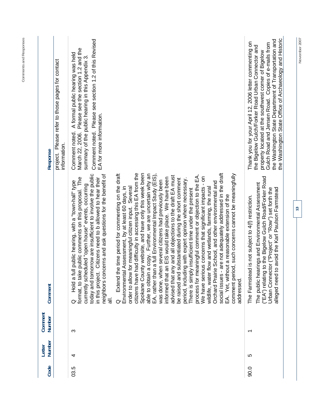| Code | Number<br>Letter | Comment<br>Number        | Comment                                                                                                                                                                                                                                                                                                                                                                                                                                                                                                                                                                                                                                                                                                                                                                                                                                                                                                                                                                                                                                                                                                                                                                                                                          | Response                                                                                                                                                                                                                                                                                                                                     |
|------|------------------|--------------------------|----------------------------------------------------------------------------------------------------------------------------------------------------------------------------------------------------------------------------------------------------------------------------------------------------------------------------------------------------------------------------------------------------------------------------------------------------------------------------------------------------------------------------------------------------------------------------------------------------------------------------------------------------------------------------------------------------------------------------------------------------------------------------------------------------------------------------------------------------------------------------------------------------------------------------------------------------------------------------------------------------------------------------------------------------------------------------------------------------------------------------------------------------------------------------------------------------------------------------------|----------------------------------------------------------------------------------------------------------------------------------------------------------------------------------------------------------------------------------------------------------------------------------------------------------------------------------------------|
|      |                  |                          |                                                                                                                                                                                                                                                                                                                                                                                                                                                                                                                                                                                                                                                                                                                                                                                                                                                                                                                                                                                                                                                                                                                                                                                                                                  | project. Please refer to those pages for contact<br>information.                                                                                                                                                                                                                                                                             |
| 03.5 | 4                | ω                        | today and tomorrow are insufficient to involve the public<br>neighbors concerns and ask questions for the benefit of<br>public comments on this proposal. The<br>Citizens need to b allowed to hear their<br>Hold a full public hearing, with a "town-hall" type<br>currently scheduled "open house" events, occurring<br>format, to take<br>in this project.<br>ಕ<br>O                                                                                                                                                                                                                                                                                                                                                                                                                                                                                                                                                                                                                                                                                                                                                                                                                                                          | Comment noted. Please see section 1.2 of this Revised<br>Please see the section 1.2 and the<br>A formal public hearing was held<br>summary of the public hearing in this Appendix 3.<br>EA for more information.<br>Comment noted.<br>March 22, 2006.                                                                                        |
|      |                  |                          | are not adequately addressed in the draft<br>had difficulty in accessing this EA from the<br>Spokane County website, and have only this week been<br>a copy. Further, we are uncertain why an<br>e time period for commenting on the draft<br>n a full Environmental Impact Study (EIS),<br>comment period, such concerns cannot be meaningfully<br>process for meaningful comment or objection to the EA.<br>advised that any and all objections to the draft EA must<br>We have serious concerns that significant impacts - on<br>informed that an EIS would take place. We have been<br>period, including with expert opinion where necessary.<br>substantiated during the short comment<br>was done, when several citizens had previously been<br>Orchard Prairie School, and other environmental and<br>for meaningful citizen input. Several<br>flow and wetlands, farming, the rural<br>Assessment, by at least 60 days, in<br>There is simply insufficient time under the present<br>EA. Yet, without a reasonable extension of the<br>Extend th<br>Environmental<br>social issues -<br>EA, rather tha<br>able to obtain<br>be raised and<br>order to allow<br>wildlife, water<br>citizens have<br>addressed.<br>$\circ$ |                                                                                                                                                                                                                                                                                                                                              |
| 90.0 | 5                | $\overline{\phantom{0}}$ | ("EA") relating to the Bigelow Gulch Road/Forker Road<br>The public hearings and Environmental Assessment<br>alleged need to avoid the Karl Paulson Farmstead<br>Urban Connector ("Project" or "Row") set forth the<br>The Farmstead is not subject to 4(f) restriction.                                                                                                                                                                                                                                                                                                                                                                                                                                                                                                                                                                                                                                                                                                                                                                                                                                                                                                                                                         | the Washington State Office of Archaeology and Historic<br>the Washington State Department of Transportation and<br>Thank you for your April 12, 2006 letter commenting on<br>Gulch Road and Jensen Road. Copies of e-mails from<br>the Bigelow Gulch/Forker Road Urban Connector and<br>property located at the southwest corner of Bigelow |
|      |                  |                          | $\overline{13}$                                                                                                                                                                                                                                                                                                                                                                                                                                                                                                                                                                                                                                                                                                                                                                                                                                                                                                                                                                                                                                                                                                                                                                                                                  | November 2007                                                                                                                                                                                                                                                                                                                                |

**Comments and Responses**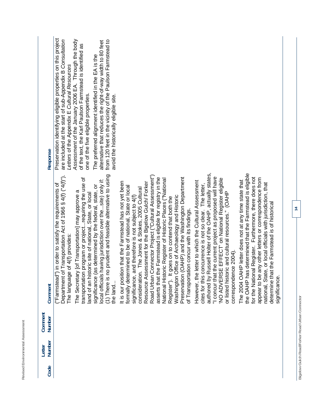| ┙<br>-<br>ı<br>ł<br>┶<br>ï<br>ń<br>ı,<br>٠<br>-<br>١<br>٠<br>ī<br>۰<br>٠<br>١<br>۰<br>ï<br>ï<br>×<br>ä<br>ι<br>ä<br>ч<br>J<br>۰<br>é<br>ı<br>∼ |
|------------------------------------------------------------------------------------------------------------------------------------------------|
| ч<br>$\overline{\phantom{a}}$                                                                                                                  |
| -<br>۰<br>t,<br>١<br>i<br>ë                                                                                                                    |
| ÷<br>a<br>٦<br>ä<br>١<br>J.                                                                                                                    |
| ı<br>٠<br>ł<br>ī<br>-                                                                                                                          |
| -<br>ï<br>∽<br>÷<br>◡                                                                                                                          |
| ×<br>I<br>٠<br>۰                                                                                                                               |
| تسر<br>≓                                                                                                                                       |
| ∼<br>п<br>--                                                                                                                                   |
| –<br>ı<br>Υ<br>ŀ<br>A<br>ţ<br>۰                                                                                                                |
| r<br>ï<br>l<br>J<br>$\cdots$<br>i.<br>۰                                                                                                        |
| ৴<br>ã<br>Ć<br>è<br>v                                                                                                                          |
| ∸                                                                                                                                              |

| Response          | Preservation identifying eligible pr<br>are included at the start of sub-Ap<br>Letters of the Appendix E Cultural<br>Assessment of the January 2006<br>of the text, the Karl Paulson Farm<br>The preferred alignment identified<br>alternative that reduces the right-o<br>from 120 feet in the vicinity of the<br>one of the five eligible properties.<br>avoid the historically eligible site.                                                                                                                                                                                                                                                                                                                                                                                                                                                                                                                                                                                                                                                                                                                                                                                                                                                                                                                                                                                                                                                                                                                                                                                                                                                                                                                                                                                                                                                                                                                                                          |
|-------------------|-----------------------------------------------------------------------------------------------------------------------------------------------------------------------------------------------------------------------------------------------------------------------------------------------------------------------------------------------------------------------------------------------------------------------------------------------------------------------------------------------------------------------------------------------------------------------------------------------------------------------------------------------------------------------------------------------------------------------------------------------------------------------------------------------------------------------------------------------------------------------------------------------------------------------------------------------------------------------------------------------------------------------------------------------------------------------------------------------------------------------------------------------------------------------------------------------------------------------------------------------------------------------------------------------------------------------------------------------------------------------------------------------------------------------------------------------------------------------------------------------------------------------------------------------------------------------------------------------------------------------------------------------------------------------------------------------------------------------------------------------------------------------------------------------------------------------------------------------------------------------------------------------------------------------------------------------------------|
| Comment           | authored by Russell Holter of the OAHP, actually states,<br>the OAHP has determined that the Farmstead is eligible<br>(1) There is no prudent and feasible alternative to using<br>Department of Transportation Act of 1966 § 4(f) ("4(f)").<br>Road Urban Connector Project ("Cultural Assessment")<br>"I concur that the current project as proposed will have<br>asserts that the Farmstead is eligible for registry in the<br>Preservation (OAHP) and the Washington Department<br>for the National Register. Furthermore, there does not<br>transportation program or projectrequiring the use of<br>appear to be any other letters or correspondence from<br>National Historic Register of Historic Places ("National<br>NO ADVERSE EFFECT' on National Register eligible<br>local officials having jurisdiction over thesite) only if:<br>The 2004 OAHP letter does not at any time state that<br>However, the letter to which the Cultural Assessment<br>It is our position that the Farmstead has not yet been<br>Resource Assessment for the Bigelow Gulch/ Forker<br>national, State, or local officials with jurisdiction, that<br>["Farmstead") in order to satisfy the requirements of<br>cites for this concurrence is not so clear. The letter,<br>significance (as determined by the federal, state, or<br>formally determined to be of national, State or local<br>consideration. The Jones & Stokes, 2005 Cultural<br>The Secretary [of Transportation] may approve a<br>or listed historic and cultural resources." (OAHP<br>land of an historic site of national, State, or local<br>Washington Office of Archaeology and Historic<br>significance, and therefore is not subject to 4(f)<br>Register"). It goes on to contend that both the<br>determine that the Farmstead is of historical<br>of Transportation concur with its findings.<br>The language of 4(f) provides:<br>correspondence 2004).<br>significance.<br>the land. |
| Comment<br>Number |                                                                                                                                                                                                                                                                                                                                                                                                                                                                                                                                                                                                                                                                                                                                                                                                                                                                                                                                                                                                                                                                                                                                                                                                                                                                                                                                                                                                                                                                                                                                                                                                                                                                                                                                                                                                                                                                                                                                                           |
| Number<br>Letter  |                                                                                                                                                                                                                                                                                                                                                                                                                                                                                                                                                                                                                                                                                                                                                                                                                                                                                                                                                                                                                                                                                                                                                                                                                                                                                                                                                                                                                                                                                                                                                                                                                                                                                                                                                                                                                                                                                                                                                           |
| Code              |                                                                                                                                                                                                                                                                                                                                                                                                                                                                                                                                                                                                                                                                                                                                                                                                                                                                                                                                                                                                                                                                                                                                                                                                                                                                                                                                                                                                                                                                                                                                                                                                                                                                                                                                                                                                                                                                                                                                                           |

ying eligible properties on this project<br>start of sub-Appendix B *Consultation*<br>ndix E *Cultural Resources*<br>January 2006 EA. Through the body<br>Paulson Farmstead is identified as Preservation identifying eligible properties on this project *Assessment* of the January 2006 EA. Through the body are included at the start of sub-Appendix B *Consultation*  of the text, the Karl Paulson Farmstead is identified as *Letters* of the Appendix E *Cultural Resources*  properties.

ent identified in the EA is the<br>es the right-of-way width to 80 feet<br>icinity of the Paulson Farmstead to<br>eligible site. from 120 feet in the vicinity of the Paulson Farmstead to alternative that reduces the right-of-way width to 80 feet The preferred alignment identified in the EA is the avoid the historically eligible site.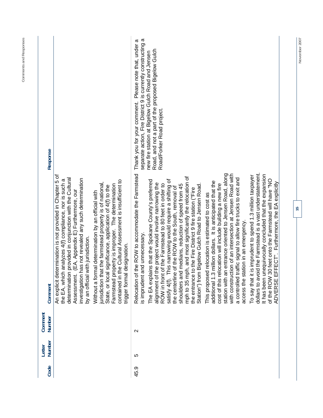| Response          |                                                                                                                                                                                                                                                                                                                                                                                                                                                                                                                                                                                                                                                                          | separate action, Fire District 9 is currently constructing a<br>Please note that, under a<br>Road, and not a part of the proposed Bigelow Gulch<br>Road/Forker Road project.<br>new fire station at Bigelow Gulch Road and Jensen<br>Thank you for your comment.                                                                                                                                                                                                                                                                                                                                                                                                                                                                                                                                                                                                                                                                                                                                                                                                                                                                                                                                                                                                                                                                     |
|-------------------|--------------------------------------------------------------------------------------------------------------------------------------------------------------------------------------------------------------------------------------------------------------------------------------------------------------------------------------------------------------------------------------------------------------------------------------------------------------------------------------------------------------------------------------------------------------------------------------------------------------------------------------------------------------------------|--------------------------------------------------------------------------------------------------------------------------------------------------------------------------------------------------------------------------------------------------------------------------------------------------------------------------------------------------------------------------------------------------------------------------------------------------------------------------------------------------------------------------------------------------------------------------------------------------------------------------------------------------------------------------------------------------------------------------------------------------------------------------------------------------------------------------------------------------------------------------------------------------------------------------------------------------------------------------------------------------------------------------------------------------------------------------------------------------------------------------------------------------------------------------------------------------------------------------------------------------------------------------------------------------------------------------------------|
| Comment           | An explicit determination is not provided in Chapter 5 of<br>provided in conjunction with the Cultural<br>investigation has not revealed any such determination<br>analyzes 4(f) compliance, nor is such a<br>contained in the Cultural Assessment is insufficient to<br>jurisdiction that the farmstead property is of national,<br>Farmstead property is improper. The determination<br>significance, application of 4(f) to the<br>(EA, Appendix E) Furthermore, our<br>Without a formal determination by an official with<br>by an official with jurisdiction.<br>designation.<br>the EA, which<br>determination<br>State, or local<br>trigger formal<br>Assessment. | dollars to avoid the Farmstead is a vast understatement.<br>the ROW to accommodate the Farmstead<br>entrance oriented to Jensen Road, along<br>with construction of an intersection at Jensen Road with<br>It has been unequivocally concluded that the expansion<br>To say that it is imprudent to spend 1.3 million taxpayer<br>mph to 35 mph, and most significantly the relocation of<br>a controlled traffic signal to allow fire trucks to exit and<br>satisfy 4(f). This narrowing would require a shifting of<br>ns that the Spokane County's preferred<br>of the ROW 30 feet onto the Farmstead will have "NO<br>ADVERSE EFFECT". Furthermore, the EA explicitly<br>additional 1.3 million dollars. It is anticipated that the<br>alignment of the project would involve narrowing the<br>ROW in front of the Farmstead to 80 feet in order to<br>shoulders and medians, reduction of speed from 45<br>cost of this relocation will include building a new fire<br>Bigelow Gulch Road to Jensen Road<br>of the ROW to the South, removal of<br>the entrance to the Fire District 9 fire station ("Fire<br>This proposed relocation is estimated to cost as<br>access the station in an emergency.<br>is imprudent and unnecessary.<br>station with an<br>The EA explai<br>the centerline<br>Station") from<br>Relocation of |
| Comment<br>Number |                                                                                                                                                                                                                                                                                                                                                                                                                                                                                                                                                                                                                                                                          | $\sim$                                                                                                                                                                                                                                                                                                                                                                                                                                                                                                                                                                                                                                                                                                                                                                                                                                                                                                                                                                                                                                                                                                                                                                                                                                                                                                                               |
| Number<br>Letter  |                                                                                                                                                                                                                                                                                                                                                                                                                                                                                                                                                                                                                                                                          | ပ                                                                                                                                                                                                                                                                                                                                                                                                                                                                                                                                                                                                                                                                                                                                                                                                                                                                                                                                                                                                                                                                                                                                                                                                                                                                                                                                    |
| Code              |                                                                                                                                                                                                                                                                                                                                                                                                                                                                                                                                                                                                                                                                          | 45.9                                                                                                                                                                                                                                                                                                                                                                                                                                                                                                                                                                                                                                                                                                                                                                                                                                                                                                                                                                                                                                                                                                                                                                                                                                                                                                                                 |

 $\frac{15}{2}$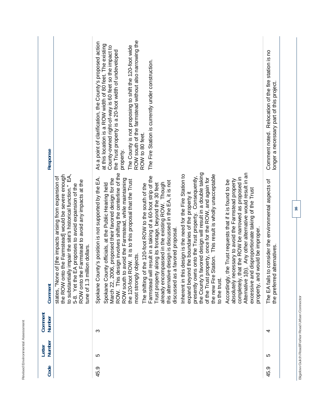| Code | Number<br>Letter | Comment<br>Number | Comment                                                                                                                                                                                                                                                                                                                                                                                                                                                                                                                                                                                                                                                                                                                                                                                                                                                                                                                                                                                                                                                                                                                                                                                                                                                                                                                                                                                                                                                 | Response                                                                                                                                                                                                                                                                                                                                                                                                                                       |
|------|------------------|-------------------|---------------------------------------------------------------------------------------------------------------------------------------------------------------------------------------------------------------------------------------------------------------------------------------------------------------------------------------------------------------------------------------------------------------------------------------------------------------------------------------------------------------------------------------------------------------------------------------------------------------------------------------------------------------------------------------------------------------------------------------------------------------------------------------------------------------------------------------------------------------------------------------------------------------------------------------------------------------------------------------------------------------------------------------------------------------------------------------------------------------------------------------------------------------------------------------------------------------------------------------------------------------------------------------------------------------------------------------------------------------------------------------------------------------------------------------------------------|------------------------------------------------------------------------------------------------------------------------------------------------------------------------------------------------------------------------------------------------------------------------------------------------------------------------------------------------------------------------------------------------------------------------------------------------|
|      |                  |                   | to substantially impair the site's historical function." EA,<br>the ROW onto the Farmstead] would be severe enough<br>of [the impacts arising from expansion of<br>ROW onto the Farmstead to avoid any impacts at the<br>5-8. Yet the EA proposes to avoid expansion of the<br>tune of 1.3 million dollars.<br>states, "None                                                                                                                                                                                                                                                                                                                                                                                                                                                                                                                                                                                                                                                                                                                                                                                                                                                                                                                                                                                                                                                                                                                            |                                                                                                                                                                                                                                                                                                                                                                                                                                                |
| 45.9 | 5                | က                 | ROW. This design involves shifting the centerline of the<br>favored design will result in a double taking<br>Alternative 1(b). Any other alternative would result in an<br>is design is the need for the Fire Station to<br>the new Fire Station. This result is wholly unacceptable<br>Farmstead will result in a taking of a 60-foot strip of the<br>presently owns onto the Trust property. Consequently,<br>of the Trust property, once for the ROW, and again for<br>completely, that the ROW be narrowed as proposed in<br>Spokane County's position is not supported by the EA.<br>ROW south to avoid the Farmstead, while maintaining<br>March 22, 2006, proposed their favored design for the<br>absolutely necessary to avoid the Farmstead property<br>the 120-foot ROW. It is to this proposal that the Trust<br>Accordingly, the Trust requests that if it is found to be<br>this alternative design is discussed in the EA, it is not<br>Trust property along its frontage, beyond the 30 feet<br>already encompassed in the existing ROW. Though<br>Spokane County officials, at the Public Hearing held<br>The shifting of the 120-foot ROW to the south of the<br>excessive and disproportionate taking of the Trust<br>expand beyond the boundaries of the property it<br>a favored proposal.<br>would be improper.<br>objects.<br>most strongly<br>Inherent in thi<br>property, and<br>the County's<br>discussed as<br>to the trust. | ROW south of the farmstead without also narrowing the<br>As a point of clarification, the County's proposed action<br>at this location is a ROW width of 80 feet. The existing<br>The County is not proposing to shift the 120-foot wide<br>County-owned right-of-way is 60 feet so the impact to<br>the Trust property is a 20-foot width of undeveloped<br>The Fire Station is currently under construction.<br>ROW to 80 feet.<br>property. |
| 45.9 | LO               | 4                 | The EA fails to consider the environmental aspects of<br>alternatives.<br>the preferred                                                                                                                                                                                                                                                                                                                                                                                                                                                                                                                                                                                                                                                                                                                                                                                                                                                                                                                                                                                                                                                                                                                                                                                                                                                                                                                                                                 | Comment noted. Relocation of the fire station is no<br>longer a necessary part of this project.                                                                                                                                                                                                                                                                                                                                                |

Revised Environmental Assessment

Bigelow Gulch Road/Forker Road Urban Connector **Bigelow Gulch Road/Forker Road Urban Connector**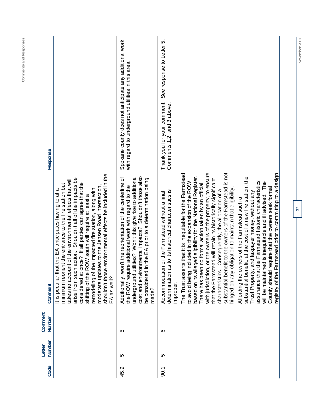| Response          |                                                                                                                                                                                                                                                                                                                                                                                                                                                                                                                                                              | Spokane county does not anticipate any additional work<br>with regard to underground utilities in this area                                                                                                                                                                                                         | See response to Letter 5,<br>Thank you for your comment.<br>Comments 1,2, and 3 above.                                                                                                                                                                                                                                                                                                                                                                                                                                                                                                                                                                                                                                                                                                                                                                                                                                                                                                                                                                                                          |
|-------------------|--------------------------------------------------------------------------------------------------------------------------------------------------------------------------------------------------------------------------------------------------------------------------------------------------------------------------------------------------------------------------------------------------------------------------------------------------------------------------------------------------------------------------------------------------------------|---------------------------------------------------------------------------------------------------------------------------------------------------------------------------------------------------------------------------------------------------------------------------------------------------------------------|-------------------------------------------------------------------------------------------------------------------------------------------------------------------------------------------------------------------------------------------------------------------------------------------------------------------------------------------------------------------------------------------------------------------------------------------------------------------------------------------------------------------------------------------------------------------------------------------------------------------------------------------------------------------------------------------------------------------------------------------------------------------------------------------------------------------------------------------------------------------------------------------------------------------------------------------------------------------------------------------------------------------------------------------------------------------------------------------------|
| Comment           | e environmental effects be included in the<br>arise from such action. Shouldn't all of the impacts be<br>takes no account of the environmental effects that will<br>once? If all parties can agree that the<br>minimum reorient the entrance to the fire station but<br>lates to the Jensen Road intersection.<br>remodeling of the impacted fire station, along with<br>hat the EA anticipates having to at a<br>ROW south will require at least a<br>considered at<br>shifting of the<br>moderate upd<br>shouldn't thos<br>It is peculiar t<br>EA as well? | utilities? Won't this give rise to additional<br>ronmental impacts? Shouldn't those also<br>Additionally, won't the reorientation of the centerline of<br>tin the EA prior to a determination being<br>the ROW require additional work with regard to the<br>cost and envi<br>be considered<br>underground<br>made? | with jurisdiction, or the owners of the property, to ensure<br>substantial benefit to the owners of the Farmstead is not<br>The Trust asserts that it is inequitable for the Farmstead<br>Farmstead prior to committing to a design<br>based on its alleged eligibility for the National Register.<br>substantial benefit, at the cost of a new fire station, the<br>that the Farmstead will retain its historically significant<br>assurance that the Farmstead historic characteristics<br>will be maintained is inequitable and ill advised. The<br>to avoid being included in the expansion of the ROW<br>There has been no formal action taken by an official<br>County should require that the owners seek formal<br>hinged on any obligation to maintain that eligibility<br>characteristics. Consequently, the allocation of a<br>as to its historical characteristics is<br>Trust Property, and taxpayer money, without any<br>ion of the Farmstead without a final<br>owners of the Farmstead such a<br>registry of the<br>Accommodati<br>determination<br>Affording the<br>improper. |
| Comment<br>Number |                                                                                                                                                                                                                                                                                                                                                                                                                                                                                                                                                              | လ                                                                                                                                                                                                                                                                                                                   | ဖ                                                                                                                                                                                                                                                                                                                                                                                                                                                                                                                                                                                                                                                                                                                                                                                                                                                                                                                                                                                                                                                                                               |
| Number<br>Letter  |                                                                                                                                                                                                                                                                                                                                                                                                                                                                                                                                                              | LO                                                                                                                                                                                                                                                                                                                  | LO                                                                                                                                                                                                                                                                                                                                                                                                                                                                                                                                                                                                                                                                                                                                                                                                                                                                                                                                                                                                                                                                                              |
| Code              |                                                                                                                                                                                                                                                                                                                                                                                                                                                                                                                                                              | 45.9                                                                                                                                                                                                                                                                                                                | 50.1                                                                                                                                                                                                                                                                                                                                                                                                                                                                                                                                                                                                                                                                                                                                                                                                                                                                                                                                                                                                                                                                                            |

**November 2007 17** 

 $\overline{17}$ 

November 2007

**Comments and Responses**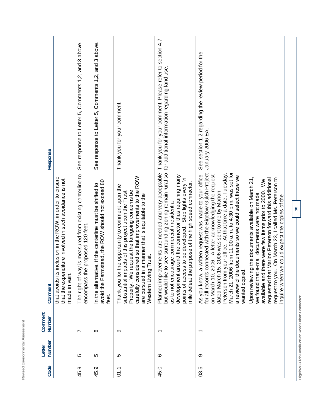| Code              | <b>Number</b><br>Letter | Comment<br>Number                              | Comment                                                                                                                                                                                                                                                                                                                                                                                                                                                                                                                                                                                                                                                                                                                                                                              | Response                                                                                                    |
|-------------------|-------------------------|------------------------------------------------|--------------------------------------------------------------------------------------------------------------------------------------------------------------------------------------------------------------------------------------------------------------------------------------------------------------------------------------------------------------------------------------------------------------------------------------------------------------------------------------------------------------------------------------------------------------------------------------------------------------------------------------------------------------------------------------------------------------------------------------------------------------------------------------|-------------------------------------------------------------------------------------------------------------|
|                   |                         |                                                | that avoids its inclusion in the ROW, in order to ensure<br>that the expenditure involved in such avoidance is not<br>made in vain.                                                                                                                                                                                                                                                                                                                                                                                                                                                                                                                                                                                                                                                  |                                                                                                             |
| တ<br>45.          | LO.                     | $\overline{\phantom{0}}$                       | The right of way is measured from existing centerline to<br>encompass the proposed 120 feet.                                                                                                                                                                                                                                                                                                                                                                                                                                                                                                                                                                                                                                                                                         | See response to Letter 5, Comments 1,2, and 3 above.                                                        |
| 45.9              | LO                      | $\infty$                                       | mstead, the ROW should not exceed 80<br>tive, if the centerline must be shifted to<br>avoid the Fari<br>In the alternar<br>feet.                                                                                                                                                                                                                                                                                                                                                                                                                                                                                                                                                                                                                                                     | See response to Letter 5, Comments 1,2, and 3 above.                                                        |
| $\overline{01.1}$ | <u>က</u>                | တ                                              | carefully considered so that improvements to the ROW<br>Thank you for the opportunity to comment upon the<br>Property. We request the foregoing concerns be<br>pacts of this project upon the Trust<br>are pursued in a manner that is equitable to the<br>Western Living Trust.<br>substantial im                                                                                                                                                                                                                                                                                                                                                                                                                                                                                   | Thank you for your comment.                                                                                 |
| 45.0              | ဖ                       | $\overline{\phantom{0}}$                       | but would like to see surrounding zoning remain rural so for additional information regarding land use.<br>around the connector thus requiring many<br>points of access to be developed. Stop lights every 14<br>e purpose of the high speed connector.<br>as to not encourage commercial / residential<br>mile defeat th<br>development                                                                                                                                                                                                                                                                                                                                                                                                                                             | Planned improvements are needed and very acceptable Thank you for your comment. Please refer to section 4.7 |
| 03.5              | တ                       | ᡪ                                              | March 21, 2006 from 11:00 a.m. to 4:30 p.m. was set for<br>Peterson from your office. At that time a date, Tuesday,<br>connected with the Bigelow Gulch Project<br>a written request was made to your office<br>2006. A letter acknowledging the request<br>a review of the documents so we could select those we<br>Upon reviewing the documents available on March 21,<br>requested that Marion Peterson forward this additional<br>request to you. On March 23, I called Ms. Peterson to<br>available and there were few items prior to 2000. We<br>15, 2006 was sent to me by Marion<br>e-mail documents were not made<br>we could expect the copies of the<br>wanted copied.<br>As you know,<br>for all records<br>we found that<br>on March 10,<br>dated March<br>inquire when | See section 1.2 regarding the review period for the<br>January 2006 EA.                                     |
|                   |                         | Bigelow Gulch Road/Forker Road Urban Connector | $\frac{8}{16}$                                                                                                                                                                                                                                                                                                                                                                                                                                                                                                                                                                                                                                                                                                                                                                       |                                                                                                             |
|                   |                         |                                                |                                                                                                                                                                                                                                                                                                                                                                                                                                                                                                                                                                                                                                                                                                                                                                                      |                                                                                                             |

Revised Environmental Assessment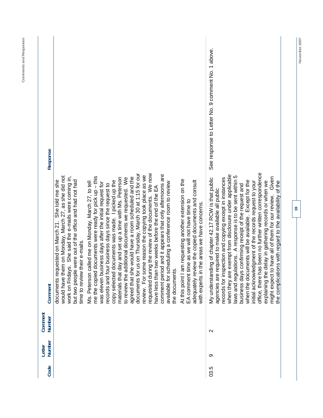| Response          |                                                                                                                                                                                                                                                                  |                                                                                                                                                                                                                                                                                                                                                                                                                                                                                                                                                                                                                                                                                                                                                           |                                                                                                                                                                                                                                                                                        | See response to Letter No. 9 comment No. 1 above.                                                                                                                                                                                                                                                                                                                                                                                                                                                                                                                                                                                                                                                                     |  |
|-------------------|------------------------------------------------------------------------------------------------------------------------------------------------------------------------------------------------------------------------------------------------------------------|-----------------------------------------------------------------------------------------------------------------------------------------------------------------------------------------------------------------------------------------------------------------------------------------------------------------------------------------------------------------------------------------------------------------------------------------------------------------------------------------------------------------------------------------------------------------------------------------------------------------------------------------------------------------------------------------------------------------------------------------------------------|----------------------------------------------------------------------------------------------------------------------------------------------------------------------------------------------------------------------------------------------------------------------------------------|-----------------------------------------------------------------------------------------------------------------------------------------------------------------------------------------------------------------------------------------------------------------------------------------------------------------------------------------------------------------------------------------------------------------------------------------------------------------------------------------------------------------------------------------------------------------------------------------------------------------------------------------------------------------------------------------------------------------------|--|
| Comment           | would have them on Monday, March 27, as she did not<br>work on Fridays. She said the e-mails were coming in,<br>but two people were out of the office and had not had<br>She told me she<br>documents requested on March 21.<br>their e-mails.<br>time to review | documents for us on Thursday, March 30 at 1:15 for our<br>requested during the review of the documents. We now<br>comment period and it appears that only afternoons are<br>review. For some reason the copying took place as we<br>documents were ready for pick up - this<br>agreed that she would have a room scheduled and the<br>to review the additional documents we requested. We<br>materials that day and set up a time with Ms. Peterson<br>documents was made. I picked up the<br>Ms. Peterson called me on Monday, March 27, to tell<br>was eleven business days after the initial request for<br>records and four business days since the request to<br>have less than two weeks before the end of the EA<br>me the copied<br>copy selected | At this point I am requesting another extension on the<br>adequately review the copied documents and consult<br>available for scheduling a conference room to review<br>EA comment time as we will not have time to<br>the areas we have concerns.<br>the documents<br>with experts in | s been no further written correspondence<br>when they are exempt from disclosure under applicable<br>ations. A response is to be sent within 5<br>might expect to have all of them for our review. Given<br>records for inspection and copying except in instances<br>My understanding of chapter 42.17 RCW is that public<br>when the documents will be available. Except for the<br>delay in gathering records or when we<br>initial acknowledgment of the records request to your<br>the complications with regard to the availability of the<br>business days confirming receipt of the request and<br>agencies are required to make available all public<br>office, there ha<br>laws and regul<br>explaining the |  |
| Comment<br>Number |                                                                                                                                                                                                                                                                  |                                                                                                                                                                                                                                                                                                                                                                                                                                                                                                                                                                                                                                                                                                                                                           |                                                                                                                                                                                                                                                                                        | $\sim$                                                                                                                                                                                                                                                                                                                                                                                                                                                                                                                                                                                                                                                                                                                |  |
| Number<br>Letter  |                                                                                                                                                                                                                                                                  |                                                                                                                                                                                                                                                                                                                                                                                                                                                                                                                                                                                                                                                                                                                                                           |                                                                                                                                                                                                                                                                                        | တ                                                                                                                                                                                                                                                                                                                                                                                                                                                                                                                                                                                                                                                                                                                     |  |
| Code              |                                                                                                                                                                                                                                                                  |                                                                                                                                                                                                                                                                                                                                                                                                                                                                                                                                                                                                                                                                                                                                                           |                                                                                                                                                                                                                                                                                        | 03.5                                                                                                                                                                                                                                                                                                                                                                                                                                                                                                                                                                                                                                                                                                                  |  |

**November 2007** 

November 2007

**19** 

**Comments and Responses**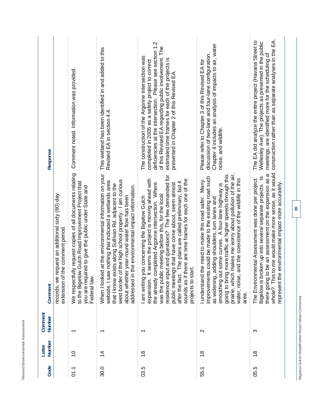| <b>Response</b>   |                                                                                     | Comment noted. Information was provided.                                                                                                                                                      | This wetland has been identified in and added to this<br>Revised EA in section 4.4.                                                                                                                                                                                                                                                        | deficiencies at the intersection. Please see section 1.2<br>of this Revised EA regarding public involvement. The<br>The construction of the Argonne intersection was<br>estimated time frames for each of the projects is<br>completed in 2005 as a safety project to correct<br>presented in Chapter 2 of this Revised EA                                                                                                                                                     | Chapter 4 includes an analysis of impacts to air, water<br>discussion of two-lane and four-lane configuration.<br>Please refer to Chapter 3 of this Revised EA for<br>noise, and wildlife.                                                                                                                                                                                                                                 | construction rather than as separate analyses in the EA.<br>The EA did analyze the entire project (Havana Street to<br>Wellesley Ave). The projects as presented in the public<br>meetings, are identified more for the scheduling of                                                    |
|-------------------|-------------------------------------------------------------------------------------|-----------------------------------------------------------------------------------------------------------------------------------------------------------------------------------------------|--------------------------------------------------------------------------------------------------------------------------------------------------------------------------------------------------------------------------------------------------------------------------------------------------------------------------------------------|--------------------------------------------------------------------------------------------------------------------------------------------------------------------------------------------------------------------------------------------------------------------------------------------------------------------------------------------------------------------------------------------------------------------------------------------------------------------------------|----------------------------------------------------------------------------------------------------------------------------------------------------------------------------------------------------------------------------------------------------------------------------------------------------------------------------------------------------------------------------------------------------------------------------|------------------------------------------------------------------------------------------------------------------------------------------------------------------------------------------------------------------------------------------------------------------------------------------|
| Comment           | records, we request an additional sixty (60) day<br>extension of the comment period | lly request copies of all documents relating<br>to the Bigelow Gulch Road Improvement Project that<br>red to give the public under State and<br>you are requi<br>We respectfu<br>Federal law. | When I looked at the environmental information on your<br>west border of the high school property. I am curious<br>website, I saw nothing that indicated a wetlands area<br>that I know exists along Sullivan Rd. adjacent to the<br>the environmental impact information.<br>about whether year-round water flow has been<br>addressed in | residence input and questions? The few demanded for<br>expansion. It seems the project is moving ahead with<br>sounds as if there are time frames for each one of the<br>The plans are called preliminary, but it<br>the already completed Argonne intersection. Where<br>public meetings that have come about, seem almost<br>was the public meeting before this, for the local<br>ou concerning the Bigelow Gulch<br>projects to start.<br>I am writing y<br>after the fact. | prairie, which makes me worry about pollution of the air,<br>more traffic at higher speeds through this<br>improvements could be made to the existing road such<br>and the coexistence of the wildlife in this<br>the need to make this road safer. Many<br>smoothing out some curves. A four-lane highway is<br>as widening, adding shoulders, turn lanes and<br>going to bring<br>I understand<br>water, noise,<br>area. | there going to be an assessment on the expansion as a<br>whole? This to me would make more sense, as it would<br>Bigelow is broken up into several separate projects. Is<br>The Environmental Assessment was done per project.<br>environmental impact more accurately.<br>represent the |
| Comment<br>Number |                                                                                     | ↽                                                                                                                                                                                             | $\overline{\phantom{0}}$                                                                                                                                                                                                                                                                                                                   | $\overline{\phantom{0}}$                                                                                                                                                                                                                                                                                                                                                                                                                                                       | $\mathbf{\Omega}$                                                                                                                                                                                                                                                                                                                                                                                                          | ო                                                                                                                                                                                                                                                                                        |
| Number<br>Letter  |                                                                                     | $\frac{0}{1}$                                                                                                                                                                                 | $\overline{4}$                                                                                                                                                                                                                                                                                                                             | $\frac{8}{1}$                                                                                                                                                                                                                                                                                                                                                                                                                                                                  | $\frac{8}{10}$                                                                                                                                                                                                                                                                                                                                                                                                             | $\frac{8}{3}$                                                                                                                                                                                                                                                                            |
| Code              |                                                                                     | $\overline{01.1}$                                                                                                                                                                             | 30.0                                                                                                                                                                                                                                                                                                                                       | 03.5                                                                                                                                                                                                                                                                                                                                                                                                                                                                           | 55.1                                                                                                                                                                                                                                                                                                                                                                                                                       | 05.5                                                                                                                                                                                                                                                                                     |

**Bigelow Gulch Road/Forker Road Urban Connector** 

Bigelow Gulch Road/Forker Road Urban Connector

**Revised Environmental Assessment** 

Revised Environmental Assessment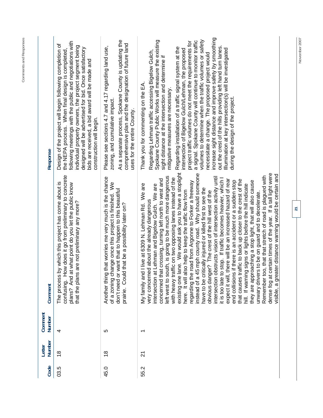| Code | Number<br>Letter | Comment<br>Number | Comment                                                                                                                                                                                                                                                                                                                                                                                                                                                                                                                                                                                                                                                                                                                                                                                                                                                                                                                                                                                                                                                                                                                                                                                                                                                                                                                                                                                    | Response                                                                                                                                                                                                                                                                                                                                                                                                                                                                                                                                                                                                                                                                                                                                                                                                                          |
|------|------------------|-------------------|--------------------------------------------------------------------------------------------------------------------------------------------------------------------------------------------------------------------------------------------------------------------------------------------------------------------------------------------------------------------------------------------------------------------------------------------------------------------------------------------------------------------------------------------------------------------------------------------------------------------------------------------------------------------------------------------------------------------------------------------------------------------------------------------------------------------------------------------------------------------------------------------------------------------------------------------------------------------------------------------------------------------------------------------------------------------------------------------------------------------------------------------------------------------------------------------------------------------------------------------------------------------------------------------------------------------------------------------------------------------------------------------|-----------------------------------------------------------------------------------------------------------------------------------------------------------------------------------------------------------------------------------------------------------------------------------------------------------------------------------------------------------------------------------------------------------------------------------------------------------------------------------------------------------------------------------------------------------------------------------------------------------------------------------------------------------------------------------------------------------------------------------------------------------------------------------------------------------------------------------|
| 03.5 | $\frac{8}{1}$    | 4                 | confusing. How does it go from preliminary to concrete<br>The process by which this project has come about is<br>plans? And at what point do you let the public know<br>are not preliminary any more?<br>that the plans a                                                                                                                                                                                                                                                                                                                                                                                                                                                                                                                                                                                                                                                                                                                                                                                                                                                                                                                                                                                                                                                                                                                                                                  | following meetings with the public and negotiations with<br>Design of the project will begin following completion of<br>individual property owners, the project segment being<br>designed will be advertised for bid. Once satisfactory<br>the NEPA process. When final design is completed,<br>bids are received, a bid award will be made and<br>construction will begin.                                                                                                                                                                                                                                                                                                                                                                                                                                                       |
| 45.0 | $\frac{8}{1}$    | 5                 | that worries me very much is the chance<br>of a zoning change once this project is finished. We<br>don't need or want that to happen to this beautiful<br>that be a possibility later on?<br>prairie. Could<br>Another thing                                                                                                                                                                                                                                                                                                                                                                                                                                                                                                                                                                                                                                                                                                                                                                                                                                                                                                                                                                                                                                                                                                                                                               | As a separate process, Spokane County is updating the<br>comprehensive plan and the designation of future land<br>Please see sections 4.7 and 4.17 regarding land use,<br>zoning, and cumulative impact.<br>uses for the entire County.                                                                                                                                                                                                                                                                                                                                                                                                                                                                                                                                                                                           |
| 55.2 | $\overline{2}$   | ↽                 | existing one lane. We would ask you to have a stoplight<br>dense fog at certain times of the year. If a tall light were<br>instead of a 45 mph county road. Why should someone<br>visible, a greater distance warning would be certain and<br>Remember too, that that stretch of road is plagued with<br>left west to south, is going to be much more dangerous<br>intersection obstructs vision of intersection activity until<br>with heavy traffic on two opposing lanes instead of the<br>stop. If traffic becomes heavier, which I<br>concerned that crossing, turning left north to west and<br>expect it will, there will be an increased hazard of rear<br>that causes traffic to back up closer to the crest of the<br>if there is an accident or a sudden stop<br>they are approaching a stop light, that will also cause<br>regarding the road from Argonne to Forker a freeway<br>live at 6309 N. Lehman Rd. We are<br>Lehman and Bigelow Gulch. We are<br>signs or lights before the hill indicate<br>have to be critically injured or killed first to see the<br>here. It will also help to keep the traffic flow from<br>obvious danger? The crest of the hill west of the<br>unwary drivers to be on guard and to decelerate.<br>very concerned about the already dangerous<br>hill. If warning<br>intersection at<br>end collisions<br>it is too late to<br>My family and | increase sight distance and improve safety by smoothing<br>Spokane County Public Works will measure the existing<br>volumes to determine when the traffic volumes or safety<br>a signal. Spokane County will continue to monitor traffic<br>project traffic volumes do not meet the requirements for<br>out the crest of the hills providing left hand turn lanes.<br>Regarding installation of a traffic signal system at the<br>Illumination at key intersection(s) will be investigated<br>intersection of Bigelow Gulch/Lehman, the proposed<br>Regarding Lehman traffic accessing Bigelow Gulch,<br>necessitate a change. The proposed project would<br>sight distance at the intersection and determine if<br>Thank you for commenting on the EA<br>mitigative measures are necessary.<br>during the design of the project. |

**Comments and Responses** 

Comments and Responses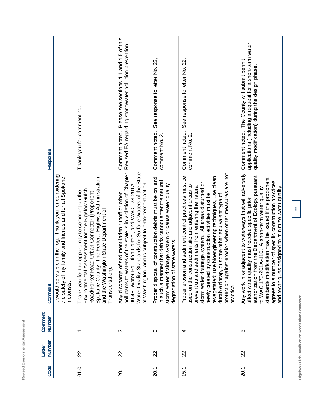| <b>Response</b>   |                                                                                                                                   | Thank you for commenting.                                                                                                                                                                                                                                                    | Comment noted. Please see sections 4.1 and 4.5 of this<br>Revised EA regarding stormwater pollution prevention.                                                                                                                                                                                   | See response to letter No. 22,<br>Comment noted.<br>comment No. 2.                                                                                                                                           | See response to letter No. 22,<br>Comment noted.<br>comment No. 2.                                                                                                                                                                                                                                                                                                                                                                                                          | applications (including a request for a short-term water<br>Comment noted. The County will submit permit<br>quality modification) during the design phase                                                                                                                                                                                                                                                  |  |
|-------------------|-----------------------------------------------------------------------------------------------------------------------------------|------------------------------------------------------------------------------------------------------------------------------------------------------------------------------------------------------------------------------------------------------------------------------|---------------------------------------------------------------------------------------------------------------------------------------------------------------------------------------------------------------------------------------------------------------------------------------------------|--------------------------------------------------------------------------------------------------------------------------------------------------------------------------------------------------------------|-----------------------------------------------------------------------------------------------------------------------------------------------------------------------------------------------------------------------------------------------------------------------------------------------------------------------------------------------------------------------------------------------------------------------------------------------------------------------------|------------------------------------------------------------------------------------------------------------------------------------------------------------------------------------------------------------------------------------------------------------------------------------------------------------------------------------------------------------------------------------------------------------|--|
| Comment           | it would be visible in the fog. Thank you for considering<br>the safety of my family and friends and for all Spokane<br>motorists | Spokane County, The Federal Highway Administration,<br>Assessment for the Bigelow Gulch<br>Road/Forker Road Urban Connector (Proponent -<br>the opportunity to comment on the<br>and the Washington State Department of<br>Transportation).<br>Thank you for<br>Environmenta | pollutants to waters of the state is in violation of Chapter<br>Standards for Surface Waters of the State<br>, and is subject to enforcement action.<br>90.48, Water Pollution Control, and WAC 173-201A,<br>of sediment-laden runoff or other<br>Any discharge<br>of Washington<br>Water Quality | Proper disposal of construction debris must be on land<br>ner that debris cannot enter the natural<br>storm water drainage system or cause water quality<br>state waters.<br>degradation of<br>in such a man | protection against erosion when other measures are not<br>revegetated; use bioengineering techniques, use clean<br>and sediment control practices must be<br>storm water drainage system. All areas disturbed or<br>used on the construction site and adjacent areas to<br>prevent upland sediments from entering the natural<br>by construction activities must be<br>or some other equivalent type of<br>Proper erosion<br>durable riprap,<br>newly created<br>practical. | adjacent to waterways that will adversely<br>rom the Department of Ecology pursuant<br>standards modification may be issued if the proponent<br>agrees to a number of specific construction practices<br>and techniques designed to minimize water quality<br>01A-110. A short-term water quality<br>affect water quality must receive specific prior<br>authorization f<br>to WAC 173-2<br>Any work in or |  |
| Comment<br>Number |                                                                                                                                   |                                                                                                                                                                                                                                                                              | $\mathbf{\Omega}$                                                                                                                                                                                                                                                                                 | ω                                                                                                                                                                                                            | 4                                                                                                                                                                                                                                                                                                                                                                                                                                                                           | ပ                                                                                                                                                                                                                                                                                                                                                                                                          |  |
| Number<br>Letter  |                                                                                                                                   | 22                                                                                                                                                                                                                                                                           | 22                                                                                                                                                                                                                                                                                                | 22                                                                                                                                                                                                           | 22                                                                                                                                                                                                                                                                                                                                                                                                                                                                          | 22                                                                                                                                                                                                                                                                                                                                                                                                         |  |
| Code              |                                                                                                                                   | 01.0                                                                                                                                                                                                                                                                         | 20.1                                                                                                                                                                                                                                                                                              | 20.1                                                                                                                                                                                                         | 15.1                                                                                                                                                                                                                                                                                                                                                                                                                                                                        | 20.1                                                                                                                                                                                                                                                                                                                                                                                                       |  |

Revised Environmental Assessment

**22** 

Bigelow Gulch Road/Forker Road Urban Connector **Bigelow Gulch Road/Forker Road Urban Connector**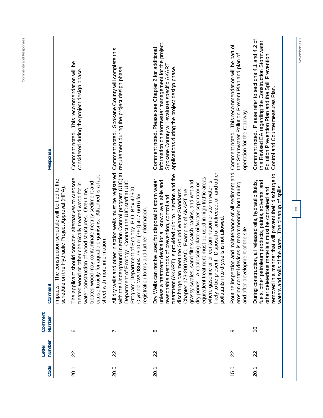| Code | Number<br>Letter | Comment<br>Number | Comment                                                                                                                                                                                                                                                                                                                                                                                                                                                                                                                                                                                                                                                                                | Response                                                                                                                                                                                                    |
|------|------------------|-------------------|----------------------------------------------------------------------------------------------------------------------------------------------------------------------------------------------------------------------------------------------------------------------------------------------------------------------------------------------------------------------------------------------------------------------------------------------------------------------------------------------------------------------------------------------------------------------------------------------------------------------------------------------------------------------------------------|-------------------------------------------------------------------------------------------------------------------------------------------------------------------------------------------------------------|
|      |                  |                   | construction schedule will be tied to the<br>e Hydraulic Project Approval (HPA).<br>schedule on th<br>The<br>impacts.                                                                                                                                                                                                                                                                                                                                                                                                                                                                                                                                                                  |                                                                                                                                                                                                             |
| 20.1 | 22               | ဖ                 | for aquatic organisms. Attached is a fact<br>should consider alternatives to creosote<br>treated wood may contaminate nearby sediment and<br>treated wood or other chemically treated wood for in-<br>water construction of wood structures. Over time,<br>e information.<br>sheet with mor<br>cause toxicity<br>The applicant                                                                                                                                                                                                                                                                                                                                                         | Comment noted. This recommendation will be<br>considered during the project design phase.                                                                                                                   |
| 20.0 | 22               | ∼                 | with the Underground Injection Control program (UIC) at requirement during the project design phase.<br>All dry wells and other injection wells must be registered<br>Ecology. Contact the UIC staff at UIC<br>Program, Department of Ecology, P.O. Box 47600,<br>Olympia WA 98504-7600 or (360) 407-6616 for<br>registration forms and further information.<br>Department of                                                                                                                                                                                                                                                                                                          | Spokane County will complete this<br>Comment noted.                                                                                                                                                         |
| 20.1 | 22               | $\infty$          | likely to be present. Disposal of antifreeze, oil and other<br>treatment (AKART) is provided prior to injection and the<br>equivalent treatment must be used in high traffic areas<br>not be used for disposal of storm water<br>nent device for all known available and<br>grassy swales, sand filters catch basins, and wet and<br>where gasoline or oil contamination or storm water is<br>dry ponds. A coalescing plate oil/water separator or<br>discharge can meet the Ground Water Standards,<br>Chapter 173-200 WAC. Examples of AKART are<br>reasonable methods of prevention, control and<br>drywells is not allowed.<br>unless a treatr<br>pollutants into<br>Dry Wells can | information on stormwater management for the project.<br>Comment noted. Please see Chapter 2 for additional<br>Spokane County will evaluate specific AKART<br>applications during the project design phase. |
| 15.0 | 22               | တ                 | Routine inspection and maintenance of all sediment and Comment noted. This recommendation will be part of<br>I devices is recommended both during<br>and after development of the site.<br>erosion control                                                                                                                                                                                                                                                                                                                                                                                                                                                                             | the Stormwater Pollution Prevent Plan and plan of<br>operation for the roadway.                                                                                                                             |
| 20.1 | 22               | $\overline{0}$    | removed in a manner that will prevent their discharge to<br>fuels, other petroleum products, paints, solvents, and<br>During construction, all released oils, hydraulic fluids,<br>other deleterious materials must be contained and<br>waters and soils of the state. The cleanup of spills                                                                                                                                                                                                                                                                                                                                                                                           | Comment noted. Please refer to sections 4.1 and 4.2 of<br>this Revised EA regarding the Construction Stormwater<br>Pollution Prevention Plan and the Spill Prevention<br>Control and Countermeasures Plan.  |
|      |                  |                   | 23                                                                                                                                                                                                                                                                                                                                                                                                                                                                                                                                                                                                                                                                                     | November 2007                                                                                                                                                                                               |

**Comments and Responses**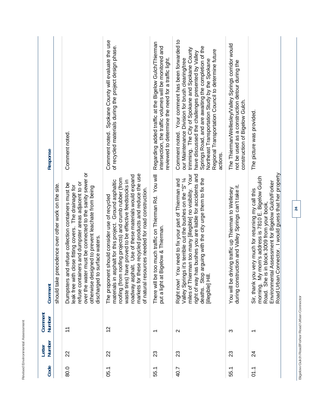| Response          |                                                     | Comment noted.                                                                                                                                                                                                                                                                                                             | Spokane County will evaluate the use<br>of recycled materials during the project design phase.<br>Comment noted.                                                                                                                                                                                                                                                                                     | Regarding added traffic at the Bigelow Gulch/Thierman<br>intersection, the traffic volumes will be monitored and<br>reviewed to determine the need for a traffic light. | Comment noted. Your comment has been forwarded to<br>Springs Road, and are awaiting the completion of the<br>trimming. The City of Spokane and Spokane County<br>Regional Transportation Council to determine future<br>have discussed the challenges presented by Valley<br>our Maintenance Division for brush clearing/tree<br>Northeast Transportation Study by the Spokane<br>actions. | The Thierman/Wellesley/Valley Springs corridor would<br>not be used as a construction detour during the<br>construction of Bigelow Gulch. | The picture was provided.                                                                                                                                                                                                                                                  |
|-------------------|-----------------------------------------------------|----------------------------------------------------------------------------------------------------------------------------------------------------------------------------------------------------------------------------------------------------------------------------------------------------------------------------|------------------------------------------------------------------------------------------------------------------------------------------------------------------------------------------------------------------------------------------------------------------------------------------------------------------------------------------------------------------------------------------------------|-------------------------------------------------------------------------------------------------------------------------------------------------------------------------|--------------------------------------------------------------------------------------------------------------------------------------------------------------------------------------------------------------------------------------------------------------------------------------------------------------------------------------------------------------------------------------------|-------------------------------------------------------------------------------------------------------------------------------------------|----------------------------------------------------------------------------------------------------------------------------------------------------------------------------------------------------------------------------------------------------------------------------|
| Comment           | should take precedence over other work on the site. | must be connected to the sanity sewer or<br>refuse containers and dumpster areas adjacent to or<br>Dumpsters and refuse collection containers must be<br>leak free with close fitting covers. The drainage for<br>gned to prevent leachate from being<br>discharged to surface waters.<br>over the water<br>otherwise desi | markets for these recycled products and reduce the use<br>roadway asphalt. Use of these materials would expand<br>roofing (from roofing projects) and crumb rubber (from<br>waste tires) have proved to be effective feedstocks in<br>materials in asphalt for this project. Ground asphaltic<br>of natural resources needed for road construction.<br>The proponent should consider use of recycled | There will be too much traffic on Thierman Rd. You will<br>igelow & Thierman.<br>put a light at Bi                                                                      | miles of Thierman too many [illegible] no visibility. Your<br>right of way has bushes you are liable for accidents and<br>Valley Springs it's terrible cut the bushes on the "S" /4<br>deaths. Stop arguing with the city urge them to fix the<br>Right now! You need to fix your part of Thierman and<br>[illegible] Hill                                                                 | during construction and Valley Springs can't take it.<br>You will be driving traffic up Thierman to Wellesey                              | Road Urban Connector. I would guess that her property<br>morning. My mom's address is 7810 E. Bigelow Gulch<br>Assessment for Bigelow Gulch/Forker<br>Sir, thank you very much for returning my call this<br>n block 3009 from your book,<br>Road. She is<br>Environmental |
| Comment<br>Number |                                                     | $\tilde{t}$                                                                                                                                                                                                                                                                                                                | $\frac{2}{3}$                                                                                                                                                                                                                                                                                                                                                                                        | ᠇                                                                                                                                                                       | $\mathbf{\Omega}$                                                                                                                                                                                                                                                                                                                                                                          | က                                                                                                                                         | $\overline{\phantom{0}}$                                                                                                                                                                                                                                                   |
| Number<br>Letter  |                                                     | 22                                                                                                                                                                                                                                                                                                                         | 22                                                                                                                                                                                                                                                                                                                                                                                                   | 23                                                                                                                                                                      | 23                                                                                                                                                                                                                                                                                                                                                                                         | 23                                                                                                                                        | 24                                                                                                                                                                                                                                                                         |
| Code              |                                                     | 80.0                                                                                                                                                                                                                                                                                                                       | 05.1                                                                                                                                                                                                                                                                                                                                                                                                 | 55.1                                                                                                                                                                    | 40.7                                                                                                                                                                                                                                                                                                                                                                                       | 55.1                                                                                                                                      | ว1.1                                                                                                                                                                                                                                                                       |

Revised Environmental Assessment

**24** 

Bigelow Gulch Road/Forker Road Urban Connector **Bigelow Gulch Road/Forker Road Urban Connector**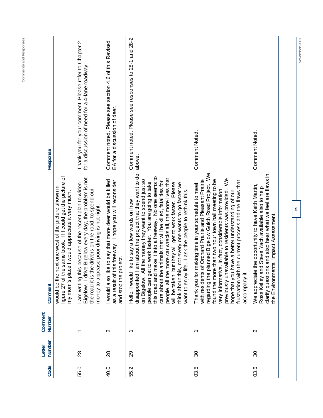| Response          |                                                                                                                                                                       | Thank you for your comment. Please refer to Chapter 2<br>for a discussion of need for a 4-lane roadway                                                                                                                 | Comment noted. Please see section 4.6 of this Revised<br>EA for a discussion of deer.                                                       | Comment noted. Please see responses to 28-1 and 28-2<br>above.                                                                                                                                                                                                                                                                                                                                                                                                                                                                                                                                             | <b>Comment Noted.</b><br>$\aleph$                                                                                                                                                                                                                                                                                                                                                                                                                                                  | Comment Noted.                                                                                                                                                                                                |
|-------------------|-----------------------------------------------------------------------------------------------------------------------------------------------------------------------|------------------------------------------------------------------------------------------------------------------------------------------------------------------------------------------------------------------------|---------------------------------------------------------------------------------------------------------------------------------------------|------------------------------------------------------------------------------------------------------------------------------------------------------------------------------------------------------------------------------------------------------------------------------------------------------------------------------------------------------------------------------------------------------------------------------------------------------------------------------------------------------------------------------------------------------------------------------------------------------------|------------------------------------------------------------------------------------------------------------------------------------------------------------------------------------------------------------------------------------------------------------------------------------------------------------------------------------------------------------------------------------------------------------------------------------------------------------------------------------|---------------------------------------------------------------------------------------------------------------------------------------------------------------------------------------------------------------|
| Comment           | figure 27 of the same book. If I could get the picture of<br>next one west of the picture shown in<br>my mom's place I would appreciate it very much.<br>would be the | Bigelow. I drive Bigelow every day, the problem is not<br>I am writing this because of the recent plan to widen<br>the road it is the drivers on the road, to spend our<br>money to appease poor driving is not right. | I would also like to say that more deer would be killed<br>as a result of this freeway. I hope you will reconsider<br>and stop the project. | am about the project that they want to do<br>make it into a freeway. No one seems to<br>people, all the more car wrecks all, the more lives that<br>on Bigelow. All the money they want to spend just so<br>care about the animals that will be killed, fatalities for<br>people can get to work faster. You are going to take<br>but they will get to work faster. Please<br>is, not every one wants to go faster we<br>life. I ask the people to rethink this.<br>like to say a few words on how<br>Hello, I would<br>think about th<br>want to enjoy<br>disappointed<br>this road and<br>will be taken, | planned Bigelow Gulch Road Project. We<br>e than two hour town hall meeting to be<br>of Orchard Prairie and Pleasant Prairie<br>frustration with the current process and the flaws that<br>Thank you for making time in your schedule to meet<br>previously unavailable to residents was provided.<br>very informative. In fact, considerable information<br>hope that you have a better understanding of our<br>with residents<br>found the mor<br>regarding the<br>accompany it. | clarify questions and also hear what we feel are flaws in<br>We appreciate the opportunity to have Keith Martin,<br>Ross Kelley and Steve Yach available also to help<br>the Environmental Impact Assessment. |
| Comment<br>Number |                                                                                                                                                                       | $\overline{\phantom{0}}$                                                                                                                                                                                               | $\mathbf{\Omega}$                                                                                                                           | $\overline{\phantom{0}}$                                                                                                                                                                                                                                                                                                                                                                                                                                                                                                                                                                                   | $\overline{\phantom{0}}$                                                                                                                                                                                                                                                                                                                                                                                                                                                           | $\mathbf{\Omega}$                                                                                                                                                                                             |
| Number<br>Letter  |                                                                                                                                                                       | 28                                                                                                                                                                                                                     | 28                                                                                                                                          | 29                                                                                                                                                                                                                                                                                                                                                                                                                                                                                                                                                                                                         | 80                                                                                                                                                                                                                                                                                                                                                                                                                                                                                 | 30                                                                                                                                                                                                            |
| Code              |                                                                                                                                                                       | 55.0                                                                                                                                                                                                                   | 40.0                                                                                                                                        | 55.2                                                                                                                                                                                                                                                                                                                                                                                                                                                                                                                                                                                                       | 03.5                                                                                                                                                                                                                                                                                                                                                                                                                                                                               | 03.5                                                                                                                                                                                                          |

**November 2007** 

November 2007

**25** 

**Comments and Responses**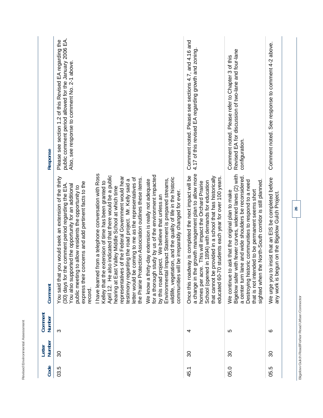| Response          | public comment period allowed for the January 2006 EA.<br>the<br>Please see section 1.2 of this Revised EA regarding<br>Also, see response to comment No. 2-1 above                                                                                                                                     |                                                                                                                                                                                                                                                                                                                                                                                                                                                                                         |                                                                                                                                                                                                                                                                                                                                                             | Comment noted. Please see sections 4.7, and 4.16 and<br>4.17 of this revised EA regarding growth and zoning                                                                                                                                                                                                                                            | Revised EA for discussion of two-lane and four-lane<br>Comment noted. Please refer to Chapter 3 of this<br>configuration.                                                                                                                                                                                                                               | Comment noted. See response to comment 4-2 above.                                                           |
|-------------------|---------------------------------------------------------------------------------------------------------------------------------------------------------------------------------------------------------------------------------------------------------------------------------------------------------|-----------------------------------------------------------------------------------------------------------------------------------------------------------------------------------------------------------------------------------------------------------------------------------------------------------------------------------------------------------------------------------------------------------------------------------------------------------------------------------------|-------------------------------------------------------------------------------------------------------------------------------------------------------------------------------------------------------------------------------------------------------------------------------------------------------------------------------------------------------------|--------------------------------------------------------------------------------------------------------------------------------------------------------------------------------------------------------------------------------------------------------------------------------------------------------------------------------------------------------|---------------------------------------------------------------------------------------------------------------------------------------------------------------------------------------------------------------------------------------------------------------------------------------------------------------------------------------------------------|-------------------------------------------------------------------------------------------------------------|
| Comment           | You said that you would seek an extension of the thirty<br>concerns and add pertinent facts to the<br>You also supported the opportunity for an additional<br>the comment period regarding the EIA<br>public meeting to allow residents the opportunity to<br>(30) days for<br>express their<br>record. | I have learned from a telephone conversation with Ross<br>also indicated that there would be a public<br>representatives of the Federal Government would hear<br>letter would be coming to me as the representatives of<br>the Prairie Protection Association outlines these items.<br>testimony regarding the road project. Mr. Kelly said a<br>e extension of time has been granted to<br>hearing at East Valley Middle School at which time<br>Kelley that th<br>오<br>エ<br>April 12. | h study by us of the environment impacted<br>tation, and the quality of life in the historic<br>Environmental Impact Statement is prepared streams,<br>We know a thirty-day extension is really not adequate<br>will be irreparably changed for ever.<br>by this road project. We believe that unless an<br>wildlife, veget<br>for a thoroug<br>communities | a change in the growth management plan to allow more<br>Once this roadway is completed the next impact will be<br>that cannot be provided in a school that has historically<br>70 students each year for over 100 years.<br>School (opened in 1894) with demands for education<br>homes per acre. This will impact the Orchard Prairie<br>educated 60- | Bigelow safer with fewer curves, widened lanes (2) with<br>lane and wide shoulders be reconsidered.<br>storic communities to respond to a need<br>sighted when the North-South corridor is still planned.<br>that is not intended to be permanent seems short<br>to ask that the original plan to make<br>a center turn<br>Destroying hi<br>We continue | to insist that an EIS be completed before<br>any work is begun on the Bigelow Gulch Project.<br>We urge you |
| Comment<br>Number | ო                                                                                                                                                                                                                                                                                                       |                                                                                                                                                                                                                                                                                                                                                                                                                                                                                         |                                                                                                                                                                                                                                                                                                                                                             | 4                                                                                                                                                                                                                                                                                                                                                      | ഥ                                                                                                                                                                                                                                                                                                                                                       | ဖ                                                                                                           |
| Number<br>Letter  | 30                                                                                                                                                                                                                                                                                                      |                                                                                                                                                                                                                                                                                                                                                                                                                                                                                         |                                                                                                                                                                                                                                                                                                                                                             | 80                                                                                                                                                                                                                                                                                                                                                     | 80                                                                                                                                                                                                                                                                                                                                                      | ౚ                                                                                                           |
| Code              | 03.5                                                                                                                                                                                                                                                                                                    |                                                                                                                                                                                                                                                                                                                                                                                                                                                                                         |                                                                                                                                                                                                                                                                                                                                                             | 45.1                                                                                                                                                                                                                                                                                                                                                   | 05.0                                                                                                                                                                                                                                                                                                                                                    | rö.<br>95.                                                                                                  |

Revised Environmental Assessment

Bigelow Gulch Road/Forker Road Urban Connector **Bigelow Gulch Road/Forker Road Urban Connector**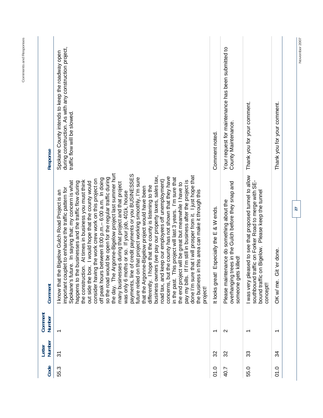| Response                 | during construction. As with any construction project,<br>Spokane County intends to keep the roadway open<br>traffic flow will be slowed.                                                                                                                                                                                                                                                                                                                                                                                                                                                                                                                                                                                                                                                                                                                                                                                                                                                                                                                                                                                                                                                                                                                                                                                                                                                                                                               | Comment noted.                                | Your request for maintenance has been submitted to<br>County Maintenance.                                                   | Thank you for your comment.                                                                                                                                                        | Thank you for your comment. |    | November 2007 |
|--------------------------|---------------------------------------------------------------------------------------------------------------------------------------------------------------------------------------------------------------------------------------------------------------------------------------------------------------------------------------------------------------------------------------------------------------------------------------------------------------------------------------------------------------------------------------------------------------------------------------------------------------------------------------------------------------------------------------------------------------------------------------------------------------------------------------------------------------------------------------------------------------------------------------------------------------------------------------------------------------------------------------------------------------------------------------------------------------------------------------------------------------------------------------------------------------------------------------------------------------------------------------------------------------------------------------------------------------------------------------------------------------------------------------------------------------------------------------------------------|-----------------------------------------------|-----------------------------------------------------------------------------------------------------------------------------|------------------------------------------------------------------------------------------------------------------------------------------------------------------------------------|-----------------------------|----|---------------|
| Comment                  | Argonne-Bigelow project last summer hurt<br>e of credit payments or you BUSINESSES<br>done I'm sure that I will prosper from it. I just hope that<br>business owners (we pay our property taxes, sales tax,<br>concerns, but the county has not shown that they have<br>so the road would be open for the regular traffic during<br>This project will last 3 years. I'm sure that<br>future relied on that project working smoothly, I'm sure<br>off peak hours between 8:00 p.m. - 6:00 a.m. In doing<br>consider having the work crew work on this project on<br>keep our employees off unemployment)<br>If I'm still in business after the project is<br>the construction. At times in business you must think<br>Spokane's future. In saying that; my concern is what<br>happens to the businesses and the traffic flow during<br>out side the box. I would hope that the county would<br>many businesses during that project and that project<br>the end project will be great but meanwhile I have to<br>hope that the county is listening to the<br>that the Argonne-Bigelow project would have been<br>important couplet to enhance the traffic pattern for<br>in this area can make it through this<br>e Bigelow Gulch Road Project is an<br>was only 6 moths or so. If your job, 401k, house<br>know that th<br>the day. The<br>payments, lin<br>road tax, and<br>the business<br>pay my bills.<br>differently. I<br>in the past.<br>project! | Especially the E & W ends.<br>It looks great! | trees in the Gulch before they snap and<br>Please maintenance do something about the<br>someone gets killed!<br>overhanging | I was very pleased to see that proposed tunnel to allow<br>southbound traffic on Forker Road to merge with SE-<br>on Bigelow. Please keep the tunnel<br>bound traffic<br>concept!! | Git 'er done.<br>OK w/me.   | 27 |               |
| Comment<br><b>Number</b> |                                                                                                                                                                                                                                                                                                                                                                                                                                                                                                                                                                                                                                                                                                                                                                                                                                                                                                                                                                                                                                                                                                                                                                                                                                                                                                                                                                                                                                                         | $\overline{\phantom{0}}$                      | $\mathbf{\sim}$                                                                                                             | $\overline{\phantom{0}}$                                                                                                                                                           | $\overline{\phantom{0}}$    |    |               |
| Number<br>Letter         | $\overline{5}$                                                                                                                                                                                                                                                                                                                                                                                                                                                                                                                                                                                                                                                                                                                                                                                                                                                                                                                                                                                                                                                                                                                                                                                                                                                                                                                                                                                                                                          | 32                                            | 32                                                                                                                          | 33                                                                                                                                                                                 | 34                          |    |               |
| Code                     | 55.3                                                                                                                                                                                                                                                                                                                                                                                                                                                                                                                                                                                                                                                                                                                                                                                                                                                                                                                                                                                                                                                                                                                                                                                                                                                                                                                                                                                                                                                    | 01.0                                          | 40.7                                                                                                                        | 55.0                                                                                                                                                                               | 01.0                        |    |               |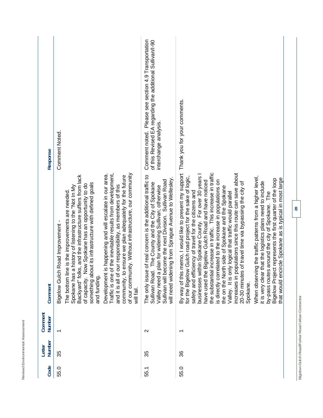| Response          | <b>Comment Noted.</b>                                                                                                                                                                                                                                                                                                                                                                                                                                                                                                                                                                                                                                            | Please see section 4.9 Transportation<br>of this Revised EA regarding the additional Sullivan/I-90<br>interchange analysis.<br>Comment noted.                                                                                                                                            |                                                                                                                                                                                                                                                                                                                                                                                                                                                                                                                                                                                                                                                                                                                                                                                                                                                                                                                                                                                                             |  |
|-------------------|------------------------------------------------------------------------------------------------------------------------------------------------------------------------------------------------------------------------------------------------------------------------------------------------------------------------------------------------------------------------------------------------------------------------------------------------------------------------------------------------------------------------------------------------------------------------------------------------------------------------------------------------------------------|------------------------------------------------------------------------------------------------------------------------------------------------------------------------------------------------------------------------------------------------------------------------------------------|-------------------------------------------------------------------------------------------------------------------------------------------------------------------------------------------------------------------------------------------------------------------------------------------------------------------------------------------------------------------------------------------------------------------------------------------------------------------------------------------------------------------------------------------------------------------------------------------------------------------------------------------------------------------------------------------------------------------------------------------------------------------------------------------------------------------------------------------------------------------------------------------------------------------------------------------------------------------------------------------------------------|--|
| Comment           | Development is happening and will escalate in our area.<br>Traffic is one of the inevitable results from development,<br>of our community. Without infrastructure, our community<br>ks, and the infrastructure suffers from lack<br>community, to ensure we plan adequately for the future<br>something about its infrastructure with defined goals<br>of capacity. Now Spokane has an opportunity to do<br>and it is all of our responsibility, as members of this<br>Spokane has a history of listening to the "Not In My<br>The bottom line is the improvements are needed.<br>Bigelow Gulch Road Improvement -<br>Backyard" fo<br>and funding.<br>will fail. | The only issue of real concern is the additional traffic to<br>will need widening from Sprague Avenue to Wellesley.<br>Sullivan will become the next Division. Sullivan Road<br>Sullivan Road. The County and the City of Spokane<br>Valley need a plan for widening Sullivan; otherwise | By way of this memo, I would like to present my support Thank you for your comments.<br>the substantial increase in traffic. This increase in traffic<br>increases in populations since this route can save about<br>businesses within Spokane County. For over 30 years I<br>for the Bigelow Gulch road project for the sake of logic,<br>When observing the traffic patterns from a higher level,<br>that would encircle Spokane as is typical in most large<br>Bigelow Project represents the first quarter of the loop<br>have used the Bigelow Gulch Road and have noticed<br>is directly correlated to the increase in populations on<br>r that the logistics plans need to include<br>20-30 minutes of travel time via bypassing the city of<br>the on the North side of Spokane and the Spokane<br>safety and efficiency of travel for the citizens and<br>Valley. It is only logical that traffic would parallel<br>by-pass routes around the city of Spokane. The<br>it is very clear<br>Spokane. |  |
| Comment<br>Number | $\overline{\phantom{0}}$                                                                                                                                                                                                                                                                                                                                                                                                                                                                                                                                                                                                                                         | $\mathbf{\Omega}$                                                                                                                                                                                                                                                                        |                                                                                                                                                                                                                                                                                                                                                                                                                                                                                                                                                                                                                                                                                                                                                                                                                                                                                                                                                                                                             |  |
| Number<br>Letter  | 35                                                                                                                                                                                                                                                                                                                                                                                                                                                                                                                                                                                                                                                               | 35                                                                                                                                                                                                                                                                                       | 36                                                                                                                                                                                                                                                                                                                                                                                                                                                                                                                                                                                                                                                                                                                                                                                                                                                                                                                                                                                                          |  |
| Code              | 55.0                                                                                                                                                                                                                                                                                                                                                                                                                                                                                                                                                                                                                                                             | 55.1                                                                                                                                                                                                                                                                                     | 55.0                                                                                                                                                                                                                                                                                                                                                                                                                                                                                                                                                                                                                                                                                                                                                                                                                                                                                                                                                                                                        |  |

Revised Environmental Assessment **Revised Environmental Assessment** 

**28** 

Bigelow Gulch Road/Forker Road Urban Connector **Bigelow Gulch Road/Forker Road Urban Connector**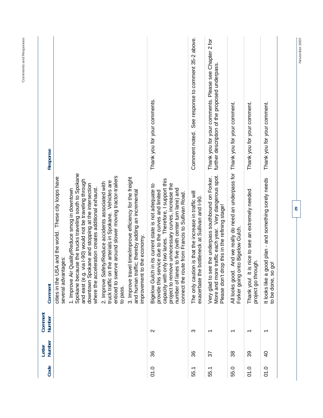| Response                 |                                                                                   |                                                                                                                                                                                                                                                                                   |                                                                                                                                                                                           |                                                                                                                                                     | Thank you for your comments.                                                                                                                                                                                                                                                                                                               | Comment noted. See response to comment 35-2 above.                                                           | Thank you for your comments. Please see Chapter 2 for<br>further description of the proposed underpass.                                                        |                                                                                                                           | Thank you for your comment.                                             | Thank you for your comment.                                                     |  |
|--------------------------|-----------------------------------------------------------------------------------|-----------------------------------------------------------------------------------------------------------------------------------------------------------------------------------------------------------------------------------------------------------------------------------|-------------------------------------------------------------------------------------------------------------------------------------------------------------------------------------------|-----------------------------------------------------------------------------------------------------------------------------------------------------|--------------------------------------------------------------------------------------------------------------------------------------------------------------------------------------------------------------------------------------------------------------------------------------------------------------------------------------------|--------------------------------------------------------------------------------------------------------------|----------------------------------------------------------------------------------------------------------------------------------------------------------------|---------------------------------------------------------------------------------------------------------------------------|-------------------------------------------------------------------------|---------------------------------------------------------------------------------|--|
| Comment                  | SA and the world. These city loops have<br>several advantages:<br>cities in the U | Spokane because the trucks traveling south to Spokane<br>and east (e.g. via I-90) would not be traveling through<br>downtown Spokane and stopping at the intersection<br>where the acceleration creates additional exhaust.<br>r Quality/Reduce smog in downtown<br>1. Improve Ai | enticed to swerve around slower moving tractor-trailers<br>n the arterials in Spokane. Vehicles are<br>2. Improve Safety/Reduce accidents associated with<br>truck traffic or<br>to pass. | 3. Improve travel time/improve efficiency for the freight<br>affic; thereby adding an incremental<br>to the economy.<br>and human tr<br>improvement | only two lanes. Therefore, I support this<br>project to remove unnecessary curves, increase the<br>Bigelow Gulch in its current state is not adequate to<br>provide this service due to the curves and limited<br>number of lanes to five (with center turn lane) and<br>connect the route from Francis to Sullivan Road.<br>capacity with | The only caution is that the increase in traffic will<br>e bottleneck at Sullivan and I-90.<br>exacerbate th | More and more traffic each year. Very dangerous spot.<br>Very glad to see the underpass southbound on Forker.<br>Please don't drop this in the refining stage! | All looks good. And we really do need an underpass for Thank you for your comment.<br>onto Bigelow Gulch.<br>Forker going | Thank you! It is nice to see an extremely needed<br>project go through. | good plan - and something sorely needs<br>to be done, so go!<br>It looks like a |  |
| Comment<br><b>Number</b> |                                                                                   |                                                                                                                                                                                                                                                                                   |                                                                                                                                                                                           |                                                                                                                                                     | $\mathbf{\Omega}$                                                                                                                                                                                                                                                                                                                          | က                                                                                                            | $\overline{\phantom{0}}$                                                                                                                                       | $\overline{\phantom{0}}$                                                                                                  | $\overline{\phantom{0}}$                                                | $\overline{\phantom{0}}$                                                        |  |
| Number<br>Letter         |                                                                                   |                                                                                                                                                                                                                                                                                   |                                                                                                                                                                                           |                                                                                                                                                     | 36                                                                                                                                                                                                                                                                                                                                         | 36                                                                                                           | 57                                                                                                                                                             | 38                                                                                                                        | 39                                                                      | 9                                                                               |  |
| Code                     |                                                                                   |                                                                                                                                                                                                                                                                                   |                                                                                                                                                                                           |                                                                                                                                                     | 0.0                                                                                                                                                                                                                                                                                                                                        | 55.1                                                                                                         | 55.1                                                                                                                                                           | 55.0                                                                                                                      | 01.0                                                                    | 01.0                                                                            |  |

Comments and Responses **Comments and Responses** 

**29** 

November 2007 **November 2007**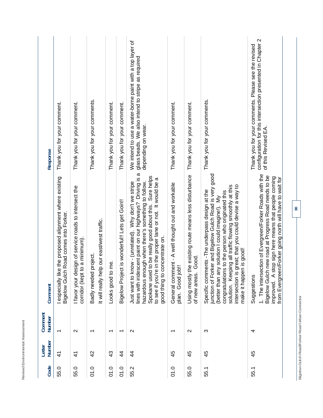| Code | Number<br>Letter | Comment<br>Number        | Comment                                                                                                                                                                                                                                                                                                                                                         | Response                                                                                                                                |
|------|------------------|--------------------------|-----------------------------------------------------------------------------------------------------------------------------------------------------------------------------------------------------------------------------------------------------------------------------------------------------------------------------------------------------------------|-----------------------------------------------------------------------------------------------------------------------------------------|
| 55.0 | $\frac{4}{3}$    | $\overline{\phantom{0}}$ | I especially like the proposed alignment where existing<br>Bigelow Gulch Road comes into Forker.                                                                                                                                                                                                                                                                | Thank you for your comment.                                                                                                             |
| 55.0 | $\mathcal{A}$    | $\sim$                   | I favor your design of service roads to intersect the<br>corridor (kept to a minimum)                                                                                                                                                                                                                                                                           | Thank you for your comment.                                                                                                             |
| 01.0 | $\overline{4}$   |                          | It will really help our east/west traffic.<br>Badly needed project                                                                                                                                                                                                                                                                                              | Thank you for your comments.                                                                                                            |
| 01.0 | $\frac{3}{4}$    | $\overline{\phantom{0}}$ | Looks good to me.                                                                                                                                                                                                                                                                                                                                               | Thank you for your comment.                                                                                                             |
| 01.0 | $\frac{4}{3}$    | $\overline{\phantom{0}}$ | Bigelow Project is wonderful!! Lets get Goin!!                                                                                                                                                                                                                                                                                                                  | Thank you for your comment.                                                                                                             |
| 55.2 | $\frac{4}{3}$    | $\mathbf{\Omega}$        | $\sigma$<br>Spokane used to be really good about this. Sure helps<br>lines with iridescent paint on our highways? Driving is<br>to see if you're in the proper lane or not. It would be a<br>hazardous enough when there's something to follow.<br>Just want to know - (unrelated). Why don't we stripe<br>concentrate on.<br>good thing to                     | We intend to use a water-borne paint with a top layer of<br>glass beads. We also intend to stripe as required<br>depending on wear.     |
| 01.0 | 45               |                          | ment - A well thought out and workable<br>plan. Good job!!<br>General com                                                                                                                                                                                                                                                                                       | Thank you for your comment.                                                                                                             |
| 55.0 | 45               | $\mathbf{\Omega}$        | the existing route means less disturbance<br>Good.<br>of new areas.<br>Using mostly                                                                                                                                                                                                                                                                             | Thank you for your comment.                                                                                                             |
| 55.1 | 45               | က                        | junction of Forker and Bigelow Gulch Road is very good<br>intersection is great; that you could devise a way to<br>solution. Keeping all traffic flowing smoothly at this<br>Specific comments - The underpass design at the<br>congratulations to the person who originated this<br>(better than any solution I could imagine!). My<br>make it happen is good! | Thank you for your comments.                                                                                                            |
| 55.1 | 45               | 4                        | 1. The intersection of Evergreen/Forker Roads with the<br>Bigelow Gulch new road at Progress Road needs to be<br>stop sign here means that people coming<br>from Evergreen/Forker going north will have to wait for<br>Suggestions<br>improved. A                                                                                                               | configuration for this intersection presented in Chapter 2<br>Thank you for your comments. Please see the revised<br>of this Revised EA |
|      |                  |                          | 30 <sub>o</sub>                                                                                                                                                                                                                                                                                                                                                 |                                                                                                                                         |

**Bigelow Gulch Road/Forker Road Urban Connector** 

Bigelow Gulch Road/Forker Road Urban Connector

**Revised Environmental Assessment** 

Revised Environmental Assessment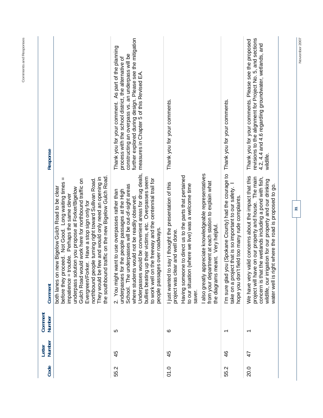| Response          |                                                                                                                                                                                                                                                                                                                                                                                                                                                                                                       | further explored during design. Please see the mitigation<br>measures in Chapter 5 of this Revised EA.<br>Thank you for your comment. As part of the planning<br>constructing an overpass vs. an underpass will be<br>process with the school district, the alternative of                                                                                                                                                   | Thank you for your comments.                                                                                                                                                                                                                                                                                                                                                                |                                                                                                                                                                                                        | revisions to the alignment for Project No. 5, and sections<br>Thank you for your comments. Please see the proposed<br>4.2, 4.4 and 4.6 regarding groundwater, wetlands, and<br>wildlife.                                                                                                              |
|-------------------|-------------------------------------------------------------------------------------------------------------------------------------------------------------------------------------------------------------------------------------------------------------------------------------------------------------------------------------------------------------------------------------------------------------------------------------------------------------------------------------------------------|------------------------------------------------------------------------------------------------------------------------------------------------------------------------------------------------------------------------------------------------------------------------------------------------------------------------------------------------------------------------------------------------------------------------------|---------------------------------------------------------------------------------------------------------------------------------------------------------------------------------------------------------------------------------------------------------------------------------------------------------------------------------------------------------------------------------------------|--------------------------------------------------------------------------------------------------------------------------------------------------------------------------------------------------------|-------------------------------------------------------------------------------------------------------------------------------------------------------------------------------------------------------------------------------------------------------------------------------------------------------|
| Comment           | the southbound traffic on the new Bigelow Gulch Road.<br>They would be few and would only need an opening in<br>Ш<br>Gulch Road would work here for northbound traffic on<br>northbound people turning right toward Sullivan Road.<br>before they proceed. Not Good. Long waiting times<br>new Bigelow Gulch Road to be clear<br>underpass solution you propose at Forker/Bigelow<br>trouble. Perhaps the same clever<br>Evergreen/Forker. Have a stop sign only for<br>both lanes or<br>impatience = | Underpasses would be convenient areas for drug deals,<br>bullies beating up their victims, etc. Overpasses seem<br>to work well on the freeway and the centennial trail for<br>School. The underpasses will be out-of-sight areas<br>for the people passages at the High<br>2. You might want to use overpasses rather than<br>where students would not be readily observed<br>people passages over roadways.<br>underpasses | appreciate knowledgeable representatives<br>Having someone to direct us to the parts that pertained<br>bartment at each station to explain what<br>to say I thought the presentation of this<br>to our situation (where we live) was a welcome time<br>meant. Very helpful.<br>project was clear and well done.<br>the diagrams<br>also greatly<br>from your dep<br>I just wanted<br>saver. | you (Spokane County) had the courage to Thank you for your comments.<br>take on a project that is so important to our safety. I<br>it field too many rude complaints.<br>I'm sure glad<br>hope you dor | We have very valid concerns about the impact that this<br>project will have on our property and house. The main<br>concern is that the wetlands including a pond with fish,<br>wildlife, our irrigation for our property and our drinking<br>right where the road is proposed to go.<br>water well is |
| Comment<br>Number |                                                                                                                                                                                                                                                                                                                                                                                                                                                                                                       | LO                                                                                                                                                                                                                                                                                                                                                                                                                           | ဖ                                                                                                                                                                                                                                                                                                                                                                                           |                                                                                                                                                                                                        | $\overline{\phantom{0}}$                                                                                                                                                                                                                                                                              |
| Number<br>Letter  |                                                                                                                                                                                                                                                                                                                                                                                                                                                                                                       | 45                                                                                                                                                                                                                                                                                                                                                                                                                           | 45                                                                                                                                                                                                                                                                                                                                                                                          | $\frac{6}{5}$                                                                                                                                                                                          | 47                                                                                                                                                                                                                                                                                                    |
| Code              |                                                                                                                                                                                                                                                                                                                                                                                                                                                                                                       | 55.2                                                                                                                                                                                                                                                                                                                                                                                                                         | 01.0                                                                                                                                                                                                                                                                                                                                                                                        | 55.2                                                                                                                                                                                                   | 20.0                                                                                                                                                                                                                                                                                                  |

**Comments and Responses** 

Comments and Responses

**November 2007** 

November 2007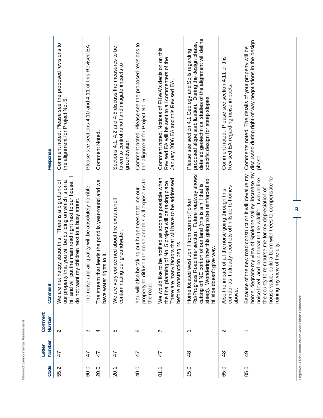| Code | Number<br>Letter | Comment<br>Number        | Comment                                                                                                                                                                                                                                                                                                                         | Response                                                                                                                                                                                                        |
|------|------------------|--------------------------|---------------------------------------------------------------------------------------------------------------------------------------------------------------------------------------------------------------------------------------------------------------------------------------------------------------------------------|-----------------------------------------------------------------------------------------------------------------------------------------------------------------------------------------------------------------|
| 55.2 | 47               | $\sim$                   | hill and will put the main road right next to our house.<br>opy about this. There is a big chunk of<br>our property that you will be building on which is on a<br>do not want my children next to a busy street.<br>We are not hap                                                                                              | Comment noted. Please see the proposed revisions to<br>the alignment for Project No. 5.                                                                                                                         |
| 60.0 | 47               | ო                        | air quality will be absolutely horrible.<br>The noise and                                                                                                                                                                                                                                                                       | Please see sections 4.10 and 4.11 of this Revised EA.                                                                                                                                                           |
| 20.0 | 47               | 4                        | The stream that feeds the pond is year-round and we<br>ts to it.<br>have water right                                                                                                                                                                                                                                            | <b>Comment Noted</b>                                                                                                                                                                                            |
| 20.1 | 47               | LO                       | We are very concerned about the extra runoff<br>our groundwater.<br>contaminating                                                                                                                                                                                                                                               | Sections 4.1, 4.2 and 4.5 discuss the measures to be<br>taken to control runoff and mitigate impacts to<br>groundwater.                                                                                         |
| 40.0 | 47               | ဖ                        | use the noise and this will expose us to<br>e taking out huge trees that line our<br>You will also be<br>property to diff<br>the road                                                                                                                                                                                           | Comment noted. Please see the proposed revisions to<br>the alignment for Project No. 5.                                                                                                                         |
| 01.1 | 47               | Ľ                        | to be notified as soon as possible when<br>There are many factors that will have to be addressed<br>ng of No. 5 project will be taking place.<br>before construction begins.<br>the final planni<br>We would like                                                                                                               | Comment noted. Notices of FHWA's decision on this<br>Revised EA will be sent to all commenters of the<br>January 2006 EA and this Revised EA.                                                                   |
| 15.0 | $\frac{8}{4}$    | $\overline{\phantom{0}}$ | Rd/Progress Road intersection. Future roadway shows<br>Wondering how this going to be reinforced so<br>portion of our land (this is a hill that is<br>west uphill from current Forker<br>give way.<br>hillside doesn't<br>cutting off NE<br>Home located<br>steep).                                                             | detailed geotechnical studies of the alignment will define<br>proposed slope stabilization. During the design phase,<br>Please see section 4.1 Geology and Soils regarding<br>specific design for steep slopes. |
| 65.0 | $\frac{8}{4}$    | $\mathbf{\Omega}$        | ready ricochets off hillside to homes<br>Also the impact of all the noise going through this<br>corridor as it al<br>above.                                                                                                                                                                                                     | Comment noted. Please see section 4.11 of this<br>Revised EA regarding noise impacts.                                                                                                                           |
| 05.0 | $\frac{9}{4}$    | $\overline{\phantom{0}}$ | home, degrade my view of Spokane Valley, increase my<br>new road construction it will devalue my<br>house value, build a berm with trees to compensate for<br>noise level, and be a threat to the wildlife. I would like<br>the county to reimburse me for my depreciation of<br>ruining my view of the city.<br>Because of the | discussed during right-of-way negotiations in the design<br>Comments noted. The details of your property will be<br>phase.                                                                                      |
|      |                  |                          |                                                                                                                                                                                                                                                                                                                                 |                                                                                                                                                                                                                 |

Revised Environmental Assessment

Bigelow Gulch Road/Forker Road Urban Connector **Bigelow Gulch Road/Forker Road Urban Connector**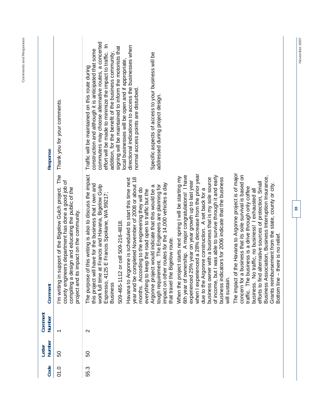| ı      |  |
|--------|--|
| s<br>I |  |
| ;<br>5 |  |

| Response          | Thank you for your comments.<br>The                                                                                                                                                                             | commuters may choose alternative routes, a concerted<br>$\subseteq$<br>directional indications to access the businesses when<br>signing will be maintained to inform the motorists that<br>construction and although it is anticipated that some<br>effort will be made to minimize the impact to traffic.<br>Specific aspects of access to your business will be<br>addition, for the benefit of the business community<br>local businesses will be open and if appropriate,<br>Traffic will be maintained on this route during<br>normal access points are disturbed.<br>addressed during project design.                                                                                                                                                                                                                                                                                                                                                                                                                                                                                                                                                                                                                                                                                                                                                                                                                                                                                                                                                                                                                                                                         |
|-------------------|-----------------------------------------------------------------------------------------------------------------------------------------------------------------------------------------------------------------|-------------------------------------------------------------------------------------------------------------------------------------------------------------------------------------------------------------------------------------------------------------------------------------------------------------------------------------------------------------------------------------------------------------------------------------------------------------------------------------------------------------------------------------------------------------------------------------------------------------------------------------------------------------------------------------------------------------------------------------------------------------------------------------------------------------------------------------------------------------------------------------------------------------------------------------------------------------------------------------------------------------------------------------------------------------------------------------------------------------------------------------------------------------------------------------------------------------------------------------------------------------------------------------------------------------------------------------------------------------------------------------------------------------------------------------------------------------------------------------------------------------------------------------------------------------------------------------------------------------------------------------------------------------------------------------|
| Comment           | county engineers department has done a good job of<br>I'm writing in support of the Bigelow Gulch project.<br>compiling a design and educating the public of the<br>impact on the community.<br>project and its | The impact of the Havana to Argonne project is of major<br>when I experienced a 28% decrease from the prior year<br>The purpose of this writing is also to discuss the impact<br>concern for a business that its sole survival is based on<br>6th year of ownership. A major congratulations! I have<br>of income, but I was able to survive through it and early<br>Business Association, Business Interruption Insurance,<br>When the project starts next spring I will be starting my<br>business owner with a business that is my sole source<br>Havana to Argonne is scheduled to start this time next<br>year and be completed November of 2008 or about 18<br>business indicators for 2006 indicate that the business<br>experienced 25% year on year growth up to last year<br>efforts to find alternative sources of protection, Small<br>Grants reimbursement from the state, county or city.<br>impact on other routes for the 14,000 vehicles a day<br>have for the business that I own and<br>tough requirement. The Engineers are planning for<br>work full time at Francis and Havana, Bigelow Gulp<br>Argonne project would indicate that this would be a<br>traffic. The business is a drive through only coffee<br>months. According to the engineering they will do<br>business. No traffic, no business! I exhausted all<br>due to the Argonne construction. A set back for a<br>everything to keep the road open to traffic but the<br>Espresso, 4125 E Francis Spokane, WA 99217;<br>or cell 509-216-4818.<br>Bottom line - there is no relief.<br>Bigelow route.<br>this project will<br>509-465-1112<br>that travel the<br>will sustain.<br><b>Business</b> |
| Comment<br>Number | $\overline{\phantom{0}}$                                                                                                                                                                                        | $\sim$                                                                                                                                                                                                                                                                                                                                                                                                                                                                                                                                                                                                                                                                                                                                                                                                                                                                                                                                                                                                                                                                                                                                                                                                                                                                                                                                                                                                                                                                                                                                                                                                                                                                              |
| Number<br>Letter  | 50                                                                                                                                                                                                              | 50                                                                                                                                                                                                                                                                                                                                                                                                                                                                                                                                                                                                                                                                                                                                                                                                                                                                                                                                                                                                                                                                                                                                                                                                                                                                                                                                                                                                                                                                                                                                                                                                                                                                                  |
| Code              | 0.0                                                                                                                                                                                                             | 55.3                                                                                                                                                                                                                                                                                                                                                                                                                                                                                                                                                                                                                                                                                                                                                                                                                                                                                                                                                                                                                                                                                                                                                                                                                                                                                                                                                                                                                                                                                                                                                                                                                                                                                |

November 2007 **November 2007**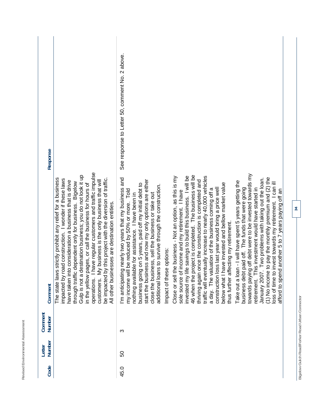|             | Number<br>Number | Comment                                                                                                                                                                                                                                                                                                                                                                                                                                                                                                                                                                                                                                                                                                                                                                                                                                                                                                                                                                                                                                                                                                                                                                                                                                                                                                                                                                                                                                                                                                     | Response                                        |
|-------------|------------------|-------------------------------------------------------------------------------------------------------------------------------------------------------------------------------------------------------------------------------------------------------------------------------------------------------------------------------------------------------------------------------------------------------------------------------------------------------------------------------------------------------------------------------------------------------------------------------------------------------------------------------------------------------------------------------------------------------------------------------------------------------------------------------------------------------------------------------------------------------------------------------------------------------------------------------------------------------------------------------------------------------------------------------------------------------------------------------------------------------------------------------------------------------------------------------------------------------------------------------------------------------------------------------------------------------------------------------------------------------------------------------------------------------------------------------------------------------------------------------------------------------------|-------------------------------------------------|
|             |                  | have regular customers and traffic impulse<br>destination business; you do not look it up<br>The state laws strictly prohibit any relief for a business<br>be impacted by this project with the diversion of traffic.<br>oad construction. I wonder if these laws<br>My business is the only business that will<br>have taken into consideration a business that is drive<br>through traffic dependent only for business. Bigelow<br>pages, or call the business for hours of<br>nesses are destination entities.<br>impacted by r<br>All other busi<br>Gulp is not a<br>in the yellow<br>operations.<br>customers.                                                                                                                                                                                                                                                                                                                                                                                                                                                                                                                                                                                                                                                                                                                                                                                                                                                                                         |                                                 |
| င္တ<br>45.0 | ო                | ig off debt were to be invested towards my<br>project is completed. The business will be<br>invested my life savings to build this business. I will be<br>traffic will eventually increase to nearly 40,000 vehicles<br>the business - Not an option, as this is my<br>(1) No income to pay the monthly premium and (2) the<br>g nearly two years that my business and<br>January 2007. Two problems with taking out the loan.<br>thriving again once the construction is completed and<br>ness and now my only options are either<br>Take out a loan - I will have spent 5 years getting the<br>loss of time to invest towards my retirement. I can ill<br>have invested and bellow market value<br>business going on 5 years, paid off my initial debt to<br>additional loans to survive through the construction.<br>oss last year would bring a price well<br>his investment would have started in<br>business debt paid off. The funds that were going<br>my income will be reduced by 50% or more. Told<br>a day. The valuation of the business coming off a<br>d another 5 to 7 years paying off an<br>sole source of income and my retirement. I have<br>close the business, sell the business or take out<br>nothing available for assistance. I have been in<br>ffecting my retirement.<br>Impact of these options:<br>construction l<br>thus further a<br>towards payir<br>I'm anticipatir<br>start the busi<br>etirement. T<br>afford to sper<br>Close or sell +<br>46 when the<br>below what I | See response to Letter 50, comment No. 2 above. |

Revised Environmental Assessment

Bigelow Gulch Road/Forker Road Urban Connector **Bigelow Gulch Road/Forker Road Urban Connector**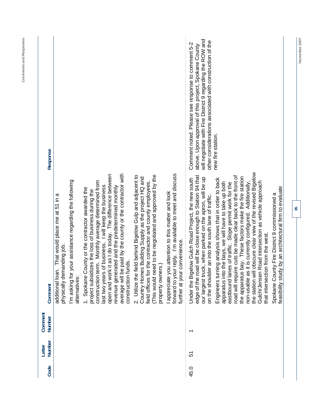| new fire station.<br>obscure clear view of the revised Bigelow<br>average will be paid by the county or the contractor with<br>forward to your reply. I'm available to meet and discuss<br>open and work it as I do today. The difference between<br>(This would need to be negotiated and approved by the<br>2. Utilize the field behind Bigelow Gulp and adjacent to<br>edge of the road will be close enough to Station 94 that<br>road will require cuts be made clear back to the front of<br>bay. These factors make the fire station<br>Country Homes Building Supply as the project HQ and<br>our largest truck, when parked on the apron, will be up<br>Engineers turning analysis shows that in order to back<br>Under the Bigelow Gulch Road Project, the new south<br>I'm asking for your assistance regarding the following<br>construction term. Monthly average determined from<br>it is currently configured. Additionally,<br>field offices for the contractor and county employees.<br>apparatus into the bays, we will have to take up both<br>Road intersection as vehicle approach<br>eastbound lanes of traffic. Slope permit work for the<br>last two years of business. I will keep the business<br>revenue generated and the predetermined monthly<br>feasibility study by an architectural firm to evaluate<br>Spokane County or the contractor awarded the<br>project subsidizes the loss of business during the<br>appreciate you attention to this matter and look<br>Spokane County Fire District 9 commissioned a<br>That would place me at 51 in a<br>on the shoulder an into the south lane of traffic.<br>that intersection from the west.<br>convenience.<br>physically demanding job.<br>construction funds.<br>property owners.)<br>additional loan.<br>further at your<br>non-usable as<br>the apparatus<br>the station will<br>Gulch/Jensen<br>alternatives:<br>$\div$<br>᠇<br>57<br>45.0 | Code | Number<br>Letter | Comment<br>Number | Comment | Response                                                                                                                                                                                                                           |
|----------------------------------------------------------------------------------------------------------------------------------------------------------------------------------------------------------------------------------------------------------------------------------------------------------------------------------------------------------------------------------------------------------------------------------------------------------------------------------------------------------------------------------------------------------------------------------------------------------------------------------------------------------------------------------------------------------------------------------------------------------------------------------------------------------------------------------------------------------------------------------------------------------------------------------------------------------------------------------------------------------------------------------------------------------------------------------------------------------------------------------------------------------------------------------------------------------------------------------------------------------------------------------------------------------------------------------------------------------------------------------------------------------------------------------------------------------------------------------------------------------------------------------------------------------------------------------------------------------------------------------------------------------------------------------------------------------------------------------------------------------------------------------------------------------------------------------------------------------------------------------------------------------------------------------|------|------------------|-------------------|---------|------------------------------------------------------------------------------------------------------------------------------------------------------------------------------------------------------------------------------------|
|                                                                                                                                                                                                                                                                                                                                                                                                                                                                                                                                                                                                                                                                                                                                                                                                                                                                                                                                                                                                                                                                                                                                                                                                                                                                                                                                                                                                                                                                                                                                                                                                                                                                                                                                                                                                                                                                                                                                  |      |                  |                   |         |                                                                                                                                                                                                                                    |
|                                                                                                                                                                                                                                                                                                                                                                                                                                                                                                                                                                                                                                                                                                                                                                                                                                                                                                                                                                                                                                                                                                                                                                                                                                                                                                                                                                                                                                                                                                                                                                                                                                                                                                                                                                                                                                                                                                                                  |      |                  |                   |         |                                                                                                                                                                                                                                    |
|                                                                                                                                                                                                                                                                                                                                                                                                                                                                                                                                                                                                                                                                                                                                                                                                                                                                                                                                                                                                                                                                                                                                                                                                                                                                                                                                                                                                                                                                                                                                                                                                                                                                                                                                                                                                                                                                                                                                  |      |                  |                   |         |                                                                                                                                                                                                                                    |
|                                                                                                                                                                                                                                                                                                                                                                                                                                                                                                                                                                                                                                                                                                                                                                                                                                                                                                                                                                                                                                                                                                                                                                                                                                                                                                                                                                                                                                                                                                                                                                                                                                                                                                                                                                                                                                                                                                                                  |      |                  |                   |         |                                                                                                                                                                                                                                    |
|                                                                                                                                                                                                                                                                                                                                                                                                                                                                                                                                                                                                                                                                                                                                                                                                                                                                                                                                                                                                                                                                                                                                                                                                                                                                                                                                                                                                                                                                                                                                                                                                                                                                                                                                                                                                                                                                                                                                  |      |                  |                   |         |                                                                                                                                                                                                                                    |
|                                                                                                                                                                                                                                                                                                                                                                                                                                                                                                                                                                                                                                                                                                                                                                                                                                                                                                                                                                                                                                                                                                                                                                                                                                                                                                                                                                                                                                                                                                                                                                                                                                                                                                                                                                                                                                                                                                                                  |      |                  |                   |         | will negotiate with Fire District 9 regarding the ROW and<br>other considerations associated with construction of the<br>Comment noted. Please see response to comment 5-2<br>above. Upon approval of this project, Spokane County |
|                                                                                                                                                                                                                                                                                                                                                                                                                                                                                                                                                                                                                                                                                                                                                                                                                                                                                                                                                                                                                                                                                                                                                                                                                                                                                                                                                                                                                                                                                                                                                                                                                                                                                                                                                                                                                                                                                                                                  |      |                  |                   |         |                                                                                                                                                                                                                                    |
|                                                                                                                                                                                                                                                                                                                                                                                                                                                                                                                                                                                                                                                                                                                                                                                                                                                                                                                                                                                                                                                                                                                                                                                                                                                                                                                                                                                                                                                                                                                                                                                                                                                                                                                                                                                                                                                                                                                                  |      |                  |                   |         |                                                                                                                                                                                                                                    |

November 2007

**Comments and Responses**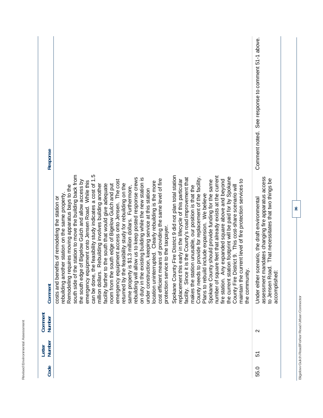| Response          |                                                                                                                                                                                                                                                                                                                                                                                                                                                                                                                                                                                                                                                                                                                                                                                                                                                                                                                                                                                                                                                                                                                                                                                                                                                                                                                                                                                                                                                                                                                                                                                                                                                                                                                                                                                                                                                                                          | See response to comment 51-1 above.<br>Comment noted.                                                                                                                        |
|-------------------|------------------------------------------------------------------------------------------------------------------------------------------------------------------------------------------------------------------------------------------------------------------------------------------------------------------------------------------------------------------------------------------------------------------------------------------------------------------------------------------------------------------------------------------------------------------------------------------------------------------------------------------------------------------------------------------------------------------------------------------------------------------------------------------------------------------------------------------------------------------------------------------------------------------------------------------------------------------------------------------------------------------------------------------------------------------------------------------------------------------------------------------------------------------------------------------------------------------------------------------------------------------------------------------------------------------------------------------------------------------------------------------------------------------------------------------------------------------------------------------------------------------------------------------------------------------------------------------------------------------------------------------------------------------------------------------------------------------------------------------------------------------------------------------------------------------------------------------------------------------------------------------|------------------------------------------------------------------------------------------------------------------------------------------------------------------------------|
| Comment           | the station to move the building back from<br>$\overline{5}$<br>Spokane County Fire District 9 did not plan total station<br>number of square feet that already exists at the current<br>County needs to provide for replacement of the facility.<br>ation footprint will be paid for by Spokane<br>facility. Since it is the County's road improvement that<br>allow us to keep posted response crews<br>existing building while the new station is<br>means of providing the same level of fire<br>replacement this early in the lifecycle of this particular<br>fire station. Any expanded square above and beyond<br>current level of fire protection services to<br>emergency equipment access onto Jensen. The cost<br>Spokane County should provide funding for the same<br>the south edge of Bigelow Gulch and allow access by<br>emergency equipment onto Jensen Road. While this<br>the feasibility study indicates a cost of 1<br>location uninterrupted. Clearly rebuilding is the more<br>returned by the feasibility study for rebuilding on the<br>room from the south edge of Bigelow Gulch and put<br>Rebuilding involves building another<br>facility farther to the south that would give adequate<br>County Fire District 9. This cost-share scenario will<br>Remodeling requires moving apparatus bays to the<br>makes the station unusable, our position is that the<br>same property is \$1.3 million dollars. Furthermore,<br>under construction, keeping service at this station<br>rebuilding another station on the same property.<br>Plans to rebuild include expansion. We believe<br>costs and benefits of remodeling the station or<br>protection service to the taxpayer.<br>the community.<br>$\mathbf{r}$<br>million dollars<br>rebuilding will<br>on duty in the<br>the current st<br>can be done,<br>maintain the<br>south side of<br>cost efficient | assessment mandates changing fire apparatus access<br>to Jensen Road. That necessitates that two things be<br>Under either scenario, the draft environmental<br>accomplishec |
| Comment<br>Number |                                                                                                                                                                                                                                                                                                                                                                                                                                                                                                                                                                                                                                                                                                                                                                                                                                                                                                                                                                                                                                                                                                                                                                                                                                                                                                                                                                                                                                                                                                                                                                                                                                                                                                                                                                                                                                                                                          | $\sim$                                                                                                                                                                       |
| Number<br>Letter  |                                                                                                                                                                                                                                                                                                                                                                                                                                                                                                                                                                                                                                                                                                                                                                                                                                                                                                                                                                                                                                                                                                                                                                                                                                                                                                                                                                                                                                                                                                                                                                                                                                                                                                                                                                                                                                                                                          | 5                                                                                                                                                                            |
| Code              |                                                                                                                                                                                                                                                                                                                                                                                                                                                                                                                                                                                                                                                                                                                                                                                                                                                                                                                                                                                                                                                                                                                                                                                                                                                                                                                                                                                                                                                                                                                                                                                                                                                                                                                                                                                                                                                                                          | 55.0                                                                                                                                                                         |

Revised Environmental Assessment

**Bigelow Gulch Road/Forker Road Urban Connector** 

Bigelow Gulch Road/Forker Road Urban Connector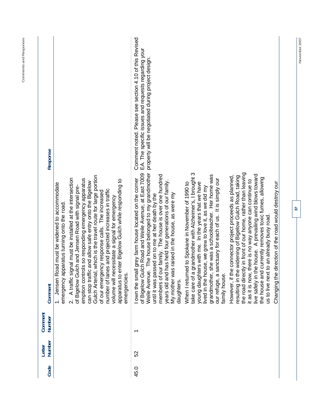| Response          |                                                                                                                                                                                                                                                                                                                                                                                                                                                                                                                                                                                                                                                           | Comment noted. Please see section 4.10 of this Revised<br>EA. The specific issues and requests regarding your<br>The house belonged to my grandmother property will be negotiated during project design                                                                                                                                                                         |                                                                                                                                                                                                                                                                                                                                                                   |                                                                                                                                                                                                                                                                                                                                                                                                                                                                               |
|-------------------|-----------------------------------------------------------------------------------------------------------------------------------------------------------------------------------------------------------------------------------------------------------------------------------------------------------------------------------------------------------------------------------------------------------------------------------------------------------------------------------------------------------------------------------------------------------------------------------------------------------------------------------------------------------|---------------------------------------------------------------------------------------------------------------------------------------------------------------------------------------------------------------------------------------------------------------------------------------------------------------------------------------------------------------------------------|-------------------------------------------------------------------------------------------------------------------------------------------------------------------------------------------------------------------------------------------------------------------------------------------------------------------------------------------------------------------|-------------------------------------------------------------------------------------------------------------------------------------------------------------------------------------------------------------------------------------------------------------------------------------------------------------------------------------------------------------------------------------------------------------------------------------------------------------------------------|
| Comment           | which is the travel route for large portion<br>A traffic signal must be installed at the intersection<br>emption controls so responding emergency apparatus<br>apparatus to enter Bigelow Gulch while responding to<br>can stop traffic and allow safe entry onto the Bigelow<br>1. Jensen Road must be widened to accommodate<br>of Bigelow Gulch and Jensen Road with signal pre-<br>number of lanes and projected increases in traffic<br>of our emergency response calls. The increased<br>volume will necessitate a signal for emergency<br>emergency apparatus turning onto the road.<br>Gulch Arterial,<br>emergencies.<br>$\overline{\mathbf{v}}$ | of Bigelow Gulch Road and Weile Avenue, at East 7009<br>members of our family. The house is over one hundred<br>I own the small grey farm house located on the corner<br>has held four generations of our family.<br>s raised in the house, as were my<br>sed on to me at her death by the<br>Weile Avenue.<br>until it was pas<br>My mother way<br>years old and<br>daughters. | grandmother with Alzheimer's, I brought 3<br>grandmother, she was a schoolteacher. Her home was<br>our refuge, a sanctuary for each of us. It is simply our<br>young daughters with me. In the years that we have<br>When I returned to Spokane in November of 1990 to<br>lived in the house, we grew to love it, as we did my<br>take care of a<br>family house. | the road directly in front of our home, rather than leaving<br>e house. A prevailing wind blows toward<br>However, if the connector project proceeds as planned,<br>resulting in the widening of Bigelow Gulch Road, taking<br>the house and currently removes toxic fumes, allowing<br>it as it is now, there is no way anyone can continue to<br>direction of the road would destroy our<br>to an already busy road<br>live safely in th<br>us to live next<br>Changing the |
| Comment<br>Number |                                                                                                                                                                                                                                                                                                                                                                                                                                                                                                                                                                                                                                                           | $\overline{\phantom{0}}$                                                                                                                                                                                                                                                                                                                                                        |                                                                                                                                                                                                                                                                                                                                                                   |                                                                                                                                                                                                                                                                                                                                                                                                                                                                               |
| Number<br>Letter  |                                                                                                                                                                                                                                                                                                                                                                                                                                                                                                                                                                                                                                                           | S <sub>2</sub>                                                                                                                                                                                                                                                                                                                                                                  |                                                                                                                                                                                                                                                                                                                                                                   |                                                                                                                                                                                                                                                                                                                                                                                                                                                                               |
| Code              |                                                                                                                                                                                                                                                                                                                                                                                                                                                                                                                                                                                                                                                           | 45.0                                                                                                                                                                                                                                                                                                                                                                            |                                                                                                                                                                                                                                                                                                                                                                   |                                                                                                                                                                                                                                                                                                                                                                                                                                                                               |

November 2007

**37** 

**Comments and Responses**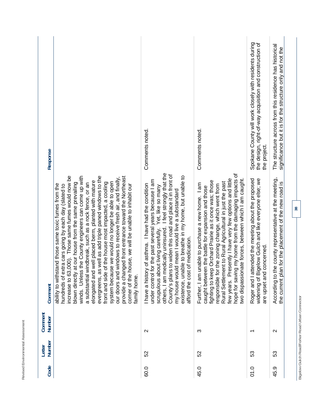| Response<br>Comment | increase to 63,000). Those same fumes would now be<br>winds. Unless the County engineers can come up with<br>evergreens, as well as add triple paned windows to the<br>provide a changed front entrance toward the Northeast<br>our doors and windows to receive fresh air, and finally,<br>elongated and well placed berm, planted with mature<br>system because we would no longer be able to open<br>windbreak, such as a rock fence, or an<br>front and side of the house most impacted, a cooling<br>at our house from the same prevailing<br>ability to withstand those same toxic fumes from the<br>house, we will be unable to inhabit our<br>hundreds of extra cars going by each day (slated to<br>blown directly<br>corner of the<br>a substantial<br>family home. | Comments noted.<br>I feel strongly that the<br>County's plans to widen this road and place it in front of<br>existence, unable to breathe in my home, but unable to<br>for the past several years because I am<br>I have a history of asthma. I have had the condition<br>pout living carefully. Yet, like so many<br>my house would mean I would live a substandard<br>others, I am medically uninsured.<br>afford the cost of medication.<br>scrupulous at<br>under control | Comments noted.<br>hope for saving my home from the damaging impacts of<br>few years. Presently I have very few options and little<br>two dispassionate forces, between which I am caught.<br>fighting to keep Orchard Prairie as it once was; those<br>Rural Settlement to Rural Agricultural in just the past<br>unable to purchase a new home. I am<br>responsible for the zoning change, which went from<br>caught between the battle for expansion and those<br>Further, I am | Spokane County will work closely with residents during<br>the design, right-of-way acquisition and construction of<br>the project.<br>widening of Bigelow Gulch and like everyone else; we<br>Roger and I attended the meeting about the proposed<br>are upset and concerned. | The structure across from this residence has historical<br>the county representative at the meeting, |
|---------------------|-------------------------------------------------------------------------------------------------------------------------------------------------------------------------------------------------------------------------------------------------------------------------------------------------------------------------------------------------------------------------------------------------------------------------------------------------------------------------------------------------------------------------------------------------------------------------------------------------------------------------------------------------------------------------------------------------------------------------------------------------------------------------------|-------------------------------------------------------------------------------------------------------------------------------------------------------------------------------------------------------------------------------------------------------------------------------------------------------------------------------------------------------------------------------------------------------------------------------------------------------------------------------|------------------------------------------------------------------------------------------------------------------------------------------------------------------------------------------------------------------------------------------------------------------------------------------------------------------------------------------------------------------------------------------------------------------------------------------------------------------------------------|-------------------------------------------------------------------------------------------------------------------------------------------------------------------------------------------------------------------------------------------------------------------------------|------------------------------------------------------------------------------------------------------|
|                     |                                                                                                                                                                                                                                                                                                                                                                                                                                                                                                                                                                                                                                                                                                                                                                               |                                                                                                                                                                                                                                                                                                                                                                                                                                                                               |                                                                                                                                                                                                                                                                                                                                                                                                                                                                                    |                                                                                                                                                                                                                                                                               | an for the placement of the new road is<br>the current pl<br>According to                            |
| Comment<br>Number   |                                                                                                                                                                                                                                                                                                                                                                                                                                                                                                                                                                                                                                                                                                                                                                               | $\sim$                                                                                                                                                                                                                                                                                                                                                                                                                                                                        | က                                                                                                                                                                                                                                                                                                                                                                                                                                                                                  | $\overline{\phantom{0}}$                                                                                                                                                                                                                                                      | $\mathbf{\Omega}$                                                                                    |
| Number<br>Letter    |                                                                                                                                                                                                                                                                                                                                                                                                                                                                                                                                                                                                                                                                                                                                                                               | 52                                                                                                                                                                                                                                                                                                                                                                                                                                                                            | SS                                                                                                                                                                                                                                                                                                                                                                                                                                                                                 | 53                                                                                                                                                                                                                                                                            | င္ဟာ                                                                                                 |
| Code                |                                                                                                                                                                                                                                                                                                                                                                                                                                                                                                                                                                                                                                                                                                                                                                               | 60.0                                                                                                                                                                                                                                                                                                                                                                                                                                                                          | 45.0                                                                                                                                                                                                                                                                                                                                                                                                                                                                               | 01.0                                                                                                                                                                                                                                                                          | ာ့<br>45.                                                                                            |

Revised Environmental Assessment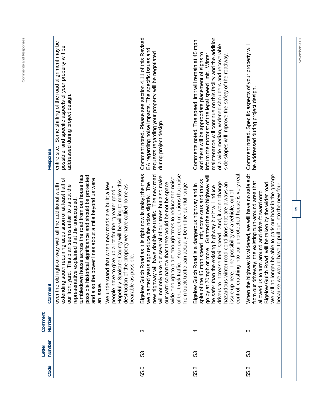|         | Some shifting of the road alignment may be<br>possible, and specific aspects of your property will be<br>addressed during project design.<br>entire site.<br>Response                                                                                                                                                                                                                                                                                                                                                                                                                                                                                                                                  | Comment noted. Please see section 4.11 of this Revised<br>EA regarding noise impacts. The specific issues and<br>requests regarding your property will be negotiated<br>during project design.                                                                                                                                                                                                                                                                                      | maintenance will continue on this facility and the addition<br>Comments noted. The speed limit will remain at 45 mph<br>of a wide median, widened shoulders and recoverable<br>and there will be appropriate placement of signs to<br>inform the motorist of the legal speed limit. Winter<br>side slopes will improve the safety of the roadway.                                                                                                                   | Comment noted. Specific aspects of your property will<br>be addressed during project design.                                                                                                                                                                                                                                                    |    |
|---------|--------------------------------------------------------------------------------------------------------------------------------------------------------------------------------------------------------------------------------------------------------------------------------------------------------------------------------------------------------------------------------------------------------------------------------------------------------------------------------------------------------------------------------------------------------------------------------------------------------------------------------------------------------------------------------------------------------|-------------------------------------------------------------------------------------------------------------------------------------------------------------------------------------------------------------------------------------------------------------------------------------------------------------------------------------------------------------------------------------------------------------------------------------------------------------------------------------|---------------------------------------------------------------------------------------------------------------------------------------------------------------------------------------------------------------------------------------------------------------------------------------------------------------------------------------------------------------------------------------------------------------------------------------------------------------------|-------------------------------------------------------------------------------------------------------------------------------------------------------------------------------------------------------------------------------------------------------------------------------------------------------------------------------------------------|----|
|         | house across the road from our house has<br>prical significance and should be protected<br>extending south requiring acquisition of at least half of<br>power lines about a mile beyond us were<br>Hopefully Spokane County will be willing to make this<br>nd that when new roads are built; a few<br>over the old right-of-way with all the additional width<br>our front yard. This plan seems unfair to us but the<br>destruction of the property we have called home as<br>to give up a lot for the "greater good."<br>representative explained that the unoccupied<br>bearable as possible.<br>We understa<br>possible hist<br>people have<br>tumbledown<br>and also the<br>an issue.<br>Comment | Bigelow Gulch Road as it is right now is noisy; the trees<br>of the truck traffic. Your own report mentions that noise<br>will have double the traffic. The new road<br>will not only take out several of our trees but also make<br>wide enough to plant enough trees to reduce the noise<br>we planted years ago reduce the noise slightly. The<br>our yard so narrow that there would be not be space<br>from truck traffic can actually be in the painful range.<br>new highway | control, crashing into our unprotected house is very real<br>go by at 70mph or more. Granted the new highway will<br>spite of the 45 mph speed limit, some cars and trucks<br>drivers to increase their speed. And, it won't change<br>inter road conditions that are always an<br>Bigelow Gulch Road is a dangerous highway and in<br>be safer than the existing highway but it will induce<br>issue up here. The possibility of a vehicle, out of<br>hazardous wi | When the highway is widened, we will have no safe exit<br>We will no longer be able to park our boat in the garage<br>from our driveway, the existing turn-around area that<br>Bigelow Gulch Road; will be taken by the wider road.<br>because we would have to pull out into the new four-<br>allowed us to turn around and drive forward onto | 39 |
| Comment | Number                                                                                                                                                                                                                                                                                                                                                                                                                                                                                                                                                                                                                                                                                                 | S                                                                                                                                                                                                                                                                                                                                                                                                                                                                                   | 4                                                                                                                                                                                                                                                                                                                                                                                                                                                                   | 5                                                                                                                                                                                                                                                                                                                                               |    |
| Letter  | Number                                                                                                                                                                                                                                                                                                                                                                                                                                                                                                                                                                                                                                                                                                 | S3                                                                                                                                                                                                                                                                                                                                                                                                                                                                                  | 53                                                                                                                                                                                                                                                                                                                                                                                                                                                                  | S3                                                                                                                                                                                                                                                                                                                                              |    |
|         | Code                                                                                                                                                                                                                                                                                                                                                                                                                                                                                                                                                                                                                                                                                                   | 65.0                                                                                                                                                                                                                                                                                                                                                                                                                                                                                | 55.2                                                                                                                                                                                                                                                                                                                                                                                                                                                                | 55.2                                                                                                                                                                                                                                                                                                                                            |    |

November 2007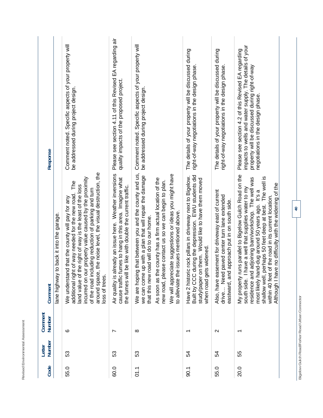| Response                |                                          | Comment noted. Specific aspects of your property will<br>be addressed during project design.                                                                                                                                                                                                                                                                                 | Please see section 4.11 of this Revised EA regarding air<br>quality impacts of the proposed project.                                                                                  | Comment noted. Specific aspects of your property will<br>be addressed during project design.                                                                                                                                                                                                                                                                                              | The details of your property will be discussed during<br>right-of-way negotiations in the design phase.                                                                                            | The details of your property will be discussed during<br>right-of-way negotiations in the design phase.                                                 | impacts to wells and water supply. The details of your<br>Please see section 4.2 of this Revised EA regarding<br>property will be discussed during right-of-way<br>negotiations in the design phase.                                                                                                                                                                                                           |
|-------------------------|------------------------------------------|------------------------------------------------------------------------------------------------------------------------------------------------------------------------------------------------------------------------------------------------------------------------------------------------------------------------------------------------------------------------------|---------------------------------------------------------------------------------------------------------------------------------------------------------------------------------------|-------------------------------------------------------------------------------------------------------------------------------------------------------------------------------------------------------------------------------------------------------------------------------------------------------------------------------------------------------------------------------------------|----------------------------------------------------------------------------------------------------------------------------------------------------------------------------------------------------|---------------------------------------------------------------------------------------------------------------------------------------------------------|----------------------------------------------------------------------------------------------------------------------------------------------------------------------------------------------------------------------------------------------------------------------------------------------------------------------------------------------------------------------------------------------------------------|
| Comment                 | lane highway to back it into the garage. | the noise level, the visual destruction, the<br>incurred on our property value caused by the proximity<br>The<br>land value of the right of way is the least of the loss<br>of the road including reduction of parking and turn<br>additional right of way needed for the new road.<br>d that the county will pay for any<br>We understan<br>around space,<br>loss of trees. | Iready an issue here. Weather inversions<br>cause traffic fumes to hang in this area. Imagine what<br>be like with double the current traffic.<br>Air quality is al<br>the fumes will | that between you and the county and us,<br>We will appreciate suggestions or ideas you might have<br>up with a plan that will repair the damage<br>As soon as the county has a firm actual location of the<br>new road, please contact us so we can begin to plan.<br>to alleviate the issues mentioned above.<br>that this new road will do to our home.<br>We are hoping<br>we can come | Built by CCC during the depression. EWU students did<br>Have 2 historic rock pillars in driveway next to Bigelow.<br>study/paper on them. Would like to have them moved<br>when road gets widened. | Also, have easement for driveway east of current<br>paved center turn lane extended<br>approach put in on south side.<br>eastward, and<br>Need<br>drive | My property runs parallel to Bigelow Gulch Road on the<br>The well is<br>adjoining barn/workshop. The well was<br>e no difficulty with the widening of the<br>south side. I have a well that supplies water to my<br>most likely hand-dug around 50 years ago. It's a<br>within 40 feet of the road in its current location.<br>shallow well, perhaps 50 feet deep at best.<br>Although I hav<br>residence and |
| Comment<br>Number       |                                          | ဖ                                                                                                                                                                                                                                                                                                                                                                            | ∼                                                                                                                                                                                     | $\infty$                                                                                                                                                                                                                                                                                                                                                                                  | ↽                                                                                                                                                                                                  | $\mathbf{\Omega}$                                                                                                                                       |                                                                                                                                                                                                                                                                                                                                                                                                                |
| <b>Number</b><br>Letter |                                          | 53                                                                                                                                                                                                                                                                                                                                                                           | 53                                                                                                                                                                                    | 53                                                                                                                                                                                                                                                                                                                                                                                        | 54                                                                                                                                                                                                 | 54                                                                                                                                                      | 55                                                                                                                                                                                                                                                                                                                                                                                                             |
| Code                    |                                          | 55.0                                                                                                                                                                                                                                                                                                                                                                         | 60.0                                                                                                                                                                                  | 5.1                                                                                                                                                                                                                                                                                                                                                                                       | 0.1                                                                                                                                                                                                | 55.0                                                                                                                                                    | 20.0                                                                                                                                                                                                                                                                                                                                                                                                           |

Revised Environmental Assessment **Revised Environmental Assessment** 

**40** 

Bigelow Gulch Road/Forker Road Urban Connector **Bigelow Gulch Road/Forker Road Urban Connector**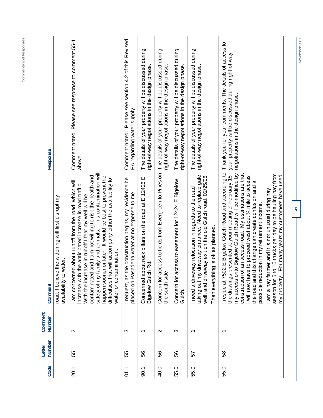| Code | <b>Number</b><br>Letter | Comment<br>Number        | Comment                                                                                                                                                                                                                                                                                                                                                                                                                                                                                                                                                                             | Response                                                                                                                                          |
|------|-------------------------|--------------------------|-------------------------------------------------------------------------------------------------------------------------------------------------------------------------------------------------------------------------------------------------------------------------------------------------------------------------------------------------------------------------------------------------------------------------------------------------------------------------------------------------------------------------------------------------------------------------------------|---------------------------------------------------------------------------------------------------------------------------------------------------|
|      |                         |                          | the widening will first disrupt my<br>availability to water.<br>road, I believe                                                                                                                                                                                                                                                                                                                                                                                                                                                                                                     |                                                                                                                                                   |
| 20.1 | 55                      | $\mathbf{\Omega}$        | contaminated and I am not willing to risk the health and<br>safety of my family and animals. This contamination will<br>happen sooner or later. It would be best to prevent the<br>difficulties that will accompany either the availability to<br>I am concerned about runoff from the road, which will<br>increase with the anticipated increase in road traffic.<br>With the increase in runoff I fear my well will be<br>mination.<br>water or contai                                                                                                                            | Comment noted. Please see response to comment 55-1<br>above.                                                                                      |
| 01.1 | 55                      | က                        | I request, as the construction begins, my residence be<br>placed on Pasadena water at no expense to me.                                                                                                                                                                                                                                                                                                                                                                                                                                                                             | Please see section 4.2 of this Revised<br>EA regarding water supply.<br>Comment noted.                                                            |
| 90.1 | 56                      | $\overline{\phantom{0}}$ | Concerned about rock pillars on the road at E 12426 E<br>Rd.<br><b>Bigelow Gulch</b>                                                                                                                                                                                                                                                                                                                                                                                                                                                                                                | The details of your property will be discussed during<br>right-of-way negotiations in the design phase.                                           |
| 40.0 | 56                      | $\mathbf{\Omega}$        | Concern for access to fields from Evergreen to Pines on<br>the south side.                                                                                                                                                                                                                                                                                                                                                                                                                                                                                                          | The details of your property will be discussed during<br>right-of-way negotiations in the design phase.                                           |
| 55.0 | 56                      | က                        | Concern for access to easement for 12424 E Bigelow<br>Gulch.                                                                                                                                                                                                                                                                                                                                                                                                                                                                                                                        | The details of your property will be discussed during<br>right-of-way negotiations in the design phase.                                           |
| 55.0 | 57                      | $\overline{\phantom{0}}$ | Need to replace gate,<br>well, and driveway exit on the old Gulch road. 02/25/06<br>vay relocation in regards to the road<br>taking out my driveway entrance.<br>Then everything is ok as planned.<br>I need a drivey                                                                                                                                                                                                                                                                                                                                                               | The details of your property will be discussed during<br>right-of-way negotiations in the design phase.                                           |
| 55.0 | 58                      | $\overline{\phantom{0}}$ | I reside at 7502 E Bigelow Gulch Road and according to<br>my access onto Bigelow Gulch Road will be modified by<br>season for 5 to 15 trucks per day to be hauling hay from<br>an access road. My estimations are that<br>the drawings presented at your meeting of February 15<br>For many years my customers have used<br>I will now have to proceed west about 1/4 mile to access<br>the road and this change can create confusion and a<br>I am a hay farmer and it is not unusual during hay<br>possible reduction in my retirement income.<br>construction of<br>my property. | Thank you for your comments. The details of access to<br>your property will be discussed during right-of-way<br>negotiations in the design phase. |
|      |                         |                          | $\overline{4}$                                                                                                                                                                                                                                                                                                                                                                                                                                                                                                                                                                      |                                                                                                                                                   |

November 2007

**Comments and Responses**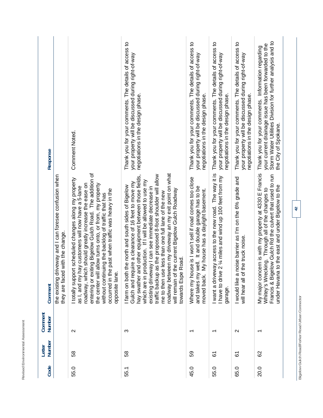| Ś<br>o mon o<br>í<br>$\frac{1}{2}$<br>ı<br>$\tilde{A}$<br>۰<br>í<br>ä<br>C Mill Made C Mills<br>i<br>$\overline{\phantom{a}}$<br>×<br>I<br>ł<br>ş<br>i<br>S<br>ı<br>ï<br>ï<br>I<br>٢ |  |
|--------------------------------------------------------------------------------------------------------------------------------------------------------------------------------------|--|

| Response          |                                                                                           | <b>Comment Noted.</b>                                                                                                                                                                                                                                                                                                                                                                                                           | Thank you for your comments. The details of access to<br>your property will be discussed during right-of-way<br>negotiations in the design phase.                                                                                                                                                                                                                                                                                                                                                                                             | Thank you for your comments. The details of access to<br>your property will be discussed during right-of-way<br>negotiations in the design phase.               | Thank you for your comments. The details of access to<br>your property will be discussed during right-of-way<br>negotiations in the design phase. | Thank you for your comments. The details of access to<br>your property will be discussed during right-of-way<br>negotiations in the design phase. | Storm Water Utilities Division for further analysis and to<br>your current drainage issue has been forwarded to the<br>Thank you for your comments. Information regarding<br>the City of Spokane.                               |  |
|-------------------|-------------------------------------------------------------------------------------------|---------------------------------------------------------------------------------------------------------------------------------------------------------------------------------------------------------------------------------------------------------------------------------------------------------------------------------------------------------------------------------------------------------------------------------|-----------------------------------------------------------------------------------------------------------------------------------------------------------------------------------------------------------------------------------------------------------------------------------------------------------------------------------------------------------------------------------------------------------------------------------------------------------------------------------------------------------------------------------------------|-----------------------------------------------------------------------------------------------------------------------------------------------------------------|---------------------------------------------------------------------------------------------------------------------------------------------------|---------------------------------------------------------------------------------------------------------------------------------------------------|---------------------------------------------------------------------------------------------------------------------------------------------------------------------------------------------------------------------------------|--|
| Comment           | the existing driveway and I can foresee confusion when<br>they are faced with the change. | entering or exiting Bigelow Gulch Road. The addition of<br>I totally support scheduled changes along my property<br>ich should greatly increase the ease on<br>the center will allow turns onto, or from, my property<br>hay customers will now have a 5-lane<br>occurred in the past when traffic was heavy in the<br>nuing the backlog of traffic that has<br>opposite lane.<br>roadway, wh<br>without contil<br>as I, and my | roadway between my driveway an my exit point on what<br>traffic backup as the proposed 8-foot shoulder will allow<br>and other equipment between those fields,<br>production. If I will be allowed to use my<br>Gulch and require a clearance of 16 feet to move my<br>I farm on both the north and south sides of Bigelow<br>existing driveway I can see immediate decrease in<br>will remain of the current Bigelow Gulch Roadway<br>me to then use less than one full lane of the new<br>towards Espe Road.<br>which are in<br>hay swather | Where my house is I won't sell if road comes too close<br>and takes my well. It and double garage has to be<br>My house has a daylight basement.<br>moved back. | I want a driveway access to the new road. The way it is<br>I have to drive 2 1/4 miles and wind up 100 feet from my<br>garage.                    | I would like a noise barrier as I'm on the 6% grade and<br>will hear all of the truck noise                                                       | ncern is with my property at 4330 E Francis<br>Francis & Bigelow Gulch Rd the culvert that used to run<br>under Havana to the east and under Bigelow to the<br>Whitey's Wrecking. Through all of the changes to<br>My major cor |  |
| Comment<br>Number |                                                                                           | $\mathbf{\Omega}$                                                                                                                                                                                                                                                                                                                                                                                                               | ო                                                                                                                                                                                                                                                                                                                                                                                                                                                                                                                                             |                                                                                                                                                                 |                                                                                                                                                   | $\mathbf{\Omega}$                                                                                                                                 |                                                                                                                                                                                                                                 |  |
| Number<br>Letter  |                                                                                           | 58                                                                                                                                                                                                                                                                                                                                                                                                                              | 58                                                                                                                                                                                                                                                                                                                                                                                                                                                                                                                                            | 59                                                                                                                                                              | <u>৯</u>                                                                                                                                          | 67                                                                                                                                                | 82                                                                                                                                                                                                                              |  |
| Code              |                                                                                           | 55.0                                                                                                                                                                                                                                                                                                                                                                                                                            | 55.1                                                                                                                                                                                                                                                                                                                                                                                                                                                                                                                                          | 45.0                                                                                                                                                            | 55.0                                                                                                                                              | 65.0                                                                                                                                              | 20.0                                                                                                                                                                                                                            |  |

**42** 

Bigelow Gulch Road/Forker Road Urban Connector **Bigelow Gulch Road/Forker Road Urban Connector**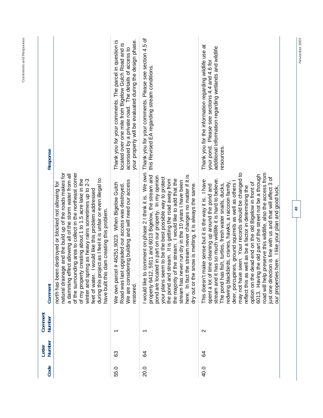| Response          |                                                                                                                                                                                                                                                                                                                                                                                                                                                                                                                                                        | your property will be evaluated during the design phase.<br>Thank you for your comments. The parcel in question is<br>located over one mile from Bigelow Gulch Road and is<br>accessed by a private road. The details of access to | Thank you for your comments. Please see section 4.5 of<br>this Revised EA regarding stream conditions                                                                                                                                                                                                                                                                                                                                                                                                                                           | Thank you for the information regarding wildlife use at<br>additional information regarding wetlands and wildlife<br>your pond. Please see sections 4.4 and 4.6 for<br>resources                                                                                                                                                                                                                                                                                                                                                                                                                                                                                                                                                                                                                     |
|-------------------|--------------------------------------------------------------------------------------------------------------------------------------------------------------------------------------------------------------------------------------------------------------------------------------------------------------------------------------------------------------------------------------------------------------------------------------------------------------------------------------------------------------------------------------------------------|------------------------------------------------------------------------------------------------------------------------------------------------------------------------------------------------------------------------------------|-------------------------------------------------------------------------------------------------------------------------------------------------------------------------------------------------------------------------------------------------------------------------------------------------------------------------------------------------------------------------------------------------------------------------------------------------------------------------------------------------------------------------------------------------|------------------------------------------------------------------------------------------------------------------------------------------------------------------------------------------------------------------------------------------------------------------------------------------------------------------------------------------------------------------------------------------------------------------------------------------------------------------------------------------------------------------------------------------------------------------------------------------------------------------------------------------------------------------------------------------------------------------------------------------------------------------------------------------------------|
| Comment           | natural drainage and the build up of the roads makes for<br>of the surrounding area to collect in the northeast corner<br>a damming effect allowing all of the storm water from all<br>during this project as I feel it is unfair or even illegal to<br>ing as heavy rains sometimes up to 2-3<br>creating about 1 to 1.5 acre lake in the<br>n destroyed or blocked not allowing for<br>I would like this problem addressed<br>dam creating this problem.<br>north has beer<br>winter and spri<br>of my property<br>have built this<br>feet of water. | ering building and will need our access<br>We own parcel #46251.9023. When Bigelow Gulch<br>upgraded our access was destroyed.<br>We are consid<br>Road was last<br>restored.                                                      | I would like to comment on phase 2 I think it is. We own<br>5911 and 6013 Bigelow, the stream and<br>here. In fact the stream never changes no matter if it is<br>pond are located in part on our property. In my opinion<br>your plans seem to be the best possible way to protect<br>the stream. I would like to add that the<br>the pond and stream. It is getting the road away from<br>stream has never run dry in the 10 years I have been<br>dry out or the snow is melting, it is always the same.<br>the majority of<br>property 6412, | may not have seen. Your records should be changed to<br>road will help preserve this wildlife, also the access from<br>the old part of the street not be a through<br>on is fine with us and that will affect 3 of<br>stream and it has so much wildlife it is hard to believe.<br>This doesn't make sense but it is the way it is. I have<br>redwing blackbirds, cranes, hawks, a raccoon family,<br>deer, porcupines, ground squirrels as well as others<br>option on the dead end on the old Bigelow in front of<br>ime cleaning up around the pond and<br>fish, turtles, fresh water snails, ducks,<br>reflect this as well as be a factor in determining the<br>here. I like your plan and good luck<br>just one directi<br>spent a lot of ti<br>The pond has<br>6013. Having<br>our properties |
| Comment<br>Number |                                                                                                                                                                                                                                                                                                                                                                                                                                                                                                                                                        | ᠇                                                                                                                                                                                                                                  | $\overline{\phantom{0}}$                                                                                                                                                                                                                                                                                                                                                                                                                                                                                                                        | $\mathbf{\Omega}$                                                                                                                                                                                                                                                                                                                                                                                                                                                                                                                                                                                                                                                                                                                                                                                    |
| Number<br>Letter  |                                                                                                                                                                                                                                                                                                                                                                                                                                                                                                                                                        | යි                                                                                                                                                                                                                                 | 24                                                                                                                                                                                                                                                                                                                                                                                                                                                                                                                                              | ङ                                                                                                                                                                                                                                                                                                                                                                                                                                                                                                                                                                                                                                                                                                                                                                                                    |
| Code              |                                                                                                                                                                                                                                                                                                                                                                                                                                                                                                                                                        | 55.0                                                                                                                                                                                                                               | 20.0                                                                                                                                                                                                                                                                                                                                                                                                                                                                                                                                            | 40.0                                                                                                                                                                                                                                                                                                                                                                                                                                                                                                                                                                                                                                                                                                                                                                                                 |

November 2007

**43** 

## Comments and Responses **Comments and Responses**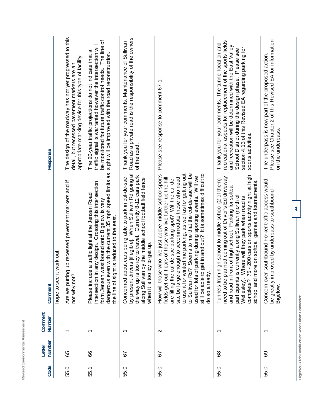| ┙<br>٠<br>٠<br>ı<br>l<br>ı<br>í<br>J<br>۱<br>٠<br>I<br>۰<br>٠<br>∼<br>۰                                                     |  |
|-----------------------------------------------------------------------------------------------------------------------------|--|
| $\overline{\phantom{a}}$<br>٠<br>٢<br>◡<br>٠<br>ı<br>ä<br>ţ<br>-<br>ł<br>۰<br>J<br>۰                                        |  |
| é<br>۰<br>ر<br>ī<br>٠<br>٠<br>é<br>÷<br>∼<br>ı.<br>í<br>п<br>--                                                             |  |
| $\sim$<br>ı<br>-<br>í<br>ì<br>۱<br>ä<br>۱<br>ţ<br>۱<br>ï<br>í<br>ı<br>٠<br>ú<br>r<br>ـ<br>k<br>×<br>ï<br>۱<br>í<br>$\simeq$ |  |

| <b>Response</b>   |                             | The design of the roadway has not yet progressed to this<br>appropriate marking device for this type of facility.<br>detail, but recessed pavement markers are an | be monitored for future traffic control needs. The line of<br>traffic signal is warranted however the intersection will<br>The 20-year traffic projections do not indicate that a<br>sight will be improved with the road reconstruction.                             | Road as a private road is the responsibility of the owners<br>Thank you for your comments. Maintenance of Sullivan<br>of the road                                                                                                                                                      | Please see response to comment 67-1.                                                                                                                                                                                                                                                                                                                                                                                                                                                                                           | recreational aspects for replacement of the sports fields<br>Thank you for your comments. The tunnel location and<br>and recreation will be determined with the East Valley<br>section 4.13 of this Revised EA regarding parking for<br>School District during the design phase. Please see<br>sports activities.                                                                                           | Please see Chapter 2 of this Revised EA for information<br>The underpass is now part of the proposed action.<br>on the underpass. |  |
|-------------------|-----------------------------|-------------------------------------------------------------------------------------------------------------------------------------------------------------------|-----------------------------------------------------------------------------------------------------------------------------------------------------------------------------------------------------------------------------------------------------------------------|----------------------------------------------------------------------------------------------------------------------------------------------------------------------------------------------------------------------------------------------------------------------------------------|--------------------------------------------------------------------------------------------------------------------------------------------------------------------------------------------------------------------------------------------------------------------------------------------------------------------------------------------------------------------------------------------------------------------------------------------------------------------------------------------------------------------------------|-------------------------------------------------------------------------------------------------------------------------------------------------------------------------------------------------------------------------------------------------------------------------------------------------------------------------------------------------------------------------------------------------------------|-----------------------------------------------------------------------------------------------------------------------------------|--|
| Comment           | work out.<br>hope to see it | Are we putting up recessed pavement markers and if<br>not why not?                                                                                                | dangerous even with the current 35 mph speed limits as<br>intersection in any design. Crossing this intersection<br>e a traffic light at the Jensen Road<br>form Jensen west bound onto Bigelow is very<br>the line of sight is reduced to the east.<br>Please includ | ivers [illegible]. When Sullivan Rd going all<br>the way up is too icy to travel. Currently 8-12 cars park<br>oout cars being able to park in cul-de-sac<br>along Sullivan by the middle school football field fence<br>when it is too icy to get up.<br>Concerned al<br>by present dr | to use it for wintertime parking, as well as for getting out<br>to Sullivan Rd? Seems to me that the cul-de-sac will be<br>still be able to get in and out? It is sometimes difficult to<br>How will those who live just above middle school sports<br>of parking during sporting events. Will we<br>enough to accommodate those who need<br>if cars of those who live further up the hill<br>cul-de-sac parking spot? Will the cul-de-<br>do so already<br>sac be large<br>used for lots<br>fields get out<br>are filling the | 75 - 200 cars on sports activity night at high<br>anned coming out of Driver's Ed driveway<br>Tunnels from high school to middle school (2 of them)<br>school and more on softball games and tournaments.<br>and road in front of high school. Parking for softball<br>participants is currently along Sullivan (north of<br>Where will they park when road is<br>need to be pl<br>Wellesley).<br>complete? | Concern over southbound Forker traffic access would<br>proved by underpass to southbound<br>be greatly im<br>Bigelow.             |  |
| Comment<br>Number |                             |                                                                                                                                                                   |                                                                                                                                                                                                                                                                       |                                                                                                                                                                                                                                                                                        | $\mathbf{\Omega}$                                                                                                                                                                                                                                                                                                                                                                                                                                                                                                              |                                                                                                                                                                                                                                                                                                                                                                                                             |                                                                                                                                   |  |
| Number<br>Letter  |                             | 65                                                                                                                                                                | 89                                                                                                                                                                                                                                                                    | 55                                                                                                                                                                                                                                                                                     | 55                                                                                                                                                                                                                                                                                                                                                                                                                                                                                                                             | 89                                                                                                                                                                                                                                                                                                                                                                                                          | င္မွာ                                                                                                                             |  |
| Code              |                             | 55.0                                                                                                                                                              | 55.1                                                                                                                                                                                                                                                                  | 55.0                                                                                                                                                                                                                                                                                   | 55.0                                                                                                                                                                                                                                                                                                                                                                                                                                                                                                                           | 55.0                                                                                                                                                                                                                                                                                                                                                                                                        | 55.0                                                                                                                              |  |

Bigelow Gulch Road/Forker Road Urban Connector **Bigelow Gulch Road/Forker Road Urban Connector**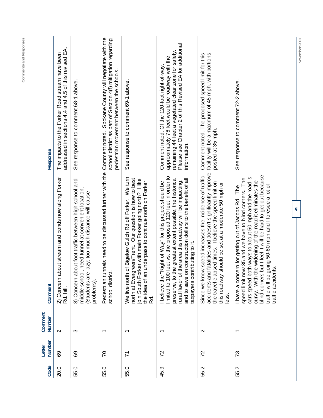| $\sim$<br>က<br>$\overline{\phantom{0}}$<br>$\overline{\phantom{0}}$<br>$\overline{\phantom{0}}$<br>စ္ပ<br>89<br>$\overline{C}$<br>72<br>$\overline{7}$<br>55.0<br>45.9<br>20.0<br>55.0<br>55.0 | Number | Comment                                                                                                                                                                                                                                                                                                                                                                             | Response                                                                                                                                                                                                                          |
|------------------------------------------------------------------------------------------------------------------------------------------------------------------------------------------------|--------|-------------------------------------------------------------------------------------------------------------------------------------------------------------------------------------------------------------------------------------------------------------------------------------------------------------------------------------------------------------------------------------|-----------------------------------------------------------------------------------------------------------------------------------------------------------------------------------------------------------------------------------|
|                                                                                                                                                                                                |        | pout stream and ponds now along Forker<br>2) Concern al<br>Rd. hill.                                                                                                                                                                                                                                                                                                                | addressed in sections 4.4 and 4.5 of this revised EA.<br>The impacts to the Forker Road stream have been                                                                                                                          |
|                                                                                                                                                                                                |        | bout foot traffic between high school and<br>, need tunnel at convenient location.<br>lazy; too much distance will cause<br>middle school<br>Students are<br>3) Concern at<br>problems)                                                                                                                                                                                             | See response to comment 68-1 above.                                                                                                                                                                                               |
|                                                                                                                                                                                                |        | school district                                                                                                                                                                                                                                                                                                                                                                     | Pedestrian tunnels need to be discussed further with the Comment noted. Spokane County will negotiate with the<br>school district as part of Section 4(f) mitigation regarding<br>pedestrian movement between the schools.        |
|                                                                                                                                                                                                |        | of Bigelow Gulch Rd off Forker. We turn<br>north at Evergreen/Trent. Our question is how to best<br>join South Forker with main Forker going north? I like<br>underpass to continue north on Forker<br>the idea of an<br>We live north<br>Rd.                                                                                                                                       | See response to comment 69-1 above.                                                                                                                                                                                               |
|                                                                                                                                                                                                |        | limited to 100 feet vs. the proposed 120 feet in order to<br>preserve, to the greatest extent possible, the historical<br>and to save on construction dollars to the benefit of all<br>the area this roadway will be impacting,<br>Right of Way" for this project should be<br>taxpayers contributing to it.<br>I believe the "<br>rural flavor of                                  | Please see Chapter 2 of this Revised EA for additional<br>remaining 44 feet a vegetated clear zone for safety.<br>approximately 76 feet would be roadway with the<br>Comment noted. Of the 120-foot right-of-way,<br>information. |
| $\mathbf{\Omega}$<br>72<br>55.2                                                                                                                                                                |        | I fatalities and doesn't significantly improve<br>Since we know speed increases the incidence of traffic<br>the travel elapsed times. I believe the speed limit on<br>should be set at a moderate 50 mph or<br>accidents and<br>this roadway<br>less.                                                                                                                               | Comment noted. The proposed speed limit for this<br>facility will be a maximum of 45 mph, with portions<br>posted at 35 mph.                                                                                                      |
| $\overline{\phantom{0}}$<br>73<br>55.2                                                                                                                                                         |        | but I feel it will be hard to get out because<br>cars speed both ways to about 50 mph and the road is<br>speed limit now 35 and we have to blind corners. The<br>curvy. With the widening of the road it eliminates the<br>traffic will be going 50-60 mph and I foresee a lot of<br>I have a concern for getting out of Jacobs Rd. The<br>ı's.<br>blind corners<br>traffic accider | See response to comment 72-2 above.                                                                                                                                                                                               |

November 2007

**45** 

**Comments and Responses**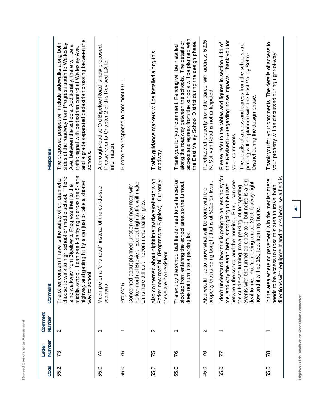| Response          | and a grade separated pedestrian crossing between the<br>The proposed project will include sidewalks along both<br>sides of the roadway from Progress south to Wellesley<br>Ave. between the schools. Additionally, there will be a<br>traffic signal with pedestrian control at Wellesley Ave.<br>schools.                    | A through-road at Old Bigelow Road is now proposed.<br>Please refer to Chapter 2 of this Revised EA for<br>information. | Please see response to comment 69-1.                                                                                                                                            | Traffic guidance markers will be installed along this<br>roadway.                                                                        | access and egress from the schools will be planned with<br>along the roadway between the schools. The details of<br>the East Valley School District during the design phase.<br>Thank you for your comment. Fencing will be installed | Purchase of property from the parcel with address 5225<br>N. Sullivan Road is not anticipated.                   | this Revised EA regarding noise impacts. Thank you for<br>Please refer to the tables and figures in section 4.11 of<br>The details of access and egress from the schools and<br>parking will be planned with the East Valley School<br>District during the design phase.<br>your comments.                                                                                                              | Thank you for your comments. The details of access to<br>your property will be discussed during right-of-way                                                            |
|-------------------|--------------------------------------------------------------------------------------------------------------------------------------------------------------------------------------------------------------------------------------------------------------------------------------------------------------------------------|-------------------------------------------------------------------------------------------------------------------------|---------------------------------------------------------------------------------------------------------------------------------------------------------------------------------|------------------------------------------------------------------------------------------------------------------------------------------|---------------------------------------------------------------------------------------------------------------------------------------------------------------------------------------------------------------------------------------|------------------------------------------------------------------------------------------------------------------|---------------------------------------------------------------------------------------------------------------------------------------------------------------------------------------------------------------------------------------------------------------------------------------------------------------------------------------------------------------------------------------------------------|-------------------------------------------------------------------------------------------------------------------------------------------------------------------------|
| Comment           | middle school. I can see kids trying to cross the 5-lane<br>choose to walk to high school or middle school. There<br>The other concern I have is the safety of children who<br>highway and getting hit by a car just to take a shorter<br>wav to school.<br>is no walkway from Bigelow to Progress then to the<br>way to schoo | a "thru road" instead of the cul-de-sac<br>Much prefer<br>scenario.                                                     | of Brevier. Expect high traffic will make<br>Concerned about planned junction of new road with<br>turns here difficult - recommend traffic lights<br>Forker north<br>Project 5. | Also concerned about nighttime markers/reflectors on<br>Forker new road hill (Progress to Bigelow). Currently<br>these are non-existent. | The exit by the school ball fields need to be fenced or<br>entering the school area so the turnout<br>into a parking lot<br>blocked from<br>does not turn                                                                             | is being bought that is at 5225 Sullivan.<br>Also would like to know what will be done with the<br>property that | I don't understand how this is going to be less noisy for<br>events with the tunnel so close to it, but noise is a big<br>school and the housing. Plus, I can see<br>You're moving a road 2000 ft away right<br>me, and why the earth berm is not going to be used<br>the cul-de-sac turning into a parking lot for sporting<br>now and it will be 150 feet from my home.<br>between the<br>deal to me. | directions with equipment and trucks because a field is<br>In the area where no pavement is in the median there<br>needs to be access to cross this area to travel both |
| Comment<br>Number | $\mathbf{\Omega}$                                                                                                                                                                                                                                                                                                              |                                                                                                                         | ↽                                                                                                                                                                               | $\mathbf{\sim}$                                                                                                                          | ᠇                                                                                                                                                                                                                                     | $\sim$                                                                                                           | ↽                                                                                                                                                                                                                                                                                                                                                                                                       |                                                                                                                                                                         |
| Number<br>Letter  | 73                                                                                                                                                                                                                                                                                                                             | $\overline{z}$                                                                                                          | 75                                                                                                                                                                              | 75                                                                                                                                       | 76                                                                                                                                                                                                                                    | 87                                                                                                               | 77                                                                                                                                                                                                                                                                                                                                                                                                      | $\overline{78}$                                                                                                                                                         |
| Code              | 55.2                                                                                                                                                                                                                                                                                                                           | 55.0                                                                                                                    | 55.0                                                                                                                                                                            | 55.2                                                                                                                                     | 55.0                                                                                                                                                                                                                                  | 45.0                                                                                                             | 65.0                                                                                                                                                                                                                                                                                                                                                                                                    | 55.0                                                                                                                                                                    |

Revised Environmental Assessment

**46** 

Bigelow Gulch Road/Forker Road Urban Connector **Bigelow Gulch Road/Forker Road Urban Connector**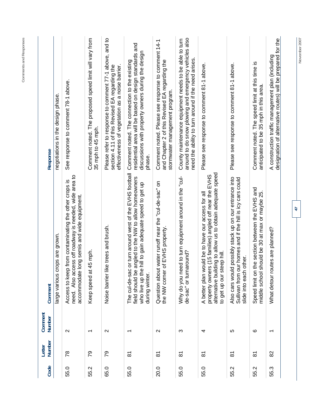| Code | Number<br>Letter    | Comment<br><b>Number</b> | Comment                                                                                                                                                                                               | Response                                                                                                                                                                |
|------|---------------------|--------------------------|-------------------------------------------------------------------------------------------------------------------------------------------------------------------------------------------------------|-------------------------------------------------------------------------------------------------------------------------------------------------------------------------|
|      |                     |                          | large various crops are grown.                                                                                                                                                                        | negotiations in the design phase.                                                                                                                                       |
| 55.0 | $\frac{8}{2}$       | $\sim$                   | need. Also access off roadway is needed, wide area to<br>Access to keep from contaminating the other crops is<br>long semis and wide equipment.<br>accommodate                                        | See response to comment 78-1 above.                                                                                                                                     |
| 55.2 | 79                  | $\overline{\phantom{0}}$ | 45 mph.<br>Keep speed at                                                                                                                                                                              | Comment noted. The proposed speed limit will vary from<br>35 mph to 45 mph.                                                                                             |
| 65.0 | 79                  | $\mathbf{\Omega}$        | Noise barrier like trees and brush.                                                                                                                                                                   | Please refer to response to comment 77-1 above, and to<br>section 4.11 of this Revised EA regarding the<br>effectiveness of vegetation as a noise barrier.              |
| 55.0 | $\overline{\delta}$ | $\overline{\phantom{0}}$ | or turn around west of the EVHS football<br>angled to the NW to allow homeowners<br>who live up the hill to gain adequate speed to get up<br>The cul-de-sac<br>field should be<br>during winter.      | residential area will be based on design standards and<br>discussions with property owners during the design<br>Comment noted. The connection to the existing<br>phase. |
| 20.0 | $\overline{8}$      | $\sim$                   | Question about water runoff near the "cul-de-sac" on<br>of EVHS property.<br>the NW corner                                                                                                            | Comment noted. Please see response to comment 14-1<br>and Chapter 2 of this Revised EA regarding the<br>stormwater management program.                                  |
| 55.0 | $\overline{\delta}$ | S                        | ed to turn equipment around in the "cul-<br>de-sac" or turnaround?<br>Why do you ne                                                                                                                   | around to do snow plowing and emergency vehicles also<br>County maintenance equipment needs to be able to turn<br>need the ability to turn around if the need arises.   |
| 55.0 | $\overline{\infty}$ | 4                        | alternative building to allow us to obtain adequate speed<br>property owners (15 families) angled off near the EVHS<br>A better plan would be to have our access for all<br>to get up our steep hill. | Please see response to comment 81-1 above.                                                                                                                              |
| 55.2 | $\overline{8}$      | 5                        | Also cars would possibly stack up on our entrance into<br>Sullivan from our homes and if the hill is icy cars could<br>other.<br>slide into each                                                      | Please see response to comment 81-1 above.                                                                                                                              |
| 55.2 | $\overline{\infty}$ | ဖ                        | the section between the EVHS and<br>should be 30 at max or maybe 25.<br>Speed limit on<br>middle school                                                                                               | Comment noted. The speed limit at this time is<br>anticipated to be 35 mph in this area.                                                                                |
| 55.3 | 82                  | $\overline{\phantom{0}}$ | What detour routes are planned?                                                                                                                                                                       | designation of alternative routes) will be prepared for the<br>A construction traffic management plan (including                                                        |
|      |                     |                          | $\ddot{t}$                                                                                                                                                                                            | November 2007                                                                                                                                                           |

**Comments and Responses**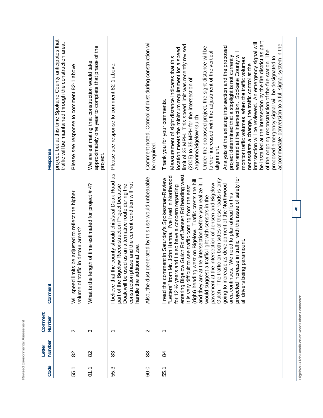| Response          | project, but at this time Spokane County anticipates that<br>traffic will be maintained through the construction area. | Please see response to comment 82-1 above.                                                | approximately one year to complete that phase of the<br>We are estimating that construction would take<br>project. | Please see response to comment 82-1 above.                                                                                                                                                                                                                                | Comment noted. Control of dust during construction will<br>be required. | be installed at the intersection by the fire district as part<br>intersection will be reviewed. An emergency signal will<br>accommodate conversion to a full signal system in the<br>limit of 35 MPH. This speed limit was recently revised<br>Under the proposed project, the sight distance will be<br>Analysis of the existing intersection and the proposed<br>location meets the minimum requirement for a speed<br>of the ongoing reconstruction of the fire station. The<br>further increased with the adjustment of the vertical<br>warranted at the intersection. Spokane County will<br>project determined that a stoplight is not currently<br>Measurement of sight distance indicates that this<br>proposed emergency signal will be designated to<br>monitor traffic volumes, when the traffic volumes<br>necessitate a change, the traffic control at the<br>(2005) to 35 MPH for the intersection of<br>Thank you for your comments.<br>Argonne/Bigelow Gulch.<br>alignment. |
|-------------------|------------------------------------------------------------------------------------------------------------------------|-------------------------------------------------------------------------------------------|--------------------------------------------------------------------------------------------------------------------|---------------------------------------------------------------------------------------------------------------------------------------------------------------------------------------------------------------------------------------------------------------------------|-------------------------------------------------------------------------|---------------------------------------------------------------------------------------------------------------------------------------------------------------------------------------------------------------------------------------------------------------------------------------------------------------------------------------------------------------------------------------------------------------------------------------------------------------------------------------------------------------------------------------------------------------------------------------------------------------------------------------------------------------------------------------------------------------------------------------------------------------------------------------------------------------------------------------------------------------------------------------------------------------------------------------------------------------------------------------------|
| Comment           |                                                                                                                        | Will speed limits be adjusted to reflect the higher<br>volume of traffic in detour areas? | What is the length of time estimated for project #4?                                                               | the county should chip/seal Doak Road as<br>phase and the current condition will not<br>used as an alternative route during the<br>gelow Reconstruction Project because<br>handle the additional use.<br>part of the Bi<br>I believe that<br>construction<br>Doak will be | Also, the dust generated by this use would unbearable.                  | entering Bigelow Gulch Rd off Jensen Rd heading west.<br>"Letters" from Mr. John Hanna. I've lived in Northwood<br>projected increase in traffic, with the issue of safety for<br>I read the comment in Saturday's Spokesman-Review<br>Gulch. The traffic on both sides of these roads is only<br>and they are at the intersection before you realize it. I<br>(right) heading west on Bigelow. Traffic crests the hill<br>the intersection of Jensen and Bigelow<br>going to increase as development of the Northwood<br>rs and I also have a concern regarding<br>It is very difficult to see traffic coming from the east<br>area continues. We need to plan ahead for this<br>would suggest a traffic light with sensors in the<br>all drivers being paramount<br>for 12 1/2 year<br>pavement at                                                                                                                                                                                        |
| Comment<br>Number |                                                                                                                        | $\mathbf{\Omega}$                                                                         | က                                                                                                                  | ᡪ                                                                                                                                                                                                                                                                         | $\mathbf{\Omega}$                                                       | ᠇                                                                                                                                                                                                                                                                                                                                                                                                                                                                                                                                                                                                                                                                                                                                                                                                                                                                                                                                                                                           |
| Number<br>Letter  |                                                                                                                        | 82                                                                                        | 82                                                                                                                 | 83                                                                                                                                                                                                                                                                        | 83                                                                      | $\frac{8}{4}$                                                                                                                                                                                                                                                                                                                                                                                                                                                                                                                                                                                                                                                                                                                                                                                                                                                                                                                                                                               |
| Code              |                                                                                                                        | 55.1                                                                                      | 01.1                                                                                                               | 55.3                                                                                                                                                                                                                                                                      | 60.0                                                                    | 55.1                                                                                                                                                                                                                                                                                                                                                                                                                                                                                                                                                                                                                                                                                                                                                                                                                                                                                                                                                                                        |

Revised Environmental Assessment

Bigelow Gulch Road/Forker Road Urban Connector **Bigelow Gulch Road/Forker Road Urban Connector**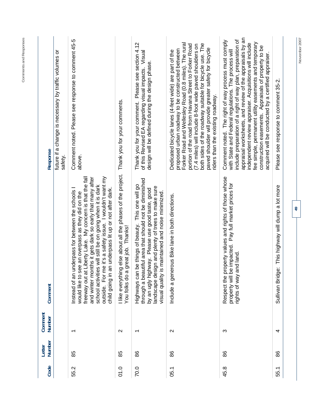| Code | Number<br>Letter | Comment<br>Number        | Comment                                                                                                                                                                                                                                                                                                                                                                                                                  | Response                                                                                                                                                                                                                                                                                                                                                                                                                                                                  |
|------|------------------|--------------------------|--------------------------------------------------------------------------------------------------------------------------------------------------------------------------------------------------------------------------------------------------------------------------------------------------------------------------------------------------------------------------------------------------------------------------|---------------------------------------------------------------------------------------------------------------------------------------------------------------------------------------------------------------------------------------------------------------------------------------------------------------------------------------------------------------------------------------------------------------------------------------------------------------------------|
|      |                  |                          |                                                                                                                                                                                                                                                                                                                                                                                                                          | future if a change is necessary by traffic volumes or<br>safety.                                                                                                                                                                                                                                                                                                                                                                                                          |
| 55.2 | 85               | $\overline{\phantom{0}}$ | me it's a safety issue. I wouldn't want my<br>freeway out at Liberty Lake. My concern is that the fall<br>and winter months it gets dark so early that many after<br>school activities will still be on going when it is dark<br>an underpass lit up or not after dark.<br>underpass for between the schools I<br>see an overpass as they did on the<br>Instead of an<br>child going in<br>outside. For<br>would like to | Comment noted. Please see response to comment 45-5<br>above.                                                                                                                                                                                                                                                                                                                                                                                                              |
| 01.0 | 85               | $\mathbf{\Omega}$        | I like everything else about all the phases of the project. Thank you for your comments.<br>a great job. Thanks!<br>You folks do                                                                                                                                                                                                                                                                                         |                                                                                                                                                                                                                                                                                                                                                                                                                                                                           |
| 70.0 | 86               | $\overline{\phantom{0}}$ | Highways can be things of beauty. This one will go<br>through a beautiful area that should not be diminished<br>landscape design and plenty of trees to make sure<br>by an ugly highway. Please use good taste, good<br>is maintained and noise minimized.<br>visual quality                                                                                                                                             | Please see section 4.12<br>of this Revised EA regarding visual impacts. Visual<br>design will be defined during the design phase.<br>Thank you for your comment.                                                                                                                                                                                                                                                                                                          |
| 05.1 | 88               | $\mathbf{\Omega}$        | nerous Bike lane in both directions.<br>Include a ger                                                                                                                                                                                                                                                                                                                                                                    | Forker Road and Wellesley Road (0.8 miles). The rural<br>both sides of the roadway suitable for bicycle use. The<br>portion of the road from Havana Street to Forker Road<br>(7.4 miles) will include 8-foot wide paved shoulders on<br>paved shoulder will provide greater safety for bicycle<br>proposed urban roadway to be constructed between<br>Dedicated bicycle lanes (4-feet wide) are part of the<br>riders than the existing roadway.                          |
| 45.8 | 86               | က                        | property values and rights of those whose<br>be impacted. Pay full market prices for<br>and land.<br>property will<br>rights of way<br>Respect the                                                                                                                                                                                                                                                                       | appraisal worksheets, and review of the appraisals by an<br>include preparation of a right of way plan, preparation of<br>Comment noted. The right of way process must comply<br>fee simple, permanent utility easements and temporary<br>independent review appraiser. Acquisitions will include<br>construction easements. Appraisals of property to be<br>with State and Federal regulations. The process will<br>acquired will be conducted by a certified appraiser. |
| 55.1 | 86               | 4                        | Sullivan Bridge: This highway will dump a lot more                                                                                                                                                                                                                                                                                                                                                                       | Please see response to comment 35-2.                                                                                                                                                                                                                                                                                                                                                                                                                                      |
|      |                  |                          | $\overline{5}$                                                                                                                                                                                                                                                                                                                                                                                                           | November 2007                                                                                                                                                                                                                                                                                                                                                                                                                                                             |

Comments and Responses **Comments and Responses**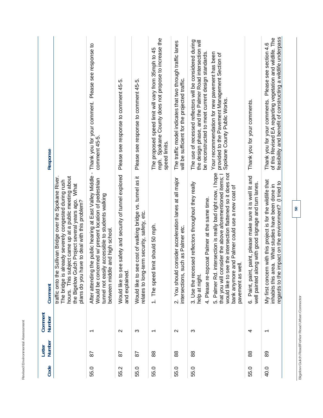| ┙<br>-<br>ь<br>-<br>é<br>٠<br>h<br>ı,<br>u<br>=<br>a<br>ı.<br>١<br>ä<br>۱<br>ı<br>ı<br>٠<br>×<br>۱<br>ä<br>۰<br>٠<br>ä<br>۰<br>J<br>ï<br>۰<br>∼               |  |
|---------------------------------------------------------------------------------------------------------------------------------------------------------------|--|
| $-$<br>t,<br>U<br>٠<br>-<br>ı<br>ı<br>é<br>٠<br>١<br>-<br>í<br>ł<br>i<br>э<br>-<br>Ë<br>∽<br>∽<br>J<br>١<br>ï<br>I<br>-<br>$-$<br>×.<br>×<br>-<br>∽<br>ш<br>a |  |
| $\overline{\phantom{a}}$<br>ζ.<br>ś<br>đ<br>٦<br>h<br>ı<br>×<br>٠<br>ı<br>J<br>$\sim$<br>٠<br>٠<br>٠<br>ĉ<br>×<br>h<br>ź<br>é<br>╲<br>--                      |  |

| <b>Response</b>                                                                                                                                                                                                                              | comment 45-5.                                                                                                                                                                                                                                                                                                   | Please see response to comment 45-5.                                         | Please see response to comment 45-5.                                                                        | mph. Spokane County does not propose to increase the<br>The proposed speed limit will vary from 35mph to 45<br>speed limits. | The traffic model indicates that two through traffic lanes<br>will be sufficient for the projected traffic. | The use of recessed reflectors will be considered during<br>the design phase, and the Palmer Road intersection will<br>Your recommendation for new pavement has been<br>be reconstructed to meet current design standards<br>provided to the Pavement Management Section of<br>Spokane County Public Works                                                                                               | Thank you for your comments.                                                                                               | feasibility and benefit of constructing a wildlife underpass<br>of this Revised EA regarding vegetation and wildlife. The<br>Thank you for your comments. Please see section 4.6 |
|----------------------------------------------------------------------------------------------------------------------------------------------------------------------------------------------------------------------------------------------|-----------------------------------------------------------------------------------------------------------------------------------------------------------------------------------------------------------------------------------------------------------------------------------------------------------------|------------------------------------------------------------------------------|-------------------------------------------------------------------------------------------------------------|------------------------------------------------------------------------------------------------------------------------------|-------------------------------------------------------------------------------------------------------------|----------------------------------------------------------------------------------------------------------------------------------------------------------------------------------------------------------------------------------------------------------------------------------------------------------------------------------------------------------------------------------------------------------|----------------------------------------------------------------------------------------------------------------------------|----------------------------------------------------------------------------------------------------------------------------------------------------------------------------------|
| traffic onto the Sullivan Bridge over the Spokane River.<br>hours. This subject came up at a public meeting about<br>already severely congested during rush<br>the Bigelow Gulch Project several years ago. What<br>The bridge is<br>Comment | After attending the public hearing at East Valley Middle - Thank you for your comment. Please see response to<br>Would be concerned w/ present location of pedestrian<br>tunnel not easily accessible to students walking<br>have to deal with this problem?<br>between middle and high school.<br>plans do you | see safety and security of tunnel explored<br>and explained<br>Would like to | see cost of walking bridge vs. tunnel as it<br>relates to long-term security, safety, etc.<br>Would like to | 1. The speed limit should 50 mph.                                                                                            | d consider acceleration lanes at all major<br>such as Palmer etc.<br>intersections,<br>2. You shoul         | 5. Palmer Rd. intersection is really bad right now, I hope<br>see the intersection flattened so it does not<br>that you will consider the above aforementioned items; I<br>cessed reflectors throughout they really<br>e and Palmer could use a new coat of<br>4. Please re-topcoat Palmer at the same time.<br>well.<br>pavement as<br>3. Use the re-<br>bank anymor<br>help at night.<br>would like to | Paint, paint, paint, please make sure it is well lit and<br>well painted along with good signage and turn lanes.<br>.<br>ف | My first concern with this project is for the wildlife that<br>regards to the impact on the environment? (I tried to<br>inhabits this area. What studies have been done in       |
| Comment<br>Number                                                                                                                                                                                                                            | ᠇                                                                                                                                                                                                                                                                                                               | $\mathbf{\Omega}$                                                            | က                                                                                                           | ᠇                                                                                                                            | $\sim$                                                                                                      | က                                                                                                                                                                                                                                                                                                                                                                                                        | 4                                                                                                                          | ᠇                                                                                                                                                                                |
| <b>Number</b><br>Letter                                                                                                                                                                                                                      | 56                                                                                                                                                                                                                                                                                                              | 56                                                                           | 2g                                                                                                          | 88                                                                                                                           | 88                                                                                                          | 88                                                                                                                                                                                                                                                                                                                                                                                                       | 88                                                                                                                         | 89                                                                                                                                                                               |
| Code                                                                                                                                                                                                                                         | 55.0                                                                                                                                                                                                                                                                                                            | 55.2                                                                         | 55.0                                                                                                        | 55.0                                                                                                                         | 55.0                                                                                                        | 55.0                                                                                                                                                                                                                                                                                                                                                                                                     | 55.0                                                                                                                       | 40.0                                                                                                                                                                             |

Bigelow Gulch Road/Forker Road Urban Connector **Bigelow Gulch Road/Forker Road Urban Connector**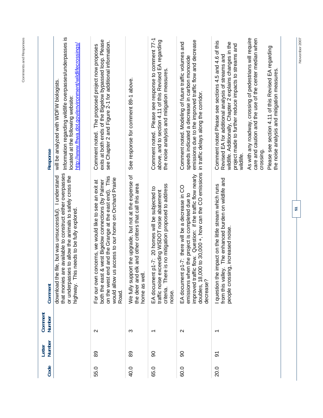| Response                | Information regarding wildlife overpasses/underpasses is<br>http://www.fhwa.dot.gov/environment/wildlifecrossings/<br>will be analyzed with WDFW biologists.<br>located at the following website:                                 | exits at both ends of the Bigelow bypassed loop. Please<br>see Chapter 2 and Figure 2-1 for additional information.<br>Comment noted. The proposed project now proposes                                                                   | See response for comment 89-1 above.                                                                                                | Comment noted. Please see response to comment 77-1<br>above, and to section 4.11 of this Revised EA regarding<br>the noise analysis and mitigation measures.          | emissions due to the improved traffic flow and decrease<br>Comment noted. Modeling of future traffic volumes and<br>speeds indicated a decrease in carbon monoxide<br>in traffic delays along the corridor.                                | As with any roadway, crossing of pedestrians will require<br>care and caution and the use of the center median when<br>Comment noted Please see sections 4.5 and 4.6 of this<br>wildlife. Additionally, Chapter 2 explains changes in the<br>project made to further reduce impacts to streams and<br>Please see section 4.11 of this Revised EA regarding<br>Revised EA for additional analysis of streams and<br>the noise analysis and mitigation measures<br>crossing<br>wildlife. |  |
|-------------------------|-----------------------------------------------------------------------------------------------------------------------------------------------------------------------------------------------------------------------------------|-------------------------------------------------------------------------------------------------------------------------------------------------------------------------------------------------------------------------------------------|-------------------------------------------------------------------------------------------------------------------------------------|-----------------------------------------------------------------------------------------------------------------------------------------------------------------------|--------------------------------------------------------------------------------------------------------------------------------------------------------------------------------------------------------------------------------------------|----------------------------------------------------------------------------------------------------------------------------------------------------------------------------------------------------------------------------------------------------------------------------------------------------------------------------------------------------------------------------------------------------------------------------------------------------------------------------------------|--|
| Comment                 | e available to construct either overpasses<br>file, but was unsuccessful). I understand<br>or underpasses to allow the animals to safely cross the<br>highway. This needs to be fully explored.<br>that monies ar<br>download the | on the west end and the Grange at the east end). This<br>access to our home on Orchard Prairie<br>both the east & west Bigelow connections (by Palmer<br>For our own concerns, we would like to see an exit at<br>would allow us<br>Road. | We fully support the upgrade, but not at the expense of<br>the deer and elk and other critters that call this area<br>home as well. | criteria. There is no mitigation proposed to address<br>p1-7: 20 homes will be subjected to<br>traffic noise exceeding WSDOT noise abatement<br>EA document<br>noise. | doubles, 18,000 to 30,000 +, how can the CO emissions<br>improved traffic flow. Question: if the traffic flow nearly<br>p1-7: there will be a decrease in CO<br>emissions when the project is completed due to<br>EA document<br>decrease? | from this valley. The enhanced burden on wildlife and<br>impact on the little stream which runs<br>people crossing, increased noise.<br>I question the                                                                                                                                                                                                                                                                                                                                 |  |
| Comment<br>Number       |                                                                                                                                                                                                                                   | $\mathbf{\Omega}$                                                                                                                                                                                                                         | Ω                                                                                                                                   |                                                                                                                                                                       | $\sim$                                                                                                                                                                                                                                     | ᠆                                                                                                                                                                                                                                                                                                                                                                                                                                                                                      |  |
| <b>Number</b><br>Letter |                                                                                                                                                                                                                                   | 89                                                                                                                                                                                                                                        | 89                                                                                                                                  | 8                                                                                                                                                                     | ခ                                                                                                                                                                                                                                          | $\overline{5}$                                                                                                                                                                                                                                                                                                                                                                                                                                                                         |  |
| Code                    |                                                                                                                                                                                                                                   | 55.0                                                                                                                                                                                                                                      | 40.0                                                                                                                                | 65.0                                                                                                                                                                  | 60.0                                                                                                                                                                                                                                       | 20.0                                                                                                                                                                                                                                                                                                                                                                                                                                                                                   |  |

**51** 

November 2007 **November 2007**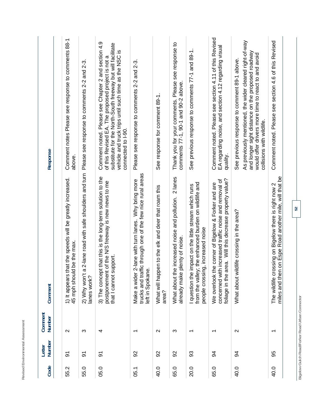| ö<br>٠<br>٠<br>ä<br>ä<br>ı,<br>֠<br>۱<br>ä<br>١<br>ï<br>۱<br>ï<br>د<br>۰                                                                                     |  |
|--------------------------------------------------------------------------------------------------------------------------------------------------------------|--|
| $\overline{\phantom{a}}$<br>-<br>÷<br>٠<br>ı<br>ä<br>ı,<br>w<br>I<br>í<br>ä<br>ţ<br>i<br>J<br>í<br>١<br>ï<br>l<br>٠<br>-<br>٠<br>×.<br>×<br>i<br>ı<br>٠<br>- |  |
| ٠<br>í<br>۹<br>é<br>ı<br>ı<br>٠<br>$\overline{\phantom{a}}$<br>٠<br>í<br>ر<br>ν<br>-                                                                         |  |

| Code     | Number<br>Letter | Comment<br>Number        | Comment                                                                                                                                                                   | Response                                                                                                                                                                                                                                              |
|----------|------------------|--------------------------|---------------------------------------------------------------------------------------------------------------------------------------------------------------------------|-------------------------------------------------------------------------------------------------------------------------------------------------------------------------------------------------------------------------------------------------------|
| Ņ<br>55. | $\overline{5}$   | $\sim$                   | that the speeds will be greatly increased.<br>Id be the max.<br>45 mph shoul<br>1) It appears                                                                             | Comment notes Please see response to comments 88-1<br>above.                                                                                                                                                                                          |
| 55.0     | $\overline{5}$   | က                        | a 2-lane road with safe shoulders and turn<br>2) Why won't<br>lanes work?                                                                                                 | Please see response to comments 2-2 and 2-3.                                                                                                                                                                                                          |
| 05.0     | $\overline{5}$   | 4                        | 3) The concept that this is the long-term solution to the<br>postponement of the N/S freeway is new news to me<br>that I cannot support.                                  | Comment noted. Please see Chapter 2 and section 4.9<br>substitute for the North-South freeway but will facilitate<br>vehicle and truck trips until such time as the NSC is<br>of this Revised EA. The proposed project is not a<br>connected to I-90. |
| 05.1     | 92               | $\overline{\phantom{0}}$ | trucks and traffic through one of the few nice rural areas<br>2-lane with turn lanes. Why bring more<br>$\dot{\omega}$<br>left in Spokan<br>Make a wider                  | Please see response to comments 2-2 and 2-3.                                                                                                                                                                                                          |
| 40.0     | 92               | $\sim$                   | What will happen to the elk and deer that roam this<br>area?                                                                                                              | See response for comment 89-1.                                                                                                                                                                                                                        |
| 65.0     | 92               | S                        | 2 lanes<br>What about the increased noise and pollution.<br>plenty of noise.<br>already make                                                                              | Thank you for your comments. Please see response to<br>comments 77-1, 90-1 and 90-2 above.                                                                                                                                                            |
| 20.0     | 33               | $\overline{\phantom{0}}$ | from the valley; the enhanced burden on wildlife and<br>impact on the little stream which runs<br>ng, increased noise<br>I question the<br>people crossi                  | See previous response to comments 77-1 and 89-1.                                                                                                                                                                                                      |
| 65.0     | 94               | $\overline{\phantom{0}}$ | area. Will this decrease property value?<br>concerned with increased traffic noise and removal of<br>We overlook the corner of Bigelow & Forker and are<br>foliage in the | Comment noted. Please see section 4.11 of this Revised<br>EA regarding noise, and section 4.12 regarding visual<br>quality.                                                                                                                           |
| 40.0     | 34               | $\mathbf{\Omega}$        | What about wildlife crossing in the area?                                                                                                                                 | As previously mentioned, the wider cleared right-of-way<br>and longer sight distance on the proposed roadway<br>would offer drivers more time to react to and avoid<br>See previous response to comment 89-1 above.<br>collisions with wildlife.      |
| 40.0     | 95               | $\overline{\phantom{0}}$ | miles and then on Espe Road another mile, will that be<br>The wildlife crossing on Bigelow there is right now 2                                                           | Comment noted. Please see section 4.6 of this Revised                                                                                                                                                                                                 |
|          |                  |                          | 52                                                                                                                                                                        |                                                                                                                                                                                                                                                       |

**Bigelow Gulch Road/Forker Road Urban Connector** 

Bigelow Gulch Road/Forker Road Urban Connector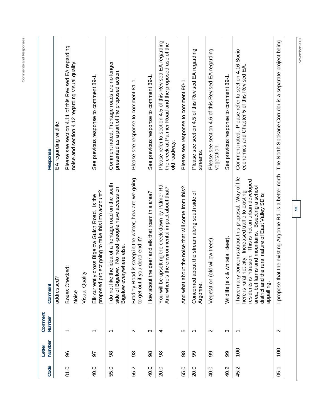| Code | Number<br>Letter | Comment<br>Number        | Comment                                                                                                                                                                                                                                                                                                 | Response                                                                                                                         |
|------|------------------|--------------------------|---------------------------------------------------------------------------------------------------------------------------------------------------------------------------------------------------------------------------------------------------------------------------------------------------------|----------------------------------------------------------------------------------------------------------------------------------|
|      |                  |                          | addressed?                                                                                                                                                                                                                                                                                              | EA regarding wildlife.                                                                                                           |
| 01.0 | 86               | ᠇                        | Boxes Checked:<br>Noise                                                                                                                                                                                                                                                                                 | Please see section 4.11 of this Revised EA regarding<br>noise and section 4.12 regarding visual quality.                         |
|      |                  |                          | Visual Quality                                                                                                                                                                                                                                                                                          |                                                                                                                                  |
| 40.0 | 56               | $\overline{\phantom{0}}$ | proposed project going to take this into account?<br>Elk currently cross Bigelow Gulch Road. Is the                                                                                                                                                                                                     | See previous response to comment 89-1.                                                                                           |
| 55.0 | 88               | ᠇                        | I do not like the idea of a frontage road on the south<br>side of Bigelow. No need -people have access on<br>Bigelow everywhere else.                                                                                                                                                                   | Comment noted. Frontage roads are no longer<br>presented as a part of the proposed action.                                       |
| 55.2 | 86               | $\sim$                   | Bradley Road is steep in the winter, how are we going<br>to get out if you dead-end it?                                                                                                                                                                                                                 | Please see response to comment 81-1.                                                                                             |
| 40.0 | 86               | က                        | deer and elk that roam this area?<br>How about the                                                                                                                                                                                                                                                      | See previous response to comment 89-1.                                                                                           |
| 20.0 | 86               | 4                        | You will be upsetting the creek down by Palmer Rd.<br>e environmental impact about that?<br>And where's th                                                                                                                                                                                              | Please refer to section 4.5 of this Revised EA regarding<br>the creek at Palmer Road and the proposed use of the<br>old roadway. |
| 65.0 | 88               | 5                        | And what about the noise that will come from this?                                                                                                                                                                                                                                                      | Please see response to comment 90-1.                                                                                             |
| 20.0 | 8                | ᠇                        | Concerned about the stream along south side of<br>Argonne.                                                                                                                                                                                                                                              | Please see section 4.5 of this Revised EA regarding<br>streams.                                                                  |
| 40.0 | 8                | $\mathbf{\Omega}$        | Vegetation (old willow trees).                                                                                                                                                                                                                                                                          | Please see section 4.6 of this Revised EA regarding<br>vegetation.                                                               |
| 40.2 | 99               | က                        | whitetail deer).<br>Wildlife (elk &                                                                                                                                                                                                                                                                     | See previous response to comment 89-1.                                                                                           |
| 45.2 | 100              |                          | I have many concerns about this proposal. Way of life<br>residents is intrusion. This is not an urban developed<br>Bisecting a school<br>here is rural not city. Increased traffic to existing<br>rural nature of East Valley SD is<br>area, but farms and mountains.<br>district and the<br>appalling. | Please refer to section 4.16 Socio-<br>economics and Chapter 5 of this Revised EA<br>Comment noted.                              |
| 05.1 | 100              | $\mathbf{\Omega}$        | the existing Argonne Rd. is a better north<br>I propose that                                                                                                                                                                                                                                            | The North Spokane Corridor is a separate project being                                                                           |
|      |                  |                          | 53                                                                                                                                                                                                                                                                                                      | November 2007                                                                                                                    |

**Comments and Responses**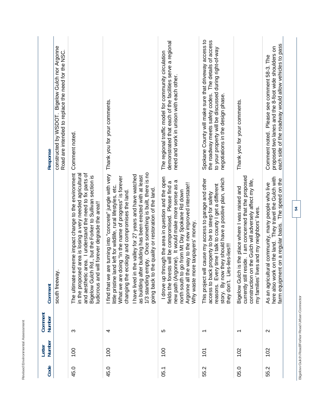| Code     | Number<br>Letter | Comment<br>Number                              | Comment                                                                                                                                                                                                                                                                                                                                                                                                                                                                                                                          | Response                                                                                                                                                                                                      |
|----------|------------------|------------------------------------------------|----------------------------------------------------------------------------------------------------------------------------------------------------------------------------------------------------------------------------------------------------------------------------------------------------------------------------------------------------------------------------------------------------------------------------------------------------------------------------------------------------------------------------------|---------------------------------------------------------------------------------------------------------------------------------------------------------------------------------------------------------------|
|          |                  |                                                | south freeway.                                                                                                                                                                                                                                                                                                                                                                                                                                                                                                                   | constructed by WSDOT. Bigelow Gulch nor Argonne<br>Road are intended to replace the need for the NSC.                                                                                                         |
| 45.0     | 100              | က                                              | extreme impact change to the environment<br>and aesthetic area. I understand the need to fix parts of<br>in the proposed area is losing a very needed agricultural<br>Bigelow Gulch Rd., but the Forker to Sullivan section is<br>ludicrous and will forever degrade the area!!<br>The ultimate                                                                                                                                                                                                                                  | Comment noted.                                                                                                                                                                                                |
| 45.0     | 100              | 4                                              | are turning into "concrete" jungle with very Thank you for your comments.<br>1/3 standing empty. Once something is built, there is no<br>I have lived in the valley for 27 years and have watched<br>ter building has been erected with at least<br>doing "In the name of progress" is forever<br>little pristine land left for wildlife, rural lifestyles, etc.<br>going back to the quality or restoration of the land.<br>ecology and compromises the land<br>as building af<br>changing the<br>I find that we<br>What we are |                                                                                                                                                                                                               |
| 05.1     | 100              | 5                                              | I drove up through the area in question and the open<br>new path (Argonne). It would make more sense as a<br>fields the forests will be compromised. Please find a<br>Argonne all the way to the new improved interstate!!<br>north south to go from Mt Day Spokane Rd down<br>Why waste more taxpayers' money.                                                                                                                                                                                                                  | demonstrated that each of the facilities serve a regional<br>The regional traffic model for community circulation<br>need and work in unison with each other.                                                 |
| 55.2     | 101              | $\overline{\phantom{0}}$                       | story. By now they should have a positive plan, which<br>This project will cause my access to garage and other<br>reasons. Every time I talk to county I get a different<br>access to back property to be to steep for safety<br>es-lies-lies!!!<br>they don't. Li                                                                                                                                                                                                                                                               | Spokane County will make sure that driveway access to<br>the roadway meets safety codes. The details of access<br>to your property will be discussed during right-of-way<br>negotiations in the design phase. |
| 05.0     | 102              | ᠇                                              | currently still reside. I am concerned that the proposed<br>construction on the Gulch will adversely affect my life,<br>Bigelow Gulch is the place where I was raised and<br>my families' lives and my neighbors' lives.                                                                                                                                                                                                                                                                                                         | Thank you for your comments.                                                                                                                                                                                  |
| Ņ<br>55. | 102              | $\mathbf{\Omega}$                              | here also work on the land. They travel the Gulch with<br>farm equipment on a regular basis. The speed on the<br>As an agricultural community, many people who live                                                                                                                                                                                                                                                                                                                                                              | each side of the roadway would allow vehicles to pass<br>proposed two lanes and the 8-foot wide shoulders on<br>Comment noted. Please see comment 58-3. The                                                   |
|          |                  | Bigelow Gulch Road/Forker Road Urban Connector | 54                                                                                                                                                                                                                                                                                                                                                                                                                                                                                                                               |                                                                                                                                                                                                               |

Revised Environmental Assessment **Revised Environmental Assessment**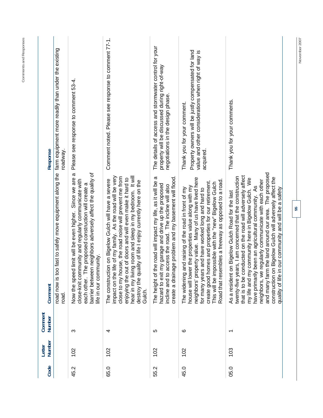|      | Letter | Comment                  |                                                                                                                                                                                                                                                                                                                                                                                                                                                                                                                              |                                                                                                                                                        |
|------|--------|--------------------------|------------------------------------------------------------------------------------------------------------------------------------------------------------------------------------------------------------------------------------------------------------------------------------------------------------------------------------------------------------------------------------------------------------------------------------------------------------------------------------------------------------------------------|--------------------------------------------------------------------------------------------------------------------------------------------------------|
| Code | Number | Number                   | Comment                                                                                                                                                                                                                                                                                                                                                                                                                                                                                                                      | Response                                                                                                                                               |
|      |        |                          | road now is too fast to safely move equipment along the<br>road.                                                                                                                                                                                                                                                                                                                                                                                                                                                             | farm equipment more readily than under the existing<br>roadway.                                                                                        |
| 45.2 | 102    | က                        | $\boldsymbol{\varpi}$<br>barrier between neighbors adversely affect the quality of<br>Now the speed limit will be even higher. Since we are<br>nmunity and regularly communicate with<br>each other. The proposed construction will create a<br>life in our community.<br>close-knit con                                                                                                                                                                                                                                     | Please see response to comment 53-4.                                                                                                                   |
| 65.0 | 102    | 4                        | hear in my living room and sleep in my bedroom. It will<br>impact on the life of my family. As the road will be very<br>close to my house, the road noise will prevent me from<br>enjoying the out of doors and will even make it hard to<br>The construction on Bigelow Gulch will have a severe<br>destroy the quality of life I enjoy currently here on the<br>Gulch.                                                                                                                                                     | Comment noted. Please see response to comment 77-1.                                                                                                    |
| 55.2 | 102    | 5                        | create a drainage problem and my basement will flood.<br>ω<br>the road will impact my life, as it will be<br>hazard to exit my garage and drive up the proposed<br>access the road. The incline will also<br>incline and to<br>The height of                                                                                                                                                                                                                                                                                 | The details of access and stormwater control for your<br>property will be discussed during right-of-way<br>negotiations in the design phase.           |
| 45.0 | 102    | ဖ                        | neighbors' property value. Many of us have lived here<br>Road that resembles a freeway as opposed to a road<br>create good homes and properties for our retirement.<br>This will be impossible with the "new" Bigelow Gulch<br>house will lower the properties value along with my<br>and raising of the road in front of my<br>for many years and have worked long and hard to<br>The widening                                                                                                                              | Property owners will be justly compensated for land<br>value and other considerations when right of way is<br>Thank you for your comment.<br>acquired. |
| 05.0 | 103    | $\overline{\phantom{0}}$ | and many farm the land around our area. The proposed<br>that is to be conducted on the road will adversely affect<br>twenty-five years, I am concerned that the construction<br>construction on Bigelow Gulch will adversely affect the<br>my life and my community here in Bigelow Gulch. We<br>neighbors, we regularly communicate with each other<br>have primarily been an agricultural community. As<br>in our community and will be a safety<br>on Bigelow Gulch Road for the last<br>As a resident<br>quality of life | Thank you for your comments.                                                                                                                           |
|      |        |                          | 55                                                                                                                                                                                                                                                                                                                                                                                                                                                                                                                           |                                                                                                                                                        |

November 2007

**Comments and Responses**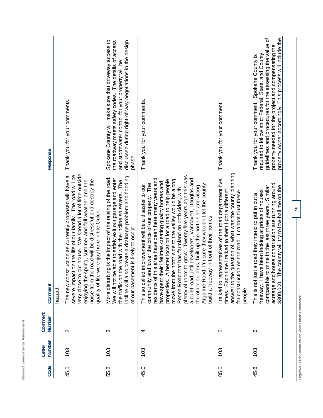| Code | Number<br>Letter | Comment<br>Number                              | Comment                                                                                                                                                                                                                                                                                                                                                                                                                                                                                                                                                                                                                                                                                         | Response                                                                                                                                                                                                                                                                               |
|------|------------------|------------------------------------------------|-------------------------------------------------------------------------------------------------------------------------------------------------------------------------------------------------------------------------------------------------------------------------------------------------------------------------------------------------------------------------------------------------------------------------------------------------------------------------------------------------------------------------------------------------------------------------------------------------------------------------------------------------------------------------------------------------|----------------------------------------------------------------------------------------------------------------------------------------------------------------------------------------------------------------------------------------------------------------------------------------|
|      |                  |                                                | hazard                                                                                                                                                                                                                                                                                                                                                                                                                                                                                                                                                                                                                                                                                          |                                                                                                                                                                                                                                                                                        |
| 45.0 | 103              | $\mathbf{\Omega}$                              | very close to our house. We spend a lot of time outside<br>severe impact on the life of our family. The road will be<br>The new construction as currently proposed will have a<br>noise from the road will be distressful and destroy the<br>enjoying the spring, summer and fall weather and the<br>quality of life we enjoy here in the Gulch.                                                                                                                                                                                                                                                                                                                                                | Thank you for your comments.                                                                                                                                                                                                                                                           |
| 55.2 | 103              | က                                              | incline will also create a drainage problem and flooding<br>More disturbing is the impact of the raising of the road.<br>able to safely exit our garage and enter<br>the traffic on the road with the incline so severe. The<br>of our basement is likely to occur.<br>We will not be                                                                                                                                                                                                                                                                                                                                                                                                           | Spokane County will make sure that driveway access to<br>discussed during right-of-way negotiations in the design<br>the roadway meets safety codes. The details of access<br>and stormwater control for your property will be<br>phase.                                               |
| 45.0 | 103              | 4                                              | plenty of room to grow. Twenty-five years ago this was<br>residents of this area have been here many years and<br>a quiet road until developers, Vandavert, Douglas and<br>better location for a road to help people<br>move from the north side to the valley would be along<br>have spent their lifetimes creating quality homes and<br>community and lower the price of our property. The<br>Argonne Road. I'm sure they wouldn't let the county<br>improvement will be a disaster to our<br>the other builders, built up the north side and along<br>hat has farmland on both sides, with<br>build a freeway in front of their homes.<br>This so called<br>Peone Road t<br>⋖<br>properties. | Thank you for your comments.                                                                                                                                                                                                                                                           |
| 05.0 | 103              | LO                                             | question of, what was the county planning<br>esentatives of the road department five<br>times. Each time I talked to them I got a different<br>for construction on the road. I cannot trust these<br>I talked to repr<br>answer to the<br>people.                                                                                                                                                                                                                                                                                                                                                                                                                                               | Thank you for your comment.                                                                                                                                                                                                                                                            |
| 45.8 | 103              | ဖ                                              | acreage and house construction are running around<br>comparable to mine in the last three years. Similar<br>\$300,000. The county will try to low-ball me on the<br>freeway. I have been looking at prices of houses<br>a road they intend to put in but a<br>This is not just                                                                                                                                                                                                                                                                                                                                                                                                                  | guidelines and procedures for the assessing the value of<br>property owner accordingly. This process will include the<br>property needed for the project and compensating the<br>required to follow strict Federal, State, and County<br>Thank you for your comment. Spokane County is |
|      |                  | Bigelow Gulch Road/Forker Road Urban Connector | 56                                                                                                                                                                                                                                                                                                                                                                                                                                                                                                                                                                                                                                                                                              |                                                                                                                                                                                                                                                                                        |

**Revised Environmental Assessment** 

Revised Environmental Assessment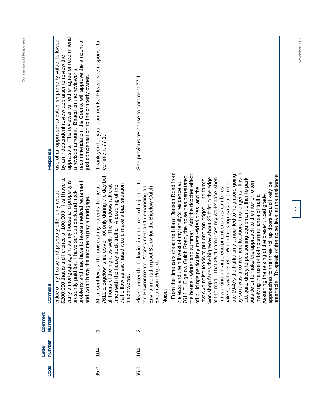| Response                | appraisals. The reviewer will either agree or recommend<br>recommendation, the County will approve the amount of<br>use of an appraiser to establish property value, followed<br>by an independent review appraiser to review the<br>a revised amount. Based on the reviewer's<br>just compensation to the property owner.           | Thank you for your comments. Please see response to<br>comment 77-1.                                                                                                                                                                                                                                        | See previous response to comment 77-1.                                                                                                                                                                                                                                                                                                                                                                                                                                                                                                                                                                                                                                                                                                                                                                                                                                                                                                                                                                                                                                                                                                                                                                                                                                                    |
|-------------------------|--------------------------------------------------------------------------------------------------------------------------------------------------------------------------------------------------------------------------------------------------------------------------------------------------------------------------------------|-------------------------------------------------------------------------------------------------------------------------------------------------------------------------------------------------------------------------------------------------------------------------------------------------------------|-------------------------------------------------------------------------------------------------------------------------------------------------------------------------------------------------------------------------------------------------------------------------------------------------------------------------------------------------------------------------------------------------------------------------------------------------------------------------------------------------------------------------------------------------------------------------------------------------------------------------------------------------------------------------------------------------------------------------------------------------------------------------------------------------------------------------------------------------------------------------------------------------------------------------------------------------------------------------------------------------------------------------------------------------------------------------------------------------------------------------------------------------------------------------------------------------------------------------------------------------------------------------------------------|
| Comment                 | \$200,000 that is a difference of 100,000. I will have to<br>carry a mortgage again, as my house and property is<br>may have to take a medical retirement<br>presently paid for. I have serious back and neck<br>value of my house and probably offer only about<br>e the income to pay a mortgage.<br>problems and<br>and won't hav | 7611 E Bigelow is intrusive, not only during the day but<br>estimated would make a bad situation<br>all hours of the night as well. The windows rattle at<br>times with the heavy truck traffic. A doubling of the<br>At present levels, the noise at my parents' home at<br>traffic flow as<br>much worse. | me cars crest the hills at Jensen Road from<br>by so it was a convenient location, it no longer is. It is in<br>late 1940's the traffic only amounted to neighbors going<br>the house - winter and summer. Add the ricochet effect<br>o speak of the noise level at the residence<br>7611 E. Bigelow Gulch Road, the noise has penetrated<br>workshop faces the highway about 25 ft from the edge<br>That 25 ft comprises my workspace when<br>fact quite dicey to positioning equipment either to park<br>invasive noise tends to put one "on edge". The farms<br>the following into the record objecting to<br>balers, swathers etc. When the shop was built in the<br>the east and the hill west of my family's residence at<br>make the approach to the interior, often<br>approaches to the three roll up doors would likely be<br>ental Assessment and demanding an<br>off buildings particularly metal-sided ones, and the<br>'m working on large equipment such as combines,<br>Environmental Impact Study for the Bigelow Gulch<br>Assuming the raising of the present road grade,<br>use of both current lanes of traffic.<br>Expansion Project.<br>the Environm<br>outside or to<br>From the tir<br>F<br>involving the<br>Please enter<br>of the road.<br>untenable.<br>Noise: |
| Comment<br>Number       |                                                                                                                                                                                                                                                                                                                                      | $\overline{\phantom{0}}$                                                                                                                                                                                                                                                                                    | $\mathbf{\sim}$                                                                                                                                                                                                                                                                                                                                                                                                                                                                                                                                                                                                                                                                                                                                                                                                                                                                                                                                                                                                                                                                                                                                                                                                                                                                           |
| <b>Number</b><br>Letter |                                                                                                                                                                                                                                                                                                                                      | 104                                                                                                                                                                                                                                                                                                         | 104                                                                                                                                                                                                                                                                                                                                                                                                                                                                                                                                                                                                                                                                                                                                                                                                                                                                                                                                                                                                                                                                                                                                                                                                                                                                                       |
| Code                    |                                                                                                                                                                                                                                                                                                                                      | 65.0                                                                                                                                                                                                                                                                                                        | 65.0                                                                                                                                                                                                                                                                                                                                                                                                                                                                                                                                                                                                                                                                                                                                                                                                                                                                                                                                                                                                                                                                                                                                                                                                                                                                                      |

**Comments and Responses**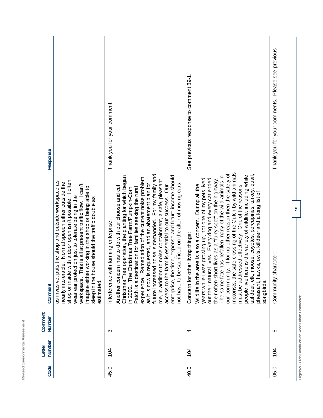| Response          |                                                                                                                                                                                                                                                                                                                                                                                                                   | Thank you for your comment.                                                                                                                                                                                                                                                                                                                                                                                                                                                                                                                                                                                                                                                     | See previous response to comment 89-1.                                                                                                                                                                                                                                                                                                                                                                                                                                                                                                                                                                                                                                                                                           | Please see previous<br>Thank you for your comments. |
|-------------------|-------------------------------------------------------------------------------------------------------------------------------------------------------------------------------------------------------------------------------------------------------------------------------------------------------------------------------------------------------------------------------------------------------------------|---------------------------------------------------------------------------------------------------------------------------------------------------------------------------------------------------------------------------------------------------------------------------------------------------------------------------------------------------------------------------------------------------------------------------------------------------------------------------------------------------------------------------------------------------------------------------------------------------------------------------------------------------------------------------------|----------------------------------------------------------------------------------------------------------------------------------------------------------------------------------------------------------------------------------------------------------------------------------------------------------------------------------------------------------------------------------------------------------------------------------------------------------------------------------------------------------------------------------------------------------------------------------------------------------------------------------------------------------------------------------------------------------------------------------|-----------------------------------------------------|
| Comment           | shop or inside with a door open isn't possible. I often<br>as invasive, puts the shop and outside workspace as<br>nearly intolerable. Normal speech either outside the<br>This is all at present traffic flow. I can't<br>imagine either working in the shop or being able to<br>wear ear protection just to tolerate being in the<br>sleep in the house should the traffic double as<br>workspace.<br>estimated. | future increased noise is demanded. For my family and<br>Christmas Tree operation, the planting for which began<br>enterprise, the time, expense and future income should<br>Remediation of the current noise problem<br>me, in addition to noise containment, a safe, pleasant<br>not have to be sacrificed on the alter of moving cars.<br>as it is now is requested, and an abatement plan for<br>access to the farm is essential to our success. Our<br>Another concern has to do with our choose and cut<br>Patch is a destination for families seeking the rural<br>in 2002. The Christmas Tree Farm/Pumpkin-Corn<br>Interference with farming enterprise:<br>experience. | safe crossing of the Gulch by wild animals<br>our community. If for no other reason then the safety of<br>people live here is the variety of wildlife, including white<br>moose, coyotes, porcupines, turkey, quail,<br>The same fate has befallen many of the wild animals in<br>was growing up, not one of my pets lived<br>out their natural lives. Every dog and every cat ended<br>their often-short lives as a "furry spot" on the highway<br>area is also a concern. During all the<br>must be addressed effectively. One of the reasons<br>pheasant, hawks, owls, killdeer and a long list of<br>Concern for other living things:<br>Wildlife in the<br>motorists, the<br>tail deer, elk,<br>years while I<br>songbirds. | Community character:                                |
| Comment<br>Number |                                                                                                                                                                                                                                                                                                                                                                                                                   | ო                                                                                                                                                                                                                                                                                                                                                                                                                                                                                                                                                                                                                                                                               | 4                                                                                                                                                                                                                                                                                                                                                                                                                                                                                                                                                                                                                                                                                                                                | 10                                                  |
| Number<br>Letter  |                                                                                                                                                                                                                                                                                                                                                                                                                   | 104                                                                                                                                                                                                                                                                                                                                                                                                                                                                                                                                                                                                                                                                             | 104                                                                                                                                                                                                                                                                                                                                                                                                                                                                                                                                                                                                                                                                                                                              | 104                                                 |
| Code              |                                                                                                                                                                                                                                                                                                                                                                                                                   | 45.0                                                                                                                                                                                                                                                                                                                                                                                                                                                                                                                                                                                                                                                                            | 40.0                                                                                                                                                                                                                                                                                                                                                                                                                                                                                                                                                                                                                                                                                                                             | 05.0                                                |

**Bigelow Gulch Road/Forker Road Urban Connector** 

Bigelow Gulch Road/Forker Road Urban Connector

**58** 

**Revised Environmental Assessment** 

Revised Environmental Assessment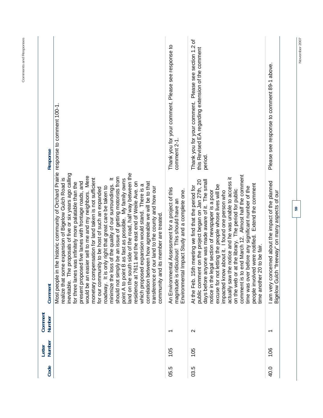| Response          | $\equiv$                                                                                                                                                                                                                                                                                                                                                                                                                                                                                                                                                                                                                                                                                                                                                                                                                                                                                                                                                                                                                                                                 | Thank you for your comment. Please see response to<br>comment 2-1.                                                                                     | Thank you for your comment. Please see section 1.2 of<br>this Revised EA regarding extension of the comment<br>period.                                                                                                                                                                                                                                                                                                                                                                                                                                                                                                                                     | Please see response to comment 89-1 above.                                                                        |
|-------------------|--------------------------------------------------------------------------------------------------------------------------------------------------------------------------------------------------------------------------------------------------------------------------------------------------------------------------------------------------------------------------------------------------------------------------------------------------------------------------------------------------------------------------------------------------------------------------------------------------------------------------------------------------------------------------------------------------------------------------------------------------------------------------------------------------------------------------------------------------------------------------------------------------------------------------------------------------------------------------------------------------------------------------------------------------------------------------|--------------------------------------------------------------------------------------------------------------------------------------------------------|------------------------------------------------------------------------------------------------------------------------------------------------------------------------------------------------------------------------------------------------------------------------------------------------------------------------------------------------------------------------------------------------------------------------------------------------------------------------------------------------------------------------------------------------------------------------------------------------------------------------------------------------------------|-------------------------------------------------------------------------------------------------------------------|
| Comment           | Most people in the historic community of Orchard Prairie response to comment 100-1<br>land on the south side of the road, half way between the<br>inevitable. The proposals of five or six years ago calling<br>would be an easier sell to me and my neighbors. Mere<br>should not simply be an issue of getting motorists from<br>monetary compensation for land taken is not sufficient<br>realize that some expansion of Bigelow Gulch Road is<br>My family owns<br>present proposed five lanes with frontage roads, and<br>correlation between how agreeable we will be to that<br>residence at 7611 and the east end of Weile Ave. on<br>for three lanes was infinitely more palatable than the<br>minimize the loss of the quality of our surroundings.<br>which proposed expansion would stand. There is a<br>roadway. It is only right that great care be taken to<br>transference of our land to the county and how our<br>for our community to be host of such an expanded<br>community and its member are treated.<br>point A to point B as fast as possible. | An Environmental Assessment for a project of this<br>Impact Study and a complete one.<br>magnitude is ridiculous! This should have an<br>Environmental | end March 12. Almost half the comment<br>actually saw the notice and he was unable to access it<br>days before anyone was made aware of it. The small<br>public comment on the project began on Jan 27th, 20<br>people involved were notified. Extend the comment<br>excuse for not letting the people whose lives will be<br>At the Feb. 15th meeting we find that the period for<br>before any significant number of the<br>on the web or at the library. The period for public<br>notice in the legal section of newspaper is a poor<br>impacted know about it. I found one person who<br>time another 20 to be fair.<br>comment is to<br>time was over | erned about the impact of the planned<br>"freeway" on many aspects of our<br>am very conc<br><b>Bigelow Gulch</b> |
| Comment<br>Number |                                                                                                                                                                                                                                                                                                                                                                                                                                                                                                                                                                                                                                                                                                                                                                                                                                                                                                                                                                                                                                                                          | ᠇                                                                                                                                                      | $\mathbf{\Omega}$                                                                                                                                                                                                                                                                                                                                                                                                                                                                                                                                                                                                                                          | $\overline{\phantom{0}}$                                                                                          |
| Number<br>Letter  |                                                                                                                                                                                                                                                                                                                                                                                                                                                                                                                                                                                                                                                                                                                                                                                                                                                                                                                                                                                                                                                                          | 105                                                                                                                                                    | 105                                                                                                                                                                                                                                                                                                                                                                                                                                                                                                                                                                                                                                                        | 106                                                                                                               |
| Code              |                                                                                                                                                                                                                                                                                                                                                                                                                                                                                                                                                                                                                                                                                                                                                                                                                                                                                                                                                                                                                                                                          | 05.5                                                                                                                                                   | 03.5                                                                                                                                                                                                                                                                                                                                                                                                                                                                                                                                                                                                                                                       | 40.0                                                                                                              |

November 2007

**Comments and Responses**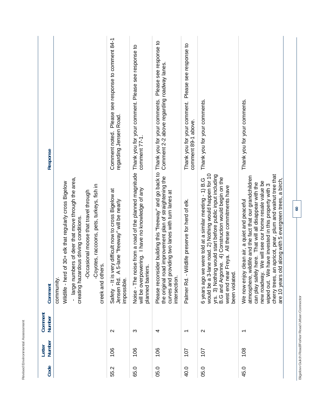| o is<br>j<br>$\overline{a}$<br>֦֦֦֦֪֦֪֦֧֧֧֦֧֦֧֧֦֧֧֧֧֧֧֧֧֦֧֧֧֧֦֧֧֧֧֧֧֧֧֧֦֧֧֧֛֛֛֛֛֧֚֚֚֚֚֚֚֩֘֝֘֝֘֝֝֝֓֓֓֝֓֝֓֝֓֝֓֝֓֓֓֓֓֓֓֓֓֓֓֓֓֓֓֓֓֓֓<br>֧֧֧֪֧֪֧֪֪֪֪֧֧֜֜֜<br>j<br>I<br>j |  |
|---------------------------------------------------------------------------------------------------------------------------------------------------------------------|--|
| $\frac{1}{2}$<br>$\overline{\phantom{a}}$<br>j<br>ì<br>$\sim$ Environment<br>ì<br>$\overline{\phantom{a}}$                                                          |  |
| $\frac{1}{1}$<br> <br> <br> <br> <br> <br>Dou<br>ì                                                                                                                  |  |

| Response          |                                                                                                                                                                                                                                                                                       | Please see response to comment 84-1<br>regarding Jensen Road.<br>Comment noted.                                         | comment 77-1                                                                                                                                                                       | Please see response to<br>Comment 2-2 above regarding roadway lanes.<br>Thank you for your comments.                                                                                      | Please see response to<br>Thank you for your comment.<br>comment 89-1 above. | Thank you for your comments.                                                                                                                                                                                                                                                                                | Thank you for your comments.                                                                                                                                                                                                                                                                                                                                                                                 |  |
|-------------------|---------------------------------------------------------------------------------------------------------------------------------------------------------------------------------------------------------------------------------------------------------------------------------------|-------------------------------------------------------------------------------------------------------------------------|------------------------------------------------------------------------------------------------------------------------------------------------------------------------------------|-------------------------------------------------------------------------------------------------------------------------------------------------------------------------------------------|------------------------------------------------------------------------------|-------------------------------------------------------------------------------------------------------------------------------------------------------------------------------------------------------------------------------------------------------------------------------------------------------------|--------------------------------------------------------------------------------------------------------------------------------------------------------------------------------------------------------------------------------------------------------------------------------------------------------------------------------------------------------------------------------------------------------------|--|
| Comment           | - large numbers of deer that move through the area,<br>of 30+ elk that regularly cross Bigelow<br>-Coyotes, raccoons, pets, turkeys, fish in<br>-Occasional moose that travel through<br>creating hazardous driving conditions.<br>creek and others.<br>Wildlife - herd<br>community. | Safety - It is very difficult now to cross Bigelow at<br>5-lane "freeway" will be nearly<br>Jensen Rd. A<br>impossible. | Noise - The noise from a road of the planned magnitude Thank you for your comment. Please see response to<br>will be overpowering. I have no knowledge of any<br>planned barriers. | Please reconsider building this "freeway" and go back to<br>the original road improvement plan of straightening the<br>curves and providing two lanes with turn lanes at<br>intersection. | Palmer Rd. - Wildlife preserve for herd of elk.                              | would be a 3-lane road. 2) Nothing would happen for 10<br>yrs. 3) Nothing would start before public input including<br>B.G and Argonne. 4) Construction would begin on the<br>6 years ago we were told at a similar meeting - 1) B.G<br>Freya. All these commitments have<br>west end near<br>been violated | cherry trees, an apricot, pear, plum and walnut tree that<br>atmosphere, wildlife and the fact that our grandchildren<br>are 10 years old along with 5 evergreen trees, a birch,<br>We will see our home resale value be<br>can play safely here. That will all disappear with the<br>wiped out. We have invested in this property with 3<br>clean air, a quiet and peaceful<br>We now enjoy<br>new roadway. |  |
| Comment<br>Number |                                                                                                                                                                                                                                                                                       | $\mathbf{\Omega}$                                                                                                       | ω                                                                                                                                                                                  | 4                                                                                                                                                                                         | ↽                                                                            | $\sim$                                                                                                                                                                                                                                                                                                      | $\overline{\phantom{0}}$                                                                                                                                                                                                                                                                                                                                                                                     |  |
| Number<br>Letter  |                                                                                                                                                                                                                                                                                       | 106                                                                                                                     | 106                                                                                                                                                                                | 106                                                                                                                                                                                       | 107                                                                          | 107                                                                                                                                                                                                                                                                                                         | 108                                                                                                                                                                                                                                                                                                                                                                                                          |  |
| Code              |                                                                                                                                                                                                                                                                                       | 55.2                                                                                                                    | 65.0                                                                                                                                                                               | 05.0                                                                                                                                                                                      | 40.0                                                                         | 05.0                                                                                                                                                                                                                                                                                                        | 45.0                                                                                                                                                                                                                                                                                                                                                                                                         |  |

Bigelow Gulch Road/Forker Road Urban Connector **Bigelow Gulch Road/Forker Road Urban Connector**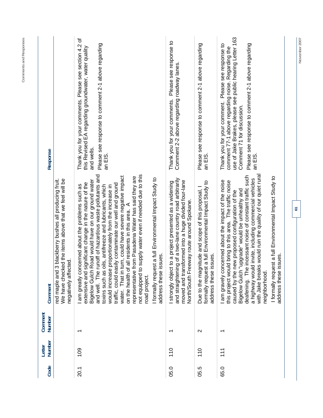| Response          |                                                                                                                                        | ৳<br>Thank you for your comments. Please see section 4.2<br>Please see response to comment 2-1 above regarding<br>this Revised EA regarding groundwater, water quality<br>and wells.<br>an EIS.                                                                                                                                                                                                                                                                                                                                                                                                                                                                                                                                               | Please see response to<br>Comment 2-2 above regarding roadway lanes.<br>Thank you for your comments.                                                                                                                   | Please see response to comment 2-1 above regarding<br>an EIS.                                                                        | use of Jake Brakes, please see public hearing Letter 163<br>Thank you for your comment. Please see response to<br>Please see response to comment 2-1 above regarding<br>comment 77-1 above regarding noise. Regarding the<br>Comment 71 for discussion.<br>an EIS.                                                                                                                                                                                                                                        |
|-------------------|----------------------------------------------------------------------------------------------------------------------------------------|-----------------------------------------------------------------------------------------------------------------------------------------------------------------------------------------------------------------------------------------------------------------------------------------------------------------------------------------------------------------------------------------------------------------------------------------------------------------------------------------------------------------------------------------------------------------------------------------------------------------------------------------------------------------------------------------------------------------------------------------------|------------------------------------------------------------------------------------------------------------------------------------------------------------------------------------------------------------------------|--------------------------------------------------------------------------------------------------------------------------------------|-----------------------------------------------------------------------------------------------------------------------------------------------------------------------------------------------------------------------------------------------------------------------------------------------------------------------------------------------------------------------------------------------------------------------------------------------------------------------------------------------------------|
| Comment           | We have checked the items above that we feel will be<br>red maple and 3 blackberry bushes all producing fruit.<br>negatively affected. | and well. The runoff of hazardous waste pollutants and<br>to supply water even if needed due to this<br>water. That in turn, could have severe negative impact<br>representative from Pasadena Water has said they are<br>I formally request a full Environmental Impact Study to<br>Bigelow Gulch Road would have on our ground water<br>significant change in the nature of the<br>traffic, could easily contaminate our well and ground<br>am greatly concerned about the problems such as<br>toxins such as oils, antifreeze and lubricants, which<br>would increase proportionately from the increase in<br>of all residents in this area. A<br>address these issues.<br>extensive and<br>on the health<br>not equipped<br>road project. | and straightening of a two-lane country road arbitrarily<br>moved and transformed into a huge divided four-lane<br>I strongly object to a project presented as a widening<br>North/South Freeway route around Spokane. | formally request a full Environmental Impact Study to<br>Due to the magnitude and scope of this proposal, I<br>address these issues. | with Jake breaks would ruin the quality of our quiet rural<br>deafening. The incessant noise of constant traffic such<br>I formally request a full Environmental Impact Study to<br>a highway would invite, including commercial vehicles<br>am gravely concerned about the impact of the noise<br>this project would bring to this area. The traffic noise<br>Bigelow Gulch "upgrade" would be unhealthy and<br>caused by the new proposed configuration of the<br>address these issues.<br>neighborhood |
| Comment<br>Number |                                                                                                                                        | $\overline{\phantom{0}}$                                                                                                                                                                                                                                                                                                                                                                                                                                                                                                                                                                                                                                                                                                                      | ᠇                                                                                                                                                                                                                      | $\sim$                                                                                                                               | $\overline{\phantom{0}}$                                                                                                                                                                                                                                                                                                                                                                                                                                                                                  |
| Number<br>Letter  |                                                                                                                                        | 109                                                                                                                                                                                                                                                                                                                                                                                                                                                                                                                                                                                                                                                                                                                                           | 110                                                                                                                                                                                                                    | 110                                                                                                                                  | $\frac{1}{1}$                                                                                                                                                                                                                                                                                                                                                                                                                                                                                             |
| Code              |                                                                                                                                        | 20.1                                                                                                                                                                                                                                                                                                                                                                                                                                                                                                                                                                                                                                                                                                                                          | 05.0                                                                                                                                                                                                                   | 05.5                                                                                                                                 | 65.0                                                                                                                                                                                                                                                                                                                                                                                                                                                                                                      |

November 2007

**61** 

**Comments and Responses**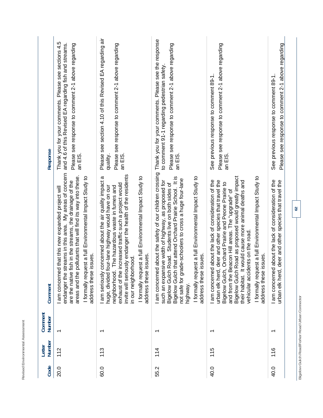| Code | Number<br>Letter | Comment<br>Number                              | Comment                                                                                                                                                                                                                                                                                                                                                                                                                                                            | Response                                                                                                                                                                        |
|------|------------------|------------------------------------------------|--------------------------------------------------------------------------------------------------------------------------------------------------------------------------------------------------------------------------------------------------------------------------------------------------------------------------------------------------------------------------------------------------------------------------------------------------------------------|---------------------------------------------------------------------------------------------------------------------------------------------------------------------------------|
| 20.0 | 112              | $\overline{\phantom{0}}$                       | endanger the streams in this area. My areas of concern<br>I formally request a full Environmental Impact Study to<br>areas and the pollutants that will find its way into these.<br>are the native fish in the streams, the drainage of the<br>am concerned that this new expanded project will<br>address these issues.                                                                                                                                           | Thank you for your comments. Please see sections 4.5<br>and 4.6 of this Revised EA regarding fish and streams.<br>Please see response to comment 2-1 above regarding<br>an EIS. |
| 60.0 | 113              |                                                | invite will seriously endanger the health of the residents<br>I formally request a full Environmental Impact Study to<br>I am seriously concerned about the air quality impact a<br>exhaust of the increased traffic such a project would<br>Ifour-lane highway would have on our<br>neighborhood. The hazardous waste in fumes and<br>address these issues.<br>in our neighborhood.<br>huge, divided                                                              | Please see section 4.10 of this Revised EA regarding air<br>Please see response to comment 2-1 above regarding<br>an EIS.<br>quality.                                           |
| 55.2 | 114              | ᠇                                              | am concerned about the safety of our children crossing<br>I formally request a full Environmental Impact Study to<br>Bigelow Gulch that attend Orchard Prairie School. It is<br>not safe for grade-schoolers to cross a huge four-lane<br>such an expansive width of highway, as proposed for<br>Bigelow Gulch Road. Students live on both sides of<br>address these issues.<br>highway.                                                                           | Thank you for your comments. Please see the response<br>Please see response to comment 2-1 above regarding<br>to comment 91-1 regarding pedestrian safety.<br>an EIS.           |
| 40.0 | 115              | $\overline{\phantom{0}}$                       | I formally request a full Environmental Impact Study to<br>Bigelow Gulch Road as proposed would greatly impact<br>am concerned about the lack of consideration of the<br>urban elk herd, deer and other species that travel the<br>It would cause more animal deaths and<br>Bigelow Gulch, Orchard Prairie and Peone Prairie to<br>and from the Beacon Hill areas. The "upgrade" of<br>vehicular accidents on the road.<br>address these issues.<br>their habitat. | Please see response to comment 2-1 above regarding<br>See previous response to comment 89-1.<br>an EIS.                                                                         |
| 40.0 | 116              |                                                | am concerned about the lack of consideration of the<br>urban elk herd, deer and other species that travel the                                                                                                                                                                                                                                                                                                                                                      | Please see response to comment 2-1 above regarding<br>See previous response to comment 89-1                                                                                     |
|      |                  | Bigelow Gulch Road/Forker Road Urban Connector | $\mathcal{S}$                                                                                                                                                                                                                                                                                                                                                                                                                                                      |                                                                                                                                                                                 |

Revised Environmental Assessment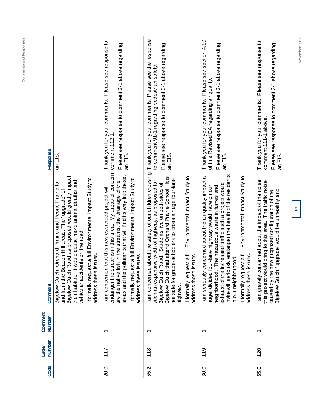| Please see section 4.10<br>Please see response to<br>Please see response to<br>Please see response to comment 2-1 above regarding<br>Please see response to comment 2-1 above regarding<br>Please see response to comment 2-1 above regarding<br>Please see response to comment 2-1 above regarding<br>to comment 91-1 regarding pedestrian safety<br>of this Revised EA regarding air quality.<br>Thank you for your comments.<br>Thank you for your comments.<br>Thank you for your comments.<br>comment 111-1 above.<br>comment 112-1.<br>an EIS.<br>an EIS.<br>an EIS.<br>an EIS.<br>an EIS.<br>about the safety of our children crossing<br>endanger the streams in this area. My areas of concern<br>invite will seriously endanger the health of the residents<br>areas and the pollutants that will find its way into these.<br>Bigelow Gulch Road as proposed would greatly impact<br>that attend Orchard Prairie School. It is<br>I formally request a full Environmental Impact Study to<br>I formally request a full Environmental Impact Study to<br>I am seriously concerned about the air quality impact a<br>I formally request a full Environmental Impact Study to<br>I formally request a full Environmental Impact Study to<br>de-schoolers to cross a huge four-lane<br>such an expansive width of highway, as proposed for<br>I am gravely concerned about the impact of the noise<br>would cause more animal deaths and<br>this project would bring to this area. The traffic noise<br>are the native fish in the streams, the drainage of the<br>Orchard Prairie and Peone Prairie to<br>Road. Students live on both sides of<br>ncreased traffic such a project would<br>huge, divided four-lane highway would have on our<br>The hazardous waste in fumes and<br>that this new expanded project will<br>"upgrade" would be unhealthy and<br>and from the Beacon Hill areas. The "upgrade" of<br>caused by the new proposed configuration of the<br>vehicular accidents on the road.<br>address these issues.<br>address these issues.<br>address these issues.<br>address these issues.<br>hood.<br>am concerned<br>I am concerned<br>exhaust of the i<br>in our neighborl<br>Bigelow Gulch,<br>their habitat. It<br>not safe for gra<br>Bigelow Gulch<br><b>Bigelow Gulch</b><br>neighborhood.<br>Bigelow Gulch<br>highway<br>↽<br>᠆<br>᠆<br>ᡪ<br>119<br>118<br>120<br>117<br>60.0<br>65.0<br>20.0<br>55.2 | Code | Number<br>Letter | Comment<br>Number | Comment | Response                                             |
|---------------------------------------------------------------------------------------------------------------------------------------------------------------------------------------------------------------------------------------------------------------------------------------------------------------------------------------------------------------------------------------------------------------------------------------------------------------------------------------------------------------------------------------------------------------------------------------------------------------------------------------------------------------------------------------------------------------------------------------------------------------------------------------------------------------------------------------------------------------------------------------------------------------------------------------------------------------------------------------------------------------------------------------------------------------------------------------------------------------------------------------------------------------------------------------------------------------------------------------------------------------------------------------------------------------------------------------------------------------------------------------------------------------------------------------------------------------------------------------------------------------------------------------------------------------------------------------------------------------------------------------------------------------------------------------------------------------------------------------------------------------------------------------------------------------------------------------------------------------------------------------------------------------------------------------------------------------------------------------------------------------------------------------------------------------------------------------------------------------------------------------------------------------------------------------------------------------------------------------------------------------------------------------------------------------------------------------------------------------------------------------------------------------------------------------|------|------------------|-------------------|---------|------------------------------------------------------|
|                                                                                                                                                                                                                                                                                                                                                                                                                                                                                                                                                                                                                                                                                                                                                                                                                                                                                                                                                                                                                                                                                                                                                                                                                                                                                                                                                                                                                                                                                                                                                                                                                                                                                                                                                                                                                                                                                                                                                                                                                                                                                                                                                                                                                                                                                                                                                                                                                                       |      |                  |                   |         |                                                      |
|                                                                                                                                                                                                                                                                                                                                                                                                                                                                                                                                                                                                                                                                                                                                                                                                                                                                                                                                                                                                                                                                                                                                                                                                                                                                                                                                                                                                                                                                                                                                                                                                                                                                                                                                                                                                                                                                                                                                                                                                                                                                                                                                                                                                                                                                                                                                                                                                                                       |      |                  |                   |         |                                                      |
|                                                                                                                                                                                                                                                                                                                                                                                                                                                                                                                                                                                                                                                                                                                                                                                                                                                                                                                                                                                                                                                                                                                                                                                                                                                                                                                                                                                                                                                                                                                                                                                                                                                                                                                                                                                                                                                                                                                                                                                                                                                                                                                                                                                                                                                                                                                                                                                                                                       |      |                  |                   |         | Thank you for your comments. Please see the response |
|                                                                                                                                                                                                                                                                                                                                                                                                                                                                                                                                                                                                                                                                                                                                                                                                                                                                                                                                                                                                                                                                                                                                                                                                                                                                                                                                                                                                                                                                                                                                                                                                                                                                                                                                                                                                                                                                                                                                                                                                                                                                                                                                                                                                                                                                                                                                                                                                                                       |      |                  |                   |         |                                                      |
|                                                                                                                                                                                                                                                                                                                                                                                                                                                                                                                                                                                                                                                                                                                                                                                                                                                                                                                                                                                                                                                                                                                                                                                                                                                                                                                                                                                                                                                                                                                                                                                                                                                                                                                                                                                                                                                                                                                                                                                                                                                                                                                                                                                                                                                                                                                                                                                                                                       |      |                  |                   |         |                                                      |

Comments and Responses **Comments and Responses** 

November 2007 **November 2007**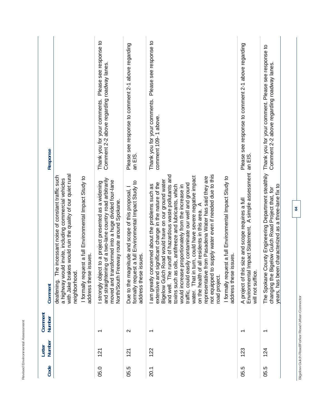| Code | Number<br>Letter | Comment<br>Number        | Comment                                                                                                                                                                                                                                                                                                                                                                                                                                                                                                                                                                                                                                                                                                                                       | Response                                                                                             |
|------|------------------|--------------------------|-----------------------------------------------------------------------------------------------------------------------------------------------------------------------------------------------------------------------------------------------------------------------------------------------------------------------------------------------------------------------------------------------------------------------------------------------------------------------------------------------------------------------------------------------------------------------------------------------------------------------------------------------------------------------------------------------------------------------------------------------|------------------------------------------------------------------------------------------------------|
|      |                  |                          | with Jake brakes would ruin the quality of our quiet rural<br>deafening. The incessant noise of constant traffic such<br>uest a full Environmental Impact Study to<br>a highway would invite, including commercial vehicles<br>address these issues.<br>neighborhood.<br>I formally req                                                                                                                                                                                                                                                                                                                                                                                                                                                       |                                                                                                      |
| 05.0 | 121              | ᠇                        | and straightening of a two-lane country road arbitrarily<br>moved and transformed into a huge divided four-lane<br>ct to a project presented as a widening<br>North/South Freeway route around Spokane.<br>I strongly obje                                                                                                                                                                                                                                                                                                                                                                                                                                                                                                                    | Please see response to<br>Comment 2-2 above regarding roadway lanes.<br>Thank you for your comments. |
| 05.5 | 121              | $\mathbf{\Omega}$        | formally request a full Environmental Impact Study to<br>Due to the magnitude and scope of this proposal,<br>address these issues.                                                                                                                                                                                                                                                                                                                                                                                                                                                                                                                                                                                                            | Please see response to comment 2-1 above regarding<br>an EIS.                                        |
| 20.1 | 122              | $\overline{\phantom{0}}$ | to supply water even if needed due to this<br>and well. The runoff of hazardous waste pollutants and<br>water. That in turn, could have severe negative impact<br>representative from Pasadena Water has said they are<br>I formally request a full Environmental Impact Study to<br>Bigelow Gulch Road would have on our ground water<br>significant change in the nature of the<br>traffic, could easily contaminate our well and ground<br>I am greatly concerned about the problems such as<br>toxins such as oils, antifreeze and lubricants, which<br>would increase proportionately from the increase in<br>on the health of all residents in this area.<br>issues.<br>extensive and<br>address these<br>not equipped<br>road project. | Please see response to<br>Thank you for your comments.<br>comment 109-1 above.                       |
| 05.5 | 123              | ᠇                        | Environmental Impact Statement. A simple assessment<br>A project of this size and scope requires a full<br>will not suffice.                                                                                                                                                                                                                                                                                                                                                                                                                                                                                                                                                                                                                  | Please see response to comment 2-1 above regarding<br>an EIS.                                        |
| 05.5 | 124              | $\overline{\phantom{0}}$ | County Engineering Department stealthily<br>years, has been characterized as a three-lane fix to<br>Bigelow Gulch Road Project that, for<br>The Spokane<br>changing the                                                                                                                                                                                                                                                                                                                                                                                                                                                                                                                                                                       | Thank you for your comment. Please see response to<br>Comment 2-2 above regarding roadway lanes.     |

Revised Environmental Assessment

Bigelow Gulch Road/Forker Road Urban Connector **Bigelow Gulch Road/Forker Road Urban Connector**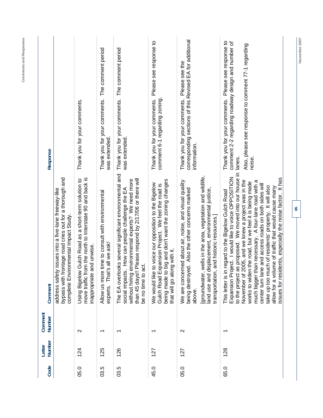| Code | Number<br>Letter | Comment<br>Number        | Comment                                                                                                                                                                                                                                                                                                                                                                                                                                                                                                                                                                        | Response                                                                                                                                                                             |
|------|------------------|--------------------------|--------------------------------------------------------------------------------------------------------------------------------------------------------------------------------------------------------------------------------------------------------------------------------------------------------------------------------------------------------------------------------------------------------------------------------------------------------------------------------------------------------------------------------------------------------------------------------|--------------------------------------------------------------------------------------------------------------------------------------------------------------------------------------|
|      |                  |                          | bypass with frontage road cries out for a thorough and<br>address safety issues into a five-lane freeway-like<br>complete Environmental Impact Study.                                                                                                                                                                                                                                                                                                                                                                                                                          |                                                                                                                                                                                      |
| 05.0 | 124              | $\mathbf{\Omega}$        | move traffic from the north to Interstate 90 and back is<br>Gulch Road as a short-term solution to<br>inappropriate and unwise.<br>Using Bigelow                                                                                                                                                                                                                                                                                                                                                                                                                               | Thank you for your comments.                                                                                                                                                         |
| 03.5 | 125              | $\overline{\phantom{0}}$ | Allow us more time to consult with environmental<br>That's all we ask!<br>experts.                                                                                                                                                                                                                                                                                                                                                                                                                                                                                             | Thank you for your comments. The comment period<br>was extended.                                                                                                                     |
| 03.5 | 126              | $\overline{\phantom{0}}$ | The EA overlooks several significant environmental and<br>Please respond by 2/17/06 or there will<br>without hiring environmental experts? We need more<br>social impacts. How can people challenge the EA<br>be no time to act.<br>than 45 days!!                                                                                                                                                                                                                                                                                                                             | Thank you for your comments. The comment period<br>was extended.                                                                                                                     |
| 45.0 | 127              | ↽                        | big and don't want the zoning changes<br>We would like to voice our opposition to the Bigelow<br>Gulch Road Expansion Project. We feel the road is<br>that will go along with it.<br>being made to                                                                                                                                                                                                                                                                                                                                                                             | Please see response to<br>Thank you for your comments.<br>comment 6-1 regarding zoning                                                                                               |
| 05.0 | 127              | $\mathbf{\Omega}$        | wells in the area, vegetation and wildlife,<br>We are concerned about air, noise, and visual quality<br>being destroyed. Also the other concerns marked<br>land use and displacement, environmental justice,<br>and historic resources.]<br>transportation,<br>[groundwater,<br>above.                                                                                                                                                                                                                                                                                         | corresponding sections of this Revised EA for additional<br>Please see the<br>Thank you for your comments.<br>information.                                                           |
| 65.0 | 128              | $\overline{\phantom{0}}$ | to the project as proposed. We moved into our house in<br>Expansion Project. I would like to voice OPPOSITION<br>issues for residents, especially the noise factor. It has<br>November of 2005, and we knew a project was in the<br>much bigger than necessary. A four-lane road with a<br>works to widen the road, but we feel it is being made<br>center turn lane and access roads on both sides will<br>take up too much of residents' property. It will also<br>allow for a volume of traffic that would cause many<br>This letter is in regard to the Bigelow Gulch Road | Thank you for your comments. Please see response to<br>comment 2-2 regarding roadway design and number of<br>Also, please see response to comment 77-1 regarding<br>lanes.<br>noise. |
|      |                  |                          | 65                                                                                                                                                                                                                                                                                                                                                                                                                                                                                                                                                                             |                                                                                                                                                                                      |

November 2007

Comments and Responses **Comments and Responses**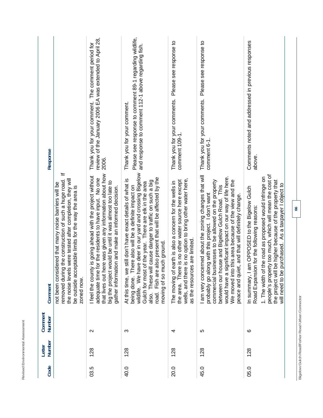| ┙<br>٠<br>-<br>á<br>-<br>ı<br>ï<br>a<br>J<br>ı<br>ï<br>٠<br>۱<br>٠<br>è<br>۰<br>٠<br>u<br>٠                  |
|--------------------------------------------------------------------------------------------------------------|
| $-$<br>◡<br>ı<br>٠                                                                                           |
| ä<br>ı.<br>ä<br>í<br>ı,<br>í<br>۰<br>¢<br>i<br>á                                                             |
| ¢<br>á<br>í<br>۱<br>J<br>ς<br>×<br>ì<br>۰<br>$\overline{\phantom{a}}$<br>٠<br>۰                              |
| تسر<br>é<br>┶<br>i                                                                                           |
| ×<br>∸                                                                                                       |
| $\sim$<br>ı<br>ı<br>ś<br>ì,<br>a۰<br>h<br>۱<br>ı<br>J<br>٠<br>٠<br>٠<br>ı<br>ł<br>ď<br>ĭ<br>é<br>٠<br>ν<br>ᅩ |

| Response                |                                                                                                                                                                                                                                                             | review of the January 2006 EA was extended to April 28,<br>Thank you for your comment. The comment period for<br>2006.                                                                                                                                                                         | Please see response to comment 89-1 regarding wildlife,<br>and response to comment 112-1 above regarding fish.<br>Thank you for your comment.                                                                                                                                                                                                                                                    | Please see response to<br>Thank you for your comments.<br>comment 109-1.                                                                                                                                              | Please see response to<br>Thank you for your comments.<br>comment 6-1                                                                                                                                                                                                                                                                                                                                   | Comments noted and addressed in previous responses<br>above.                                                                                                                                                                                                                                                                                |    |
|-------------------------|-------------------------------------------------------------------------------------------------------------------------------------------------------------------------------------------------------------------------------------------------------------|------------------------------------------------------------------------------------------------------------------------------------------------------------------------------------------------------------------------------------------------------------------------------------------------|--------------------------------------------------------------------------------------------------------------------------------------------------------------------------------------------------------------------------------------------------------------------------------------------------------------------------------------------------------------------------------------------------|-----------------------------------------------------------------------------------------------------------------------------------------------------------------------------------------------------------------------|---------------------------------------------------------------------------------------------------------------------------------------------------------------------------------------------------------------------------------------------------------------------------------------------------------------------------------------------------------------------------------------------------------|---------------------------------------------------------------------------------------------------------------------------------------------------------------------------------------------------------------------------------------------------------------------------------------------------------------------------------------------|----|
| Comment                 | ÷<br>g the construction of such a huge road.<br>s were tested after completion, they will<br>not been considered that many noise barriers will be<br>be outside acceptable limits for the way the area is<br>removed durin<br>the noise level<br>zoned now. | that lives out here was given any information about how<br>I feel the county is going ahead with the project without<br>adequate time for the residents to have input. No one<br>big the project would be until it was almost too late to<br>gather information and make an informed decision. | wildlife. We have deer in our yard and crossing Bigelow<br>Fish are also present that will be affected by the<br>At this time, we still don't have exact details of what is<br>also. These will cause danger to traffic on such a big<br>Gulch for most of the year. There are elk in the area<br>There also will be a definite impact on<br>moving of so much ground.<br>being done. T<br>road. | wells, and there is no option to bring other water here,<br>There is no other water source here except<br>earth is also a concern for the wells in<br>es are limited.<br>The moving of<br>as the resourc<br>the area. | I am very concerned about the zoning changes that will<br>significant impact on our way of life here.<br>We moved into this area because of the view and the<br>commercial businesses to be allowed on the property<br>between our house and Bigelow Gulch Road. This<br>ong with this project. I don't want<br>et, and that will definitely change.<br>peace and qui<br>probably go al<br>would have a | people's property too much, which will mean the cost of<br>1. The width of the road as proposed would infringe on<br>be higher because of the property that<br>purchased. As a taxpayer I object to<br>am OPPOSED to the Bigelow Gulch<br>Road Expansion for the following reasons:<br>will need to be<br>the project will<br>In summary, I | 66 |
| Comment<br>Number       |                                                                                                                                                                                                                                                             | $\sim$                                                                                                                                                                                                                                                                                         | က                                                                                                                                                                                                                                                                                                                                                                                                | 4                                                                                                                                                                                                                     | 5                                                                                                                                                                                                                                                                                                                                                                                                       | ဖ                                                                                                                                                                                                                                                                                                                                           |    |
| <b>Number</b><br>Letter |                                                                                                                                                                                                                                                             | 128                                                                                                                                                                                                                                                                                            | 128                                                                                                                                                                                                                                                                                                                                                                                              | 128                                                                                                                                                                                                                   | 128                                                                                                                                                                                                                                                                                                                                                                                                     | 128                                                                                                                                                                                                                                                                                                                                         |    |
| Code                    |                                                                                                                                                                                                                                                             | 03.5                                                                                                                                                                                                                                                                                           | 40.0                                                                                                                                                                                                                                                                                                                                                                                             | 20.0                                                                                                                                                                                                                  | 45.0                                                                                                                                                                                                                                                                                                                                                                                                    | 05.0                                                                                                                                                                                                                                                                                                                                        |    |

Bigelow Gulch Road/Forker Road Urban Connector **Bigelow Gulch Road/Forker Road Urban Connector**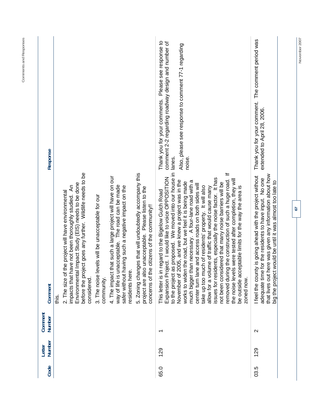| Code | Number<br>Letter | Comment<br>Number        | Comment                                                                                                                                                                                                                                                                                                                                                                                                                                                                                                                                                                                                                                                                                                                                                                                                                                          | Response                                                                                                                                                                             |
|------|------------------|--------------------------|--------------------------------------------------------------------------------------------------------------------------------------------------------------------------------------------------------------------------------------------------------------------------------------------------------------------------------------------------------------------------------------------------------------------------------------------------------------------------------------------------------------------------------------------------------------------------------------------------------------------------------------------------------------------------------------------------------------------------------------------------------------------------------------------------------------------------------------------------|--------------------------------------------------------------------------------------------------------------------------------------------------------------------------------------|
|      |                  |                          | before the project goes any further. Wildlife needs to be<br>Impact Study (EIS) needs to be done<br>impacts that have not been thoroughly studied. An<br>the project will have environmental<br>Environmental<br>2. The size of<br>considered.<br>is.<br>this                                                                                                                                                                                                                                                                                                                                                                                                                                                                                                                                                                                    |                                                                                                                                                                                      |
|      |                  |                          | 3. The noise levels will be unacceptable for our<br>community.                                                                                                                                                                                                                                                                                                                                                                                                                                                                                                                                                                                                                                                                                                                                                                                   |                                                                                                                                                                                      |
|      |                  |                          | that such a large project will have on our<br>way of life is unacceptable. The road can be made<br>safer without having such a negative impact on the<br>residents here<br>4. The impact                                                                                                                                                                                                                                                                                                                                                                                                                                                                                                                                                                                                                                                         |                                                                                                                                                                                      |
|      |                  |                          | 5. Zoning changes that will undoubtedly accompany this<br>Please listen to the<br>concerns of the citizens of the community!!<br>project are also unacceptable.                                                                                                                                                                                                                                                                                                                                                                                                                                                                                                                                                                                                                                                                                  |                                                                                                                                                                                      |
| 65.0 | 129              | $\overline{\phantom{0}}$ | to the project as proposed. We moved into our house in<br>$\equiv$<br>Expansion Project. I would like to voice OPPOSITION<br>issues for residents, especially the noise factor. It has<br>removed during the construction of such a huge road.<br>s were tested after completion, they will<br>November of 2005, and we knew a project was in the<br>much bigger than necessary. A four-lane road with a<br>works to widen the road, but we feel it is being made<br>not been considered that many noise barriers will be<br>center turn lane and access roads on both sides will<br>take up too much of residents' property. It will also<br>be outside acceptable limits for the way the area is<br>allow for a volume of traffic that would cause many<br>This letter is in regard to the Bigelow Gulch Road<br>the noise level<br>zoned now. | Thank you for your comments. Please see response to<br>comment 2-2 regarding roadway design and number of<br>Also, please see response to comment 77-1 regarding<br>lanes.<br>noise. |
| 03.5 | 129              | $\sim$                   | that lives out here was given any information about how<br>I feel the county is going ahead with the project without<br>adequate time for the residents to have input. No one<br>big the project would be until it was almost too late to                                                                                                                                                                                                                                                                                                                                                                                                                                                                                                                                                                                                        | Thank you for your comment. The comment period was<br>extended to April 28, 2006.                                                                                                    |
|      |                  |                          | 57                                                                                                                                                                                                                                                                                                                                                                                                                                                                                                                                                                                                                                                                                                                                                                                                                                               |                                                                                                                                                                                      |

November 2007

**Comments and Responses**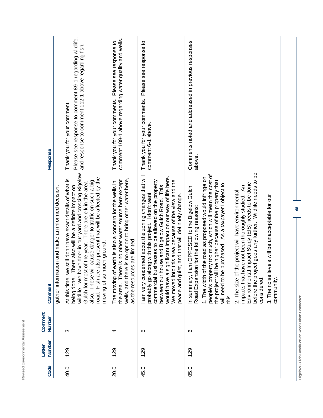| Code | Number<br>Letter | Comment<br>Number | Comment                                                                                                                                                                                                                                                                                                                                                                                                                                                                                                                                                                                                                                                             | Response                                                                                                                                      |
|------|------------------|-------------------|---------------------------------------------------------------------------------------------------------------------------------------------------------------------------------------------------------------------------------------------------------------------------------------------------------------------------------------------------------------------------------------------------------------------------------------------------------------------------------------------------------------------------------------------------------------------------------------------------------------------------------------------------------------------|-----------------------------------------------------------------------------------------------------------------------------------------------|
|      |                  |                   | ion and make an informed decision.<br>gather informat                                                                                                                                                                                                                                                                                                                                                                                                                                                                                                                                                                                                               |                                                                                                                                               |
| 40.0 | 129              | က                 | wildlife. We have deer in our yard and crossing Bigelow<br>Fish are also present that will be affected by the<br>still don't have exact details of what is<br>also. These will cause danger to traffic on such a big<br>Gulch for most of the year. There are elk in the area<br>nere also will be a definite impact on<br>moving of so much ground.<br>At this time, we<br>being done. Th<br>road.                                                                                                                                                                                                                                                                 | Please see response to comment 89-1 regarding wildlife,<br>and response to comment 112-1 above regarding fish.<br>Thank you for your comment. |
| 20.0 | 129              | 4                 | wells, and there is no option to bring other water here,<br>the area. There is no other water source here except<br>earth is also a concern for the wells in<br>as the resources are limited.<br>The moving of                                                                                                                                                                                                                                                                                                                                                                                                                                                      | comment 109-1 above regarding water quality and wells.<br>Thank you for your comments. Please see response to                                 |
| 45.0 | 129              | 5                 | I am very concerned about the zoning changes that will<br>ignificant impact on our way of life here.<br>We moved into this area because of the view and the<br>commercial businesses to be allowed on the property<br>between our house and Bigelow Gulch Road. This<br>probably go along with this project. I don't want<br>peace and quiet, and that will definitely change.<br>would have a s                                                                                                                                                                                                                                                                    | Thank you for your comments. Please see response to<br>comment 6-1 above.                                                                     |
| 05.0 | 129              | ဖ                 | before the project goes any further. Wildlife needs to be<br>people's property too much, which will mean the cost of<br>the road as proposed would infringe on<br>be higher because of the property that<br>Impact Study (EIS) needs to be done<br>purchased. As a taxpayer I object to<br>impacts that have not been thoroughly studied. An<br>In summary, I am OPPOSED to the Bigelow Gulch<br>2. The size of the project will have environmental<br>3. The noise levels will be unacceptable for our<br>Road Expansion for the following reasons:<br>1. The width of<br>will need to be<br>the project will<br>Environmental<br>considered<br>community<br>this. | Comments noted and addressed in previous responses<br>above.                                                                                  |

Revised Environmental Assessment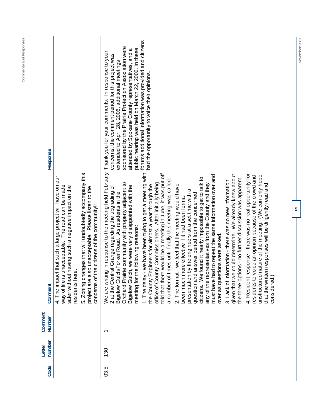| Response          |                                                                                                                                                                                                                                                                                                                                                           | forums additional information was provided and citizens<br>sponsored by the Prairie Protection Association were<br>public hearing was held on March 22, 2006. In these<br>attended by Spokane County representatives, and a<br>in response to the meeting held February Thank you for your comments. In response to your<br>concerns, the comment period for this project was<br>extended to April 28, 2006, additional meetings<br>had the opportunity to voice their opinions.                                                                                                                                                                                                                                                                                                                                                                                                                                                                                                                                                                                                                                                                                                                                                                                                                                                                                                                                                                      |
|-------------------|-----------------------------------------------------------------------------------------------------------------------------------------------------------------------------------------------------------------------------------------------------------------------------------------------------------------------------------------------------------|-------------------------------------------------------------------------------------------------------------------------------------------------------------------------------------------------------------------------------------------------------------------------------------------------------------------------------------------------------------------------------------------------------------------------------------------------------------------------------------------------------------------------------------------------------------------------------------------------------------------------------------------------------------------------------------------------------------------------------------------------------------------------------------------------------------------------------------------------------------------------------------------------------------------------------------------------------------------------------------------------------------------------------------------------------------------------------------------------------------------------------------------------------------------------------------------------------------------------------------------------------------------------------------------------------------------------------------------------------------------------------------------------------------------------------------------------------|
| Comment           | 5. Zoning changes that will undoubtedly accompany this<br>that such a large project will have on our<br>way of life is unacceptable. The road can be made<br>safer without having such a negative impact on the<br>project are also unacceptable. Please listen to the<br>concerns of the citizens of the community!!<br>residents here.<br>4. The impact | 1. The delay - we have been trying to get a meeting with<br>would be a meeting in June, it was put off<br>4. Resident response - there was no real opportunity for<br>given that we could determine. We already knew about<br>must have had to repeat the same information over and<br>unstructured nature of the meeting. (We can only hope<br>residents to voice an opinion because of the crowd and<br>the three options - no further discussion was apparent.<br>citizens. We found it nearly impossible to get to talk to<br>a number of times until finally this meeting was called<br>3. Lack of information - there was no new information<br>Orchard Prairie community with property adjacent to<br>office of County Commissioners. After initially being<br>any of the representatives from the County and they<br>that the written responses will be diligently read and<br>2. The format - we feel that the meeting would have<br>the County Engineers for almost a year through the<br>we were very disappointed with the<br>2 at the Central Grange regarding the upgrading of<br>presentation by the engineers at a set time with a<br>Bigelow Gulch/Forker Road. As residents in the<br>question and answer period from the concerned<br>been much more effective if it had been formal<br>meeting for the following reasons:<br>over as questions were asked.<br>Bigelow Gulch,<br>told that there<br>We are writing<br>considered.) |
| Comment<br>Number |                                                                                                                                                                                                                                                                                                                                                           | $\overline{\phantom{0}}$                                                                                                                                                                                                                                                                                                                                                                                                                                                                                                                                                                                                                                                                                                                                                                                                                                                                                                                                                                                                                                                                                                                                                                                                                                                                                                                                                                                                                              |
| Number<br>Letter  |                                                                                                                                                                                                                                                                                                                                                           | 130                                                                                                                                                                                                                                                                                                                                                                                                                                                                                                                                                                                                                                                                                                                                                                                                                                                                                                                                                                                                                                                                                                                                                                                                                                                                                                                                                                                                                                                   |
| Code              |                                                                                                                                                                                                                                                                                                                                                           | 03.5                                                                                                                                                                                                                                                                                                                                                                                                                                                                                                                                                                                                                                                                                                                                                                                                                                                                                                                                                                                                                                                                                                                                                                                                                                                                                                                                                                                                                                                  |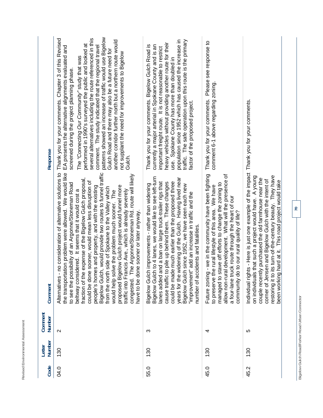| Response          | patterns showed an increase of traffic would use Bigelow<br>Thank you for your comments. Chapter 3 of this Revised<br>several alternatives including the route referenced in this<br>another corridor further north but a northern route would<br>performed in 1990's surveyed the public and looked at<br>comment. The study indicated that the regional travel<br>EA presents the alternative alignments evaluated and<br>Guich Road and there may also be a future need for<br>not supplant the need for improvements to Bigelow<br>The "Connecting Our Community" study that was<br>screened during the project planning phase.<br>Gulch.                                                                                                                                                           | population since 1952 which has caused the increase in<br>traffic. The safe operation upon this route is the primary<br>heavy vehicles without providing another route for their<br>Thank you for your comments. Bigelow Gulch Road is<br>currently a major arterial in Spokane County and is an<br>important freight route. It is not reasonable to restrict<br>use. Spokane County has more than doubled in<br>factor of the proposed project.                                                       | Thank you for your comments. Please see response to<br>comment 6-1 above regarding zoning.                                                                                                                                                                                                                                             |                                                                                                                                                                                                                                                                                                                                                                                                |  |
|-------------------|---------------------------------------------------------------------------------------------------------------------------------------------------------------------------------------------------------------------------------------------------------------------------------------------------------------------------------------------------------------------------------------------------------------------------------------------------------------------------------------------------------------------------------------------------------------------------------------------------------------------------------------------------------------------------------------------------------------------------------------------------------------------------------------------------------|--------------------------------------------------------------------------------------------------------------------------------------------------------------------------------------------------------------------------------------------------------------------------------------------------------------------------------------------------------------------------------------------------------------------------------------------------------------------------------------------------------|----------------------------------------------------------------------------------------------------------------------------------------------------------------------------------------------------------------------------------------------------------------------------------------------------------------------------------------|------------------------------------------------------------------------------------------------------------------------------------------------------------------------------------------------------------------------------------------------------------------------------------------------------------------------------------------------------------------------------------------------|--|
| Comment           | no consideration of alternative solutions to<br>the transportation problem were allowed. We would like<br>, would provide two routes to funnel traffic<br>congested. The Argonne/Stoneman Rd. route will likely<br>expense of the Bigelow Gulch proposal,<br>could be done sooner, would mean less disruption of<br>to see the possibility of an Argonne/Stoneman Road<br>proposed Bigelow Gulch project would funnel more<br>people's homes and property, and with the existing<br>side of Spokane to the Valley which<br>beltway considered. It seems that it would cost a<br>traffic into Francis Ave., which is already severely<br>would help solve the problem much sooner. The<br>have to be done sooner or later anyway.<br>Bigelow Gulch<br>from the north<br>fraction of the<br>Alternatives- | Bigelow Gulch to 4 lanes, we would like to see left-turn<br>years for the widening of the Gulch. Having lived near<br>could be made much earlier than the proposed three<br>lanes added and a ban on large truck-trailer rigs that<br>cause traffic to pile up behind them. These changes<br>improvements - rather than widening<br>since 1952, we have seen each new<br>"improvement" add an increase in traffic and the<br>idents and fatalities.<br>Bigelow Gulch<br>Bigelow Gulch<br>number of acc | - we in the community have been fighting<br>allow non-rural development. What will the presence of<br>managed to stave off efforts to change the zoning to<br>to preserve the rural lifestyle of this area. We have<br>a four-lane truck route through the heart of our<br>community do to our rural quality of life?<br>Future zoning | Individual rights - Here is just one example of the impact Thank you for your comments.<br>restoring it to its turn-of-the-century beauty. They have<br>that such a project would have. A young<br>couple recently purchased the old farmhouse near the<br>corner of Jensen and Bigelow Gulch with the intent of<br>hard at it. This road project would take<br>on individuals<br>been working |  |
| Comment<br>Number | $\sim$                                                                                                                                                                                                                                                                                                                                                                                                                                                                                                                                                                                                                                                                                                                                                                                                  | ω                                                                                                                                                                                                                                                                                                                                                                                                                                                                                                      | 4                                                                                                                                                                                                                                                                                                                                      | 5                                                                                                                                                                                                                                                                                                                                                                                              |  |
| Number<br>Letter  | 130                                                                                                                                                                                                                                                                                                                                                                                                                                                                                                                                                                                                                                                                                                                                                                                                     | 130                                                                                                                                                                                                                                                                                                                                                                                                                                                                                                    | 130                                                                                                                                                                                                                                                                                                                                    | 130                                                                                                                                                                                                                                                                                                                                                                                            |  |
| Code              | 04.0                                                                                                                                                                                                                                                                                                                                                                                                                                                                                                                                                                                                                                                                                                                                                                                                    | 55.0                                                                                                                                                                                                                                                                                                                                                                                                                                                                                                   | 45.0                                                                                                                                                                                                                                                                                                                                   | 45.2                                                                                                                                                                                                                                                                                                                                                                                           |  |

Revised Environmental Assessment

Bigelow Gulch Road/Forker Road Urban Connector **Bigelow Gulch Road/Forker Road Urban Connector**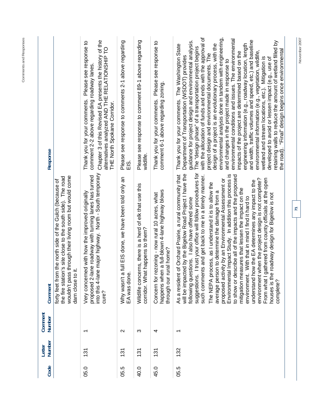| Response          |                                                                                                                                                                                                               | Chapter 3 of this Revised EA presents the history of the<br>Please see response to<br>alternatives analyzed AND THE RELATIONSHIP TO<br>comment 2-2 above regarding roadway lanes<br>Thank you for your comments.<br>THE North Spokane Corridor. | Please see response to comments 2-1 above regarding<br>EIS.              | Please see response to comment 89-1 above regarding<br>wildlife.                           | Please see response to<br>comment 6-1 above regarding zoning.<br>Thank you for your comments.                                    | with the allocation of funds and ends with the approval of<br>environmental analysis done in tandem with engineering,<br>environmental conditions and issues. The environmental<br>and width, traffic volumes and speed, etc.) and baseline<br>guidance for project design and environmental analysis.<br>The "design phase" of a transportation project begins<br>retaining walls to reduce the amount of wetland filled by<br>design of a project is an evolutionary process, with the<br>engineering information (e.g., roadway location, length<br>Thank you for your comments. The Washington State<br>the road). "Final" design begins once environmental<br>environmental information (e.g., vegetation, wildlife,<br>wetland and stream locations, etc.). Mitigation is<br>impacts of the project are determined based on the<br>project design and environmental documents. The<br>Department of Transportation (WSDOT) provides<br>developed to avoid or lessen impact (e.g., use of<br>and changes in the project made in response to |
|-------------------|---------------------------------------------------------------------------------------------------------------------------------------------------------------------------------------------------------------|-------------------------------------------------------------------------------------------------------------------------------------------------------------------------------------------------------------------------------------------------|--------------------------------------------------------------------------|--------------------------------------------------------------------------------------------|----------------------------------------------------------------------------------------------------------------------------------|--------------------------------------------------------------------------------------------------------------------------------------------------------------------------------------------------------------------------------------------------------------------------------------------------------------------------------------------------------------------------------------------------------------------------------------------------------------------------------------------------------------------------------------------------------------------------------------------------------------------------------------------------------------------------------------------------------------------------------------------------------------------------------------------------------------------------------------------------------------------------------------------------------------------------------------------------------------------------------------------------------------------------------------------------|
| Comment           | through their living room but would come<br>'s site close to the south side). The road<br>the north side of the Gulch (because of<br>dam close to it.<br>forty feet from<br>the fire station<br>wouldn't pass | into this 4-lane major highway. North - South temporary<br>proposed 2-lane roadway with turning lanes has turned<br>Very concerned with how the improved originally<br>cure?                                                                    | full EIS done, we have been told only an<br>Why wasn't a<br>EA was done. | Wildlife concerns, there is a herd of elk that use this<br>corridor. What happens to them? | happens when a full-blown 4-lane highway blows<br>Concern for rezoning - now rural 10 acres, what<br>ral home?<br>through our ru | I trust your office will follow procedures for<br>will be impacted by the Bigelow Road Project I have the<br>As a resident of Orchard Prairie, a rural community that<br>such comments and get back to me in a timely manner.<br>Environmental Impact Study. In addition this process is<br>to show or describe all of the impacts and the proposed<br>From what I gathered from county officials at the open<br>environment when the project design is not complete?<br>proposed activity by an Environmental Assessment or<br>understand how the EA determines any impact to the<br>The NEPA process, as I understand it is to allow the<br>mitigation measures that lessen the impact on the<br>average person to determine the damage from a<br>roadway design for Bigelow is not<br>With that in mind I find it hard to<br>following questions. I also have offered some<br>houses is the<br>environment.<br>suggestions.<br>complete?                                                                                                      |
| Comment<br>Number |                                                                                                                                                                                                               | $\overline{\phantom{0}}$                                                                                                                                                                                                                        | $\sim$                                                                   | က                                                                                          | 4                                                                                                                                | $\overline{\phantom{0}}$                                                                                                                                                                                                                                                                                                                                                                                                                                                                                                                                                                                                                                                                                                                                                                                                                                                                                                                                                                                                                         |
| Number<br>Letter  |                                                                                                                                                                                                               | 131                                                                                                                                                                                                                                             | 131                                                                      | 131                                                                                        | 131                                                                                                                              | 132                                                                                                                                                                                                                                                                                                                                                                                                                                                                                                                                                                                                                                                                                                                                                                                                                                                                                                                                                                                                                                              |
| Code              |                                                                                                                                                                                                               | 05.0                                                                                                                                                                                                                                            | 05.5                                                                     | 40.0                                                                                       | 45.0                                                                                                                             | 05.5                                                                                                                                                                                                                                                                                                                                                                                                                                                                                                                                                                                                                                                                                                                                                                                                                                                                                                                                                                                                                                             |

November 2007

**71** 

**Comments and Responses**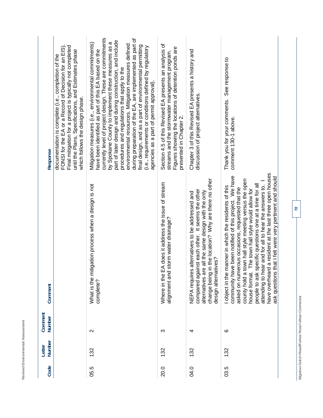| ٠ | ٠<br>-<br>ı<br>í<br>ï<br>é<br>-<br>í<br>ï<br>a<br>ä<br>í<br>ı<br>J<br>í<br>١<br>J<br>٠<br>ä<br>l<br>ä<br>l<br>ï<br>۰<br>٠<br>┶                                      |  |
|---|---------------------------------------------------------------------------------------------------------------------------------------------------------------------|--|
| ٠ | $\overline{\phantom{a}}$<br>÷<br>t,<br>١<br>J<br>ىسە<br>ı<br>à<br>é<br>٠<br>ţ<br>ź<br>٠<br>I<br>ı<br>í<br>í<br>ر<br>١<br>×<br>ī<br>-<br>i,<br>۔<br>F<br>r<br>×<br>∸ |  |
| ٠ | ⊶<br>ı<br>ş<br>ì,<br>é<br>ţ<br>ı<br>ï<br>×<br>-<br>۰<br>ı<br>ï<br>ć<br>٠<br>١<br>ź<br>é<br>∿<br>--                                                                  |  |

| Response                 | Final mitigation for a project is typically not completed<br>FONSI for the EA or a Record of Decision for an EIS)<br>until the Plans, Specifications, and Estimates phase<br>documentation is complete (i.e., completion of the<br>which follows the design phase. | currently level of project design. These are commitments<br>during preparation of the EA, are implemented as part of<br>part of later design and during construction, and include<br>by Spokane County to implement these measures as a<br>Mitigation measures (i.e., environmental commitments)<br>environmental resources. Mitigation measures defined<br>final design, and as a part of environmental permitting<br>(i.e., requirements or conditions defined by regulatory<br>have been identified as part of this EA based on the<br>procedures and regulations that apply to the<br>agencies as a part of permit approval). | Section 4.5 of this Revised EA presents an analysis of<br>Figures showing the locations of detention ponds are<br>streams and the stormwater management program.<br>presented in Chapter 2. | Chapter 3 of this Revised EA presents a history and<br>discussion of project alternatives.                                                                                                                                                 | See response to<br>Thank you for your comments.<br>comment 130-1 above.                                                                                                                                                                                                                                                                                                                                                                                                                                                       |
|--------------------------|--------------------------------------------------------------------------------------------------------------------------------------------------------------------------------------------------------------------------------------------------------------------|-----------------------------------------------------------------------------------------------------------------------------------------------------------------------------------------------------------------------------------------------------------------------------------------------------------------------------------------------------------------------------------------------------------------------------------------------------------------------------------------------------------------------------------------------------------------------------------------------------------------------------------|---------------------------------------------------------------------------------------------------------------------------------------------------------------------------------------------|--------------------------------------------------------------------------------------------------------------------------------------------------------------------------------------------------------------------------------------------|-------------------------------------------------------------------------------------------------------------------------------------------------------------------------------------------------------------------------------------------------------------------------------------------------------------------------------------------------------------------------------------------------------------------------------------------------------------------------------------------------------------------------------|
| Comment                  |                                                                                                                                                                                                                                                                    | itigation process when a design is not<br>What is the m<br>complete?                                                                                                                                                                                                                                                                                                                                                                                                                                                                                                                                                              | EA does it address the issue of stream<br>alignment and storm water drainage?<br>Where in the                                                                                               | in the location? Why are there no other<br>compared against each other. It seems the other<br>alternatives are all the same design with the only<br>NEPA requires alternatives to be addressed and<br>design alternatives?<br>change being | have overheard a resident at the last three open houses<br>community have been notified of this project. We have<br>ask questions that I felt were very pertinent and should<br>county hold a town hall style meeting versus the open<br>attending to hear and for all to hear the answers to.<br>specific questions one at a time for all<br>object in the manner in which the residents of this<br>asked on numerous occasions, requested that the<br>The town hall style would allow for<br>house format.<br>people to ask |
| Comment<br><b>Number</b> |                                                                                                                                                                                                                                                                    | $\mathbf{\Omega}$                                                                                                                                                                                                                                                                                                                                                                                                                                                                                                                                                                                                                 | က                                                                                                                                                                                           | 4                                                                                                                                                                                                                                          | ဖ                                                                                                                                                                                                                                                                                                                                                                                                                                                                                                                             |
| Number<br>Letter         |                                                                                                                                                                                                                                                                    | 132                                                                                                                                                                                                                                                                                                                                                                                                                                                                                                                                                                                                                               | 132                                                                                                                                                                                         | 132                                                                                                                                                                                                                                        | 132                                                                                                                                                                                                                                                                                                                                                                                                                                                                                                                           |
| Code                     |                                                                                                                                                                                                                                                                    | 05.5                                                                                                                                                                                                                                                                                                                                                                                                                                                                                                                                                                                                                              | 20.0                                                                                                                                                                                        | 04.0                                                                                                                                                                                                                                       | 03.5                                                                                                                                                                                                                                                                                                                                                                                                                                                                                                                          |

Bigelow Gulch Road/Forker Road Urban Connector **Bigelow Gulch Road/Forker Road Urban Connector**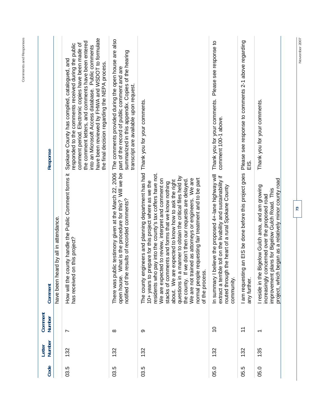| Code | Number<br>Letter | Comment<br>Number        | Comment                                                                                                                                                                                                                                                                                                                                                                                                                                                                                                                                                                                                                                             | Response                                                                                                                                                                                                                                                                                                                                                                        |
|------|------------------|--------------------------|-----------------------------------------------------------------------------------------------------------------------------------------------------------------------------------------------------------------------------------------------------------------------------------------------------------------------------------------------------------------------------------------------------------------------------------------------------------------------------------------------------------------------------------------------------------------------------------------------------------------------------------------------------|---------------------------------------------------------------------------------------------------------------------------------------------------------------------------------------------------------------------------------------------------------------------------------------------------------------------------------------------------------------------------------|
|      |                  |                          | have been heard by all in attendance.                                                                                                                                                                                                                                                                                                                                                                                                                                                                                                                                                                                                               |                                                                                                                                                                                                                                                                                                                                                                                 |
| 03.5 | 132              | $\overline{ }$           | How will the county handle the Public Comment forms it<br>has received on this project?                                                                                                                                                                                                                                                                                                                                                                                                                                                                                                                                                             | have been reviewed by FHWA and WSDOT to formulate<br>the comment letters, and comments have been entered<br>comment period. Electronic copies have been made of<br>responded to the comments received during the public<br>into an Microsoft Access database. Public comments<br>Spokane County has compiled, catalogued, and<br>the final decision regarding the NEPA process. |
| 03.5 | 132              | $\infty$                 | There was public testimony given at the March 22, 2006<br>open house. What is the procedure for this? Will we be<br>esults of recorded comments?<br>notified of the r                                                                                                                                                                                                                                                                                                                                                                                                                                                                               | The comments provided during the open house are also<br>summarized in this appendix. Copies of the hearing<br>part of the record of public comment and are<br>transcript are available upon request.                                                                                                                                                                            |
| 03.5 | 132              | တ                        | The county engineers and planning department has had Thank you for your comments.<br>pay into the county's tax coffers have not.<br>manner to obtain the critical files held by<br>requesting fair treatment and to be part<br>We are not trained as attorneys or engineers. We are<br>the county. If we don't then our requests are delayed.<br>We are expected to review, interpret and comment on<br>expected to know how to ask the right<br>10+ years to prepare for this project where as we the<br>stacks of comments and forms that we know nothing<br>about. We are<br>of the process.<br>residents who<br>normal people<br>questions in a |                                                                                                                                                                                                                                                                                                                                                                                 |
| 05.0 | 132              | $\tilde{0}$              | elieve the proposed 4+-lane highway will<br>e toll on the livability and sustainability if<br>routed through the heart of a rural Spokane County<br>In summary I b<br>extract a terribl<br>community.                                                                                                                                                                                                                                                                                                                                                                                                                                               | Please see response to<br>Thank you for your comments.<br>comment 100-1 above.                                                                                                                                                                                                                                                                                                  |
| 05.5 | 132              | $\overline{1}$           | I am requesting an EIS be done before this project goes<br>any further.                                                                                                                                                                                                                                                                                                                                                                                                                                                                                                                                                                             | Please see response to comments 2-1 above regarding<br>$\frac{0}{11}$                                                                                                                                                                                                                                                                                                           |
| 05.0 | 135              | $\overline{\phantom{0}}$ | began as a relatively minor county road<br>I reside in the Bigelow Gulch area, and am growing<br>lans for Bigelow Gulch Road. This<br>increasingly concerned over the proposed road<br>improvement p<br>project, which                                                                                                                                                                                                                                                                                                                                                                                                                              | Thank you for your comments.                                                                                                                                                                                                                                                                                                                                                    |
|      |                  |                          | $\overline{73}$                                                                                                                                                                                                                                                                                                                                                                                                                                                                                                                                                                                                                                     | $\sim$                                                                                                                                                                                                                                                                                                                                                                          |

**November 2007 73** 

November 2007

**Comments and Responses**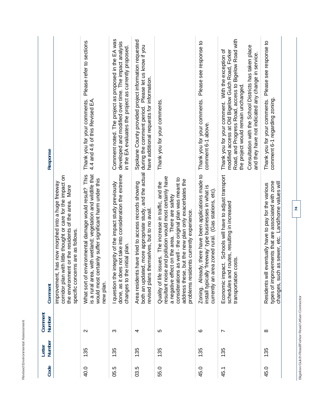| Code | Number<br>Letter | Comment<br><b>Number</b> | Comment                                                                                                                                                                                                                                                                                                                                       | Response                                                                                                                                                                                                                                                                                                              |
|------|------------------|--------------------------|-----------------------------------------------------------------------------------------------------------------------------------------------------------------------------------------------------------------------------------------------------------------------------------------------------------------------------------------------|-----------------------------------------------------------------------------------------------------------------------------------------------------------------------------------------------------------------------------------------------------------------------------------------------------------------------|
|      |                  |                          | with little thought or care for the impact on<br>improvement, has now morphed into a huge freeway<br>the environment or the residents of the area. More<br>specific concerns are as follows.<br>corridor plan                                                                                                                                 |                                                                                                                                                                                                                                                                                                                       |
| 40.0 | 135              | $\mathbf{\Omega}$        | is a rural area, with wetland; vegetation and wildlife that<br>environmental damage would result? This<br>would most certainly suffer significant harm under this<br>What sort of<br>new plan.                                                                                                                                                | Please refer to sections<br>Thank you for your comments.<br>4.4 and 4.6 of this Revised EA                                                                                                                                                                                                                            |
| 05.5 | 135              | ო                        | done, as it does not take into consideration the extreme<br>question the integrity of the impact study previously<br>e initial plan.<br>changes to th                                                                                                                                                                                         | Comment noted. The project as proposed in the EA was<br>developed and modified over time. The impact analysis<br>in the EA evaluates the project as currently proposed.                                                                                                                                               |
| 03.5 | 135              | 4                        | both an updated, more appropriate study, and the actual during the comment period.<br>is have tried to access records showing<br>revised plans themselves, but to no avail<br>Area resident                                                                                                                                                   | Spokane County provided project information requested<br>Please let us know if you<br>have additional requests for information.                                                                                                                                                                                       |
| 55.0 | 135              | ပ                        | se and pollution would most certainly have<br>considerations as well - the original plan was meant to<br>address these, but the new plan only exacerbates the<br>issues. The increase in traffic, and the<br>a negative effect on the area. There are safety<br>problems residents currently experience.<br>Quality of life<br>resultant nois | Thank you for your comments.                                                                                                                                                                                                                                                                                          |
| 45.0 | 135              | ဖ                        | Zoning. Already, there have been applications made to<br>ly 'freeway' type businesses in what is<br>currently an area zoned rural. (Gas stations, etc).<br>install typical                                                                                                                                                                    | Thank you for your comments. Please see response to<br>comment 6-1 above.                                                                                                                                                                                                                                             |
| 45.1 | 135              | $\overline{ }$           | Economic impact. Schools will have to adjust transport<br>schedules and routes, resulting in increased<br>transportation costs.                                                                                                                                                                                                               | Road, and Progress Road, access to Bigelow Road with<br>Consultation with the School Districts has taken place<br>modified access at Old Bigelow Gulch Road, Forker<br>Thank you for your comment. With the exception of<br>and they have not indicated any change in service.<br>the project would remain unchanged. |
| 45.0 | 135              | ∞                        | types of improvements that are associated with zone<br>changes, such as sewer, etc. Land/home values will<br>Il eventually have to pay for the various<br>Residents wi                                                                                                                                                                        | Please see response to<br>Thank you for your comments.<br>comment 6-1 regarding zoning                                                                                                                                                                                                                                |
|      |                  |                          | $\overline{M}$                                                                                                                                                                                                                                                                                                                                |                                                                                                                                                                                                                                                                                                                       |

**Revised Environmental Assessment** 

Revised Environmental Assessment

Bigelow Gulch Road/Forker Road Urban Connector **Bigelow Gulch Road/Forker Road Urban Connector**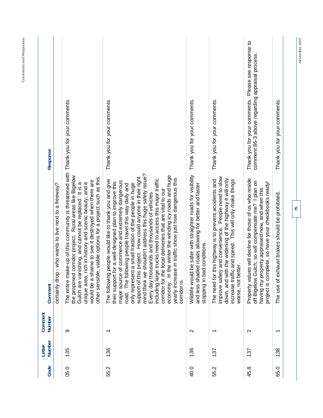| 135<br>05.0 | Number                   | Comment                                                                                                                                                                                                                                                                                                                                                                                                                                                                                                                                                                                                                                                                                                                         | Response                                                                                                 |
|-------------|--------------------------|---------------------------------------------------------------------------------------------------------------------------------------------------------------------------------------------------------------------------------------------------------------------------------------------------------------------------------------------------------------------------------------------------------------------------------------------------------------------------------------------------------------------------------------------------------------------------------------------------------------------------------------------------------------------------------------------------------------------------------|----------------------------------------------------------------------------------------------------------|
|             |                          | who wants to live next to a freeway?<br>certainly drop                                                                                                                                                                                                                                                                                                                                                                                                                                                                                                                                                                                                                                                                          |                                                                                                          |
|             | တ                        | The entire make-up of this community is threatened with<br>the proposed corridor project. Rural areas like Bigelow<br>viable options for a project such as this<br>would be a shame to see it destroyed when there are<br>unique area, rich in history and scenic beauty, and it<br>Gulch are vanishing, and cannot be replaced. It is a<br>other sensible,                                                                                                                                                                                                                                                                                                                                                                     | Thank you for your comments.                                                                             |
| 136<br>55.2 | $\overline{\phantom{0}}$ | mind think we shouldn't address this huge safety issue?<br>economy. In the winter the winding icy roads and huge<br>project. How could anyone in their right<br>yearly increase in traffic show just how dangerous this<br>including large trucks need to access this major traffic<br>The following people would like to thank you and give<br>major source of commerce and extremely dangerous<br>their support for a well-designed plan to improve this<br>a small fraction of the people in huge<br>road. The following people travel this way daily and<br>local deliveries that are vital to our<br>Every day thousands and thousands of vehicles<br>corridor for the<br>only represent<br>support of this<br>corridor is | Thank you for your comments.                                                                             |
| 136<br>40.0 | $\mathbf{\Omega}$        | be safer with straighter roads for visibility Thank you for your comments.<br>and less shaded roads allowing for better and faster<br>stopping in bad conditions.<br>Wildlife would                                                                                                                                                                                                                                                                                                                                                                                                                                                                                                                                             |                                                                                                          |
| 137<br>55.2 | $\overline{\phantom{0}}$ | and convenience. People need to slow<br>down, and with the widening of the highway it will only<br>increase traffic and speed. This will only make things<br>is highway is to prevent accidents and<br>worse, not better.<br>The need for th<br>improve safety                                                                                                                                                                                                                                                                                                                                                                                                                                                                  | Thank you for your comments.                                                                             |
| 137<br>45.8 | $\mathbf{\Omega}$        | Property values will decline for those of us who reside<br>off Bigelow Gulch, so will compensate me? I plan on<br>project is complete, so have your checkbooks ready!<br>having my property appraised now, and when this                                                                                                                                                                                                                                                                                                                                                                                                                                                                                                        | Please see response to<br>comment 86-3 above regarding appraisal process<br>Thank you for your comments. |
| 138<br>65.0 | $\overline{\phantom{0}}$ | The use of exhaust brakes should be prohibited.                                                                                                                                                                                                                                                                                                                                                                                                                                                                                                                                                                                                                                                                                 | Thank you for your comments.                                                                             |

**Comments and Responses**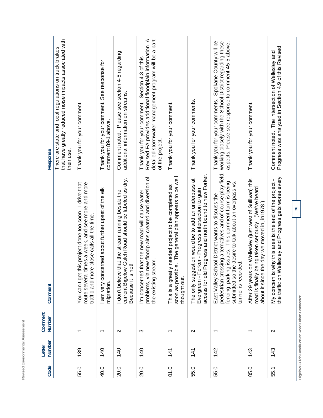| Response                | that have greatly reduced noise impacts associated with<br>There are state and local regulations on truck brakes<br>their use. | Thank you for your comment.                                                                                                                                     | Thank you for your comment. See response for<br>comment 89-1 above. | Comment noted. Please see section 4-5 regarding<br>additional information on streams.                                            | detailed stormwater management program will be a part<br>Revised EA provides additional floodplain information. A<br>Section 4.3 of this<br>Thank you for your comment.<br>of the project. | Thank you for your comment.                                                                                                  | Thank you for your comments.                                                                                                                                              | Spokane County will be<br>ossing alternatives and of course play field, working closely with the School District regarding these<br>aspects. Please see response to comment 45-5 above.<br>Thank you for your comments. | Thank you for your comment.                                                                                                                                        | Progress was analyzed in Section 4.9 of this Revised<br>Comment noted. The intersection of Wellesley and             |    |
|-------------------------|--------------------------------------------------------------------------------------------------------------------------------|-----------------------------------------------------------------------------------------------------------------------------------------------------------------|---------------------------------------------------------------------|----------------------------------------------------------------------------------------------------------------------------------|--------------------------------------------------------------------------------------------------------------------------------------------------------------------------------------------|------------------------------------------------------------------------------------------------------------------------------|---------------------------------------------------------------------------------------------------------------------------------------------------------------------------|-------------------------------------------------------------------------------------------------------------------------------------------------------------------------------------------------------------------------|--------------------------------------------------------------------------------------------------------------------------------------------------------------------|----------------------------------------------------------------------------------------------------------------------|----|
| Comment                 |                                                                                                                                | times a week, and see more and more<br>this project done too soon. I drive that<br>traffic and more close calls all the time.<br>You can't get<br>route several | am very concerned about further upset of the elk<br>migration.      | current Bigelow Gulch Road should be labeled as dry.<br>I don't believe that the stream running beside the<br>Because it is not! | problems, via new floodplains created and diversion of<br>I'm concerned that the new road will cause water<br>the existing stream.                                                         | soon as possible. The general plan appears to be well<br>This is a greatly needed project to be completed as<br>thought out. | d Progress and north bound to new Forker.<br>The only suggestion would be to add an underpass at<br>Forker - Progress intersection to gain<br>access for ol<br>Evergreen- | fencing, parking issues. This comment form is being<br>submitted so the desire to talk about an overpass vs.<br>East Valley School District wants to discuss the<br>tunnel is recorded.<br>pedestrian cr                | After 29 years on Wellesley (just west of Sullivan) this<br>being taken seriously. (We've heard<br>about it since the day we moved in, in1978.)<br>road is finally | Wellesley and Progress gets worse every<br>My concern is why this area is the end of the project -<br>the traffic on | 76 |
| Comment<br>Number       |                                                                                                                                | $\overline{\phantom{0}}$                                                                                                                                        | ↽                                                                   | $\mathbf{\Omega}$                                                                                                                | ო                                                                                                                                                                                          | ᠇                                                                                                                            | Ν                                                                                                                                                                         | ᠇                                                                                                                                                                                                                       | ᠇                                                                                                                                                                  | $\mathbf{\Omega}$                                                                                                    |    |
| <b>Number</b><br>Letter |                                                                                                                                | 139                                                                                                                                                             | $\frac{40}{5}$                                                      | $\frac{140}{1}$                                                                                                                  | $\frac{140}{1}$                                                                                                                                                                            | 141                                                                                                                          | 141                                                                                                                                                                       | 142                                                                                                                                                                                                                     | 143                                                                                                                                                                | 143                                                                                                                  |    |
| Code                    |                                                                                                                                | 55.0                                                                                                                                                            | 40.0                                                                | 20.0                                                                                                                             | 20.0                                                                                                                                                                                       | 0.0                                                                                                                          | 55.0                                                                                                                                                                      | 55.0                                                                                                                                                                                                                    | 05.0                                                                                                                                                               | 55.1                                                                                                                 |    |

**Bigelow Gulch Road/Forker Road Urban Connector** 

Bigelow Gulch Road/Forker Road Urban Connector

**Revised Environmental Assessment** 

Revised Environmental Assessment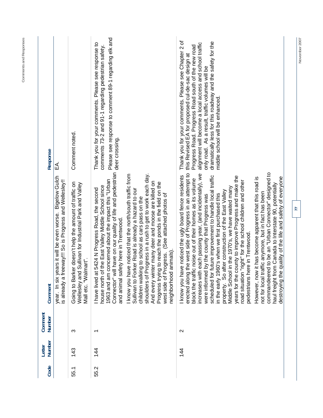| Code | Number<br>Letter | Comment<br>Number        | Comment                                                                                                                                                                                                                                                                                                                                                                                                                                                                                                                                                                                                                                                                                                                                                                                                                                                                                                                                                                         | Response                                                                                                                                                                                                                                                                                                                                                                      |
|------|------------------|--------------------------|---------------------------------------------------------------------------------------------------------------------------------------------------------------------------------------------------------------------------------------------------------------------------------------------------------------------------------------------------------------------------------------------------------------------------------------------------------------------------------------------------------------------------------------------------------------------------------------------------------------------------------------------------------------------------------------------------------------------------------------------------------------------------------------------------------------------------------------------------------------------------------------------------------------------------------------------------------------------------------|-------------------------------------------------------------------------------------------------------------------------------------------------------------------------------------------------------------------------------------------------------------------------------------------------------------------------------------------------------------------------------|
|      |                  |                          | <b>Bigelow Gulch</b><br>is already a freeway!!! So is Progress and Wellesley!!<br>year. In six years it will be even worse.                                                                                                                                                                                                                                                                                                                                                                                                                                                                                                                                                                                                                                                                                                                                                                                                                                                     | ₹                                                                                                                                                                                                                                                                                                                                                                             |
| 55.1 | 143              | ო                        | Going to Barker doesn't help the amount of traffic on<br>Wellesley and Sullivan for Industrial Park and Valley<br>Imart".<br>Mall etc. "Wal                                                                                                                                                                                                                                                                                                                                                                                                                                                                                                                                                                                                                                                                                                                                                                                                                                     | Comment noted.                                                                                                                                                                                                                                                                                                                                                                |
| 55.2 | 14<br>4          | $\overline{\phantom{0}}$ | Connector" will have on our quality of life and pedestrian<br>shoulders of Progress in a rush to get to work each day.<br>I know you have noticed that the north/south traffic from<br>1963 and am concerned about the impact this "Urban<br>iter many deer and moose are killed on<br>Progress trying to reach the ponds in the field on the<br>house north of the East Valley Middle School since<br>5424 N Progress Road, the second<br>Sullivan to Forker Road is already a hazard to our<br>(See attached photos of<br>children walking to school as cars pass on the<br>and animal safety here in Trentwood.<br>animals)<br>rogress.<br>west side of P<br>neighborhood<br>I have lived at<br>And every wir                                                                                                                                                                                                                                                                | Please see response to comment 89-1 regarding elk and<br>Thank you for your comments. Please see response to<br>comments 73-2 and 91-1 regarding pedestrian safety.<br>deer crossing.                                                                                                                                                                                         |
|      | $\frac{44}{5}$   | $\mathbf{\Omega}$        | erected along the west side of Progress in an attempt to<br>commandeered to be an "Urban Connector" designed to<br>increases with each passing year, (and incidentally), we<br>I know you have noticed the ugly board fence residents<br>scheduled for future improvement to handle local traffic<br>years for the county to improve Progress and make the<br>destroying the quality of the life and safety of everyone<br>However, now it has become apparent that this road is<br>ic noise out of their homes as its volume<br>road situation "right" for the school children and other<br>haul freight from Canada to Interstate 90, potentially<br>property. So after construction of the East Valley<br>Middle School in the 1970's, we have waited many<br>not for local traffic anymore, but in fact has been<br>in the early 1960's when we first purchased this<br>were informed by the county that Progress was<br>pedestrians here in Trentwood.<br>block the traffi | Thank you for your comments. Please see Chapter 2 of<br>dramatically less for this roadway and the safety for the<br>alignment will become a local access and school traffic<br>Progress Road. Progress Road south of the new road<br>this Revised EA for proposed cul-de-sac design at<br>only road. As a result, traffic volumes will be<br>middle school will be enhanced. |
|      |                  |                          | $\overline{7}$                                                                                                                                                                                                                                                                                                                                                                                                                                                                                                                                                                                                                                                                                                                                                                                                                                                                                                                                                                  |                                                                                                                                                                                                                                                                                                                                                                               |

November 2007

**Comments and Responses**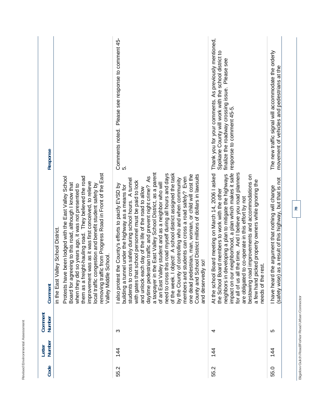| <b>A A 15</b><br>CCCCCC<br>$\prec$<br>l   |  |
|-------------------------------------------|--|
| <b>Environmont</b><br>Ì<br><b>Douglas</b> |  |

| Thank you for your comments. As previously mentioned,<br>Spokane County will work with the school district to<br>finalize the roadway crossing issue. Please see<br>response to comment 45-5.<br>neighborhood, a plan which makes it safe<br>the time. And I believe you road planners<br>Board meeting on March 14, 2006 I asked<br>neighbors in developing a plan to mitigate the highways<br>bestowing road improvements and accommodations on<br>a few hand picked property owners while ignoring the<br>the School Board members to work with the other<br>to co-operate in this effort by not<br>needs of the rest.<br>impact on our<br>are obligated t<br>for all of us all<br>At the school<br>4<br>$\frac{44}{3}$ | removing traffic from Progress Road in Front of the East<br>ght-hauling road. They believed the road<br>Protests have been lodged with the East Valley School<br>improvement was as it was first conceived, to relieve<br>Board for agreeing to this road, although I know that<br>local traffic congestion and benefit student safety by<br>when they did so years ago, it was not presented to<br>in the East Valley School District.<br>School.<br>them as a frei<br>Valley Middle                                                                                                                                                                                                                                                                                                                                                                                                                                                                                    | Response<br>Comment<br>Comment<br>Number<br>Number<br>Letter |  |
|----------------------------------------------------------------------------------------------------------------------------------------------------------------------------------------------------------------------------------------------------------------------------------------------------------------------------------------------------------------------------------------------------------------------------------------------------------------------------------------------------------------------------------------------------------------------------------------------------------------------------------------------------------------------------------------------------------------------------|--------------------------------------------------------------------------------------------------------------------------------------------------------------------------------------------------------------------------------------------------------------------------------------------------------------------------------------------------------------------------------------------------------------------------------------------------------------------------------------------------------------------------------------------------------------------------------------------------------------------------------------------------------------------------------------------------------------------------------------------------------------------------------------------------------------------------------------------------------------------------------------------------------------------------------------------------------------------------|--------------------------------------------------------------|--|
|                                                                                                                                                                                                                                                                                                                                                                                                                                                                                                                                                                                                                                                                                                                            | Please see response to comment 45-<br>Comments noted.<br>ທ່<br>the East Valley School District, as a parent<br>this road myself during all hours and days<br>object! A school district assigned the task<br>one dead pedestrian, man, woman, or child will cost the<br>County and School District millions of dollars in lawsuits<br>daytime pedestrian traffic and prevent night crime? As<br>members and students can cross a road safely? Even<br>of controlling who and when community<br>students to cross safely during school hours. A tunnel<br>with gates that school personnel must be paid to lock<br>lley student and as a neighbor who will<br>the County's efforts to pacify EVSD by<br>building a tunnel under the highway as a means for<br>and unlock each day of the life of the road to allow<br>ly so!<br>and deserved<br>of an East Val<br>by the County<br>also protest<br>a taxpayer in<br>need to cross<br>of the week. I<br>Ω<br>$\frac{44}{3}$ |                                                              |  |
|                                                                                                                                                                                                                                                                                                                                                                                                                                                                                                                                                                                                                                                                                                                            |                                                                                                                                                                                                                                                                                                                                                                                                                                                                                                                                                                                                                                                                                                                                                                                                                                                                                                                                                                          |                                                              |  |

Bigelow Gulch Road/Forker Road Urban Connector **Bigelow Gulch Road/Forker Road Urban Connector**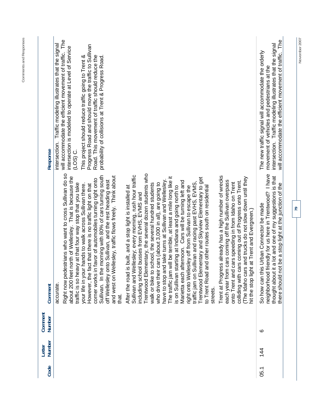| Code | Number<br>Letter | Comment<br>Number | Comment                                                                                                                                                                                                                                                                                                                                                                                                                                                                                                                                                                                                                                                                                                                                                                                                                                                                                                                                                                                                                                                                                                                                                                                                                                                                                                                                                                                                                                                                                                                                                                                                                                                                                                                                                                 | Response                                                                                                                                                                                                                                                                                                                                                                                                                 |
|------|------------------|-------------------|-------------------------------------------------------------------------------------------------------------------------------------------------------------------------------------------------------------------------------------------------------------------------------------------------------------------------------------------------------------------------------------------------------------------------------------------------------------------------------------------------------------------------------------------------------------------------------------------------------------------------------------------------------------------------------------------------------------------------------------------------------------------------------------------------------------------------------------------------------------------------------------------------------------------------------------------------------------------------------------------------------------------------------------------------------------------------------------------------------------------------------------------------------------------------------------------------------------------------------------------------------------------------------------------------------------------------------------------------------------------------------------------------------------------------------------------------------------------------------------------------------------------------------------------------------------------------------------------------------------------------------------------------------------------------------------------------------------------------------------------------------------------------|--------------------------------------------------------------------------------------------------------------------------------------------------------------------------------------------------------------------------------------------------------------------------------------------------------------------------------------------------------------------------------------------------------------------------|
|      |                  |                   | Right now pedestrians who want to cross Sullivan do so<br>Trentwood Elementary, the several dozen students who<br>Sullivan and Wellesley; every morning, rush hour traffic<br>Sullivan. In the morning with 80% of cars turning south<br>Trent at Progress already has a high number of wrecks<br>and west on Wellesley, traffic flows freely. Think about<br>about 200 feet north of Wellesley. That is because the<br>The traffic jam will be terrible, at least a mile long like it<br>(The Idaho cars and trucks do not slow down until they<br>Trentwood Elementary and Skyview Elementary to get<br>corner works in favor of automobiles turning right onto<br>off Wellesley onto Sullivan, and the rest heading east<br>have to stop and take turns at Sullivan and Wellesley.<br>each year from cars coming off the Sullivan overpass<br>afternoon. Cars will be turning left and<br>colliding with cars coming out of Progress onto Trent.<br>cars speeding in from Idaho on Trent<br>traffic jam on Sullivan and racing past EVHS, EVMS,<br>who drive their cars (about 3,000 in all), are going to<br>traffic is so heavy at that four way stop that you take<br>school, the several hundred students<br>However, the fact that there is no traffic light on that<br>your life in your hands to walk across Sullivan there.<br>s built, and a stop light is installed at<br>is on Sullivan starting at Indiana and going north to<br>right onto Wellesley off from Sullivan to escape the<br>and other routes south on residential<br>including school busses from EVHS, EVMS and<br>hit the stop light at Trent and Evergreen.)<br>After the road i<br>walk or bike to<br>onto Trent and<br>Marietta each<br>to Trent Road<br>accurate<br>streets.<br>that. | will accommodate the efficient movement of traffic. The<br>intersection. Traffic modeling illustrates that the signal<br>Progress Road and should move the traffic to Sullivan<br>intersection is modeled to operate at Level of Service<br>Road. This movement of traffic should reduce the<br>This project should reduce traffic going to Trent &<br>probability of collisions at Trent & Progress Road.<br>$(LOS)$ C. |
| 05.1 | $\frac{4}{4}$    | ဖ                 | friendly for us here in Trentwood? I have<br>it a lot and one of my suggestions is that<br>there should not be a stop light at the junction of the<br>is Urban Connector be made<br>So how can thi<br>neighborhood<br>thought about                                                                                                                                                                                                                                                                                                                                                                                                                                                                                                                                                                                                                                                                                                                                                                                                                                                                                                                                                                                                                                                                                                                                                                                                                                                                                                                                                                                                                                                                                                                                     | The<br>intersection. Traffic modeling illustrates that the signal<br>The new traffic signal will accommodate the orderly<br>will accommodate the efficient movement of traffic.<br>movement of vehicles and pedestrians at the                                                                                                                                                                                           |
|      |                  |                   | 20                                                                                                                                                                                                                                                                                                                                                                                                                                                                                                                                                                                                                                                                                                                                                                                                                                                                                                                                                                                                                                                                                                                                                                                                                                                                                                                                                                                                                                                                                                                                                                                                                                                                                                                                                                      | November 2007                                                                                                                                                                                                                                                                                                                                                                                                            |

**Comments and Responses**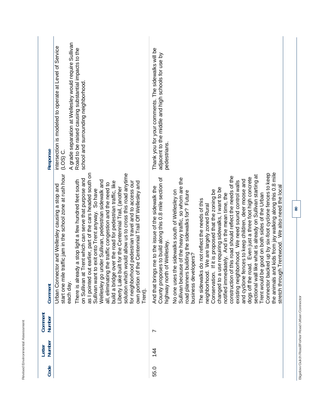| Response          | A grade separation at Wellesley would require Sullivan<br>intersection is modeled to operate at Level of Service<br>Road to be raised causing substantial impacts to the<br>school and surrounding neighborhood<br>$(LOS)$ C.                                                                                                                                                                                                                                                                                                                                                                                                                                                                                                                                                                              | Thank you for your comments. The sidewalks will be<br>adjacent to the middle and high schools for use by<br>pedestrians.                                                                                                                                                                                                                                                                                                                                                                                                                                                                                                                                                                                                                                                                                                                                                                                                                                                                                                                                                                                                                       |
|-------------------|------------------------------------------------------------------------------------------------------------------------------------------------------------------------------------------------------------------------------------------------------------------------------------------------------------------------------------------------------------------------------------------------------------------------------------------------------------------------------------------------------------------------------------------------------------------------------------------------------------------------------------------------------------------------------------------------------------------------------------------------------------------------------------------------------------|------------------------------------------------------------------------------------------------------------------------------------------------------------------------------------------------------------------------------------------------------------------------------------------------------------------------------------------------------------------------------------------------------------------------------------------------------------------------------------------------------------------------------------------------------------------------------------------------------------------------------------------------------------------------------------------------------------------------------------------------------------------------------------------------------------------------------------------------------------------------------------------------------------------------------------------------------------------------------------------------------------------------------------------------------------------------------------------------------------------------------------------------|
| Comment           | start one mile traffic jam in the school zone at rush hour<br>as I pointed out earlier, part of the cars headed south on<br>solution which would allow us to cross this road anytime<br>Trent which can serve that purpose and<br>There is already a stop light a few hundred feet south<br>under Sullivan, pedestrian sidewalk and<br>for neighborhood pedestrian travel and to access our<br>build a bridge over the road for pedestrian traffic, like<br>own portion of the Centennial Trail Off Wellesley and<br>all, eliminating the traffic congestion and the need to<br>Urban Connector and Wellesley causing a stop and<br>ouilt for the Centennial Trail, (another<br>Sullivan want to exit onto Trent anyway. So have<br>on Sullivan at<br>Wellesley go<br>Liberty Lake<br>each day.<br>Trent). | the animals and kids from jay walking along this 0.8 mile<br>Connector backed up by six-foot cyclone fences to keep<br>like what is already on Sullivan starting at<br>construction of this road should reflect the needs of the<br>dogs off the road. Even just a three foot high concrete<br>County proposes to build along this 0.8 mile section of<br>Sullivan because of the heavy traffic, so whom are the<br>and cyclone fences to keep children, deer moose and<br>existing neighborhood. We need sound control walls<br>stretch through Trentwood. We also need the local<br>And that brings me to the issue of the sidewalk the<br>use requiring sidewalks, I want to be<br>Conservation. If it is proposed that the zoning be<br>the sidewalks south of Wellesley on<br>road planners building the sidewalks for? Future<br>notified immediately. And in the mean time, the<br>Trent would be good on both sides of the Urban<br>The sidewalks do not reflect the needs of this<br>neighborhood. We are largely zoned Rural<br>highway north of Wellesley.<br>business developers?<br>changed to a<br>No one uses<br>sectional wall |
| Comment<br>Number |                                                                                                                                                                                                                                                                                                                                                                                                                                                                                                                                                                                                                                                                                                                                                                                                            | Ľ                                                                                                                                                                                                                                                                                                                                                                                                                                                                                                                                                                                                                                                                                                                                                                                                                                                                                                                                                                                                                                                                                                                                              |
| Number<br>Letter  |                                                                                                                                                                                                                                                                                                                                                                                                                                                                                                                                                                                                                                                                                                                                                                                                            | 14<br>4                                                                                                                                                                                                                                                                                                                                                                                                                                                                                                                                                                                                                                                                                                                                                                                                                                                                                                                                                                                                                                                                                                                                        |
| Code              |                                                                                                                                                                                                                                                                                                                                                                                                                                                                                                                                                                                                                                                                                                                                                                                                            | 55.0                                                                                                                                                                                                                                                                                                                                                                                                                                                                                                                                                                                                                                                                                                                                                                                                                                                                                                                                                                                                                                                                                                                                           |

**Revised Environmental Assessment** 

Revised Environmental Assessment

Bigelow Gulch Road/Forker Road Urban Connector **Bigelow Gulch Road/Forker Road Urban Connector**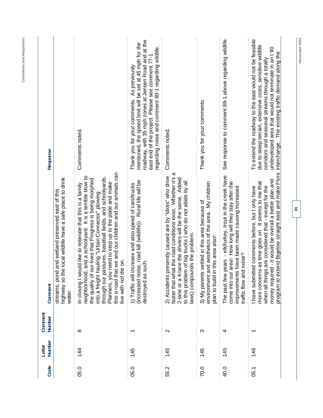| Response          |                                                                                                                        | Comments noted.                                                                                                                                                                                                                                                                                                                                                                                                                                 | roadway, with 35 mph zones at Jensen Road and at the<br>mentioned, the speed limit will be set at 45 mph for the<br>regarding noise and comment 89-1 regarding wildlife.<br>east end of the project. Please see comment 77-1<br>As previously<br>Thank you for your comments. | Comments noted.                                                                                                                                                                                                                                                              | Thank you for your comments.                                                                                                                   | See response to comment 89-1 above regarding wildlife.                                                                                                                                             | To extend the roadway to the east would not be feasible<br>due to steep terrain, extensive costs, sensitive wildlife<br>undeveloped area that would not terminate in an I 90<br>interchange. The existing traffic demand along the<br>corridors and seasonal streams through a totally |   |
|-------------------|------------------------------------------------------------------------------------------------------------------------|-------------------------------------------------------------------------------------------------------------------------------------------------------------------------------------------------------------------------------------------------------------------------------------------------------------------------------------------------------------------------------------------------------------------------------------------------|-------------------------------------------------------------------------------------------------------------------------------------------------------------------------------------------------------------------------------------------------------------------------------|------------------------------------------------------------------------------------------------------------------------------------------------------------------------------------------------------------------------------------------------------------------------------|------------------------------------------------------------------------------------------------------------------------------------------------|----------------------------------------------------------------------------------------------------------------------------------------------------------------------------------------------------|----------------------------------------------------------------------------------------------------------------------------------------------------------------------------------------------------------------------------------------------------------------------------------------|---|
| Comment           | highway so the local wildlife have a safe place to drink<br>streams, pond and wetland preserved east of this<br>water. | this a road that we and our children and our animals can<br>neighborhood, and a schoolyard. It is a terrible blow to<br>through our pastures, baseball fields, and schoolyards.<br>the quality of our lives that Progress is being morphed<br>Planners, you need to step up to the plate and make<br>In closing I would like to reiterate that this is a family<br>hauling "Urban Connector" plowing<br>live with not die on.<br>into a freight | (increased noise, road kill (wildlife)). Rural life will be<br>increase and also speed of cars/trucks<br>such.<br>destroyed as<br>1) Traffic will                                                                                                                             | faster that what the road conditions exist. Whether it's a<br>presently caused are by "idiots" who drive<br>2-lane or a 4-lane the drivers will be the same. Added<br>to this problem of big trucks (who do not abide by all<br>laws) compounds the problem.<br>2) Accidents | and aesthetics of the area. My children<br>3) My parents settled in this area because of<br>in this area also!<br>environment<br>plan to build | The past few years - elk/turkey, trout in the creek have<br>come into our area! How long will they stay after the<br>improvements have been made causing increased<br>id noise?<br>traffic flow ar | program to extend Bigelow straight east and make Flora<br>money required - it would be overall a better plan and<br>more concerns as time goes on. It seems to me that<br>when all things are considered that - except for the<br>I have submitted comments before, but I only have    | 5 |
| Comment<br>Number |                                                                                                                        | $^{\circ}$                                                                                                                                                                                                                                                                                                                                                                                                                                      | $\overline{\phantom{0}}$                                                                                                                                                                                                                                                      | $\mathbf{\Omega}$                                                                                                                                                                                                                                                            | က                                                                                                                                              | 4                                                                                                                                                                                                  | $\overline{\phantom{0}}$                                                                                                                                                                                                                                                               |   |
| Number<br>Letter  |                                                                                                                        | 144                                                                                                                                                                                                                                                                                                                                                                                                                                             | 145                                                                                                                                                                                                                                                                           | 145                                                                                                                                                                                                                                                                          | 145                                                                                                                                            | 145                                                                                                                                                                                                | 146                                                                                                                                                                                                                                                                                    |   |
| Code              |                                                                                                                        | 05.0                                                                                                                                                                                                                                                                                                                                                                                                                                            | 05.0                                                                                                                                                                                                                                                                          | 55.2                                                                                                                                                                                                                                                                         | 70.0                                                                                                                                           | 40.0                                                                                                                                                                                               | 05.1                                                                                                                                                                                                                                                                                   |   |

November 2007

**Comments and Responses**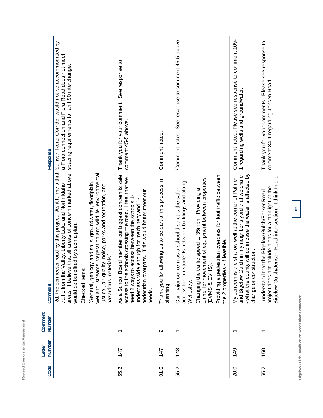|             |                          | As it funnels that<br>Rd. the connector road by this project.                                                                                                                                                                                                              | Sullivan Road Corridor would not be accommodated by                                              |
|-------------|--------------------------|----------------------------------------------------------------------------------------------------------------------------------------------------------------------------------------------------------------------------------------------------------------------------|--------------------------------------------------------------------------------------------------|
|             |                          | areas. I believe that all areas of concern marked above<br>traffic from the Valley, Liberty Lake and North Idaho<br>would be benefited by such a plan.<br>Checked items:                                                                                                   | a Flora connection and Flora Road does not meet<br>spacing requirements for an I 90 interchange. |
|             |                          | wetland, streams, vegetation and wildlife, environmental<br>[General, geology and soils, groundwater, floodplain,<br>justice,, air quality, noise, parks and recreation, and<br>hazardous materials.]                                                                      |                                                                                                  |
| 147<br>55.2 | $\overline{\phantom{0}}$ | As a School Board member our biggest concern is safe<br>access to the schools crossing the road. I feel that we<br>pedestrian overpass. This would better meet our<br>need 2 ways to access between the schools 1-<br>underpass wide enough for machinery and 1-<br>needs. | See response to<br>Thank you for your comment.<br>comment 45-5 above.                            |
| 147<br>01.0 | $\mathbf{\Omega}$        | Thank you for allowing us to be part of this process in<br>planning.                                                                                                                                                                                                       | Comment noted.                                                                                   |
| 148<br>55.2 | $\overline{\phantom{0}}$ | students between buildings and along<br>Our major concern as a school district is the safer<br>access for our<br>Wellesley                                                                                                                                                 | Comment noted. See response to comment 45-5 above.                                               |
|             |                          | tunnel for movement of equipment between properties<br>Changing the traffic speed to 35mph. Providing a<br>(EVMS & EVHS)                                                                                                                                                   |                                                                                                  |
|             |                          | Providing a pedestrian overpass for foot traffic between<br>the 2 properties - if feasible.                                                                                                                                                                                |                                                                                                  |
| 149<br>20.0 | ᠇                        | - what the county will do in case the water is affected by<br>and Bigelow Gulch in my neighbor's yard that we share<br>the shallow well at the corner of Palmer<br>change or construction.<br>My concern is t                                                              | Comment noted. Please see response to comment 109-<br>1 regarding wells and groundwater.         |
| 150<br>55.2 | $\overline{\phantom{0}}$ | Bigelow Gulch/Jensen Road intersection. I think this is<br>project does not include plans for a stoplight at the<br>at the Bigelow Gulch/Forker Road<br>I understand th                                                                                                    | Please see response to<br>comment 84-1 regarding Jensen Road.<br>Thank you for your comments.    |

**Bigelow Gulch Road/Forker Road Urban Connector** 

Bigelow Gulch Road/Forker Road Urban Connector

**82** 

**Revised Environmental Assessment** 

Revised Environmental Assessment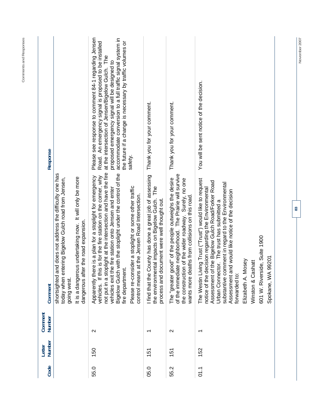| Code | Number<br>Letter | Comment<br>Number        | Comment                                                                                                                                                                                                                                                                                                                                                                                                                                        | Response                                                                                                                                                                                                                                                                                                                                                |
|------|------------------|--------------------------|------------------------------------------------------------------------------------------------------------------------------------------------------------------------------------------------------------------------------------------------------------------------------------------------------------------------------------------------------------------------------------------------------------------------------------------------|---------------------------------------------------------------------------------------------------------------------------------------------------------------------------------------------------------------------------------------------------------------------------------------------------------------------------------------------------------|
|      |                  |                          | shortsighted and does not address the difficulty one has<br>It is a dangerous undertaking now. It will only be more<br>ntering Bigelow Gulch road from Jensen,<br>dangerous after the road expansion.<br>today when ei<br>going west.                                                                                                                                                                                                          |                                                                                                                                                                                                                                                                                                                                                         |
| 55.0 | 150              | $\sim$                   | not put in a stoplight at the intersection and have the fire<br>Bigelow Gulch with the stoplight under the control of the<br>vehicles. If this is for the fire station on the corner, why<br>Apparently there is a plan for a stoplight for emergency<br>Please re-consider a stoplight or some other traffic<br>vehicles exit the fire station onto Jensen and enter<br>at the Jensen Road Intersection.<br>fire department.<br>control means | Please see response to comment 84-1 regarding Jensen<br>accommodate conversion to a full traffic signal system in<br>the future if a change is necessary by traffic volumes or<br>Road. An emergency signal is proposed to be installed<br>at the intersection of Jensen/Bigelow Gulch. The<br>proposed emergency signal will be designed to<br>safety. |
| 05.0 | 151              |                          | County has done a great job of assessing<br>the environmental impacts on Bigelow Gulch. The<br>process and document were well thought out.<br>I find that the                                                                                                                                                                                                                                                                                  | Thank you for your comment.                                                                                                                                                                                                                                                                                                                             |
| 55.2 | 151              | $\mathbf{\Omega}$        | of the immediate neighborhood. The Prairie will survive<br>The "greater good" of the people outweighs the desire<br>the construction of the wider roadway. Surely, no one<br>wants more deaths from collisions on this road.                                                                                                                                                                                                                   | Thank you for your comment.                                                                                                                                                                                                                                                                                                                             |
| 5.1  | 152              | $\overline{\phantom{0}}$ | The Westin Living Trust ("Trust") would like to request<br>Assessment of the Bigelow Gulch Road/Forker Road<br>substantive comment in regard to the Environmental<br>notice of the decision regarding the Environmental<br>Assessment and would like notice of the decision<br>Urban Connector. The trust has submitted a<br>601 W. Riverside, Suite 1900<br>99201<br>Elizabeth A. Mosey<br>Winston & Cashatt<br>Spokane, WA<br>forwarded to:  | You will be sent notice of the decision.                                                                                                                                                                                                                                                                                                                |

**Comments and Responses** 

Comments and Responses

November 2007 **November 2007**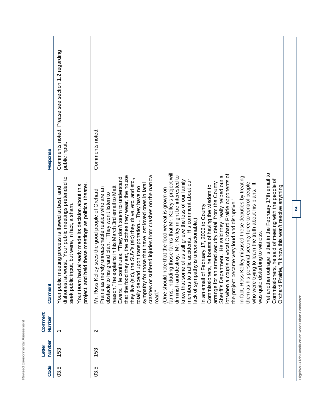| ı<br>Ï<br>Ï<br>ł<br>١<br>I<br>ł<br>ì<br>I | <b>Service Service</b> |
|-------------------------------------------|------------------------|

|                   | Comments noted. Please see section 1.2 regarding                                                                                                                                                                                                                             |                                                                                                                                                                                                                                                                                                                                                                                                                                                                                                                                                                                                                                                                                                                                                                                                                                                                                                                                                                                                                                                                                                                                                                                                                                                                                                                                                                                                                                                                                                                                                                                                                                                                          |  |
|-------------------|------------------------------------------------------------------------------------------------------------------------------------------------------------------------------------------------------------------------------------------------------------------------------|--------------------------------------------------------------------------------------------------------------------------------------------------------------------------------------------------------------------------------------------------------------------------------------------------------------------------------------------------------------------------------------------------------------------------------------------------------------------------------------------------------------------------------------------------------------------------------------------------------------------------------------------------------------------------------------------------------------------------------------------------------------------------------------------------------------------------------------------------------------------------------------------------------------------------------------------------------------------------------------------------------------------------------------------------------------------------------------------------------------------------------------------------------------------------------------------------------------------------------------------------------------------------------------------------------------------------------------------------------------------------------------------------------------------------------------------------------------------------------------------------------------------------------------------------------------------------------------------------------------------------------------------------------------------------|--|
| Response          | public input.                                                                                                                                                                                                                                                                | Comments noted.                                                                                                                                                                                                                                                                                                                                                                                                                                                                                                                                                                                                                                                                                                                                                                                                                                                                                                                                                                                                                                                                                                                                                                                                                                                                                                                                                                                                                                                                                                                                                                                                                                                          |  |
| Comment           | dishonest at worst. Your public meetings pretended to<br>project, and held these meetings as political theater.<br>Your team had already made its decision about this<br>Your public meeting process is flawed at best, and<br>seek public input, but were, in fact, a sham. | farms, including those farms that Mr. Kelley's project will<br>Yet another outrage is that in the February 17th email to<br>lot when a couple of vocal Orchard Prairie opponents of<br>that the food they eat, the clothes they wear, the house<br>ered injuries from crashes on the narrow<br>diminish and destroy. Mr. Kelley might be interested to<br>Sheriff's Department. He said they "really helped out a<br>In fact, Ross Kelley misused these deputies by treating<br>Ewers. He continues, "They don't seem to understand<br>the SUV's (sic) they drive, etc. and etc.,<br>Commissioners, he said of meeting with the people of<br>members to traffic accidents. His comment about our<br>know that some of us still grieve the loss of our family<br>arrange for an armed security detail from the County<br>them as his personal security force to control people<br>who were trying to learn the truth about his plans. It<br>sympathy for those that have lost loved ones in fatal<br>Commissioners, he boasts of having the wisdom to<br>Orchard Prairie, "I know this won't resolve anything<br>reason," he explains in his March 3rd email to Matt<br>upon transportation They have no<br>Prairie as merely unreasonable rustics who are an<br>One should note that the food we eat is grown on<br>Mr. Ross Kelley sees the good people of Orchard<br>obstacle to his grand plan. "They won't listen to<br>the project became very loud and disruptive.<br>February 17, 2006 to County<br>lack of sympathy is unconscionable.)<br>was quite disturbing to witness.<br>crashes or suff<br>totally depend<br>In an email of<br>they live (sic),<br>road." |  |
| Comment<br>Number |                                                                                                                                                                                                                                                                              | $\sim$                                                                                                                                                                                                                                                                                                                                                                                                                                                                                                                                                                                                                                                                                                                                                                                                                                                                                                                                                                                                                                                                                                                                                                                                                                                                                                                                                                                                                                                                                                                                                                                                                                                                   |  |
| Number<br>Letter  | 153                                                                                                                                                                                                                                                                          | 153                                                                                                                                                                                                                                                                                                                                                                                                                                                                                                                                                                                                                                                                                                                                                                                                                                                                                                                                                                                                                                                                                                                                                                                                                                                                                                                                                                                                                                                                                                                                                                                                                                                                      |  |
| Code              | 03.5                                                                                                                                                                                                                                                                         | 03.5                                                                                                                                                                                                                                                                                                                                                                                                                                                                                                                                                                                                                                                                                                                                                                                                                                                                                                                                                                                                                                                                                                                                                                                                                                                                                                                                                                                                                                                                                                                                                                                                                                                                     |  |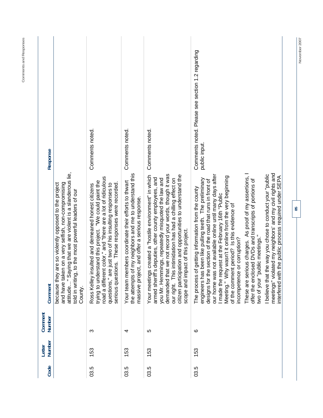| Response          |                                                                                                                                                                                                                                               | Comments noted.                                                                                                                                                                                                                                                                              | Comments noted.                                                                                                                                                         | Comments noted.                                                                                                                                                                                                                                                                                                                                                                                        | Comments noted. Please see section 1.2 regarding<br>public input.                                                                                                                                                                                                                                                                                                                                                                 |                                                                                                                                                   |                                                                                                                                                                                |
|-------------------|-----------------------------------------------------------------------------------------------------------------------------------------------------------------------------------------------------------------------------------------------|----------------------------------------------------------------------------------------------------------------------------------------------------------------------------------------------------------------------------------------------------------------------------------------------|-------------------------------------------------------------------------------------------------------------------------------------------------------------------------|--------------------------------------------------------------------------------------------------------------------------------------------------------------------------------------------------------------------------------------------------------------------------------------------------------------------------------------------------------------------------------------------------------|-----------------------------------------------------------------------------------------------------------------------------------------------------------------------------------------------------------------------------------------------------------------------------------------------------------------------------------------------------------------------------------------------------------------------------------|---------------------------------------------------------------------------------------------------------------------------------------------------|--------------------------------------------------------------------------------------------------------------------------------------------------------------------------------|
| Comment           | attitude" Saying that we are violent is a slanderous lie,<br>and have taken on a very selfish, non-compromising<br>are so violently opposed to the project<br>told in writing, to the most powerful leaders of our<br>because they<br>County. | road a different color," and "there are a lot of ridiculous<br>trying to understand this project. "We could paint the<br>serious questions. These responses were recorded<br>questions," are just two of his insulting responses to<br>nsulted and demeaned honest citizens<br>Ross Kelley i | of my neighbors and me to understand this<br>embers coordinate their efforts to thwart<br>massive project, and offer a serious response.<br>Your team m<br>the attempts | demanded that we not record your words, though it was<br>citizen participation and opportunities to understand the<br>is created a "hostile environment" in which<br>'s deputies, other county employees, and<br>our right. This intimidation has had a chilling effect on<br>you Mr. Hemmings, repeatedly misquoted the law and<br>scope and impact of this project.<br>Your meeting<br>armed sheriff | our home was not available online until many days after<br>Meeting." Why wasn't it online from the very beginning<br>engineers has been like pulling teeth. The preliminary<br>designs for the section of the road that runs in front of<br>of getting information from the county<br>I made the request at the February 16th "Public<br>of the comment period? Is this evidence of<br>incompetence or corruption?<br>The process | These are serious charges. As proof of my assertions,<br>offer the enclosed DVDs and transcripts of portions of<br>two of your "public meetings." | meetings" violated my neighbors' and my civil rights and<br>I believe that the way you chose to conduct your "public<br>interfered with the public process required under SEPA |
| Comment<br>Number |                                                                                                                                                                                                                                               | ო                                                                                                                                                                                                                                                                                            | 4                                                                                                                                                                       | LO                                                                                                                                                                                                                                                                                                                                                                                                     | ဖ                                                                                                                                                                                                                                                                                                                                                                                                                                 |                                                                                                                                                   |                                                                                                                                                                                |
| Number<br>Letter  |                                                                                                                                                                                                                                               | 53                                                                                                                                                                                                                                                                                           | 53<br>$\overline{\phantom{0}}$                                                                                                                                          | 153                                                                                                                                                                                                                                                                                                                                                                                                    | 53                                                                                                                                                                                                                                                                                                                                                                                                                                |                                                                                                                                                   |                                                                                                                                                                                |
| Code              |                                                                                                                                                                                                                                               | 03.5                                                                                                                                                                                                                                                                                         | 03.5                                                                                                                                                                    | 03.5                                                                                                                                                                                                                                                                                                                                                                                                   | 03.5                                                                                                                                                                                                                                                                                                                                                                                                                              |                                                                                                                                                   |                                                                                                                                                                                |

Comments and Responses **Comments and Responses** 

**85** 

November 2007 **November 2007**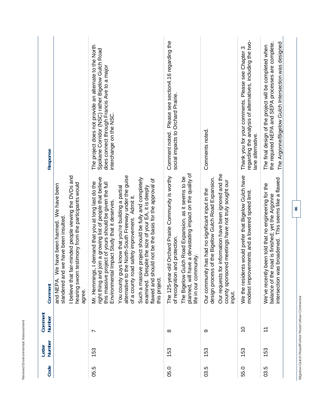| Response          |                                                                                                                                                                                                                 | The project does not provide an alternate to the North<br>Spokane Corridor (NSC) rather Bigelow Gulch Road<br>does connect through Francis Ave to a major<br>interchange on the NSC.                                                                                                                                                                                                                                                                                                                                                                                                      | Please see section4.16 regarding the<br>social impacts to Orchard Prairie.<br>Comment noted.                                                                                                                                                   | Comments noted.                                                                                                                                                                                                                     | regarding the analysis of alternatives, including the two-<br>Thank you for your comments. Please see Chapter 3<br>lane alternative. | The Argonne/Bigelow Gulch Intersection was designed<br>the required NEPA and SEPA processes are complete.<br>The final design of the project will be completed when |                                                |
|-------------------|-----------------------------------------------------------------------------------------------------------------------------------------------------------------------------------------------------------------|-------------------------------------------------------------------------------------------------------------------------------------------------------------------------------------------------------------------------------------------------------------------------------------------------------------------------------------------------------------------------------------------------------------------------------------------------------------------------------------------------------------------------------------------------------------------------------------------|------------------------------------------------------------------------------------------------------------------------------------------------------------------------------------------------------------------------------------------------|-------------------------------------------------------------------------------------------------------------------------------------------------------------------------------------------------------------------------------------|--------------------------------------------------------------------------------------------------------------------------------------|---------------------------------------------------------------------------------------------------------------------------------------------------------------------|------------------------------------------------|
| Comment           | I believe that fair-minded people viewing the DVDs and<br>hearing sworn testimony from the participants would<br>We have been harmed. We have been<br>slandered and we have been insulted<br>and NEPA<br>agree. | alternative to the North-South Freeway under the guise<br>right thing and join a growing list of people that believe<br>Such a massive project should be fully and completely<br>flawed and should not be the basis for the approval of<br>Mr. Hemmings, I demand that you at long last do the<br>this massive project of yours should be given the full<br>examined. Despite the size of your EA, it is deeply<br>You county guys know that you're building a partial<br>of a county road safety improvement. Admit it.<br>Environmental Impact Study that it deserves.<br>this project. | have a devastating impact on the quality of<br>r-old Orchard Prairie Community is worthy<br>Gulch Road Expansion, as it seems to be<br>of recognition and protection.<br>life in our community.<br>The 125-yea<br>The Bigelow<br>planned, will | Our requests for information have been ignored and the<br>design process of the Bigelow Gulch Road Expansion.<br>county sponsored meetings have not truly sought our<br>Our community has had no significant input in the<br>input. | We the residents would prefer that Bigelow Gulch have<br>modest improvements and a lowered speed limit.                              | intersection was broadened. This seems like a flawed<br>We've recently been told that no engineering for the<br>balance of the road is finished; yet the Argonne    | 86                                             |
| Comment<br>Number |                                                                                                                                                                                                                 | N                                                                                                                                                                                                                                                                                                                                                                                                                                                                                                                                                                                         | $\infty$                                                                                                                                                                                                                                       | တ                                                                                                                                                                                                                                   | $\overline{0}$                                                                                                                       | $\overline{\mathbf{r}}$                                                                                                                                             | Bigelow Gulch Road/Forker Road Urban Connector |
| Number<br>Letter  |                                                                                                                                                                                                                 | 153                                                                                                                                                                                                                                                                                                                                                                                                                                                                                                                                                                                       | 153                                                                                                                                                                                                                                            | 153                                                                                                                                                                                                                                 | 153                                                                                                                                  | 153                                                                                                                                                                 |                                                |
| Code              |                                                                                                                                                                                                                 | 05.5                                                                                                                                                                                                                                                                                                                                                                                                                                                                                                                                                                                      | 05.0                                                                                                                                                                                                                                           | 03.5                                                                                                                                                                                                                                | 55.0                                                                                                                                 | 03.5                                                                                                                                                                |                                                |

**Revised Environmental Assessment** 

Revised Environmental Assessment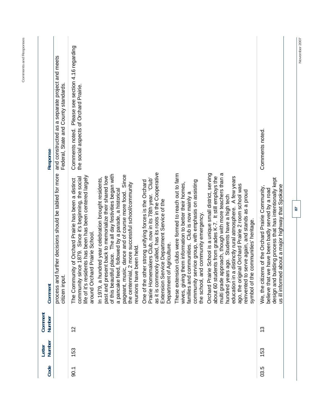| Code | Number<br>Letter | Comment<br><b>Number</b> | Comment                                                                                                                                                                                                                                                                                                                                                                                                                                             | Response                                                                                    |
|------|------------------|--------------------------|-----------------------------------------------------------------------------------------------------------------------------------------------------------------------------------------------------------------------------------------------------------------------------------------------------------------------------------------------------------------------------------------------------------------------------------------------------|---------------------------------------------------------------------------------------------|
|      |                  |                          | process and further decisions should be tabled for more<br>citizen input.                                                                                                                                                                                                                                                                                                                                                                           | and constructed as a separate project and meets<br>Federal, State and County standards.     |
| 90.1 | 153              | $\frac{2}{3}$            | life of it's residents has been has been centered largely<br>community since 1879. Since it's beginning, the social<br>The Community of Orchard Prairie has been a distinct<br>around Orchard Prairie School.                                                                                                                                                                                                                                       | Comments noted. Please see section 4.16 regarding<br>the social aspects of Orchard Prairie. |
|      |                  |                          | of this beautiful place. The all day festivities began with<br>Since<br>past and present back to memorialize their shared love<br>In 1979, a hundred year celebration brought residents,<br>2 more successful school/community<br>a pancake feed, followed by a parade, a historical<br>c, dance and of course more food.<br>reunions have been held.<br>pageant, musi<br>the centennial                                                            |                                                                                             |
|      |                  |                          | as it is commonly called, has its roots in the Cooperative<br>Prairie Homemakers Club, now in its 78th year. 'Club'<br>One of the other strong unifying forces is the Orchard<br>Extension Service Department Service of the<br>Agriculture.<br>Department of                                                                                                                                                                                       |                                                                                             |
|      |                  |                          | These extension clubs were formed to reach out to farm<br>community service group, with emphasis on assisting<br>wives, giving them information to better their homes,<br>families and communities. Club is now mainly a<br>the school, and community emergency.                                                                                                                                                                                    |                                                                                             |
|      |                  |                          | Orchard Prairie School is a unique small district, serving<br>multi grade approach, though with more teachers than a<br>education in a distinctly rural atmosphere. A few years<br>about 60 students from grades K-7. It still employs the<br>ago, the original Orchard Prairie 2 room school was<br>reinvented to serve again, and stands as a proud<br>ago. Students have a high tech<br>communities' heritage.<br>hundred years<br>symbol of the |                                                                                             |
| 03.5 | 153              | <u>ო</u>                 | design and building process that has intentionally kept<br>about a major highway that Spokane<br>is of the Orchard Prairie Community,<br>believe that we have been badly served by a road<br>We, the citizer<br>us ill informed                                                                                                                                                                                                                     | Comments noted.                                                                             |
|      |                  |                          | 59                                                                                                                                                                                                                                                                                                                                                                                                                                                  |                                                                                             |

November 2007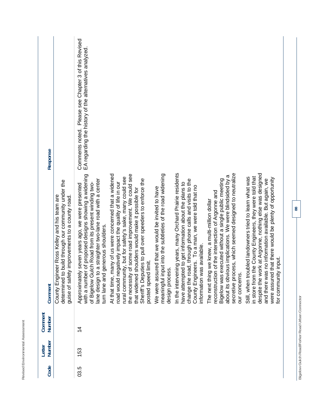| ┙<br>w<br>-<br>ä<br>ä<br>é<br>-<br>í<br>ł<br>ī<br>ä<br>۱<br>ı<br>ä<br>۱<br>J<br>ï<br>l<br>I<br>ä<br>۰<br>÷<br>۰,<br>∼                                                                                              |  |
|--------------------------------------------------------------------------------------------------------------------------------------------------------------------------------------------------------------------|--|
| $\overline{\phantom{a}}$<br>۰<br>١<br>ι<br>J<br>٠<br>ı<br>ı<br>۰<br>٠<br>ä<br>١<br>é<br>ł<br>ï<br>a<br>۰<br>í<br>í<br>١<br>í<br>ś<br>-<br>$\overline{\phantom{a}}$<br>٠<br>∽<br>٠<br>⇁<br>≓<br><u> —</u><br>л<br>∸ |  |
| -<br>ì<br>ş<br>ī.<br>۱<br>é<br>ţ<br>ä<br>٠<br>×<br>ì,<br>r<br>×<br>Ć<br>١<br>∼<br>--                                                                                                                               |  |

|                   |                                                                                                                                                       | Please see Chapter 3 of this Revised                                                                                                                                                                                                                                        |                                                                                                                                                                                                                                                                                                                                                                                  |                                                                                                                                  |                                                                                                                                                                                                                                                              |                                                                                                                                                                                                                                                                                                      |                                                                                                                                                                                                                                                                                                                                 |
|-------------------|-------------------------------------------------------------------------------------------------------------------------------------------------------|-----------------------------------------------------------------------------------------------------------------------------------------------------------------------------------------------------------------------------------------------------------------------------|----------------------------------------------------------------------------------------------------------------------------------------------------------------------------------------------------------------------------------------------------------------------------------------------------------------------------------------------------------------------------------|----------------------------------------------------------------------------------------------------------------------------------|--------------------------------------------------------------------------------------------------------------------------------------------------------------------------------------------------------------------------------------------------------------|------------------------------------------------------------------------------------------------------------------------------------------------------------------------------------------------------------------------------------------------------------------------------------------------------|---------------------------------------------------------------------------------------------------------------------------------------------------------------------------------------------------------------------------------------------------------------------------------------------------------------------------------|
| Response          |                                                                                                                                                       | EA regarding the history of the alternatives analyzed<br>Comments noted.                                                                                                                                                                                                    |                                                                                                                                                                                                                                                                                                                                                                                  |                                                                                                                                  |                                                                                                                                                                                                                                                              |                                                                                                                                                                                                                                                                                                      |                                                                                                                                                                                                                                                                                                                                 |
| Comment           | determined to build through our community under the<br>County Engineer Ross Kelley and his team are<br>guise of safety improvements to a county road. | of proposed designs showing a widening<br>a straighter two-lane road with a center<br>of Bigelow Gulch Road from its present winding two-<br>seven years ago, we were presented<br>generous shoulders.<br>Approximately<br>with a number<br>lane design to<br>turn lane and | At that time, many of us were concerned that a widened<br>of some road improvement. We could see<br>rural community, but for safety's sake, many could see<br>Sheriff's Deputies to pull over speeders to enforce the<br>road would negatively impact the quality of life in our<br>that widened shoulders would make it possible for<br>limit.<br>posted speed<br>the necessity | meaningful input into the subtleties of the road widening<br>We were assured that we would be invited to have<br>design process. | In the intervening years, many Orchard Prairie residents<br>change the road, through phone calls and visits to the<br>have attempted to get information about the plans to<br>County Engineers. To a man, we were told that no<br>information was available. | secretive process, which seemed designed to neutralize<br>about its obvious implications. We were blindsided by a<br>Bigelow was executed without a single public meeting<br>of the intersection of Argonne and<br>The next thing we knew, a multi-million dollar<br>reconstruction<br>our concerns. | despite the work at Argonne, nothing else was designed<br>in store from the County Engineers, they were told that<br>Still, when troubled landowners tried to learn what was<br>that there would be plenty of opportunity<br>and there was no information available. But again, we<br>' input.<br>for community<br>were assured |
| Comment<br>Number |                                                                                                                                                       | $\frac{4}{4}$                                                                                                                                                                                                                                                               |                                                                                                                                                                                                                                                                                                                                                                                  |                                                                                                                                  |                                                                                                                                                                                                                                                              |                                                                                                                                                                                                                                                                                                      |                                                                                                                                                                                                                                                                                                                                 |
| Number<br>Letter  |                                                                                                                                                       | 153                                                                                                                                                                                                                                                                         |                                                                                                                                                                                                                                                                                                                                                                                  |                                                                                                                                  |                                                                                                                                                                                                                                                              |                                                                                                                                                                                                                                                                                                      |                                                                                                                                                                                                                                                                                                                                 |
| Code              |                                                                                                                                                       | 03.5                                                                                                                                                                                                                                                                        |                                                                                                                                                                                                                                                                                                                                                                                  |                                                                                                                                  |                                                                                                                                                                                                                                                              |                                                                                                                                                                                                                                                                                                      |                                                                                                                                                                                                                                                                                                                                 |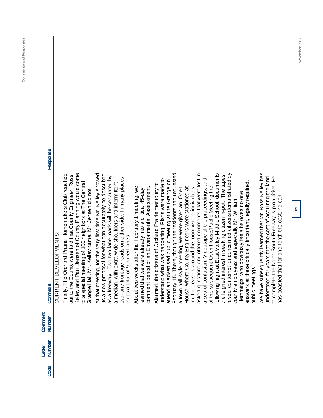| Response          |                       |                                                                                                                |                                                                                                              |                                                   |                                                                                                                                                                                  |                                                                                                                                                       |                                                                                                                                                           |                                                                                                             |                                                      |                                                                                                                |                                                    |                                                   |                                                        |                                                                                                          |                                                         |                                                           |                                                                                                       |                                              |                                                          |                  |                                                                                                                   |                                                                                                           |  |
|-------------------|-----------------------|----------------------------------------------------------------------------------------------------------------|--------------------------------------------------------------------------------------------------------------|---------------------------------------------------|----------------------------------------------------------------------------------------------------------------------------------------------------------------------------------|-------------------------------------------------------------------------------------------------------------------------------------------------------|-----------------------------------------------------------------------------------------------------------------------------------------------------------|-------------------------------------------------------------------------------------------------------------|------------------------------------------------------|----------------------------------------------------------------------------------------------------------------|----------------------------------------------------|---------------------------------------------------|--------------------------------------------------------|----------------------------------------------------------------------------------------------------------|---------------------------------------------------------|-----------------------------------------------------------|-------------------------------------------------------------------------------------------------------|----------------------------------------------|----------------------------------------------------------|------------------|-------------------------------------------------------------------------------------------------------------------|-----------------------------------------------------------------------------------------------------------|--|
| Comment           | CURRENT DEVELOPMENTS: | Finally, The Orchard Prairie Homemakers Club reached<br>out to the County were told that County Engineer, Ross | Kelley and Paul Jensen of County Planning would come<br>to a special meeting of 100 neighbors at The Central | Grange Hall. Mr. Kelley came, Mr. Jensen did not. | At that meeting, for the very first time Mr. Kelley showed<br>us a new proposal for what can accurately be described<br>Two two-lane roads will be separated by<br>as a freeway. | two-lane frontage roads on either side. In many places<br>extra wide shoulders and intermittent<br>that's a total of 9 paved lanes.<br>a median, with | About two weeks after the February 1 meeting, we<br>comment period of an Environmental Assessment.<br>learned that we were already into a critical 45-day | understand what was happening. Plans were made to<br>Alarmed, the citizens of Orchard Prairie met to try to | attend an advertised public meeting at the Grange on | There, though the residents had requested<br>a town hall style meeting, we were given an 'Open<br>February 15. | County Engineers were stationed at<br>House' where | multiple easels around the room where individuals | asked questions and offered comments that were lost in | a sea of confusion. Videotape of the proceedings, and<br>of the subsequent Open House/Public Meeting the | following night at East Valley Middle School, documents | the feigned interest in seeking citizen in-put. The tapes | reveal contempt for concerned citizens demonstrated by<br>county employees and especially Mr. William | Hemmings, who obviously feels he owes no one | answers at these critically important, legally required, | public meetings. | We have subsequently learned that Mr. Ross Kelley has<br>understood for years that the cost of acquiring the land | to complete the North-South Freeway is prohibitive. He<br>has boasted that for one-tenth the cost, he can |  |
| Comment<br>Number |                       |                                                                                                                |                                                                                                              |                                                   |                                                                                                                                                                                  |                                                                                                                                                       |                                                                                                                                                           |                                                                                                             |                                                      |                                                                                                                |                                                    |                                                   |                                                        |                                                                                                          |                                                         |                                                           |                                                                                                       |                                              |                                                          |                  |                                                                                                                   |                                                                                                           |  |
| Number<br>Letter  |                       |                                                                                                                |                                                                                                              |                                                   |                                                                                                                                                                                  |                                                                                                                                                       |                                                                                                                                                           |                                                                                                             |                                                      |                                                                                                                |                                                    |                                                   |                                                        |                                                                                                          |                                                         |                                                           |                                                                                                       |                                              |                                                          |                  |                                                                                                                   |                                                                                                           |  |
| Code              |                       |                                                                                                                |                                                                                                              |                                                   |                                                                                                                                                                                  |                                                                                                                                                       |                                                                                                                                                           |                                                                                                             |                                                      |                                                                                                                |                                                    |                                                   |                                                        |                                                                                                          |                                                         |                                                           |                                                                                                       |                                              |                                                          |                  |                                                                                                                   |                                                                                                           |  |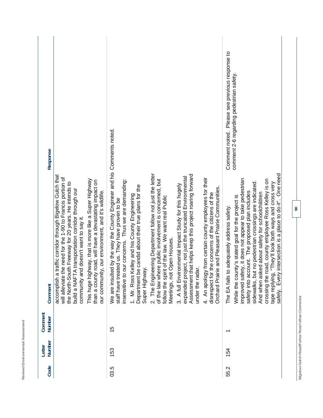|      | Letter | Comment                                        |                                                                                                                                                                                                                                                                                                                                                                                                                                                                                                                                                                                                              |
|------|--------|------------------------------------------------|--------------------------------------------------------------------------------------------------------------------------------------------------------------------------------------------------------------------------------------------------------------------------------------------------------------------------------------------------------------------------------------------------------------------------------------------------------------------------------------------------------------------------------------------------------------------------------------------------------------|
| Code | Number | Number                                         | Response<br>Comment                                                                                                                                                                                                                                                                                                                                                                                                                                                                                                                                                                                          |
|      |        |                                                | traffic corridor through Bigelow Gulch that<br>the need for the 1-90 to Francis portion of<br>the North-South Freeway for 20 years. He intends to<br>build a NAFTA transportation corridor through our<br>community and doesn't want to say it.<br>accomplish a<br>will alleviate t                                                                                                                                                                                                                                                                                                                          |
|      |        |                                                | This huge highway, that is more like a Super Highway<br>than a county road, will have a devastating impact on<br>our community, our environment, and it's wildlife.                                                                                                                                                                                                                                                                                                                                                                                                                                          |
| 03.5 | 153    | Ю<br>$\overline{\phantom{0}}$                  | We are insulted by the way the County Engineer and his Comments noted.<br>insensitive to our concerns. Thus we are demanding:<br>staff have treated us. They have proven to be                                                                                                                                                                                                                                                                                                                                                                                                                               |
|      |        |                                                | Department be candid about their true plans for the<br>Kelley and his County Engineering<br>Super Highway.<br>1. Mr. Ross                                                                                                                                                                                                                                                                                                                                                                                                                                                                                    |
|      |        |                                                | 2. The Engineering Department follow not just the letter<br>of the law where public involvement is concerned, but<br>follow the spirit of the law. We want real Public<br>Meetings, not Open Houses.                                                                                                                                                                                                                                                                                                                                                                                                         |
|      |        |                                                | Assessment that helps keep this project roaring forward<br>expanded project, not just the truncated Environmental<br>3. A full Environmental Impact Study for this hugely<br>under the radar.                                                                                                                                                                                                                                                                                                                                                                                                                |
|      |        |                                                | 4. An apology from certain county employees for their<br>rie and Pleasant Prairie Communities.<br>disrespect for the concerns of the citizens of the<br><b>Orchard Prair</b>                                                                                                                                                                                                                                                                                                                                                                                                                                 |
| 55.2 | 154    | $\overline{\phantom{0}}$                       | Comment noted. Please see previous response to<br>comment 2-6 regarding pedestrian safety<br>Every intersection is a place to do it". One need<br>improved safety, it does not appear to take pedestrian<br>road, county employee Ross Kelley is on<br>sidewalks, but no pedestrian crossings are indicated.<br>"They'll look both ways and cross very<br>safety into account. The proposed plan includes<br>And when asked about safety for schoolchildren<br>While the county's stated goal for the project is<br>o adequately address safety.<br>crossing the<br>tape replying<br>The EA fails<br>safely. |
|      |        | Bigelow Gulch Road/Forker Road Urban Connector | $\overline{6}$                                                                                                                                                                                                                                                                                                                                                                                                                                                                                                                                                                                               |

**Revised Environmental Assessment** 

Revised Environmental Assessment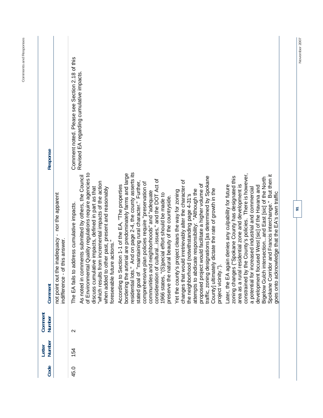| Response                |                                                                                     | Comment noted. Please see Section 2.18 of this | Revised EA regarding cumulative impacts                                                                                                                                                                                                                                                                                    |                                                                                                                                                                                                                                                  |                                                                                                                                                                 |                                                                                                             |                                                                                                                                                                |                                                                                                               |                                                                                                                                           |                                                                                                                 |                                                     |                                                                                                                |                                                  |                                                       |                                                                                                           |
|-------------------------|-------------------------------------------------------------------------------------|------------------------------------------------|----------------------------------------------------------------------------------------------------------------------------------------------------------------------------------------------------------------------------------------------------------------------------------------------------------------------------|--------------------------------------------------------------------------------------------------------------------------------------------------------------------------------------------------------------------------------------------------|-----------------------------------------------------------------------------------------------------------------------------------------------------------------|-------------------------------------------------------------------------------------------------------------|----------------------------------------------------------------------------------------------------------------------------------------------------------------|---------------------------------------------------------------------------------------------------------------|-------------------------------------------------------------------------------------------------------------------------------------------|-----------------------------------------------------------------------------------------------------------------|-----------------------------------------------------|----------------------------------------------------------------------------------------------------------------|--------------------------------------------------|-------------------------------------------------------|-----------------------------------------------------------------------------------------------------------|
| Comment                 | not point out the inadequacy - nor the apparent<br>of this answer.<br>indifference- | The EA fails to address cumulative impacts.    | of Environmental Quality regulations require agencies to<br>omments submitted by others, the Council<br>"which results from incremental impacts of the action<br>discuss cumulative impacts, defined in part as that<br>when added to other past, present and reasonably<br>foreseeable future actions."<br>As noted in co | residential lots." And on page 2-4, the county asserts its<br>bordering the arterial are predominately farms and large<br>"maintaining rural character." Further,<br>Section 1-1 of the EA, "The properties<br>According to \$<br>stated goal of | of culturalissues," and the DOT Act of<br>comprehensive plan policies require "preservation of<br>communities and neighborhoods" and "adequate<br>consideration | "(S)pecial effort should be made to<br>natural beauty of the countryside.<br>preserve the r<br>1966 states, | changes that would irretrievably alter the character of<br>Yet the county's project clears the way for zoning<br>the neighborhood (notwithstanding page 4-31's | proposed project would facilitate a higher volume of<br>"Although the<br>attempts to abdicate responsibility: | designations [as determined by Spokane<br>County] ultimately dictate the rate of growth in the<br>project vicinity.").<br>traffic, zoning | zoning changes ("Spokane County has designated this<br>again denies any culpability for future<br>Later, the EA | area as a rural residential zone and development is | constrained by the County's policies. There is however,<br>a potential for increased industrial and commercial | development focused West [sic] of the Havana and | Bigelow Gulch intersectionand East [sic] of the North | Spokane Corridor and Francis interchange." But then it<br>goes onto acknowledge that the EA's own traffic |
| Comment<br>Number       |                                                                                     | $\mathbf{\Omega}$                              |                                                                                                                                                                                                                                                                                                                            |                                                                                                                                                                                                                                                  |                                                                                                                                                                 |                                                                                                             |                                                                                                                                                                |                                                                                                               |                                                                                                                                           |                                                                                                                 |                                                     |                                                                                                                |                                                  |                                                       |                                                                                                           |
| <b>Number</b><br>Letter |                                                                                     | 154                                            |                                                                                                                                                                                                                                                                                                                            |                                                                                                                                                                                                                                                  |                                                                                                                                                                 |                                                                                                             |                                                                                                                                                                |                                                                                                               |                                                                                                                                           |                                                                                                                 |                                                     |                                                                                                                |                                                  |                                                       |                                                                                                           |
| Code                    |                                                                                     | 45.0                                           |                                                                                                                                                                                                                                                                                                                            |                                                                                                                                                                                                                                                  |                                                                                                                                                                 |                                                                                                             |                                                                                                                                                                |                                                                                                               |                                                                                                                                           |                                                                                                                 |                                                     |                                                                                                                |                                                  |                                                       |                                                                                                           |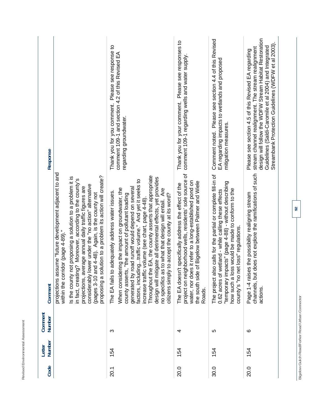| -<br>I<br>î<br>٠<br>í<br>ï<br>٠<br>I,<br>ï<br>ı<br>ä<br>ı<br>J<br>ï<br>ä<br>ï<br>٠                                                  |  |
|-------------------------------------------------------------------------------------------------------------------------------------|--|
| $\overline{\phantom{a}}$<br>١<br>٠<br>ı<br>ä<br>i.<br>ţ<br>ź<br>ł<br>î<br>ï<br>î<br>í<br>١<br>ï<br>I<br>×<br>i.<br>٠<br>ŕ<br>à<br>ï |  |
| ı<br>ì<br>ı<br>۷<br>ä<br>١<br>٠<br>×<br>i.<br>k<br>ï<br>í<br>é<br>١<br>-                                                            |  |

| Response                |                                                                                                                                                                                                                                                                                                                                                                                                                                                                | Thank you for you comment. Please see response to<br>comment 109-1 and section 4.2 of this Revised EA<br>regarding groundwater.                                                                                                                                                                                                                                                                                                                                                                                                                                     | Thank you for your comment. Please see responses to<br>comment 109-1 regarding wells and water supply                                                                                                                                            | Please see section 4.4 of this Revised<br>EA regarding impacts to wetlands and proposed<br>mitigation measures.<br>Comment noted.                                                                                                                                                | design will follow the WDFW Stream Habitat Restoration<br>Streambank Protection Guidelines (WDFW et al 2003).<br>Guidelines (Saldi-Caromile et al 2004) and Integrated<br>stream channel realignment. The stream realignment<br>Please see section 4.5 of this Revised EA regarding |
|-------------------------|----------------------------------------------------------------------------------------------------------------------------------------------------------------------------------------------------------------------------------------------------------------------------------------------------------------------------------------------------------------------------------------------------------------------------------------------------------------|---------------------------------------------------------------------------------------------------------------------------------------------------------------------------------------------------------------------------------------------------------------------------------------------------------------------------------------------------------------------------------------------------------------------------------------------------------------------------------------------------------------------------------------------------------------------|--------------------------------------------------------------------------------------------------------------------------------------------------------------------------------------------------------------------------------------------------|----------------------------------------------------------------------------------------------------------------------------------------------------------------------------------------------------------------------------------------------------------------------------------|-------------------------------------------------------------------------------------------------------------------------------------------------------------------------------------------------------------------------------------------------------------------------------------|
| Comment                 | projections assume "future development adjacent to and<br>proposing a solution to a problem its action will create?<br>not proposing a solution to a problem it is<br>ng? Moreover, according to the county's<br>lower under the "no action" alternative<br>projections, average annual daily traffic figures are<br>(pages 3-10 and 4-48). Again, is the county not<br>within the corridor (page 4-89)."<br>in fact, creatin<br>considerably<br>Is the county | Throughout the EA, the county asserts that appropriate<br>tigate all detrimental effects, yet provides<br>factors, includingtraffic volume." And yet it seeks to<br>generated by road runoff would depend on several<br>When considering the impact on groundwater, the<br>no specifics as to what that design will entail. Are<br>o adequately address water issues.<br>county asserts, "the amount of pollutant loading<br>citizens simply to accept the county at its word?<br>increase traffic volume (see chart, page 4-48).<br>design will mi<br>The EA fails | project on neighborhood wells, residents' sole source of<br>water, nor does it refer to a long-established pond on<br>the south side of Bigelow between Palmer and Wiele<br>n't specifically address the effect of the<br>The EA doesi<br>Roads. | Iso calls for the partial or complete fill-in of<br>"temporary impacts" (page 4-88) - without describing<br>how such a loss would be made to conform to the<br>wetland - while calling these effects<br>county's "no net loss" regulations.<br>The project al<br>$0.62$ acres of | does not explore the ramifications of such<br>Page 1-4 raises the possibility realigning stream<br>channels, but<br>actions                                                                                                                                                         |
| Comment<br>Number       |                                                                                                                                                                                                                                                                                                                                                                                                                                                                | က                                                                                                                                                                                                                                                                                                                                                                                                                                                                                                                                                                   | 4                                                                                                                                                                                                                                                | 5                                                                                                                                                                                                                                                                                | ဖ                                                                                                                                                                                                                                                                                   |
| <b>Number</b><br>Letter |                                                                                                                                                                                                                                                                                                                                                                                                                                                                | 154                                                                                                                                                                                                                                                                                                                                                                                                                                                                                                                                                                 | 154                                                                                                                                                                                                                                              | 154                                                                                                                                                                                                                                                                              | 154                                                                                                                                                                                                                                                                                 |
| Code                    |                                                                                                                                                                                                                                                                                                                                                                                                                                                                | 20.1                                                                                                                                                                                                                                                                                                                                                                                                                                                                                                                                                                | 20.0                                                                                                                                                                                                                                             | 30.0                                                                                                                                                                                                                                                                             | 20.0                                                                                                                                                                                                                                                                                |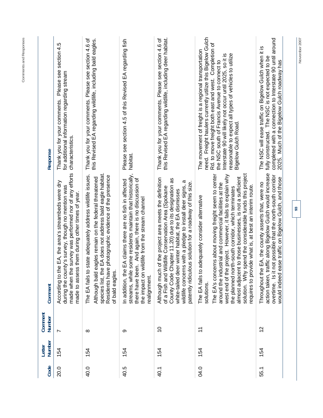| Code | Number<br>Letter | Comment<br>Number | Comment                                                                                                                                                                                                                                                                                                                                                                                                                                                                              | Response                                                                                                                                                                                                                                                                                                                                                                 |
|------|------------------|-------------------|--------------------------------------------------------------------------------------------------------------------------------------------------------------------------------------------------------------------------------------------------------------------------------------------------------------------------------------------------------------------------------------------------------------------------------------------------------------------------------------|--------------------------------------------------------------------------------------------------------------------------------------------------------------------------------------------------------------------------------------------------------------------------------------------------------------------------------------------------------------------------|
| 20.0 | 154              | $\overline{ }$    | made when the survey was performed nor of any efforts<br>the EA, the area's streambeds were dry<br>during the county's survey, though no mention was<br>made to assess them during other times of year.<br>According to                                                                                                                                                                                                                                                              | Please see section 4.5<br>for additional information regarding stream<br>Thank you for your comments.<br>characteristics.                                                                                                                                                                                                                                                |
| 40.0 | 154              | $\infty$          | species list, the EA does not address bald eagle habitat.<br>The EA fails to state adequately address wildlife issues.<br>Residents have photographic evidence of the presence<br>eagles remain on the federal threatened<br>of bald eagles.<br>Although bald                                                                                                                                                                                                                        | Thank you for your comments. Please see section 4.6 of<br>this Revised EA regarding wildlife, including bald eagles.                                                                                                                                                                                                                                                     |
| 40.5 | 154              | တ                 | streams, while some residents maintain that historically,<br>there have been. And again, there is no discussion of<br>In addition, the EA claims there are no fish in affected<br>the impact on wildlife from the stream channel<br>realignment.                                                                                                                                                                                                                                     | Please see section 4.5 of this Revised EA regarding fish<br>habitat.                                                                                                                                                                                                                                                                                                     |
| 40.1 | 154              | $\tilde{0}$       | Although much of the project area meets the definition<br>County Code Chapter 11.20) due to its designation as<br>$\sigma$<br>patently ridiculous solution for a roadway of this size.<br>wildlife concerns with a pledge to install deer signs,<br>Wildlife Conservation Area (Spokane<br>white-tailed deer winter habitat, the EA dismisses<br>of a Fish and                                                                                                                       | this Revised EA regarding wildlife, including deer habitat.<br>Thank you for your comments. Please see section 4.6 of                                                                                                                                                                                                                                                    |
| 04.0 | 154              | $\tilde{t}$       | solution. Why spend the considerable funds this project<br>The EA's concerns about moving freight seem to center<br>west end of the project. However, it fails to explain why<br>almost adjacent to those businesses, is not a sufficient<br>around the industrial and commercial facilities at the<br>requires to provide what is, at best an interim route.<br>the planned north-south corridor, which terminates<br>The EA fails to adequately consider alternative<br>solutions. | need. Freight haulers currently utilize this Bigelow Gulch<br>Rd. to move freight both east and west. Completion of<br>The movement of freight is a regional transportation<br>reasonable to expect all types of vehicles to utilize<br>Interstate 90 will likely not occur until 2025, so it is<br>the NSC south of Francis Avenue to connect to<br>Bigelow Gulch Road. |
| 55.1 | 154              | $\overline{c}$    | traffic along Bigelow Gulch would increase<br>t not possible that the north-south corridor<br>ease traffic on Bigelow Gulch, and those<br>Throughout the EA, the county asserts that, were no<br>would indeed<br>overtime. Is i<br>action taken,                                                                                                                                                                                                                                     | completed with a connection to Interstate 90 until around<br>The NSC will ease traffic on Bigelow Gulch when it is<br>fully constructed. The NSC is not expected to be<br>2025. Much of the Bigelow Gulch roadway has                                                                                                                                                    |
|      |                  |                   | 93                                                                                                                                                                                                                                                                                                                                                                                                                                                                                   | November 2007                                                                                                                                                                                                                                                                                                                                                            |

**Comments and Responses**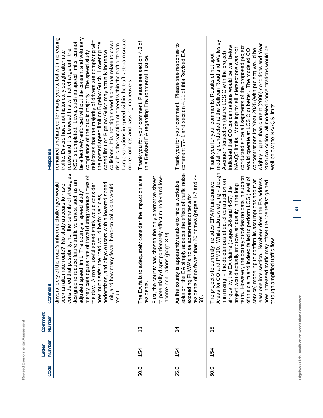| ٠<br>٠<br>٠<br>ı.<br>ä<br>۱<br>ر<br>ı,<br>÷<br>ł<br>ä<br>ı<br>ı<br>۰<br>š<br>h<br>١<br>٠<br>ä<br>×<br>é<br>پ<br>∽                                                                   |  |
|-------------------------------------------------------------------------------------------------------------------------------------------------------------------------------------|--|
| $\overline{\phantom{a}}$<br>-<br>۰<br>١<br>ι<br>٠<br>I<br>ä<br>ä<br>ţ<br>ı<br>-<br>é<br>i<br>á<br>f<br>á<br>í<br>۰<br>١<br>í<br>ł<br>ĵ<br>٠<br>۰<br>٠<br>٠<br>٠<br>è<br>í<br>á<br>п |  |
| ᅮ<br>ì<br>í<br>ä<br>ţ<br>ı<br>ä<br><br>٠<br>s<br>é<br>Ć<br>∼<br>ļ<br>-                                                                                                              |  |

| <b>Response</b>   | remained unchanged for many years, but with increasing<br>be effectively enforced without the consent and voluntary<br>Large variations in speed within the traffic stream create<br>reinforces that the majority of drivers are complying with<br>collisions. It is not high speed alone that relate to crash<br>the posted speed limit on Bigelow Gulch. Lowering the<br>NSC is completed. Laws, such as speed limits, cannot<br>risk; it is the variation of speed within the traffic stream.<br>routes and it is believed this will not change until the<br>speed limit on Bigelow Gulch may actually increase<br>compliance of the public majority. The speed study<br>traffic. Drivers have not historically sought alternate<br>more conflicts and passing maneuvers. | Thank you for your comment. Please see section 4.8 of<br>this Revised EA regarding Environmental Justice                                                                                                                          | Thank you for your comment. Please see response to<br>comment 77-1 and section 4.11 of this Revised EA                                                                                                                                   | modeling conducted at the Sullivan Road and Wellesley<br>slightly higher than current (2006) conditions and Year<br>indicated that CO concentrations would be well below<br>conducted since all segments of the proposed project<br>2025 No Action, all modeled concentrations would be<br>NAAQS limits. Modeling for all intersections was not<br>concentrations for Year 2025 (with project) would be<br>would operate at LOS C or better. The modeled CO<br>Avenue intersection (future LOS C with the project)<br>Thank you for your comments. Results of hot spot<br>well below the NAAQS limits.                                           |  |
|-------------------|------------------------------------------------------------------------------------------------------------------------------------------------------------------------------------------------------------------------------------------------------------------------------------------------------------------------------------------------------------------------------------------------------------------------------------------------------------------------------------------------------------------------------------------------------------------------------------------------------------------------------------------------------------------------------------------------------------------------------------------------------------------------------|-----------------------------------------------------------------------------------------------------------------------------------------------------------------------------------------------------------------------------------|------------------------------------------------------------------------------------------------------------------------------------------------------------------------------------------------------------------------------------------|--------------------------------------------------------------------------------------------------------------------------------------------------------------------------------------------------------------------------------------------------------------------------------------------------------------------------------------------------------------------------------------------------------------------------------------------------------------------------------------------------------------------------------------------------------------------------------------------------------------------------------------------------|--|
| Comment           | considered that possibility, nor the benefits of strategies<br>merely catalogues rate of travel during various times of<br>designed to reduce future traffic volumes, such as an<br>nd bicycle users with a lowered speed<br>f the road's inherent challenges would<br>the day. A more useful speed study would consider<br>seek an alternate route? No study appears to have<br>many fewer head-on collisions would<br>adjusted speed limit. The county's "speed study"<br>how much safer the road would be for vehicles,<br>pedestrians, ar<br>drivers leery of<br>limit, and how<br>result                                                                                                                                                                                | First, the county has chosen the only alternative shown<br>to potentially disproportionately effect minority and low-<br>adequately consider the impact on area<br>income populations (page 3-9)<br>The EA fails to<br>residents. | solution, the EA simply accepts the effect of traffic noise<br>residents of no fewer than 20 homes (pages 1-7 and 4-<br>s apparently unable to find a workable<br>exceeding FHWA's noise abatement criteria for<br>As the county<br>58). | Areas for CO and PM10. While acknowledging - though<br>term. However, the county provides no data in support<br>id indeed failed to perform LOS (level of<br>least one intersection. Nowhere does the EA address<br>ling to confirm its assumptions about at<br>- the deleterious effect of construction on<br>traffic may offset the "benefits" gained<br>e currently includes EPA Maintenance<br>project would actually improve air quality in the long<br>air quality, the EA claims (pages 2-6 and 4-57) the<br>ed traffic flow.<br>through amplifi<br>The project site<br>of this claim ar<br>service) model<br>how increased<br>minimizing |  |
| Comment<br>Number |                                                                                                                                                                                                                                                                                                                                                                                                                                                                                                                                                                                                                                                                                                                                                                              | <u>ლ</u>                                                                                                                                                                                                                          | $\frac{4}{4}$                                                                                                                                                                                                                            | 15                                                                                                                                                                                                                                                                                                                                                                                                                                                                                                                                                                                                                                               |  |
| Number<br>Letter  |                                                                                                                                                                                                                                                                                                                                                                                                                                                                                                                                                                                                                                                                                                                                                                              | 154                                                                                                                                                                                                                               | 154                                                                                                                                                                                                                                      | 154                                                                                                                                                                                                                                                                                                                                                                                                                                                                                                                                                                                                                                              |  |
| Code              |                                                                                                                                                                                                                                                                                                                                                                                                                                                                                                                                                                                                                                                                                                                                                                              | 50.0                                                                                                                                                                                                                              | 65.0                                                                                                                                                                                                                                     | 60.0                                                                                                                                                                                                                                                                                                                                                                                                                                                                                                                                                                                                                                             |  |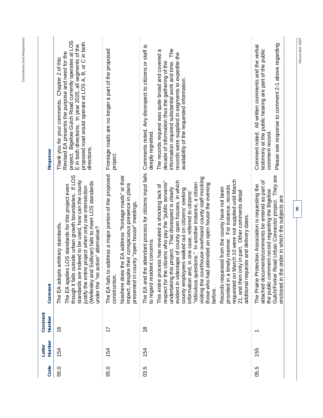| Code | Number<br>Letter | Comment<br>Number        | Comment                                                                                                                                                                                                                                                                                                                                                                                                                                                                                                                                                                                                                                                                                                                                                                                                                                                                                          | Response                                                                                                                                                                                                                                                                                                                                         |
|------|------------------|--------------------------|--------------------------------------------------------------------------------------------------------------------------------------------------------------------------------------------------------------------------------------------------------------------------------------------------------------------------------------------------------------------------------------------------------------------------------------------------------------------------------------------------------------------------------------------------------------------------------------------------------------------------------------------------------------------------------------------------------------------------------------------------------------------------------------------------------------------------------------------------------------------------------------------------|--------------------------------------------------------------------------------------------------------------------------------------------------------------------------------------------------------------------------------------------------------------------------------------------------------------------------------------------------|
| 55.0 | 154              | $\frac{6}{1}$            | though it falls outside urban growth boundaries. If LOS<br>standards are indeed to be used, how can the county<br>(Wellesley and Sullivan) fails to meet LOS standards<br>The EA applies LOS standards for this project even<br>justify the entire project when only one intersection<br>The EA adopts arbitrary standards.<br>under the "no action" alternative?                                                                                                                                                                                                                                                                                                                                                                                                                                                                                                                                | project. Bigelow Gulch Road currently operates at LOS<br>proposed road would operate at LOS A, B, or C in both<br>E in both directions. In year 2025, all segments of the<br>Revised EA presents the purpose and need for the<br>Chapter 2 of this<br>Thank you for your comments.<br>directions.                                                |
| 55.0 | 154              | 17                       | The EA fails to address a major portion of the proposed<br>EA address "frontage roads" or their<br>impact, despite their conspicuous presence in plans<br>presented in county "open house" meetings.<br>Nowhere does the<br>construction.                                                                                                                                                                                                                                                                                                                                                                                                                                                                                                                                                                                                                                                        | Frontage roads are no longer a part of the proposed<br>project.                                                                                                                                                                                                                                                                                  |
| 03.5 | 154              | $\frac{8}{1}$            | The EA and the attendant process for citizens input fails<br>visiting the courthouse overheard county staff mocking<br>requested on March 10 were not supplied until March<br>evident in videotape of county open houses, in which<br>respect for the citizens who pay the "public servants"<br>"ridiculous questions." In another instance, a citizen<br>those who had attended an open house the evening<br>This entire process has revealed a shocking lack of<br>provided in a timely manner. For instance, records<br>undertaking this project. That disrespect is clearly<br>Records requested from the county have not been<br>county employees walked out on citizens' seeking<br>in part. Other comments detail<br>information and, in one case, referred to citizens'<br>s and delivery dates.<br>concerns<br>to regard resident<br>additional request<br>21, and then only<br>before. | Comments noted. Any disrespect to citizens or staff is<br>The<br>The records request was quite broad and covered a<br>records were supplied in segments to expedite the<br>information required substantial work and time.<br>decade of information thus the gathering of the<br>availability of the requested information.<br>deeply regretted. |
| 05.5 | 155              | $\overline{\phantom{0}}$ | Gulch/Forker Road Urban Connector project. They are<br>its/comments be entered as part of<br>The Prairie Protection Association is requesting the<br>the public comment record regarding the Bigelow<br>enclosed in the order in which the subjects are<br>attached documer                                                                                                                                                                                                                                                                                                                                                                                                                                                                                                                                                                                                                      | Please see response to comment 2-1 above regarding<br>Comment noted. All written comments and the verbal<br>testimony at the public hearing are part of the public<br>comment record                                                                                                                                                             |

**Comments and Responses**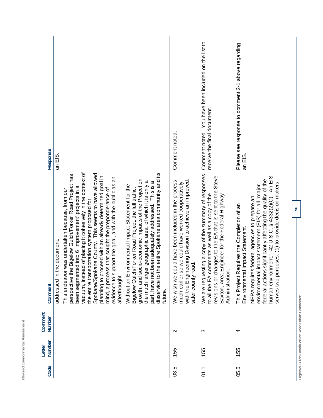| <b>Response</b>   | an EIS.                                                                                                                                                                                                                                                                                                                                                                                                                                                                                                                                                                                                                                                                                                                                                                                                                                                                                                                              | Comment noted.                                                                                                                                                                          | You have been included on the list to<br>receive the final document.<br>Comment noted.                                                                                                                                                  | Please see response to comment 2-1 above regarding<br>an EIS.                                                                                                                                                                                                                                                                                                                   |
|-------------------|--------------------------------------------------------------------------------------------------------------------------------------------------------------------------------------------------------------------------------------------------------------------------------------------------------------------------------------------------------------------------------------------------------------------------------------------------------------------------------------------------------------------------------------------------------------------------------------------------------------------------------------------------------------------------------------------------------------------------------------------------------------------------------------------------------------------------------------------------------------------------------------------------------------------------------------|-----------------------------------------------------------------------------------------------------------------------------------------------------------------------------------------|-----------------------------------------------------------------------------------------------------------------------------------------------------------------------------------------------------------------------------------------|---------------------------------------------------------------------------------------------------------------------------------------------------------------------------------------------------------------------------------------------------------------------------------------------------------------------------------------------------------------------------------|
| Comment           | vacuum, instead of placing it cohesively in the context of<br>e entire Spokane area community and its<br>Spokane/Spokane County. This seems to have allowed<br>perspective the Bigelow Gulch/Forker Road Project has<br>planning to proceed with an already determined goal in<br>evidence to support the goal, and with the public as an<br>growth, and socio-economic impacts of the Project on<br>the much larger geographic area, of which it is only a<br>been adequately addressed. This is a<br>Without an Environmental Impact Statement for the<br>been segmented into 6 'improvement' projects in a<br>mind, a process that sought the preponderance of<br>Bigelow Gulch/Forker Road Project, the full traffic,<br>was undertaken because, from our<br>the entire transportation system proposed for<br>he document.<br>disservice to th<br>addressed in tl<br>This endeavor<br>part, have not<br>afterthought.<br>future. | with the Engineering Division to achieve an improved,<br>We wish we could have been included in the process<br>much earlier so we could have worked cooperatively<br>safer county road. | We are requesting a copy of the summary of responses<br>revisions or changes to the EA that is sent to the Steve<br>to all the EA comments as well as a copy of the<br>Saxton, Area Engineer for the Federal Highway<br>Administration. | An EIS<br>significantly affecting the quality of the<br>serves two purposes: (1) to provide decision makers<br>impact statement (EIS) for all "major<br>human environment." 42 U.S.C. § 4332(2)(C).<br>NEPA requires federal agencies to prepare an<br>equires the Completion of an<br>Impact Statement.<br>federal actions<br>This Project R<br>Environmental<br>environmental |
| Comment<br>Number |                                                                                                                                                                                                                                                                                                                                                                                                                                                                                                                                                                                                                                                                                                                                                                                                                                                                                                                                      | $\mathbf{\Omega}$                                                                                                                                                                       | က                                                                                                                                                                                                                                       | 4                                                                                                                                                                                                                                                                                                                                                                               |
| Number<br>Letter  |                                                                                                                                                                                                                                                                                                                                                                                                                                                                                                                                                                                                                                                                                                                                                                                                                                                                                                                                      | 155                                                                                                                                                                                     | 155                                                                                                                                                                                                                                     | 155                                                                                                                                                                                                                                                                                                                                                                             |
| Code              |                                                                                                                                                                                                                                                                                                                                                                                                                                                                                                                                                                                                                                                                                                                                                                                                                                                                                                                                      | 03.5                                                                                                                                                                                    | 01.1                                                                                                                                                                                                                                    | 05.5                                                                                                                                                                                                                                                                                                                                                                            |

**Revised Environmental Assessment** 

Revised Environmental Assessment

Bigelow Gulch Road/Forker Road Urban Connector **Bigelow Gulch Road/Forker Road Urban Connector**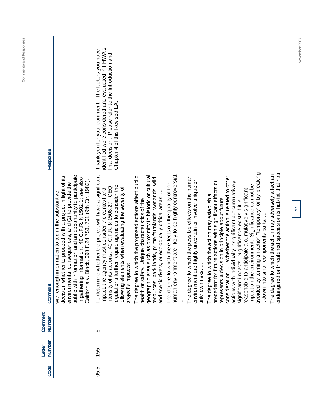| Code | <b>Number</b><br>Letter | Comment<br>Number | Comment                                                                                                                                                                                                                                                                                                                                                     | Response                                                                                                                                                                                        |
|------|-------------------------|-------------------|-------------------------------------------------------------------------------------------------------------------------------------------------------------------------------------------------------------------------------------------------------------------------------------------------------------------------------------------------------------|-------------------------------------------------------------------------------------------------------------------------------------------------------------------------------------------------|
|      |                         |                   | public with information and an opportunity to participate<br>decision whether to proceed with a project in light of its<br>in gathering information. 40 C.F.R. § 1502.1; see also<br>California v. Block, 690 F.2d 753, 761 (9th Cir. 1982).<br>environmental consequences; and (2) to provide the<br>nformation to aid in the substantive<br>with enough i |                                                                                                                                                                                                 |
| 05.5 | 155                     | ပ                 | To determine whether the project will have a significant<br>regulations further require agencies to consider the<br>actions. 40 C.F.R. § 1508.27. CEQ<br>following elements when evaluating the severity of<br>impact, the agency must consider the context and<br>project's impacts:<br>intensity of its                                                   | identified were considered and evaluated in FHWA's<br>Thank you for your comment. The factors you have<br>final decision. Please refer to the Introduction and<br>Chapter 4 of this Revised EA. |
|      |                         |                   | The degree to which the proposed actions affect public<br>geographic area such as proximity to historic or cultural<br>resources, park lands, prime farmlands, wetlands, wild<br>and scenic rivers, or ecologically critical areas<br>health or safety. Unique characteristics of the                                                                       |                                                                                                                                                                                                 |
|      |                         |                   | human environment are likely to be highly controversial.<br>The degree to which the effects on the quality of the                                                                                                                                                                                                                                           |                                                                                                                                                                                                 |
|      |                         |                   | The degree to which the possible effects on the human<br>environment are highly uncertain or involve unique or<br>unknown risks                                                                                                                                                                                                                             |                                                                                                                                                                                                 |
|      |                         |                   | consideration.  Whether the action is related to other<br>future actions with significant effects or<br>actions with individually insignificant but cumulatively<br>The degree to which the action may establish a<br>decision in principle about future<br>significant impacts. Significance exists if it is<br>precedent for<br>represents a              |                                                                                                                                                                                                 |
|      |                         |                   | avoided by terming an action "temporary" or by breaking<br>environment. Significance cannot be<br>anticipate a cumulatively significant<br>t down into small components parts<br>reasonable to<br>impact on the                                                                                                                                             |                                                                                                                                                                                                 |
|      |                         |                   | endangered or threatened species or its habitat that has<br>The degree to which the action may adversely affect an                                                                                                                                                                                                                                          |                                                                                                                                                                                                 |

November 2007

**97** 

**Comments and Responses**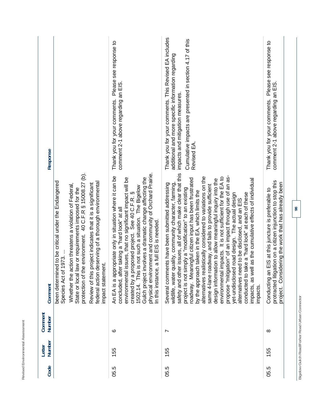|   | Revised Environmental Asse | smen<br>י<br>י<br>$\overline{\phantom{a}}$<br>¢ |  |  |  |
|---|----------------------------|-------------------------------------------------|--|--|--|
|   |                            |                                                 |  |  |  |
|   |                            |                                                 |  |  |  |
| l |                            | ١                                               |  |  |  |
|   | ֠                          |                                                 |  |  |  |

| Response          |                                                                                                                                                                                                                                                                                                                                                                                                                | Please see response to<br>comment 2-1 above regarding an EIS.<br>Thank you for your comments.                                                                                                                                                                                                                                                                                                                                                  | Thank you for your comments. This Revised EA includes<br>Cumulative impacts are presented in section 4.17 of this<br>additional and more specific information regarding<br>impacts and mitigation measures.<br>Revised EA                                                                                                                                                                                                                                                                                                                                                                                                                                                                                                                                                                                                                                                                                | Please see response to<br>comment 2-1 above regarding an EIS.<br>Thank you for your comments.                                                                                 |
|-------------------|----------------------------------------------------------------------------------------------------------------------------------------------------------------------------------------------------------------------------------------------------------------------------------------------------------------------------------------------------------------------------------------------------------------|------------------------------------------------------------------------------------------------------------------------------------------------------------------------------------------------------------------------------------------------------------------------------------------------------------------------------------------------------------------------------------------------------------------------------------------------|----------------------------------------------------------------------------------------------------------------------------------------------------------------------------------------------------------------------------------------------------------------------------------------------------------------------------------------------------------------------------------------------------------------------------------------------------------------------------------------------------------------------------------------------------------------------------------------------------------------------------------------------------------------------------------------------------------------------------------------------------------------------------------------------------------------------------------------------------------------------------------------------------------|-------------------------------------------------------------------------------------------------------------------------------------------------------------------------------|
| Comment           | protection of the environment. 40 C.F.R § 15008.27 (b).<br>been determined to be critical under the Endangered<br>deserving of a thorough environmental<br>action threatens a violation of Federal,<br>project indicates that it is a significant<br>law or requirements imposed for the<br>Species Act of 1973.<br>ent.<br>Review of this<br>federal action<br>impact statem<br>Whether the<br>State or local | physical environment and community of Orchard Prairie.<br>An EA is a appropriate only in situation where it can be<br>involves a dramatic change affecting the<br>issues, that no significant impact will be<br>1502.14. This is not such a situation. The Bigelow<br>created by a proposed project. See 40 C.F.R.<br>concluded, after taking a "hard look" at all<br>In this instance, a full EIS is needed<br>environmental<br>Gulch project | er issues, all of which make clear that this<br>propose "mitigation" of an impact through use of an as-<br>alternatives realistically considered to variations on the<br>impacts. It is not sufficient for the EA to<br>roadway. Meaningful citizen input has been frustrated<br>design information to allow meaningful inquiry into the<br>ell as the cumulative effects of individual<br>Several comments have been submitted addressing<br>quality, community character, farming,<br>same 4-lane roadway, and fails to provide sufficient<br>project is not simply a "modification" to an existing<br>by the approach taken in the EA, which limits the<br>conducted to take a "hard look" at each of these<br>yet-undisclosed road design. The actual design<br>alternatives need to be disclosed, and an EIS<br>environmental<br>as we<br>wildlife, water<br>safety and off<br>impacts,<br>impacts. | protracted litigation on a citizen injunction to stop this<br>project. Considering the work that has already been<br>n EIS at this juncture is preferable to<br>Conducting ar |
| Comment<br>Number |                                                                                                                                                                                                                                                                                                                                                                                                                | ဖ                                                                                                                                                                                                                                                                                                                                                                                                                                              | Ľ                                                                                                                                                                                                                                                                                                                                                                                                                                                                                                                                                                                                                                                                                                                                                                                                                                                                                                        | ∞                                                                                                                                                                             |
| Number<br>Letter  |                                                                                                                                                                                                                                                                                                                                                                                                                | 155                                                                                                                                                                                                                                                                                                                                                                                                                                            | 155                                                                                                                                                                                                                                                                                                                                                                                                                                                                                                                                                                                                                                                                                                                                                                                                                                                                                                      | 155                                                                                                                                                                           |
| Code              |                                                                                                                                                                                                                                                                                                                                                                                                                | 05.5                                                                                                                                                                                                                                                                                                                                                                                                                                           | 05.5                                                                                                                                                                                                                                                                                                                                                                                                                                                                                                                                                                                                                                                                                                                                                                                                                                                                                                     | 05.5                                                                                                                                                                          |

Bigelow Gulch Road/Forker Road Urban Connector **Bigelow Gulch Road/Forker Road Urban Connector**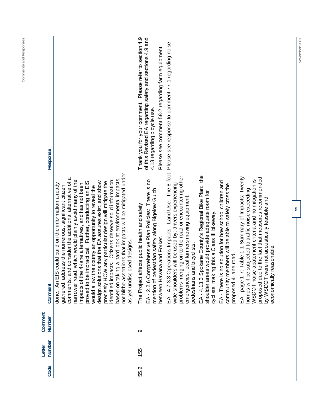| Response          |                                                                                                                                                                                                                                                                                                                                                                                                                                                                                                                                                                                                                                                                                                                                                     | Thank you for your comment. Please refer to section 4.9<br>of this Revised EA regarding safety and sections 4.9 and<br>Please see comment 58-2 regarding farm equipment.<br>4.13 regarding bicycle use. | Please see response to comment 77-1 regarding noise.                                                                                                                                                                                                         |                                                                                                                                                      |                                                                                                                                         |                                                                                                                                                                                                                                                                                                           |
|-------------------|-----------------------------------------------------------------------------------------------------------------------------------------------------------------------------------------------------------------------------------------------------------------------------------------------------------------------------------------------------------------------------------------------------------------------------------------------------------------------------------------------------------------------------------------------------------------------------------------------------------------------------------------------------------------------------------------------------------------------------------------------------|---------------------------------------------------------------------------------------------------------------------------------------------------------------------------------------------------------|--------------------------------------------------------------------------------------------------------------------------------------------------------------------------------------------------------------------------------------------------------------|------------------------------------------------------------------------------------------------------------------------------------------------------|-----------------------------------------------------------------------------------------------------------------------------------------|-----------------------------------------------------------------------------------------------------------------------------------------------------------------------------------------------------------------------------------------------------------------------------------------------------------|
| Comment           | not blithe assertions that impacts will be mitigated under<br>comments, and consider the additional alternative of a<br>Citizens deserve solid information,<br>ng a hard look at environmental impacts.<br>narrower road, which would plainly avoid many of the<br>design solutions that the EA assures exist, and show<br>proved to be impractical. Further, conducting an EIS<br>precisely HOW any particular design will mitigate the<br>impacts of the 4-lane alternatives, and has not been<br>could build on the information already<br>gathered, address the numerous, significant citizen<br>would allow the county an opportunity to reveal the<br>as-yet undisclosed designs.<br>identified impacts.<br>based on takir<br>An EIS<br>done. | mprehensive Plan Policies: There is no<br>mention of pedestrian safety along Bigelow Gulch<br>fects public health and safety<br>between Havana and Forker.<br>The Project aff<br>EA - 2.2.6 Cor         | EA-4.7.3.3 Operations Impacts - Land Use: The 8-foot<br>problems merging on to the road or encountering other<br>wide shoulders will be used by: drivers experiencing<br>local farmers moving equipment;<br>nd bicyclists.<br>pedestrians ar<br>emergencies; | EA - 4.13.3 Spokane County's Regional Bike Plan: the<br>shoulder areas would provide adequate room for<br>cyclists, making this a Class III bikeway. | no solution for how school children and<br>community members will be able to safely cross the<br>proposed 4-lane road.<br>EA - There is | EA-page 1-7: Table 1-1 Summary of Impacts: Twenty<br>proposed due to the fact that measures recommended<br>abatement criteria and no mitigation is<br>subjected to traffic noise exceeding<br>by WSDOT were not acoustically feasible and<br>easonable.<br>WSDOT noise<br>economically r<br>homes will be |
| Comment<br>Number |                                                                                                                                                                                                                                                                                                                                                                                                                                                                                                                                                                                                                                                                                                                                                     | တ                                                                                                                                                                                                       |                                                                                                                                                                                                                                                              |                                                                                                                                                      |                                                                                                                                         |                                                                                                                                                                                                                                                                                                           |
| Number<br>Letter  |                                                                                                                                                                                                                                                                                                                                                                                                                                                                                                                                                                                                                                                                                                                                                     | 55                                                                                                                                                                                                      |                                                                                                                                                                                                                                                              |                                                                                                                                                      |                                                                                                                                         |                                                                                                                                                                                                                                                                                                           |
| Code              |                                                                                                                                                                                                                                                                                                                                                                                                                                                                                                                                                                                                                                                                                                                                                     | 55.2                                                                                                                                                                                                    |                                                                                                                                                                                                                                                              |                                                                                                                                                      |                                                                                                                                         |                                                                                                                                                                                                                                                                                                           |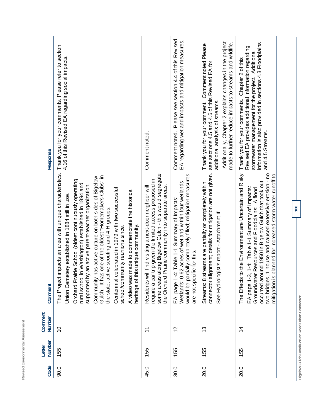| ı<br>i<br>j<br>¢<br>ı<br>í<br>i<br>۱<br>í<br>¢                                                                          |  |
|-------------------------------------------------------------------------------------------------------------------------|--|
| $\overline{\phantom{a}}$<br>$\overline{\phantom{a}}$<br>۶<br>ı<br>¢<br>š<br>ł<br>ă<br>¢<br>I<br>i.<br>k<br>i<br>I<br>J. |  |
| ş<br>ī<br>I<br>Ċ<br>-                                                                                                   |  |

| <b>Response</b>   | Thank you for your comments. Please refer to section<br>4.16 of this Revised EA regarding social impacts                                                                                                                                                                                                                                                                                                                                                                                                                                                                                                                                                 | Comment noted.                                                                                                                                                                                                                           | Comment noted. Please see section 4.4 of this Revised<br>EA regarding wetland impacts and mitigation measures.                                                                                | Additionally, Chapter 2 explains changes in the project<br>made to further reduce impacts to streams and wildlife.<br>Thank you for your comment. Comment noted Please<br>see sections 4.5 and 4.6 of this Revised EA for<br>additional analysis of streams. | information is also provided in sections 4.3 Floodplains<br>Revised EA provides additional information regarding<br>stormwater management for the project. Additional<br>Thank you for your comments. Chapter 2 of this<br>and 4.5 Streams.                                                                                                           |
|-------------------|----------------------------------------------------------------------------------------------------------------------------------------------------------------------------------------------------------------------------------------------------------------------------------------------------------------------------------------------------------------------------------------------------------------------------------------------------------------------------------------------------------------------------------------------------------------------------------------------------------------------------------------------------------|------------------------------------------------------------------------------------------------------------------------------------------------------------------------------------------------------------------------------------------|-----------------------------------------------------------------------------------------------------------------------------------------------------------------------------------------------|--------------------------------------------------------------------------------------------------------------------------------------------------------------------------------------------------------------------------------------------------------------|-------------------------------------------------------------------------------------------------------------------------------------------------------------------------------------------------------------------------------------------------------------------------------------------------------------------------------------------------------|
| Comment           | The Project impacts an area with unique characteristics.<br>Gulch. It has one of the oldest "Homemakers Clubs" in<br>Community has active culture on both sides of Bigelow<br>rie School (oldest continuously operating<br>rural school in Washington) established in 1894 and<br>an active parent-teacher organization.<br>Centennial celebrated in 1979 with two successful<br>made to commemorate the historical<br>Union Cemetery established in 1884 still in use.<br>the state, active scouting and 4-H groups.<br>is unique community.<br>school/community reunions since<br>supported by<br>heritage of th<br><b>Orchard Prai</b><br>A video was | some areas along Bigelow Gulch - this would segregate<br>trip given the limited access proposed in<br>the Orchard Prairie community into separate areas.<br>Il find visiting a next-door neighbor will<br>require a car<br>Residents wil | would be partially completely filled; mitigation measures<br>Wetlands: 0.62 acres of wetland within four wetlands<br>EA page 1-4: Table 1-1 Summary of Impacts:<br>are not specific for this. | connector alignment; details for mitigation are not given.<br>Streams: 8 streams are partially or completely within<br>See Hydrologist's report - Attachment If                                                                                              | The Effects to the Environment are Uncertain and Risky<br>1 house and caused extensive erosion - no<br>planned for increased storm water runoff to<br>occurred around 1950 in Bigelow Gulch that took out<br>1-4: Table 1-1 Summary of Impacts:<br>Resources and Floodplains: A flood<br>EA page 1-3,<br>Groundwater<br>two bridges,<br>mitigation is |
| Comment<br>Number | $\tilde{0}$                                                                                                                                                                                                                                                                                                                                                                                                                                                                                                                                                                                                                                              | $\overline{\mathbf{r}}$                                                                                                                                                                                                                  | $\frac{2}{3}$                                                                                                                                                                                 | 13                                                                                                                                                                                                                                                           | $\overline{4}$                                                                                                                                                                                                                                                                                                                                        |
| Number<br>Letter  | 155                                                                                                                                                                                                                                                                                                                                                                                                                                                                                                                                                                                                                                                      | 155                                                                                                                                                                                                                                      | 155                                                                                                                                                                                           | 155                                                                                                                                                                                                                                                          | 155                                                                                                                                                                                                                                                                                                                                                   |
| Code              | 90.0                                                                                                                                                                                                                                                                                                                                                                                                                                                                                                                                                                                                                                                     | 45.0                                                                                                                                                                                                                                     | 30.0                                                                                                                                                                                          | 20.0                                                                                                                                                                                                                                                         | 20.0                                                                                                                                                                                                                                                                                                                                                  |

Bigelow Gulch Road/Forker Road Urban Connector **Bigelow Gulch Road/Forker Road Urban Connector**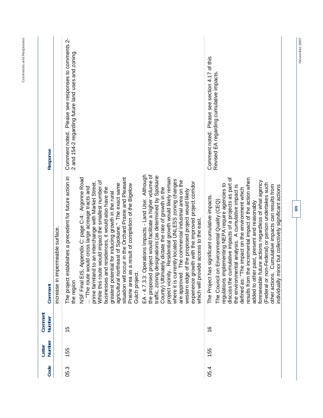| Code | Number<br>Letter | Comment<br>Number | Comment                                                                                                                                                                                                                                                                                                                                                                                                                                                                                                                                                                                                                                                                                                                                                                                                                                                                                                                                                                                                                                                                       | Response                                                                                                |
|------|------------------|-------------------|-------------------------------------------------------------------------------------------------------------------------------------------------------------------------------------------------------------------------------------------------------------------------------------------------------------------------------------------------------------------------------------------------------------------------------------------------------------------------------------------------------------------------------------------------------------------------------------------------------------------------------------------------------------------------------------------------------------------------------------------------------------------------------------------------------------------------------------------------------------------------------------------------------------------------------------------------------------------------------------------------------------------------------------------------------------------------------|---------------------------------------------------------------------------------------------------------|
|      |                  |                   | increase in impermeable surface                                                                                                                                                                                                                                                                                                                                                                                                                                                                                                                                                                                                                                                                                                                                                                                                                                                                                                                                                                                                                                               |                                                                                                         |
| 05.3 | 155              | 15                | The project establishes a precedent for future action in<br>the region                                                                                                                                                                                                                                                                                                                                                                                                                                                                                                                                                                                                                                                                                                                                                                                                                                                                                                                                                                                                        | Comment noted. Please see responses to comments 2-<br>2 and 154-2 regarding future land uses and zoning |
|      |                  |                   | EA - 4.7.3.3: Operations Impacts - Land Use: Although<br>project would facilitate a higher volume of<br>designations (as determined by Spokane<br>project vicinity. Residential growth would likely remain<br>situation will occur in the Orchard Prairie and Pleasant<br>NSF Final EIS, Appendix C: page C-4: Argonne Road<br>where it is currently located UNLESS zoning changes<br>The commercial industrial area on the<br>While this route would impact the smallest number of<br>experience growth with the improved project corridor<br>prime farmland to an interchange with Market Street.<br>agricultural northeast of Spokane." The exact same<br>Prairie area as a result of completion of the Bigelow<br>would cross large acreage tracts and<br>id residences, it would also have the<br>County) Ultimately dictate the rate of growth in the<br>western edge of the proposed project would likely<br>greatest potential for inducing growth in the rural<br>Gulch project.<br>are approved.<br>businesses ar<br>"The route"<br>traffic, zoning<br>the proposed |                                                                                                         |
| 05.4 | 155              | $\frac{6}{5}$     | discuss the cumulative impacts of a projects as part of<br>results from the incremental impact of the action when<br>foreseeable future actions regardless of what agency<br>(Federal or non-Federal) or person undertakes such<br>regulations implementing NEPA require agencies to<br>Cumulative impacts can results from<br>the environmental analysis. A cumulative impact is<br>nor but collectively significant actions<br>he impact on the environment which<br>The Project has significant cumulative impacts.<br>The Council on Environmental Quality (CEQ)<br>added to other past, present and reasonably<br>which will provide access to the east.<br>defined as: "T<br>individually mi<br>other actions.                                                                                                                                                                                                                                                                                                                                                          | Comment noted. Please see section 4.17 of this<br>Revised EA regarding cumulative impacts               |

Comments and Responses **Comments and Responses** 

**101** 

November 2007 **November 2007**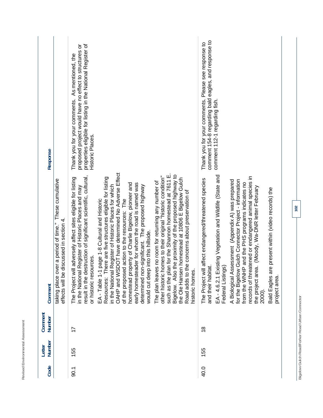| ı<br>ţ<br>¢<br>ł<br>ı<br>Ó<br><                           | -<br>i,<br>i<br>í<br>i<br>ź<br>ï<br>í<br>ń<br>ï<br>è               |
|-----------------------------------------------------------|--------------------------------------------------------------------|
| ı<br>ī<br>ł<br>ł<br>1<br>í<br>¢<br>ï<br>î<br>×<br>ì,<br>, | ц<br>$\overline{\phantom{a}}$<br>G<br>١<br>نسب<br>e<br>۰<br>ı<br>ŕ |
| ì<br>ċ<br>¢<br>٠<br>i.<br>٠<br>ï                          | -<br>ş<br>ì<br>×<br>J<br>×<br>≃                                    |

| <b>Response</b>   |                                                                                                     | properties eligible for listing in the National Register of<br>proposed project would have no effect to structures or<br>Thank you for your comments. As mentioned, the<br>Historic Places.                                                                                                                                                                                                                                                       |                                                                                                                                                                                                                                                  |                                                                                                                                                                                                                                                                                                                                                                     | comment 154-8 regarding bald eagles, and response to<br>Thank you for your comments. Please see response to<br>comment 112-1 regarding fish.               |                                                                                                                                                                                                                                                                                                                                            |              |
|-------------------|-----------------------------------------------------------------------------------------------------|---------------------------------------------------------------------------------------------------------------------------------------------------------------------------------------------------------------------------------------------------------------------------------------------------------------------------------------------------------------------------------------------------------------------------------------------------|--------------------------------------------------------------------------------------------------------------------------------------------------------------------------------------------------------------------------------------------------|---------------------------------------------------------------------------------------------------------------------------------------------------------------------------------------------------------------------------------------------------------------------------------------------------------------------------------------------------------------------|------------------------------------------------------------------------------------------------------------------------------------------------------------|--------------------------------------------------------------------------------------------------------------------------------------------------------------------------------------------------------------------------------------------------------------------------------------------------------------------------------------------|--------------|
| Comment           | taking place over a period of time." These cumulative<br>discussed in section 4.<br>effects will be | OAHP and WSDOT have determined No Adverse Effect<br>result in the destruction of significant scientific, cultural,<br>The Project will adversely affect sites eligible for listing<br>There are five structures eligible for listing<br>in the National Register of Historic Places for which<br>in the National Register of Historic Places and may<br>1 page 1-8 Cultural and Historic<br>or historic resources.<br>EA - Table 1-<br>Resources: | homestead property of Charlie Bigelow, pioneer and<br>early homesteader for whom the road is named was<br>determined non-significant. The proposed highway<br>of the proposed action to the resources: The<br>would cut deep into this hillside. | such as the plan for the Shannon homestead at 7611 E.<br>Bigelow. Also the proximity of the proposed highway to<br>homes to their original "historic condition"<br>the Ole Hansen homestead at 10806 E Bigelow Gulch<br>The plan leaves no room for returning any number of<br>Road adds to the concerns about preservation of<br>historic homes.<br>other historic | EA-4.6.2.1 Existing Vegetation and Wildlife (State and<br>The Project will affect endangered/threatened species<br>and their habitat.<br>Federal Listings) | records of threatened or endangered animal species in<br>for the Bigelow Gulch Connector Project - information<br>A Biological Assessment (Appendix A) was prepared<br>from the WNHP and the PHS programs indicates no<br>the project area. (Moody, Wa-DNR letter February<br>Bald Eagles are present within (video records) the<br>2000). | project area |
| Comment<br>Number |                                                                                                     | 17                                                                                                                                                                                                                                                                                                                                                                                                                                                |                                                                                                                                                                                                                                                  |                                                                                                                                                                                                                                                                                                                                                                     | $\frac{8}{1}$                                                                                                                                              |                                                                                                                                                                                                                                                                                                                                            |              |
| Number<br>Letter  |                                                                                                     | 155                                                                                                                                                                                                                                                                                                                                                                                                                                               |                                                                                                                                                                                                                                                  |                                                                                                                                                                                                                                                                                                                                                                     | 155                                                                                                                                                        |                                                                                                                                                                                                                                                                                                                                            |              |
| Code              |                                                                                                     | 0.1                                                                                                                                                                                                                                                                                                                                                                                                                                               |                                                                                                                                                                                                                                                  |                                                                                                                                                                                                                                                                                                                                                                     | 40.0                                                                                                                                                       |                                                                                                                                                                                                                                                                                                                                            |              |

Bigelow Gulch Road/Forker Road Urban Connector **Bigelow Gulch Road/Forker Road Urban Connector**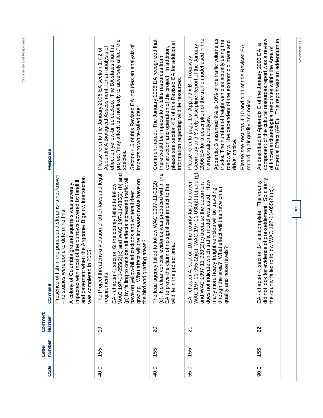| wildlife in the project area.<br>quality and noise levels?<br>was completed<br><b>WAC197-11-0</b><br>(g) by failing to<br>grazing. What<br>The Project thr<br>and pavement<br>EA-chapter 4<br>EA-chapter 4<br>requirements.<br>$\dot{\mathbb{C}}$<br>$\frac{6}{5}$<br>20<br>$\overline{2}$<br>155<br>155<br>155 | $\widehat{\mathbf{e}}$<br>55(2)(c) and WAC 197-11-030(2) (b) and<br>No clear concise evidence was produced within the<br>eatens a violation of other laws and legal<br>Presence of fish in the ponds and streams is not known<br>when the Argonne/ Bigelow intersection<br>consider all affects increased traffic will<br>affect will the increased noise have on<br>WAC 197-11-055 (2)(c), WAC 197-11-030(2) (b) and<br>impacted with most of the burrows covered by landfill<br>does not indicate which traffic model was used. How<br>section 10: the county failed to cover<br>and WAC 1997-11-030(2)(c) because the document<br>The lead agency failed to follow WAC 1997-11-03(2)<br>A colony of Columbia ground squirrels was severely<br>EA to prove the claim of no significant impact to the<br>section 6: the county failed to follow<br>through the area? What effect will this have on air<br>many more heavy freight vehicles will be traveling<br>have on yellow-billed cuckoos and whitetail deer<br>- no studies were done to determine this.<br>the bird and grazing areas?<br>in 2005. | Appendix B assumed 9% to 10% of the traffic volume as<br>2006 EA for a description of the traffic model used in the<br>Comment noted. The January 2006 EA recognized that<br>project "may affect, but not likely to adversely affect" the<br>trucks. The number of freight vehicles actually using the<br>roadway will be dependent of the economic climate and<br>please see section 4.6 of this Revised EA for additional<br>Geometry and Safety Discipline Report of the January<br>Section 4.6 of this Revised EA includes an analysis of<br>effect on yellow-billed cuckoo. The BA states that the<br>Please see sections 4.10 and 4.11 of this Revised EA<br>Appendix A Biological Assessment, for an analysis of<br>construction and operation of the project. In addition,<br>Please refer to the January 2006 EA section 1.7.2 of<br>Please refer to page 1 of Appendix B - Roadway<br>there would be impacts to wildlife resources from<br>information regarding wildlife resources.<br>impacts to white-tailed deer.<br>transportation analysis.<br>driver choice.<br>Response<br>species. |
|-----------------------------------------------------------------------------------------------------------------------------------------------------------------------------------------------------------------------------------------------------------------------------------------------------------------|-----------------------------------------------------------------------------------------------------------------------------------------------------------------------------------------------------------------------------------------------------------------------------------------------------------------------------------------------------------------------------------------------------------------------------------------------------------------------------------------------------------------------------------------------------------------------------------------------------------------------------------------------------------------------------------------------------------------------------------------------------------------------------------------------------------------------------------------------------------------------------------------------------------------------------------------------------------------------------------------------------------------------------------------------------------------------------------------------------------|-------------------------------------------------------------------------------------------------------------------------------------------------------------------------------------------------------------------------------------------------------------------------------------------------------------------------------------------------------------------------------------------------------------------------------------------------------------------------------------------------------------------------------------------------------------------------------------------------------------------------------------------------------------------------------------------------------------------------------------------------------------------------------------------------------------------------------------------------------------------------------------------------------------------------------------------------------------------------------------------------------------------------------------------------------------------------------------------------------|
| did not look for<br>the county faile<br>EA-chapter 4<br>22<br>155                                                                                                                                                                                                                                               | evidence of pre-settlement. So clearly<br>section 14 is incomplete. The county<br>d to follow WAC 197-11-055(2) (c).                                                                                                                                                                                                                                                                                                                                                                                                                                                                                                                                                                                                                                                                                                                                                                                                                                                                                                                                                                                      | Potential Effect (APE). This report was an addendum to<br>component of the cultural resources report was a review<br>$\sigma$<br>of known archaeological resources within the Area of<br>As described in Appendix E of the January 2006 EA,<br>regarding air quality and noise.                                                                                                                                                                                                                                                                                                                                                                                                                                                                                                                                                                                                                                                                                                                                                                                                                       |
|                                                                                                                                                                                                                                                                                                                 |                                                                                                                                                                                                                                                                                                                                                                                                                                                                                                                                                                                                                                                                                                                                                                                                                                                                                                                                                                                                                                                                                                           |                                                                                                                                                                                                                                                                                                                                                                                                                                                                                                                                                                                                                                                                                                                                                                                                                                                                                                                                                                                                                                                                                                       |

**Comments and Responses**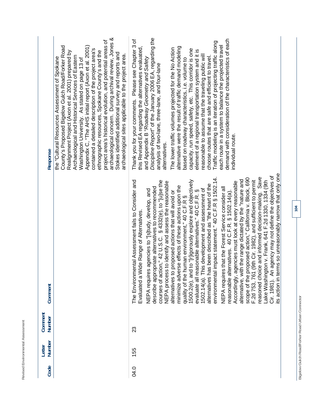Revised Environmental Assessment **Revised Environmental Assessment** 

| Response          | archaeological concern. During archival review, Jones &<br>project area's historical evolution, and potential areas of<br>Appendix C, "The AHS initial report (Axon et al. 2001)<br>County's Proposed Bigelow Gulch Road/Forker Road<br>contained a detailed description of the project area's<br>ethnographic resources, Spokane County's and the<br>Realignment Project (Axon et al. 2001) prepared by<br>Stokes identified additional survey and reports and<br>archaeological sites applicable to the project area.<br>Archaeological and Historical Services of Eastern<br>the "Cultural Resources Assessment of Spokane<br>Washington University. As stated on page 13 of | Discipline Report" of the January 2006 EA, regarding the<br>demand with consideration of the characteristics of each<br>Thank you for your comments. Please see Chapter 3 of<br>Traffic modeling is an iteration of projecting traffic along<br>each route in a system to balance the projected travel<br>this Revised EA regarding the alternatives evaluated,<br>alternative were the result of traffic demand modeling<br>The lower traffic volumes projected for the No Action<br>capacity, run speed, safety, etc. This corridor is one<br>element of a regional transportation system and it is<br>reasonable to assume that the traveling public will<br>choose routes that are safe and efficient to travel.<br>and Appendix B "Roadway Geometry and Safety<br>based on roadway characteristics, i.e. volume to<br>analysis of two-lane, three-lane, and four-lane<br>individual route.<br>alternatives.                                                                                                                                                                                                                                                                                                                                                                                                                                                              |
|-------------------|---------------------------------------------------------------------------------------------------------------------------------------------------------------------------------------------------------------------------------------------------------------------------------------------------------------------------------------------------------------------------------------------------------------------------------------------------------------------------------------------------------------------------------------------------------------------------------------------------------------------------------------------------------------------------------|-------------------------------------------------------------------------------------------------------------------------------------------------------------------------------------------------------------------------------------------------------------------------------------------------------------------------------------------------------------------------------------------------------------------------------------------------------------------------------------------------------------------------------------------------------------------------------------------------------------------------------------------------------------------------------------------------------------------------------------------------------------------------------------------------------------------------------------------------------------------------------------------------------------------------------------------------------------------------------------------------------------------------------------------------------------------------------------------------------------------------------------------------------------------------------------------------------------------------------------------------------------------------------------------------------------------------------------------------------------------------------|
| Comment           |                                                                                                                                                                                                                                                                                                                                                                                                                                                                                                                                                                                                                                                                                 | its action in terms so unreasonably narrow that only one<br>Cir. 1981). An agency may not define the objectives of<br>Save<br>impact statement." 40 C.F.R § 1502.14.<br>oposed action," California v. Block, 690<br>alternative, with the range dictated by the "nature and<br>Lake Washington v. Frank, 641 F.2d 1330, 1334 (9th<br>1500.2(e), and to "[r]igorously explore and objectively<br>(9th Cir. 1982), and sufficient to permit<br>courses of action," 42 U.S.C. § 4332(e), to "[u]se the<br>The Environmental Assessment fails to Consider and<br>Accordingly, agencies must look at every reasonable<br>NEPA process to identify and assess the reasonable<br>alternatives has been described as "the heart of the<br>se effects of these actions upon the<br>describe appropriate alternatives to recommended<br>NEPA requires that the Forest Service consider all<br>1502.14(a). This development and assessment of<br>NEPA requires agencies to "[s]tudy, develop, and<br>reasonable alternatives. 40 C.F.R. § 1502.14(a).<br>evaluate all reasonable alternatives." 40 C.F.R. §<br>proposed actions that will avoid or<br>reasoned choice and informed decision-making.<br>quality of the human environment," 40 C.F.R §<br>Evaluated a Wide Range of Alternatives<br>minimize adver<br>scope of the pr<br>alternatives to<br>environmental<br>F.2d 753, 761 |
| Comment<br>Number |                                                                                                                                                                                                                                                                                                                                                                                                                                                                                                                                                                                                                                                                                 | 23                                                                                                                                                                                                                                                                                                                                                                                                                                                                                                                                                                                                                                                                                                                                                                                                                                                                                                                                                                                                                                                                                                                                                                                                                                                                                                                                                                            |
| Number<br>Letter  |                                                                                                                                                                                                                                                                                                                                                                                                                                                                                                                                                                                                                                                                                 | 155                                                                                                                                                                                                                                                                                                                                                                                                                                                                                                                                                                                                                                                                                                                                                                                                                                                                                                                                                                                                                                                                                                                                                                                                                                                                                                                                                                           |
| Code              |                                                                                                                                                                                                                                                                                                                                                                                                                                                                                                                                                                                                                                                                                 | 04.0                                                                                                                                                                                                                                                                                                                                                                                                                                                                                                                                                                                                                                                                                                                                                                                                                                                                                                                                                                                                                                                                                                                                                                                                                                                                                                                                                                          |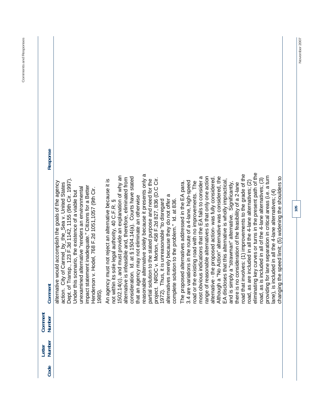$\overline{\phantom{a}}$ 

| Response          |                                                                                                                                                                                                                                                                                                                                                                                                               |                                                                                                                                                                                                                                                                                                                                                                                                                                                                                                                                                                                                                                                                                                      |                                                                                                                                                                                                                                                                                                                                                                                                                                                                                                                                                                                                              |                                                                                                                                                                                                                                                                                                                                                                                                                                                   |
|-------------------|---------------------------------------------------------------------------------------------------------------------------------------------------------------------------------------------------------------------------------------------------------------------------------------------------------------------------------------------------------------------------------------------------------------|------------------------------------------------------------------------------------------------------------------------------------------------------------------------------------------------------------------------------------------------------------------------------------------------------------------------------------------------------------------------------------------------------------------------------------------------------------------------------------------------------------------------------------------------------------------------------------------------------------------------------------------------------------------------------------------------------|--------------------------------------------------------------------------------------------------------------------------------------------------------------------------------------------------------------------------------------------------------------------------------------------------------------------------------------------------------------------------------------------------------------------------------------------------------------------------------------------------------------------------------------------------------------------------------------------------------------|---------------------------------------------------------------------------------------------------------------------------------------------------------------------------------------------------------------------------------------------------------------------------------------------------------------------------------------------------------------------------------------------------------------------------------------------------|
| Comment           | of Transp., 123 F.3d 1142, 1155 (9th Cir. 1997).<br>alternative would accomplish the goals of the agency<br>City of Carmel_by_the_Sea v. United States<br>statement inadequate." Citizens for a Better<br>unexamined alternative "renders an environmental<br>Henderson v. Hodel, 768 F.2d 1051, 1057 (9th Cir.<br>Under this scenario, the existence of a viable but<br>action.<br>impact<br>1985).<br>Dept. | able alternative solely because it presents only a<br>1502.14(c), and must provide an explanation of why an<br>consideration. Id. at § 1504.14(a). Courts have stated<br>alternative is infeasible and, therefore, eliminated from<br>NRDC v. Morton, 458 F.2d 827, 836 (D.C Cir.<br>solution to the stated purpose and need for the<br>An agency must not reject an alternative because it is<br>alternatives merely because they do not offer a<br>agency may not eliminate an otherwise<br>Thus, it is unreasonable "to disregard<br>complete solution to the problem." Id. at 836.<br>not within its sole legal authority, 40 C.F.R. §<br>Ŀ<br>that an<br>project<br>1972).<br>reasor<br>partial | of reasonable alternatives is that only one action<br>Although a "No Action" alternative was considered, the<br>most obvious indications that the EA fails to consider a<br>alternative - the proposed action- was fully considered.<br>EA discloses that this alternative is wholly impractical,<br>3.4 are variations in the route of a 4-lane, high-speed<br>road or the existing road with no improvements. The<br>The proposed alternatives addressed in the EA para.<br>simply a "strawman" alternative. Significantly,<br>there is no consideration of the feasibility of a 2-lane<br>range<br>and is | eliminating key curves or turns in the present path of the<br>road that involves: (1) improvements to the grade of the<br>providing for lane separation in critical areas (i.e. a turn<br>ing the speed limit; (5) widening the shoulders to<br>road, as is included in all of the 4-lane alternatives; (3)<br>road, as are included in all the 4-lane alternatives; (2)<br>is included in all the 4-lane alternatives; (4)<br>changi<br>lane), i |
| Comment<br>Number |                                                                                                                                                                                                                                                                                                                                                                                                               |                                                                                                                                                                                                                                                                                                                                                                                                                                                                                                                                                                                                                                                                                                      |                                                                                                                                                                                                                                                                                                                                                                                                                                                                                                                                                                                                              |                                                                                                                                                                                                                                                                                                                                                                                                                                                   |
| Number<br>Letter  |                                                                                                                                                                                                                                                                                                                                                                                                               |                                                                                                                                                                                                                                                                                                                                                                                                                                                                                                                                                                                                                                                                                                      |                                                                                                                                                                                                                                                                                                                                                                                                                                                                                                                                                                                                              |                                                                                                                                                                                                                                                                                                                                                                                                                                                   |
| Code              |                                                                                                                                                                                                                                                                                                                                                                                                               |                                                                                                                                                                                                                                                                                                                                                                                                                                                                                                                                                                                                                                                                                                      |                                                                                                                                                                                                                                                                                                                                                                                                                                                                                                                                                                                                              |                                                                                                                                                                                                                                                                                                                                                                                                                                                   |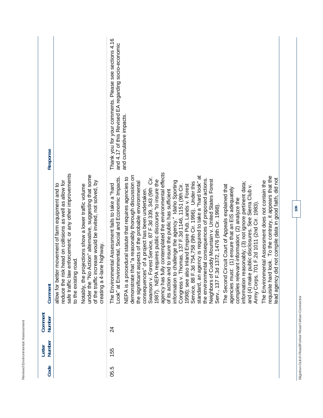| Response          |                                                                                                                                                                                                                                                                         |                                                                                                                                                   | Thank you for your comments. Please see sections 4.16<br>and 4.17 of this Revised EA regarding socio-economic | and cumulative impacts.                                                                                                                                                                                                                                                                                                                                                                                                                                                                                                                                                                                                                                                                                                                                                                                                                                                                                                                                                                                                                                                                                                                                                                                                                                                                                                                                                                                                                   |
|-------------------|-------------------------------------------------------------------------------------------------------------------------------------------------------------------------------------------------------------------------------------------------------------------------|---------------------------------------------------------------------------------------------------------------------------------------------------|---------------------------------------------------------------------------------------------------------------|-------------------------------------------------------------------------------------------------------------------------------------------------------------------------------------------------------------------------------------------------------------------------------------------------------------------------------------------------------------------------------------------------------------------------------------------------------------------------------------------------------------------------------------------------------------------------------------------------------------------------------------------------------------------------------------------------------------------------------------------------------------------------------------------------------------------------------------------------------------------------------------------------------------------------------------------------------------------------------------------------------------------------------------------------------------------------------------------------------------------------------------------------------------------------------------------------------------------------------------------------------------------------------------------------------------------------------------------------------------------------------------------------------------------------------------------|
| Comment           | enforcement; or any other improvements<br>reduce the risk head on collisions as well as allow for<br>movement of farm equipment and to<br>rojections show a lower traffic volume<br>road.<br>allow for better<br>safe traffic law<br>Notably, the pr<br>to the existing | under the "No Action" alternative, suggesting that some<br>of the traffic increase would be invited, not solved, by<br>creating a 4-lane highway. | Look" at Environmental, Social and Economic Impacts.<br>The Environmental Assessment fails to take a "hard    | agency has fully contemplated the environmental effects<br>demonstrate that "a reasonably thorough discussion on<br>standard, an agency is required to take a "hard look" at<br>look. To the contrary, it appears that the<br>NEPA is a procedural statute that requires agencies to<br>Swanson v. Forest Service, 87 F.3d 339, 343 (9th Cir.<br>the environmental consequences of proposed actions.<br>ead agency did not compile data in good faith, did not<br>requires public discourse "to insure the<br>Neighbors of Cuddy Mountain v. United States Forest<br>challenge the agency." Idaho Sporting<br>The Environmental Assessment does not contain the<br>aspects of the probable environmental<br>information reasonably; (3) not ignore pertinent data;<br>Service, 88 F.3d 754,758 (9th Cir. 1996). Under this<br>Congress v. Thomas, 137 F.3d 1146, 1151 (9th Cir.<br>1998); see also Inland Empire Pub. Lands v. Forest<br>The Second Circuit Court of Appeals explained that<br>public disclosures. See Sierra Club v.<br>agencies must: (1) ensure that an EIS adequately<br>consequences" of a project has been undertaken.<br>of its action and to insure the public has sufficient<br>compiles relevant information; (2) analyze the<br>Army Corps, 701 F.2d 1011 (2nd Cir. 1983).<br>Serv., 137 F.3d 1372, 1476 (9th Cir. 1998)<br>information to<br>the significant<br>1987). NEPA<br>and (4) make<br>requisite hard |
| Comment<br>Number |                                                                                                                                                                                                                                                                         |                                                                                                                                                   | 24                                                                                                            |                                                                                                                                                                                                                                                                                                                                                                                                                                                                                                                                                                                                                                                                                                                                                                                                                                                                                                                                                                                                                                                                                                                                                                                                                                                                                                                                                                                                                                           |
| Number<br>Letter  |                                                                                                                                                                                                                                                                         |                                                                                                                                                   | 155                                                                                                           |                                                                                                                                                                                                                                                                                                                                                                                                                                                                                                                                                                                                                                                                                                                                                                                                                                                                                                                                                                                                                                                                                                                                                                                                                                                                                                                                                                                                                                           |
| Code              |                                                                                                                                                                                                                                                                         |                                                                                                                                                   | 05.5                                                                                                          |                                                                                                                                                                                                                                                                                                                                                                                                                                                                                                                                                                                                                                                                                                                                                                                                                                                                                                                                                                                                                                                                                                                                                                                                                                                                                                                                                                                                                                           |

**Revised Environmental Assessment** 

Revised Environmental Assessment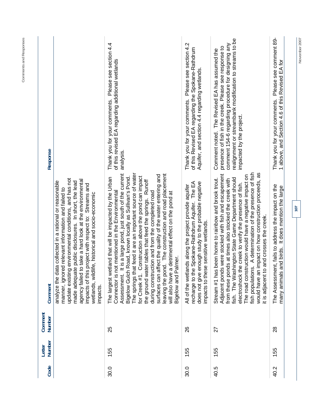| Response          |                                                                                                                                                                                                                                                                                                                                                                                                                      | Please see section 4.4<br>of this revised EA regarding additional wetlands<br>Thank you for your comments.<br>analysis.                                                                                                                                                                                                                                                                                                                                                                                                                                                                                                                                                                | Thank you for your comments. Please see section 4.2<br>of this Revised EA regarding the Spokane-Rathdrum<br>Aquifer, and section 4.4 regarding wetlands.                                                    | realignment or streambank modification to streams to be<br>comment 154-6 regarding procedure for designing any<br>presence of fish in the creek. Please see response to<br>Comment noted. The Revised EA has assumed the<br>impacted by the project.                                                                                                                                                                                                                                                                 | Please see comment 89-<br>1 above, and Section 4.6 of this Revised EA for<br>Thank you for your comments.   | November 2007 |
|-------------------|----------------------------------------------------------------------------------------------------------------------------------------------------------------------------------------------------------------------------------------------------------------------------------------------------------------------------------------------------------------------------------------------------------------------|----------------------------------------------------------------------------------------------------------------------------------------------------------------------------------------------------------------------------------------------------------------------------------------------------------------------------------------------------------------------------------------------------------------------------------------------------------------------------------------------------------------------------------------------------------------------------------------------------------------------------------------------------------------------------------------|-------------------------------------------------------------------------------------------------------------------------------------------------------------------------------------------------------------|----------------------------------------------------------------------------------------------------------------------------------------------------------------------------------------------------------------------------------------------------------------------------------------------------------------------------------------------------------------------------------------------------------------------------------------------------------------------------------------------------------------------|-------------------------------------------------------------------------------------------------------------|---------------|
| Comment           | update existing environmental conditions, and has not<br>agency failed to take a hard look at the environmental<br>made adequate public disclosures. In short, the lead<br>analyze the data collected in a rational or reasonable<br>s project with respect to: Streams and<br>manner, ignored relevant information and failed to<br>wetlands, wildlife, historical and socio-economic<br>impacts of thi<br>impacts. | The springs that feed it are an important source of water<br>It is a large pond, just south of the current<br>leaving the pond. The construction and road placement<br>surfaces can affect the quality of the water entering and<br>for Creek #1. Construction above the pond can impact<br>Bigelow Gulch Road, known locally as Sullivan's Pond.<br>etland that will be impacted by the Urban<br>Runoff<br>not mentioned in the Environmental<br>during construction and from the completed road<br>a detrimental effect on the pond at<br>the ground water tables that feed the springs.<br>Palmer.<br>The largest w<br>will also have<br>Assessment.<br>Bigelow and<br>Connector is | recharge to the Spokane-Rathdrum Aquifer. The EA<br>enough study to the probable negative<br>All of the wetlands along the project provide aquifer<br>impacts to these sensitive wetlands.<br>does not give | fish populations. A determination of the presence of fish<br>would have an impact on how construction proceeds, as<br>Adjacent ponds were stocked with fish and escapement<br>The road construction would have a negative impact on<br>Stream #1 has been home to rainbow and brook trout.<br>fish. The Washington State Game Department should<br>from these ponds at times also stocked the creek with<br>the creek to verify the presence of fish.<br>to and crosses the creek.<br>electroshock<br>it is adjacent | ent, fails to address the impact on the<br>many animals and birds. It does mention the large<br>The Assessm | 107           |
| Comment<br>Number |                                                                                                                                                                                                                                                                                                                                                                                                                      | 25                                                                                                                                                                                                                                                                                                                                                                                                                                                                                                                                                                                                                                                                                     | 26                                                                                                                                                                                                          | 27                                                                                                                                                                                                                                                                                                                                                                                                                                                                                                                   | 28                                                                                                          |               |
| Number<br>Letter  |                                                                                                                                                                                                                                                                                                                                                                                                                      | 155                                                                                                                                                                                                                                                                                                                                                                                                                                                                                                                                                                                                                                                                                    | 155                                                                                                                                                                                                         | 155                                                                                                                                                                                                                                                                                                                                                                                                                                                                                                                  | 55                                                                                                          |               |
| Code              |                                                                                                                                                                                                                                                                                                                                                                                                                      | 30.0                                                                                                                                                                                                                                                                                                                                                                                                                                                                                                                                                                                                                                                                                   | 30.0                                                                                                                                                                                                        | 40.5                                                                                                                                                                                                                                                                                                                                                                                                                                                                                                                 | 40.2                                                                                                        |               |

**Comments and Responses**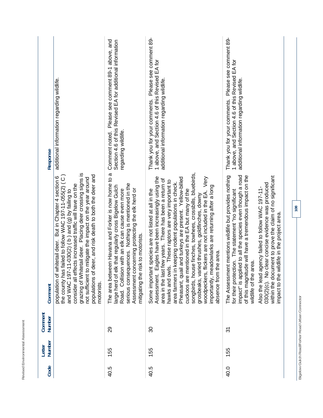| Response          | additional information regarding wildlife.                                                                                                                                                                                                                                                                                                                                                                                            | Please see comment 89-1 above, and<br>Section 4.6 of this Revised EA for additional information<br>Comment noted.<br>regarding wildlife.                                                                                                                                                                        | Please see comment 89-<br>1 above, and Section 4.6 of this Revised EA for<br>additional information regarding wildlife.<br>Thank you for your comments.                                                                                                                                                                                                                                                                                                                                                                                                                                                                                                                 | Please see comment 89-<br>1 above, and Section 4.6 of this Revised EA for<br>additional information regarding wildlife.<br>Thank you for your comments.                                                                                                                                                                                                                                                                                                                             |  |
|-------------------|---------------------------------------------------------------------------------------------------------------------------------------------------------------------------------------------------------------------------------------------------------------------------------------------------------------------------------------------------------------------------------------------------------------------------------------|-----------------------------------------------------------------------------------------------------------------------------------------------------------------------------------------------------------------------------------------------------------------------------------------------------------------|-------------------------------------------------------------------------------------------------------------------------------------------------------------------------------------------------------------------------------------------------------------------------------------------------------------------------------------------------------------------------------------------------------------------------------------------------------------------------------------------------------------------------------------------------------------------------------------------------------------------------------------------------------------------------|-------------------------------------------------------------------------------------------------------------------------------------------------------------------------------------------------------------------------------------------------------------------------------------------------------------------------------------------------------------------------------------------------------------------------------------------------------------------------------------|--|
| Comment           | grazing of Whitetail deer. Placing deer crossing signs is<br>deer, and risk death to both the deer and<br>the county has failed to follow WAC 197-11-055(2) (C)<br>population of whitetail deer. But in Chapter 4 section 6<br>not sufficient to mitigate the impact on the year around<br>consider all effects increased traffic will have on the<br>and WAC 197-11-030(2) (b) and (g) by failing to<br>populations of<br>motorists. | The area between Havana and Forker is now home to a<br>serious consequences. Nothing is mentioned in the<br>large herd of elk that regularly cross Bigelow Gulch<br>Assessment concerning protecting the elk herd or<br>Road. Collision with an elk can cause even more<br>risk to motorists.<br>mitigating the | songbirds, house finches, towhees, crossbills, bluebirds,<br>Eagles have been increasingly using the<br>Pheasant, quail and turkeys are present. Yellow-billed<br>flickers are not included in the EA. Very<br>area in the last few years. There has been a return of<br>hawks and owls. These raptors are very important to<br>n keeping rodent populations in check.<br>importantly, meadowlarks are returning after a long<br>Some important species are not listed at all in the<br>cuckoos are mentioned in the EA but many of the<br>grosbeaks, varied thrushes, goldfinches, downy<br>the area.<br>absence from<br>area farmers i<br>woodpeckers,<br>Assessment. | impact" is applied to all the species even though a road<br>The Assessment mentions wildlife but provides nothing<br>of this magnitude will have a tremendous impact on the<br>within the document to prove the claim of no significant<br>clear concise evidence was produced<br>Also the lead agency failed to follow WAC 197-11-<br>for their protection. The statement "no significant<br>impact to the wildlife in the project area.<br>wildlife of the area.<br>030(2)(c). No |  |
| Comment<br>Number |                                                                                                                                                                                                                                                                                                                                                                                                                                       | 29                                                                                                                                                                                                                                                                                                              | వి                                                                                                                                                                                                                                                                                                                                                                                                                                                                                                                                                                                                                                                                      | ᢌ                                                                                                                                                                                                                                                                                                                                                                                                                                                                                   |  |
| Number<br>Letter  |                                                                                                                                                                                                                                                                                                                                                                                                                                       | 155                                                                                                                                                                                                                                                                                                             | 155                                                                                                                                                                                                                                                                                                                                                                                                                                                                                                                                                                                                                                                                     | 155                                                                                                                                                                                                                                                                                                                                                                                                                                                                                 |  |
| Code              |                                                                                                                                                                                                                                                                                                                                                                                                                                       | 40.5                                                                                                                                                                                                                                                                                                            | 40.5                                                                                                                                                                                                                                                                                                                                                                                                                                                                                                                                                                                                                                                                    | 40.0                                                                                                                                                                                                                                                                                                                                                                                                                                                                                |  |

Revised Environmental Assessment **Revised Environmental Assessment** 

**108** 

Bigelow Gulch Road/Forker Road Urban Connector **Bigelow Gulch Road/Forker Road Urban Connector**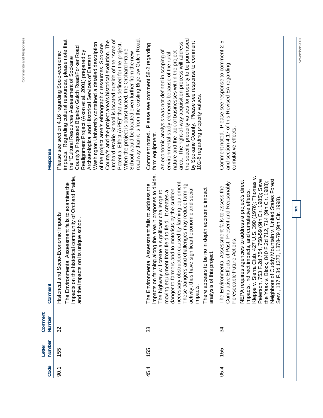| Response          | roadway than it is from the existing Bigelow Gulch Road.<br>impacts. Regarding cultural resources, please note that<br>Orchard Prairie School is located outside of the "Area of<br>County's and the project area's historical evolution. The<br>Washington University contained a detailed description<br>of the project area's ethnographic resources, Spokane<br>Potential Effect (APE)" that was defined for the project.<br>County's Proposed Bigelow Gulch Road/Forker Road<br>When the project is constructed, the Orchard Prairie<br>Realignment Project (Axon et al. 2001) prepared by<br>Please see section 4.16 regarding Socio-economic<br>School would be located even further from the new<br>Archaeological and Historical Services of Eastern<br>the "Cultural Resources Assessment of Spokane | the specific property values for property to be purchased<br>by Spokane County. Please see response to comment<br>area. The right-of-way acquisition process will address<br>Please see comment 58-2 regarding<br>An economic analysis was not defined in scoping of<br>nature and the lack of businesses within the project<br>environmental study elements because of the rural<br>102-6 regarding property values.<br>Comment noted.<br>farm equipment.                                                                                                   | Please see response to comment 2-5<br>and section 4.17 of this Revised EA regarding<br>cumulative effects.<br>Comment noted.                                                                                                                                                                                                                                                                                                                                                                                                                 |  |
|-------------------|----------------------------------------------------------------------------------------------------------------------------------------------------------------------------------------------------------------------------------------------------------------------------------------------------------------------------------------------------------------------------------------------------------------------------------------------------------------------------------------------------------------------------------------------------------------------------------------------------------------------------------------------------------------------------------------------------------------------------------------------------------------------------------------------------------------|--------------------------------------------------------------------------------------------------------------------------------------------------------------------------------------------------------------------------------------------------------------------------------------------------------------------------------------------------------------------------------------------------------------------------------------------------------------------------------------------------------------------------------------------------------------|----------------------------------------------------------------------------------------------------------------------------------------------------------------------------------------------------------------------------------------------------------------------------------------------------------------------------------------------------------------------------------------------------------------------------------------------------------------------------------------------------------------------------------------------|--|
| Comment           | impacts on the historical community of Orchard Prairie,<br>The Environmental Assessment fails to examine the<br>Socio-Economic Impacts<br>and the impacts on its unique school.<br>Historical and                                                                                                                                                                                                                                                                                                                                                                                                                                                                                                                                                                                                              | impacts on farming along the area it proposes to divide.<br>necessary obstruction caused by farming equipment.<br>nental Assessment fails to address the<br>is and challenges may reduce farming<br>There appears to be no in depth economic impact<br>have significant economic and social<br>danger to farmers and to motorists by the sudden<br>will create a significant challenge to<br>moving equipment from field to field. It creates a<br>s project.<br>These danger<br>The Environn<br>activity, thus<br>analysis of th<br>The highway<br>impacts. | Kleppe v. Sierra Club, 427 U.S. 390 (1976); Thomas v.<br>Cuddy Mountain v. United States Forest<br>Peterson, 753 F.2d 754, 758-59 (9th Cir. 1985); Save<br>NEPA requires agencies to address a project's direct<br>Cumulative Effects of Past, Present and Reasonably<br>the Yaak v. Block, 840 F.2d 712, 714 (9th Cir. 1988);<br>The Environmental Assessment fails to assess the<br>impacts, indirect impacts, and cumulative effects.<br>Serv., 137 F.3d 1372, 1378-79 (9th Cir. 1998).<br>Future Actions.<br>Neighbors of<br>Foreseeable |  |
| Comment<br>Number | 32                                                                                                                                                                                                                                                                                                                                                                                                                                                                                                                                                                                                                                                                                                                                                                                                             | 33                                                                                                                                                                                                                                                                                                                                                                                                                                                                                                                                                           | 34                                                                                                                                                                                                                                                                                                                                                                                                                                                                                                                                           |  |
| Number<br>Letter  | 155                                                                                                                                                                                                                                                                                                                                                                                                                                                                                                                                                                                                                                                                                                                                                                                                            | 155                                                                                                                                                                                                                                                                                                                                                                                                                                                                                                                                                          | 155                                                                                                                                                                                                                                                                                                                                                                                                                                                                                                                                          |  |
| Code              | 50.1                                                                                                                                                                                                                                                                                                                                                                                                                                                                                                                                                                                                                                                                                                                                                                                                           | 45.4                                                                                                                                                                                                                                                                                                                                                                                                                                                                                                                                                         | 05.4                                                                                                                                                                                                                                                                                                                                                                                                                                                                                                                                         |  |

Comments and Responses **Comments and Responses** 

**109** 

November 2007 **November 2007**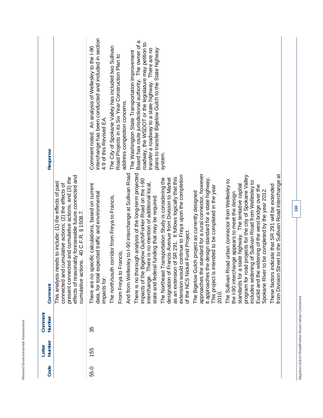| Number<br>35<br>Number<br>155<br>Code<br>55.0 | There is no thorough analysis of the long-term projected<br>And from Wellesley to I-90 interchange at Sullivan Road<br>approaches the standard for a rural connector, however<br>effects of reasonably foreseeable future connected and<br>extension would continue to Freya upon the completion<br>program for road projects for the city of Spokane Valley<br>present connected and cumulative actions; and (3) the<br>as an extension of SR 291. It follows logically that this<br>The Northeast Transportation Study is considering the<br>Francis Avenue from Division to Market<br>the design standard for a state highway.<br>Bigelow Gulch/Forker Road on the I-90<br>The Sullivan Road urban connector from Wellesley to<br>includes widening of Sullivan Road from Wellesley to<br>needs to include: (1) the effects of past<br>There is no mention of additional local,<br>There are no specific calculations, based on current<br>connected and cumulative actions; (2) the effects of<br>standards for a state highway. The tentative capital<br>Euclid and the widening of the west bridge over the<br>intended to be completed in the year<br>The Bigelow Gulch project as currently designed<br>the I-90 interchange appears to meet the design<br>expected traffic and environmental<br>The north/south corridor from Freya to Francis,<br>state and federal funding that may be required<br>cumulative actions. 40 C.F.R. § 1508.7.<br>of the NCS Nickel Fund Project.<br>Francis.<br>From Freya to<br>impacts of the<br>designation of<br>This project is<br>it approaches<br>This analysis<br>data, for total<br>interchange.<br>impacts for:<br>Comment<br>2010. | interchange has been conducted and included in section<br>Board has route jurisdictional authority. The owner of a<br>roadway, the WSDOT or the legislature may petition to<br>Comment noted. An analysis of Wellesley to the I-90<br>The City of Spokane Valley has included two Sullivan<br>transfer a roadway to a state highway. There are no<br>plans to transfer Bigelow Gulch to the State highway<br>The Washington State Transportation Improvement<br>Road Projects in its Six Year Construction Plan to<br>address congestion concerns.<br>4.9 of this Revised EA.<br>Response<br>system. |
|-----------------------------------------------|---------------------------------------------------------------------------------------------------------------------------------------------------------------------------------------------------------------------------------------------------------------------------------------------------------------------------------------------------------------------------------------------------------------------------------------------------------------------------------------------------------------------------------------------------------------------------------------------------------------------------------------------------------------------------------------------------------------------------------------------------------------------------------------------------------------------------------------------------------------------------------------------------------------------------------------------------------------------------------------------------------------------------------------------------------------------------------------------------------------------------------------------------------------------------------------------------------------------------------------------------------------------------------------------------------------------------------------------------------------------------------------------------------------------------------------------------------------------------------------------------------------------------------------------------------------------------------------------------------------------------------------------------------------------------------------|------------------------------------------------------------------------------------------------------------------------------------------------------------------------------------------------------------------------------------------------------------------------------------------------------------------------------------------------------------------------------------------------------------------------------------------------------------------------------------------------------------------------------------------------------------------------------------------------------|
|                                               | from Division Street to the Sullivan Road interchange at<br>indicate that SR 291 will be extended<br>Spokane River to be completed by the year 2012.<br>These factors                                                                                                                                                                                                                                                                                                                                                                                                                                                                                                                                                                                                                                                                                                                                                                                                                                                                                                                                                                                                                                                                                                                                                                                                                                                                                                                                                                                                                                                                                                                 |                                                                                                                                                                                                                                                                                                                                                                                                                                                                                                                                                                                                      |

Revised Environmental Assessment

Bigelow Gulch Road/Forker Road Urban Connector **Bigelow Gulch Road/Forker Road Urban Connector**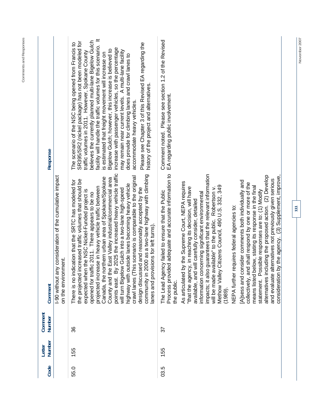| i |  |
|---|--|
| ۰ |  |
|   |  |
|   |  |

| Code | <b>Number</b><br>Letter | Comment<br>Number | Comment                                                                                                                                                                                                                                                                                                                                                                                                                                                                                                                                                                                                                                                                                                                                                                                                                                                                                                                                                                                                     | Response                                                                                                                                                                                                                                                                                                                                                                                                                                                                                                                                                                                                                                                                                                              |
|------|-------------------------|-------------------|-------------------------------------------------------------------------------------------------------------------------------------------------------------------------------------------------------------------------------------------------------------------------------------------------------------------------------------------------------------------------------------------------------------------------------------------------------------------------------------------------------------------------------------------------------------------------------------------------------------------------------------------------------------------------------------------------------------------------------------------------------------------------------------------------------------------------------------------------------------------------------------------------------------------------------------------------------------------------------------------------------------|-----------------------------------------------------------------------------------------------------------------------------------------------------------------------------------------------------------------------------------------------------------------------------------------------------------------------------------------------------------------------------------------------------------------------------------------------------------------------------------------------------------------------------------------------------------------------------------------------------------------------------------------------------------------------------------------------------------------------|
|      |                         |                   | -90 without any consideration of the cumulative impact<br>on the environment.                                                                                                                                                                                                                                                                                                                                                                                                                                                                                                                                                                                                                                                                                                                                                                                                                                                                                                                               |                                                                                                                                                                                                                                                                                                                                                                                                                                                                                                                                                                                                                                                                                                                       |
| 55.0 | 155                     | 36                | By 2025 the increased heavy vehicle traffic<br>2000 as a two-lane highway with climbing<br>This scenario is comparable to the original<br>northern urban area of Spokane/Spokane<br>County and the East Valley industrial/commercial area<br>increased traffic volumes that should be<br>There is no indication that the SRTC has modeled for<br>outside lanes becoming heavy vehicle<br>projected increase in heavy vehicle traffic between<br>design discussed and reasonably accepted by the<br>ow Gulch into a two-lane high-speed<br>expected when the NSC Nickel-Funded project is<br>opened for traffic 2011. There appears to be no<br>lanes and provisions for left turns)<br>community in<br>will turn Bigel<br>the projected<br>Canada, the<br>highway with<br>crawl lanes (<br>points east.                                                                                                                                                                                                     | facility will handle the traffic volumes for this scenario. It<br>believes the currently planned multi-lane Bigelow Gulch<br>SR395/SR2 (nickel package) has not been modeled for<br>The scenario of the NSC being opened from Francis to<br>Please see Chapter 3 of this Revised EA regarding the<br>increase with passenger vehicles, so the percentage<br>Bigelow Gulch; however, this increase is believed to<br>may remain near current levels. A multi-lane facility<br>is estimated that freight movement will increase on<br>traffic volumes in 2011. However, Spokane County<br>does provide for climbing lanes and crawl lanes to<br>history of the project and alternatives.<br>accommodate heavy vehicles. |
| 03.5 | 155                     | 22                | Process provided adequate and accurate information to<br>impacts; it also guarantees that the relevant information<br>alternatives including the proposed action. (2) Develop<br>by the agency. (3) Supplement, improve,<br>alternatives not previously given serious<br>A sess and consider comments both individually and<br>by the Supreme Court, NEPA requires<br>collectively, and shall respond by one or more of the<br>Methow Valley Citizens Council, 490 U.S. 332, 349<br>below, stating its response in the final<br>will be made available" to the public. Robertson v.<br>ncy, in reaching its decision, will have<br>statement. Possible responses are to: (1) Modify<br>The Lead Agency failed to ensure that the Public<br>information concerning significant environmental<br>available, and will carefully consider, detailed<br>NEPA further requires federal agencies to:<br>As articulated<br>consideration<br>"that the ager<br>means listed<br>and evaluate<br>the public.<br>(1989) | Please see section 1.2 of the Revised<br>EA regarding public involvement.<br>Comment noted.                                                                                                                                                                                                                                                                                                                                                                                                                                                                                                                                                                                                                           |
|      |                         |                   |                                                                                                                                                                                                                                                                                                                                                                                                                                                                                                                                                                                                                                                                                                                                                                                                                                                                                                                                                                                                             |                                                                                                                                                                                                                                                                                                                                                                                                                                                                                                                                                                                                                                                                                                                       |

November 2007 **November 2007**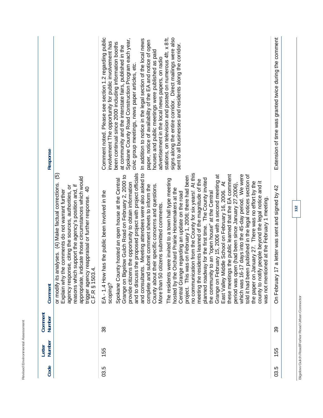| Code | Number<br>Letter | Comment<br>Number | Comment                                                                                                                                                                                                                                                                                                                                                                                                                                                                                                                                                                                                                                                                                                                                                                                                                                                                                                                                                                                                                                                                                                                                                                                                                                                                                                                                                                                                                                                                                                   | Response                                                                                                                                                                                                                                                                                                                                                                                                                                                                                                                                                                                                                                                                                                                                                                       |
|------|------------------|-------------------|-----------------------------------------------------------------------------------------------------------------------------------------------------------------------------------------------------------------------------------------------------------------------------------------------------------------------------------------------------------------------------------------------------------------------------------------------------------------------------------------------------------------------------------------------------------------------------------------------------------------------------------------------------------------------------------------------------------------------------------------------------------------------------------------------------------------------------------------------------------------------------------------------------------------------------------------------------------------------------------------------------------------------------------------------------------------------------------------------------------------------------------------------------------------------------------------------------------------------------------------------------------------------------------------------------------------------------------------------------------------------------------------------------------------------------------------------------------------------------------------------------------|--------------------------------------------------------------------------------------------------------------------------------------------------------------------------------------------------------------------------------------------------------------------------------------------------------------------------------------------------------------------------------------------------------------------------------------------------------------------------------------------------------------------------------------------------------------------------------------------------------------------------------------------------------------------------------------------------------------------------------------------------------------------------------|
|      |                  |                   | ම<br>appropriate, indicate those circumstances which would<br>or modify its analyses. (4) Make factual corrections.<br>support the agency's position and, if<br>se, citing the sources, authorities, or<br><del>ទ</del><br>Explain why the comments do not warrant further<br>reappraisal or further response.<br>trigger agency re<br>C.F.R § 1503.4.<br>agency respon<br>reasons which                                                                                                                                                                                                                                                                                                                                                                                                                                                                                                                                                                                                                                                                                                                                                                                                                                                                                                                                                                                                                                                                                                                  |                                                                                                                                                                                                                                                                                                                                                                                                                                                                                                                                                                                                                                                                                                                                                                                |
| 03.5 | 155              | 38                | and consultants. Meeting attendees were also asked to<br>no communication from the County for six years! At this<br>and to discuss the proposed project with project officials<br>these meetings the public learned that the EA comment<br>Grange on February 15, 2006 with a second meeting at<br>which was 16-17 days into the 45-day period. We were<br>told it had been published in the legal notices section of<br>the paper on January 27. There was no effort by the<br>Grange on Bigelow Gulch Road on February 2, 2000 to<br>project. This was on February 1, 2006; there had been<br>planned roadway for the first time. The County invited<br>were invited to a town hall type meeting<br>Spokane County hosted an open house at the Central<br>meeting the residents learned of the magnitude of the<br>county to notify people beyond the legal notice and it<br>East Valley Middle School on February 16, 2006. At<br>provide citizens the opportunity to obtain information<br>period was open (had been since January 27,2006),<br>complete and submit comment sheets to inform the<br>their specific concerns and questions.<br>Orchard Prairie Homemakers at the<br>the community to an "open house" at the Central<br>EA - 1.4 How has the public been involved in the<br>Central Grange regarding an update on the road<br>was not mentioned at the February 1 meeting.<br>More than 50 citizens submitted comments.<br>hosted by the<br>County about 1<br>The residents<br>scoping? | Comment noted. Please see section 1.2 regarding public<br>stations, on television and posted on numerous 4ft. x 8ft.<br>signs along the entire corridor. Direct mailings were also<br>Spokane County Road Construction Program each year,<br>In addition to notice in the legal section of the local news<br>paper, notice of availability of the EA and notice of open<br>involvement The opportunity for public involvement has<br>been continual since 2000 including information booths<br>sent to all businesses and residents along the corridor.<br>at community and the interstate fairs, published in the<br>houses and public meetings were published as paid<br>advertisement in the local news papers, on radio<br>civic group meetings, news paper articles, etc. |
| 03.5 | 155              | ႙ၟ                | 7 a letter was sent and signed by 42<br>On February 1                                                                                                                                                                                                                                                                                                                                                                                                                                                                                                                                                                                                                                                                                                                                                                                                                                                                                                                                                                                                                                                                                                                                                                                                                                                                                                                                                                                                                                                     | Extension of time was granted twice during the comment                                                                                                                                                                                                                                                                                                                                                                                                                                                                                                                                                                                                                                                                                                                         |

Revised Environmental Assessment

Bigelow Gulch Road/Forker Road Urban Connector **Bigelow Gulch Road/Forker Road Urban Connector**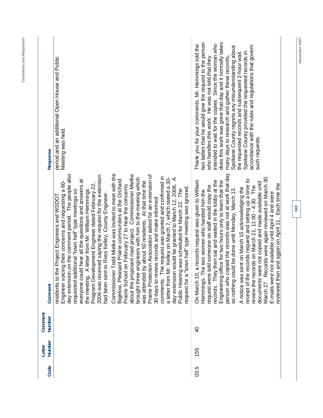| Code | Number<br>Letter | Comment<br>Number | Comment                                                                                                                                                                                                                                                                                                                                                                                                                                                                                                                                                                                                                                                                                                                                                                                                                                                                                                                                                                                                                                                                                                                                                                                                                                                                                                       | Response                                                                                                                                                                                                                                                                                                                                                                                                                                                                                                                                                                       |
|------|------------------|-------------------|---------------------------------------------------------------------------------------------------------------------------------------------------------------------------------------------------------------------------------------------------------------------------------------------------------------------------------------------------------------------------------------------------------------------------------------------------------------------------------------------------------------------------------------------------------------------------------------------------------------------------------------------------------------------------------------------------------------------------------------------------------------------------------------------------------------------------------------------------------------------------------------------------------------------------------------------------------------------------------------------------------------------------------------------------------------------------------------------------------------------------------------------------------------------------------------------------------------------------------------------------------------------------------------------------------------|--------------------------------------------------------------------------------------------------------------------------------------------------------------------------------------------------------------------------------------------------------------------------------------------------------------------------------------------------------------------------------------------------------------------------------------------------------------------------------------------------------------------------------------------------------------------------------|
|      |                  |                   | Commissioner Todd Mielke was invited to meet with the<br>day extension on the comment period. The people also<br>about the proposed road project. Commissioner Mielke<br>Prairie Protection Association asked for an extension of<br>2006 was received saying the request for the extension<br>comments. The request was granted and confirmed in<br>a letter from Mr. Kelley on March 7, which stated a 30-<br>engineers with him to the meeting which<br>day extension would be granted to March 12, 2006. A<br>Public Hearing was scheduled for March 22. The<br>Bigelow, Pleasant Prairie communities at the Orchard<br>Id hear all the questions and answers at<br>by about 50 residents. At that time the<br>Engineer voicing their concerns and requesting a 60-<br>Program Development Engineer dated February 22,<br>on February 27 to hear the concerns<br>"town hall" type meeting was ignored.<br>A letter from Mr. William Hemmings<br>requested additional "town hall" type meetings so<br>had been sent to Ross Kelley, County Engineer.<br>e Project Engineers and WSDOT<br>30 days to review records and make informed<br>Public Hearing was scheduled for March 22.<br>residents to th<br>Prairie School<br>everyone coul<br>was attended<br>brought three<br>request for a<br>the meeting. | period and an additional Open House and Public<br>Meeting was held.                                                                                                                                                                                                                                                                                                                                                                                                                                                                                                            |
| 03.5 | 155              | $\overline{Q}$    | person who copied the records was not at work that day<br>March 27. Records were again reviewed on March 30<br>records request and setting up a time to<br>a records request was given to William<br>records. They then sat and waited in the lobby at the<br>Engineering office for two hours only to learn that the<br>documents were not copied and made available until<br>and again on April 11. Each time the<br>told someone on staff would copy the<br>review the records on March 21, 11:00 - 4:30. The<br>A notice was sent on March 15 acknowledging the<br>so nothing could be done until Monday, March 13.<br>Hemmings. The two women who handed him the<br>not available until April 4 and were<br>reviewed then<br>request were t<br>On March 10,<br>receipt of the<br>E-mails were                                                                                                                                                                                                                                                                                                                                                                                                                                                                                                            | two ladies that he would give the request to the person<br>does this work was gone that day and it normally takes<br>intended to wait for the copies. Since the woman who<br>Thank you for your comments. Mr. Hemmings told the<br>accordance with the rules and regulations that govern<br>Spokane County regrets any misunderstanding about<br>the requested records and subsequent 2-hour wait.<br>Spokane County provided the requested records in<br>who handles this work. He was not told that they<br>many days to research and gather these records<br>such requests. |
|      |                  |                   | 113                                                                                                                                                                                                                                                                                                                                                                                                                                                                                                                                                                                                                                                                                                                                                                                                                                                                                                                                                                                                                                                                                                                                                                                                                                                                                                           |                                                                                                                                                                                                                                                                                                                                                                                                                                                                                                                                                                                |

November 2007

**Comments and Responses**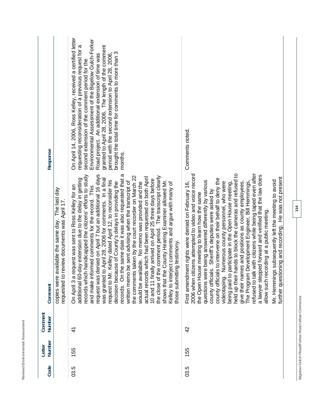|      | Letter | Comment                                        |                                                                                                                                                                                                                                                                                                                                                                                                                                                                                                                                                                                                                                                                                                                                                                                                                                                                                                                                                                                                                                            |                                                                                                                                                                                                                                                                                                                                                                                                                                                                      |
|------|--------|------------------------------------------------|--------------------------------------------------------------------------------------------------------------------------------------------------------------------------------------------------------------------------------------------------------------------------------------------------------------------------------------------------------------------------------------------------------------------------------------------------------------------------------------------------------------------------------------------------------------------------------------------------------------------------------------------------------------------------------------------------------------------------------------------------------------------------------------------------------------------------------------------------------------------------------------------------------------------------------------------------------------------------------------------------------------------------------------------|----------------------------------------------------------------------------------------------------------------------------------------------------------------------------------------------------------------------------------------------------------------------------------------------------------------------------------------------------------------------------------------------------------------------------------------------------------------------|
| Code | Number | Number                                         | The last day<br>requested to review documents was April 17.<br>copies were available the same day.<br>Comment                                                                                                                                                                                                                                                                                                                                                                                                                                                                                                                                                                                                                                                                                                                                                                                                                                                                                                                              | Response                                                                                                                                                                                                                                                                                                                                                                                                                                                             |
| 03.5 | 155    | 41                                             | request was denied on April 7 but an additional 16 days<br>records. On the same date it was also requested that a<br>records which handicapped the citizens' efforts to study<br>the comments taken by the court recorder on March 22<br>the close of the comment period. The transcript clearly<br>actual records which had been requested on both April<br>was granted to April 28, 2006 for comments. In a final<br>additional 60-day extension due to the delay in getting<br>10 and 11 finally arrived on April 25 three days before<br>shows that the County Hearing Examiner allowed Mr.<br>Kelley dated April 12, to reconsider his<br>written memo be sent advising when the transcript of<br>decision because of County's delays in providing the<br>lable. No memo was provided and the<br>Kelley to interject comments and argue with many of<br>On April 3 a request was sent to Ross Kelley for an<br>and make informed comments for the record. This<br>ing testimony.<br>request to Mr.<br>those submitti<br>would be avai | On April 14, 2006, Ross Kelley, received a certified letter<br>Environmental Assessment of the Bigelow Gulch-Forker<br>requesting reconsideration of a previous request for a<br>granted to April 28, 2006. The length of the comment<br>brought the total time for comments to more than 3<br>period with the second extension to April 28, 2006,<br>Road project. An additional extension of time was<br>second extension of the comment period for the<br>months. |
| 03.5 | 155    | $\frac{4}{2}$                                  | refused to talk with citizens while being taped even after<br>held up their hands to block the cameras and refused to<br>2006 when citizens attempted to video and voice record<br>a lawyer stepped forward and verified that the law does<br>further questioning and recording. He was not present<br>s to intervene on their behalf to deny the<br>questions were being answered differently by various<br>Mr. Hemmings subsequently left the meeting to avoid<br>give their names and positions as county employees.<br>Numerous county personnel, who were<br>Development Engineer, Bill Hemmings,<br>First amendment rights were denied on February 16,<br>participate in the Open House meeting,<br>s. Sheriff's deputies were asked by<br>the Open House meeting to learn how the same<br>allow such recording at a public meeting.<br>county official<br>The Program<br>county official<br>being paid to<br>videotaping.                                                                                                           | Comments noted.                                                                                                                                                                                                                                                                                                                                                                                                                                                      |
|      |        | Bigelow Gulch Road/Forker Road Urban Connector | 114                                                                                                                                                                                                                                                                                                                                                                                                                                                                                                                                                                                                                                                                                                                                                                                                                                                                                                                                                                                                                                        |                                                                                                                                                                                                                                                                                                                                                                                                                                                                      |

Revised Environmental Assessment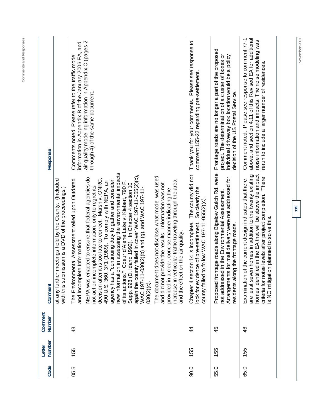| Response          |                                                                                                                    | information in Appendix B of the January 2006 EA, and<br>Comments noted. Please refer to the traffic model | air quality modeling information in Appendix C (pages 2<br>through 4) of the same document.                                                                                                                                                                                                                                                                                                                                                                                                                                                                                                                |                                                                                                                                                                                                                                                                       | Thank you for your comments. Please see response to<br>comment 155-22 regarding pre-settlement.                                                                      | Frontage roads are no longer a part of the proposed<br>project. The determination of a cluster of boxes or<br>individual driveway box location would be a policy<br>decision of the US Postal Service.    | above, and section 4.11 of this Revised EA for additional<br>Comment noted. Please see response to comment 77-1<br>noise information and impacts. The noise modeling was<br>rerun to include a larger number of residences.                                                               |
|-------------------|--------------------------------------------------------------------------------------------------------------------|------------------------------------------------------------------------------------------------------------|------------------------------------------------------------------------------------------------------------------------------------------------------------------------------------------------------------------------------------------------------------------------------------------------------------------------------------------------------------------------------------------------------------------------------------------------------------------------------------------------------------------------------------------------------------------------------------------------------------|-----------------------------------------------------------------------------------------------------------------------------------------------------------------------------------------------------------------------------------------------------------------------|----------------------------------------------------------------------------------------------------------------------------------------------------------------------|-----------------------------------------------------------------------------------------------------------------------------------------------------------------------------------------------------------|-------------------------------------------------------------------------------------------------------------------------------------------------------------------------------------------------------------------------------------------------------------------------------------------|
| Comment           | meetings held by the County. (Included<br>ission is a DVD of the proceedings.)<br>with this subm<br>at any further | ental Assessment relied upon Outdated<br>and Incomplete Information.<br>The Environm                       | new information in assessing the environmental impacts<br>again the county failed in cover WAC 197-11-055(2)(c),<br>NEPA was enacted to ensure that federal agencies do<br>it is too late to correct. Marsh v. ONRC,<br>371 (1989). To comply with NEPA, an<br>"continuing duty to gather and consider<br>Coeur d'Alene Lake v. Kiebert, 790 F.<br>Idaho 1992). In Chapter 4 section 10<br>not act on incomplete information, only to regret its<br>WAC 197-11-030(2)(b) and (g), and VAC 197-11-<br>490 U.S. 360,<br>of its actions."<br>Supp. 998 (D.<br>decision after<br>agency has a<br>$030(2)(c)$ . | The document does not disclose what model was used<br>increase in vehicular traffic traveling through the area<br>and did not provide the results. Information was not<br>provided in a clear, concise manner indicating the<br>on the air quality.<br>and the effect | The county did not<br>So clearly the<br>county failed to follow WAC 197-11-055(2)(c).<br>Chapter 4 section 14 is incomplete.<br>look for evidence of pre-settlement. | Proposed frontage roads along Bigelow Gulch Rd. were<br>Arrangements for mail delivery were not addressed for<br>in the Environmental Assessment.<br>residents along the frontage roads.<br>not addressed | are least seven homes in addition to the twenty existing<br>ed in the EA that will be above the impact<br>criteria for noise levels after project completion. There<br>Examination of the current design indicates that there<br>s NO mitigation planned to solve this.<br>homes identifi |
| Comment<br>Number |                                                                                                                    | $\frac{3}{4}$                                                                                              |                                                                                                                                                                                                                                                                                                                                                                                                                                                                                                                                                                                                            |                                                                                                                                                                                                                                                                       | 4                                                                                                                                                                    | 45                                                                                                                                                                                                        | 46                                                                                                                                                                                                                                                                                        |
| Number<br>Letter  |                                                                                                                    | 155                                                                                                        |                                                                                                                                                                                                                                                                                                                                                                                                                                                                                                                                                                                                            |                                                                                                                                                                                                                                                                       | 155                                                                                                                                                                  | 155                                                                                                                                                                                                       | 155                                                                                                                                                                                                                                                                                       |
| Code              |                                                                                                                    | 05.5                                                                                                       |                                                                                                                                                                                                                                                                                                                                                                                                                                                                                                                                                                                                            |                                                                                                                                                                                                                                                                       | 0.06                                                                                                                                                                 | 55.0                                                                                                                                                                                                      | 65.0                                                                                                                                                                                                                                                                                      |

Comments and Responses **Comments and Responses** 

**115** 

November 2007 **November 2007**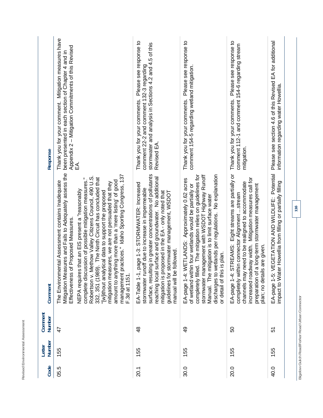| Response          | Thank you for your comment. Mitigation measures have<br>Appendix 2 - Mitigation Commitments of this Revised<br>been presented in each section of Chapter 4 and in<br>EÁ.<br>Mitigation Measures and Fails to Adequately assess the<br>practices." Idaho Sporting Congress, 137<br>Methow Valley Citizens Council, 490 U.S.<br>332, 351 (1989). The Ninth Circuit has concluded that<br>complete discussion of possible mitigation measures."<br>amount to anything more than a 'mere listing' of good<br>The Environmental Assessment contains Inadequate<br>mitigation measures, we are not persuaded that they<br>NEPA requires that an EIS present a "reasonably<br>"[w]ithout analytical data to support the proposed<br>of Proposed Measures | Thank you for your comments. Please see response to<br>stormwater and analysis in Sections 4.2 and 4.5 of this<br>comment 22-2 and comment 132-3 regarding<br>Revised EA.<br>surface, resulting in greater concentrations of pollutants<br>reaching local surface and groundwater. No additional<br>, page 1-3: STORMWATER: Increased<br>stormwater runoff due to increase in impermeable<br>mitigation is proposed in the EA - only noted that<br>stormwater management, WSDOT | Thank you for your comments. Please see response to<br>comment 154-5 regarding wetland mitigation.<br>led. The mitigation relies on guidelines for<br>wetlands per regulations. No explanation<br>stormwater management with WSDOT Highway Runoff<br>EA-page 1-4: WETLANDS: Approximately 0.62 acres<br>of wetland within four wetlands would be partially or<br>mitigation is to limit surface water | Please see response to<br>comment 112-1 and comment 154-6 regarding stream<br>Thank you for your comments.<br>mitigation.<br>STREAMS: Eight streams are partially or<br>increased roadway width. Mitigation measures call for<br>channels may need to be realigned to accommodate<br>preparation of a long-term stormwater management<br>completely within connector Alignment stream | Please see section 4.6 of this Revised EA for additional<br>information regarding water Howellia.<br>VEGETATION AND WILDLIFE: Potential<br>ter Howellia from filling or partially filling |
|-------------------|---------------------------------------------------------------------------------------------------------------------------------------------------------------------------------------------------------------------------------------------------------------------------------------------------------------------------------------------------------------------------------------------------------------------------------------------------------------------------------------------------------------------------------------------------------------------------------------------------------------------------------------------------------------------------------------------------------------------------------------------------|---------------------------------------------------------------------------------------------------------------------------------------------------------------------------------------------------------------------------------------------------------------------------------------------------------------------------------------------------------------------------------------------------------------------------------------------------------------------------------|-------------------------------------------------------------------------------------------------------------------------------------------------------------------------------------------------------------------------------------------------------------------------------------------------------------------------------------------------------------------------------------------------------|---------------------------------------------------------------------------------------------------------------------------------------------------------------------------------------------------------------------------------------------------------------------------------------------------------------------------------------------------------------------------------------|-------------------------------------------------------------------------------------------------------------------------------------------------------------------------------------------|
| Comment           | Effectiveness<br>management<br>Robertson v.<br>F.3d at 1151                                                                                                                                                                                                                                                                                                                                                                                                                                                                                                                                                                                                                                                                                       | manual will be followed.<br>guidelines for<br>EA-Table 1-1                                                                                                                                                                                                                                                                                                                                                                                                                      | s is plan.<br>Manual. The<br>discharges to<br>or detail of thi<br>completely fil                                                                                                                                                                                                                                                                                                                      | Is are given.<br>EA-page 1-4:<br>plan; no deta                                                                                                                                                                                                                                                                                                                                        | mpact to Wa<br>EA-page 1-5:                                                                                                                                                               |
| Comment<br>Number | $\ddot{4}$                                                                                                                                                                                                                                                                                                                                                                                                                                                                                                                                                                                                                                                                                                                                        | $\frac{8}{4}$                                                                                                                                                                                                                                                                                                                                                                                                                                                                   | $\frac{9}{4}$                                                                                                                                                                                                                                                                                                                                                                                         | <u>င</u> ္တ                                                                                                                                                                                                                                                                                                                                                                           | 57                                                                                                                                                                                        |
| Number<br>Letter  | 155                                                                                                                                                                                                                                                                                                                                                                                                                                                                                                                                                                                                                                                                                                                                               | 155                                                                                                                                                                                                                                                                                                                                                                                                                                                                             | 155                                                                                                                                                                                                                                                                                                                                                                                                   | 155                                                                                                                                                                                                                                                                                                                                                                                   | 155                                                                                                                                                                                       |
| Code              | 05.5                                                                                                                                                                                                                                                                                                                                                                                                                                                                                                                                                                                                                                                                                                                                              | 20.1                                                                                                                                                                                                                                                                                                                                                                                                                                                                            | 30.0                                                                                                                                                                                                                                                                                                                                                                                                  | 20.0                                                                                                                                                                                                                                                                                                                                                                                  | 40.0                                                                                                                                                                                      |

**Bigelow Gulch Road/Forker Road Urban Connector** 

Bigelow Gulch Road/Forker Road Urban Connector

**116** 

**Revised Environmental Assessment** 

Revised Environmental Assessment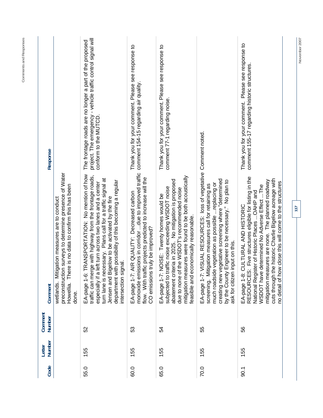| Code | Number<br>Letter | Comment<br><b>Number</b> | Comment                                                                                                                                                                                                                                                                                                                                                                    | Response                                                                                                                                        |
|------|------------------|--------------------------|----------------------------------------------------------------------------------------------------------------------------------------------------------------------------------------------------------------------------------------------------------------------------------------------------------------------------------------------------------------------------|-------------------------------------------------------------------------------------------------------------------------------------------------|
|      |                  |                          | on surveys to determine presence of Water<br>Howellia. There is no data to confirm this has been<br>Mitigation measures are to conduct<br>preconstructi<br>wetlands.<br>done.                                                                                                                                                                                              |                                                                                                                                                 |
| 55.0 | 155              | 52                       | TRANSPORTATION: No mention of how<br>traffic can merge with highway from the frontage roads,<br>turn lane is necessary. Plans call for a traffic signal at<br>department with possibility of this becoming a regular<br>especially if a left turn across two lanes and a center<br>Jensen and Bigelow to be activated by the fire<br>intersection signal.<br>EA-page 1-6   | project. The emergency - vehicle traffic control signal will<br>The frontage roads are no longer a part of the proposed<br>conform to the MUTCD |
| 60.0 | 155              | က္တ                      | monoxide emissions in corridor due to improved traffic<br>flow. With traffic projects predicted to increase will the<br>AIR QUALITY: Decreased carbon<br>CO emissions truly be improved?<br>EA-page 1-7:                                                                                                                                                                   | Thank you for your comment. Please see response to<br>comment 154-15 regarding air quality.                                                     |
| 65.0 | 155              | 54                       | mitigation measures were found to be both acoustically<br>iteria in 2025. No mitigation is proposed<br>traffic noise exceeding WSDOT noise<br>due to none of the WSDOT's recommended noise<br>NOISE: Twenty homes would be<br>feasible and economically reasonable.<br>EA-page 1-7:<br>abatement cr<br>subjected to                                                        | Thank you for your comment. Please see response to<br>comment 77-1 regarding noise.                                                             |
| 70.0 | 155              | 55                       | EA-page 1-7: VISUAL RESOURCES: loss of vegetative Comment noted.<br>creating new vegetative screening where "determined<br>by the County Engineer to be necessary." No plan to<br>much roadside vegetation as possible  replacing or<br>litigation measures call for retaining as<br>ask for citizen input on this.<br>screening. M                                        |                                                                                                                                                 |
| 50.1 | 155              | 56                       | EA-page 1-8: CULTURAL AND HISTORIC<br>RESOURCES: Five structures eligible for listing in the<br>the historic Charlie Bigelow acreage with<br>mitigation measures are none. The planned roadway<br>no detail of how close this will come to the structures<br>WSDOT have determined No Adverse Effect The<br>National Register of Historic Places  OAHP and<br>cuts through | Thank you for your comment. Please see response to<br>comment 155-17 regarding historic structures.                                             |
|      |                  |                          | 117                                                                                                                                                                                                                                                                                                                                                                        |                                                                                                                                                 |
|      |                  |                          |                                                                                                                                                                                                                                                                                                                                                                            | November 2007                                                                                                                                   |

**Comments and Responses**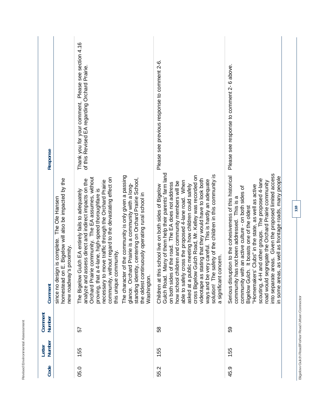|                                  |                          | since no design is complete. The Ole Hansen |
|----------------------------------|--------------------------|---------------------------------------------|
|                                  | Comment                  |                                             |
|                                  | Comment<br>Number Number |                                             |
| Revised Environmental Assessment | Letter                   |                                             |
|                                  | Code                     |                                             |

| Code | Number | Number | Comment                                                                                                                                                                                                                                                                                                                                                                                                                                                                                                                                                                                                                            | Response                                                                                                |
|------|--------|--------|------------------------------------------------------------------------------------------------------------------------------------------------------------------------------------------------------------------------------------------------------------------------------------------------------------------------------------------------------------------------------------------------------------------------------------------------------------------------------------------------------------------------------------------------------------------------------------------------------------------------------------|---------------------------------------------------------------------------------------------------------|
|      |        |        | I. E. Bigelow will also be impacted by the<br>The Ole Hansen<br>since no design is complete.<br>s proximity.<br>new roadway'<br>homestead or                                                                                                                                                                                                                                                                                                                                                                                                                                                                                       |                                                                                                         |
| 05.0 | 155    | 57     | of the community is only given a passing<br>ie community. The EA assumes, without<br>community, without regard to the devastating effect on<br>standing identity, centering on Orchard Prairie School,<br>analyze and assess direct and indirect impacts on the<br>nove traffic through the Orchard Prairie<br>glance. Orchard Prairie is a community with a long-<br>4-lane, high-speed thoroughfare is<br>The Bigelow Gulch EA entirely fails to adequately<br>this unique community.<br>proving, that a<br>The character<br><b>Orchard Prairi</b><br>necessary to                                                               | Please see section 4.16<br>of this Revised EA regarding Orchard Prairie.<br>Thank you for your comment. |
|      |        |        | the oldest continuously operating rural school in<br>Washington.                                                                                                                                                                                                                                                                                                                                                                                                                                                                                                                                                                   |                                                                                                         |
| 55.2 | 155    | 38     | Many of them help their parents' farm land<br>solution! The safety of the children in this community is<br>cross Bigelow Gulch Road, Mr. Kelley was recorded on<br>stating that they would have to look both<br>ways and be very careful. This is hardly an adequate<br>cross the proposed 4-lane road. When<br>ildren and community members will be<br>of the road. The EA does not address<br>blic meeting how children could safely<br>s school live on both sides of Bigelow<br>a significant concern.<br>videotape as s<br>on both sides<br>how school ch<br>able to safely<br>asked at a pu<br>Children at th<br>Gulch Road. | Please see previous response to comment 2-6.                                                            |
| 45.9 | 155    | င္ပာ   | into separate areas. Given the proposed limited access<br>Serious disruption to the cohesiveness of this historical<br>n some areas, as well as frontage roads, many people<br>and other groups. The proposed 4-lane<br>road would segregate the Orchard Prairie community<br>"Homemakers' Clubs" in the state, as well as active<br>community with an active culture - on both sides of<br>community has not been addressed. This is a<br>Bigelow Gulch. It boasts one of the oldest<br>scouting, 4-H                                                                                                                             | Please see response to comment 2- 6 above.                                                              |
|      |        |        |                                                                                                                                                                                                                                                                                                                                                                                                                                                                                                                                                                                                                                    |                                                                                                         |

Bigelow Gulch Road/Forker Road Urban Connector **Bigelow Gulch Road/Forker Road Urban Connector**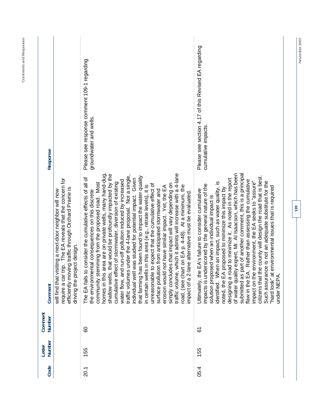| Response          |                                                                                                                                                                                                               | Please see response comment 109-1 regarding<br>groundwater and wells.                                                                                                                                                                                                                                                                                                                                                                                                                                                                                                                                                                                                                                                                                                                                                                                                                                                                                                                                                                                                            | Please see section 4.17 of this Revised EA regarding<br>cumulative impacts.                                                                                                                                                                                                                                                                                                                                                                                                                                                                                                                                                                                                                                                                                                       |
|-------------------|---------------------------------------------------------------------------------------------------------------------------------------------------------------------------------------------------------------|----------------------------------------------------------------------------------------------------------------------------------------------------------------------------------------------------------------------------------------------------------------------------------------------------------------------------------------------------------------------------------------------------------------------------------------------------------------------------------------------------------------------------------------------------------------------------------------------------------------------------------------------------------------------------------------------------------------------------------------------------------------------------------------------------------------------------------------------------------------------------------------------------------------------------------------------------------------------------------------------------------------------------------------------------------------------------------|-----------------------------------------------------------------------------------------------------------------------------------------------------------------------------------------------------------------------------------------------------------------------------------------------------------------------------------------------------------------------------------------------------------------------------------------------------------------------------------------------------------------------------------------------------------------------------------------------------------------------------------------------------------------------------------------------------------------------------------------------------------------------------------|
| Comment           | require a car trip. The EA reveals that the concern for<br>efficiently moving traffic through Orchard Prairie is<br>will find that visiting a next-door neighbor will now<br>ject design.<br>driving the proj | homes in this area are on private wells, many hand-dug,<br>which it admits will increase with a 4-lane<br>that would be profoundly impacted by the<br>under the 4-lane proposal. Not a single,<br>that farming has been found to impact the water quality<br>consider the cumulative effects of all of<br>was studied for potential impact. Given<br>water flow, and run-off pollution induced by increased<br>cumulative effect of stormwater, diversion of existing<br>community stemming from the proposed road. Most<br>unreasonable to expect that the cumulative effect of<br>simply concludes that impact will vary depending on<br>road, (see chart on EA p. 4-48). At a minimum, the<br>in certain wells in this area (e.g., nitrate levels), it is<br>not have similar impact. Yet, the EA<br>surface pollution from anticipated stormwater and<br>the environmental consequences on this discrete<br>impact of a 2-lane alternative must be evaluated.<br>The EA fails to<br>traffic volumes<br>erosion would<br>traffic volume,<br>individual well<br>shallow wells, | of water quality expert, Mr. Al Isaacson, which has been<br>submitted as part of another comment, this is a principal<br>citizens that the county will design the road that is best.<br>designing a road to minimize it. As noted in the report<br>flaw in the EA. Rather than assessing the cumulative<br>impact on the environment, the EA seeks to "assure"<br>Such assurance is not an adequate substitute for the<br>identified. When an impact, such as water quality, is<br>impacts is underscored by the general nature of the<br>"hard look" at environmental issues that is required<br>proposed to minimize this impact by<br>EA's failure to consider cumulative<br>solution proposed when an individual impact is<br>Ultimately, the<br>noted, the EA<br>under NEPA. |
| Comment<br>Number |                                                                                                                                                                                                               | 8                                                                                                                                                                                                                                                                                                                                                                                                                                                                                                                                                                                                                                                                                                                                                                                                                                                                                                                                                                                                                                                                                | 67                                                                                                                                                                                                                                                                                                                                                                                                                                                                                                                                                                                                                                                                                                                                                                                |
| Number<br>Letter  |                                                                                                                                                                                                               | 155                                                                                                                                                                                                                                                                                                                                                                                                                                                                                                                                                                                                                                                                                                                                                                                                                                                                                                                                                                                                                                                                              | 155                                                                                                                                                                                                                                                                                                                                                                                                                                                                                                                                                                                                                                                                                                                                                                               |
| Code              |                                                                                                                                                                                                               | 20.1                                                                                                                                                                                                                                                                                                                                                                                                                                                                                                                                                                                                                                                                                                                                                                                                                                                                                                                                                                                                                                                                             | 05.4                                                                                                                                                                                                                                                                                                                                                                                                                                                                                                                                                                                                                                                                                                                                                                              |

November 2007

**119** 

**Comments and Responses**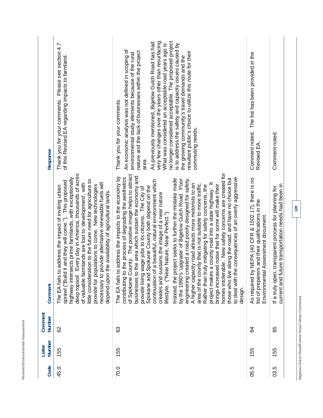| Code | Number<br>Letter | Comment<br>Number                             | Comment                                                                                                                                                                                                                                                                                                                                                                                                                                                                                                                                                                                                                                                                                                                                                                                                                                                                                                                                                                                                                                                                                                                                                                           | Response                                                                                                                                                                                                                                                                                                                                                                                                                                                                                                                                                                                                                                |
|------|------------------|-----------------------------------------------|-----------------------------------------------------------------------------------------------------------------------------------------------------------------------------------------------------------------------------------------------------------------------------------------------------------------------------------------------------------------------------------------------------------------------------------------------------------------------------------------------------------------------------------------------------------------------------------------------------------------------------------------------------------------------------------------------------------------------------------------------------------------------------------------------------------------------------------------------------------------------------------------------------------------------------------------------------------------------------------------------------------------------------------------------------------------------------------------------------------------------------------------------------------------------------------|-----------------------------------------------------------------------------------------------------------------------------------------------------------------------------------------------------------------------------------------------------------------------------------------------------------------------------------------------------------------------------------------------------------------------------------------------------------------------------------------------------------------------------------------------------------------------------------------------------------------------------------------|
| 45.0 | 155              | 82                                            | deep topsoil. Every day in America, thousands of acres<br>highway intersects prime farmlands, with exceptionally<br>little consideration to the future need for agriculture to<br>t and they will come."). This proposed<br>necessary to provide alternative renewable fuels will<br>of valuable farmlands are lost to 'development', with<br>provide for populations to come. New technologies<br>address the impact of inviting urban<br>ne availability of agricultural lands<br>sprawl ("Build it<br>depend upon th<br>The EA fails to                                                                                                                                                                                                                                                                                                                                                                                                                                                                                                                                                                                                                                        | Thank you for your comments. Please see section 4.7<br>of this Revised EA regarding impacts to farmland                                                                                                                                                                                                                                                                                                                                                                                                                                                                                                                                 |
| 70.0 | 155              | 83                                            | homes intolerable. New safety concerns are created for<br>of Spokane County. The positive image helps to attract<br>businesses to the area which sustain the economy and<br>address the impacts to the economy by<br>contributing to the process of degrading the aesthetics<br>consequences of an overly aggressive<br>engineering created a road poorly designed for safety.<br>along the road, and have no choice but<br>Instead, the project seeks to further the mistake made<br>by the 1960's 'upgrade' of Bigelow Gulch Road. Poor<br>a beautiful, natural environment which<br>project makes a county road into a state highway. It<br>A higher capacity road attracts more motorists to an<br>area of the county that is not suitable to more traffic.<br>Rather than truly mitigating for safety concerns, the<br>brings increased noise that for some will make their<br>Spokane and Spokane County both depend on the<br>provide living wage jobs to its citizens. The City of<br>creates and sustains the image of a near nature<br>lifestyle. ("Near Nature, Near Perfect.")<br>to deal with the<br>continuation of<br>The EA fails to<br>those who live<br>design. | very few changes over the years other than resurfacing.<br>no longer considered acceptable. The proposed project<br>As previously mentioned, Bigelow Gulch Road has had<br>What was considered an acceptable road years ago is<br>is to address the safety and capacity issues caused by<br>An economic analysis was not defined in scoping of<br>nature and the lack of businesses within the project<br>resultant public's choice to utilize this route for their<br>environmental study elements because of the rural<br>the growing community's travel demands and the<br>Thank you for your comments.<br>commuting needs.<br>area. |
| 05.5 | 155              | 34                                            | NEPA (40 CFR & 1502.17), there is no<br>list of preparers and their qualifications in the<br>Assessment document.<br>As required by<br>Environmental                                                                                                                                                                                                                                                                                                                                                                                                                                                                                                                                                                                                                                                                                                                                                                                                                                                                                                                                                                                                                              | Comment noted. The list has been provided in the<br>Revised EA.                                                                                                                                                                                                                                                                                                                                                                                                                                                                                                                                                                         |
| 03.5 | 155              | 89                                            | current and future transportation needs had been in<br>transparent process for planning for<br>If a truly open,                                                                                                                                                                                                                                                                                                                                                                                                                                                                                                                                                                                                                                                                                                                                                                                                                                                                                                                                                                                                                                                                   | Comment noted.                                                                                                                                                                                                                                                                                                                                                                                                                                                                                                                                                                                                                          |
|      |                  | Diaclose Capelo DoolEarly Door Door Dean Cape | 120                                                                                                                                                                                                                                                                                                                                                                                                                                                                                                                                                                                                                                                                                                                                                                                                                                                                                                                                                                                                                                                                                                                                                                               |                                                                                                                                                                                                                                                                                                                                                                                                                                                                                                                                                                                                                                         |

Bigelow Gulch Road/Forker Road Urban Connector **Bigelow Gulch Road/Forker Road Urban Connector**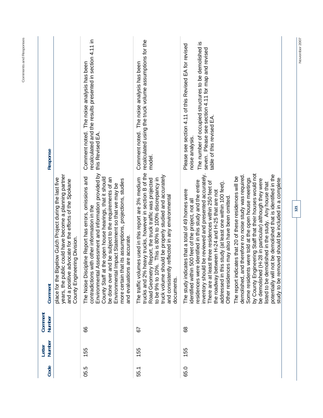| Response          |                                                                                                                                                                                                                         | recalculated and the results presented in section 4.11 in<br>The noise analysis has been<br>Comment noted.<br>this Revised EA.                                                                                                                                                                                                                                                                                                       | recalculated using the truck volume assumptions for the<br>Comment noted. The noise analysis has been<br>model.                                                                                                                                                                                                                                                            | The number of occupied structures to be demolished is<br>Please see section 4.11 of this Revised EA for revised<br>seven. Please see section 4.11 for map and revised<br>table of this revised EA.<br>noise analysis.                                                                                                                                                                                                                                                                                                                                                                                                                                                                                                                                                                                                                                                                                                                                     |
|-------------------|-------------------------------------------------------------------------------------------------------------------------------------------------------------------------------------------------------------------------|--------------------------------------------------------------------------------------------------------------------------------------------------------------------------------------------------------------------------------------------------------------------------------------------------------------------------------------------------------------------------------------------------------------------------------------|----------------------------------------------------------------------------------------------------------------------------------------------------------------------------------------------------------------------------------------------------------------------------------------------------------------------------------------------------------------------------|-----------------------------------------------------------------------------------------------------------------------------------------------------------------------------------------------------------------------------------------------------------------------------------------------------------------------------------------------------------------------------------------------------------------------------------------------------------------------------------------------------------------------------------------------------------------------------------------------------------------------------------------------------------------------------------------------------------------------------------------------------------------------------------------------------------------------------------------------------------------------------------------------------------------------------------------------------------|
| Comment           | blic could have become a planning partner<br>Bigelow Gulch Project during the last five<br>and a positive advocate for the efforts of the Spokane<br>eering Division.<br>County Engin<br>years, the pu<br>place for the | Environmental Assessment and information provided by<br>The Noise Discipline Report has errors, omissions and<br>County Staff at the open house hearings, that it should<br>and be subject to the requirements of an<br>more certain that its assumptions, projections, studies<br>Environmental Impact Statement so that we may be<br>contradictions with other information in the<br>and evaluations are accurate.<br>be done over | trucks and 2% heavy trucks, however in section B of the<br>should be properly studied and accurately<br>The traffic volumes used in this report are 3% medium<br>Road Geometry Report, the truck traffic was projected<br>0%. This is 80% to 100% discrepancy in<br>itly reflected in any environmental<br>to be $9\%$ to 1<br>and consister<br>truck volume<br>documents. | inventory should be reviewed and presented accurately.<br>by County Engineering Staff that their houses would not<br>I not be demolished that is identified in the<br>demolished, and therefore no noise study was required.<br>dicates that 20 of these residences will be<br>Some residents were told at the open house meetings<br>study to be removed should be included in a complete<br>be demolished (H-28 in particular) although they were<br>residences were identified in this study and the entire<br>east three residences within 250 feet of<br>this study (at least one within 100 feet).<br>listed to be demolished in the study. Any house that<br>The study indicates that a total of 49 homes were<br>between H-24 and H-25 that are not<br>ices may also have been omitted<br>identified within 500 feet of the project, not all<br>Other residen<br>potentially wil<br>The report ind<br>the roadway<br>There are at<br>addressed in |
| Comment<br>Number |                                                                                                                                                                                                                         | 88                                                                                                                                                                                                                                                                                                                                                                                                                                   | 5                                                                                                                                                                                                                                                                                                                                                                          | 89                                                                                                                                                                                                                                                                                                                                                                                                                                                                                                                                                                                                                                                                                                                                                                                                                                                                                                                                                        |
| Number<br>Letter  |                                                                                                                                                                                                                         | 155                                                                                                                                                                                                                                                                                                                                                                                                                                  | 155                                                                                                                                                                                                                                                                                                                                                                        | 155                                                                                                                                                                                                                                                                                                                                                                                                                                                                                                                                                                                                                                                                                                                                                                                                                                                                                                                                                       |
| Code              |                                                                                                                                                                                                                         | 05.5                                                                                                                                                                                                                                                                                                                                                                                                                                 | 55.1                                                                                                                                                                                                                                                                                                                                                                       | 65.0                                                                                                                                                                                                                                                                                                                                                                                                                                                                                                                                                                                                                                                                                                                                                                                                                                                                                                                                                      |

November 2007

**121** 

**Comments and Responses**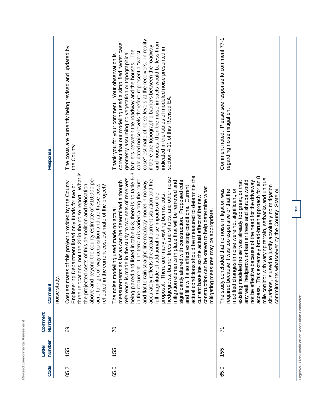| Response          |              | The costs are currently being revised and updated by<br>the County.                                                                                                                                                                                                                                                                                                                                                   | case" estimate of noise levels at the receivers. In reality<br>correct that our modeling used a simplified "worst case"<br>and houses, then the noise impacts would be less than<br>if there are topographic barriers between the roadway<br>indicated in the tables of modeled noise presented in<br>barriers between the roadway and the houses. The<br>calculated noise levels therefore represent a "worst<br>geometry assuming no vegetation or topographical<br>Thank you for your comment. Your observation is<br>section 4.11 of this Revised EA.                                                                                                                                                                                                                                                                                                                                                                                                                      | Comment noted. Please see response to comment 77-1<br>regarding noise mitigation.                                                                                                                                                                                                                                                                                                                                                                                                                                                                                        |
|-------------------|--------------|-----------------------------------------------------------------------------------------------------------------------------------------------------------------------------------------------------------------------------------------------------------------------------------------------------------------------------------------------------------------------------------------------------------------------|--------------------------------------------------------------------------------------------------------------------------------------------------------------------------------------------------------------------------------------------------------------------------------------------------------------------------------------------------------------------------------------------------------------------------------------------------------------------------------------------------------------------------------------------------------------------------------------------------------------------------------------------------------------------------------------------------------------------------------------------------------------------------------------------------------------------------------------------------------------------------------------------------------------------------------------------------------------------------------|--------------------------------------------------------------------------------------------------------------------------------------------------------------------------------------------------------------------------------------------------------------------------------------------------------------------------------------------------------------------------------------------------------------------------------------------------------------------------------------------------------------------------------------------------------------------------|
| Comment           | noise study. | three relocations, not the 20 in the noise report. What is<br>above and beyond the county estimate of \$10,000 per<br>Cost estimates of this project provided by the County<br>of way acquisition and are these costs<br>the projected costs of this demolition and relocation<br>Engineering Department listed only funds for two or<br>e current cost estimate of the project?<br>reflected in th<br>acre for right | and listed in table 5-3, there is no table 5-3<br>actual conditions should be measured to determine the<br>barrier trees and shrubs, and other noise<br>reference is made in the study to two sets of receivers<br>in the document. The terrain is varied along the route<br>accurately reflects the actual current situation and the<br>mitigation elements in place that will be removed and<br>significantly altered with construction. Proposed cuts<br>is as far as can be determined although<br>n straight-line roadway model in no way<br>and fills will also affect existing conditions. Current<br>construction can be known to help determine what<br>full magnitude of additional noise impacts of the<br>proposal. There are many existing berms, cuts,<br>current baseline so the actual effect of the new<br>The noise modeling used made no actual<br>mitigating measures may be appropriate.<br>measurement<br>and flat terrai<br>being placed<br>hedgegrows, | access. This extremely broad-brush approach for an 8<br>mile corridor with varying terrain, setbacks and unique<br>any wall, hedgerow or barrier trees and shrubs would<br>existing modeled noise was already too great, or that<br>not be effective because of the need for the driveway<br>used to justify absolutely no mitigation<br>modified changes in noise were not significant, or<br>The study concluded that no noise mitigation was<br>required because it was too expensive or that the<br>commitments whatsoever by the County, State or<br>situations, is |
| Comment<br>Number |              | 89                                                                                                                                                                                                                                                                                                                                                                                                                    | 20                                                                                                                                                                                                                                                                                                                                                                                                                                                                                                                                                                                                                                                                                                                                                                                                                                                                                                                                                                             | $\overline{z}$                                                                                                                                                                                                                                                                                                                                                                                                                                                                                                                                                           |
| Number<br>Letter  |              | 155                                                                                                                                                                                                                                                                                                                                                                                                                   | 155                                                                                                                                                                                                                                                                                                                                                                                                                                                                                                                                                                                                                                                                                                                                                                                                                                                                                                                                                                            | 155                                                                                                                                                                                                                                                                                                                                                                                                                                                                                                                                                                      |
| Code              |              | 05.2                                                                                                                                                                                                                                                                                                                                                                                                                  | 65.0                                                                                                                                                                                                                                                                                                                                                                                                                                                                                                                                                                                                                                                                                                                                                                                                                                                                                                                                                                           | 65.0                                                                                                                                                                                                                                                                                                                                                                                                                                                                                                                                                                     |

Revised Environmental Assessment

Bigelow Gulch Road/Forker Road Urban Connector **Bigelow Gulch Road/Forker Road Urban Connector** 

**122**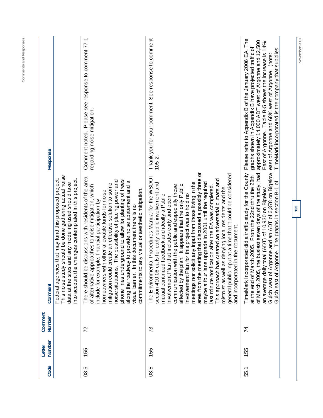| $105 - 2.$<br>meeting that discussed a possibly three or<br>of March 2005, the busiest seven days of the study, had<br>TimeMark Incorporated did a traffic study for the County<br>general public input at a time that it could be considered<br>The Environmental Procedures Manual for the WSDOT<br>at the end of March 2005. From the 22nd thru the 28th<br>This approach has created an adversarial climate and<br>lane upgrade in 2001 until the required<br>meetings nor solicit any input from those living in the<br>section 410.06 calls for early public involvement and<br>affected by the plan. It appears that the only Public<br>communication with the public and especially those<br>last minute notification after the EA was completed.<br>mistrust as well as denying local residents and the<br>an average daily total (ADT) of 10,930 on Bigelow<br>to any visual or aesthetic mitigation.<br>Involvement Plan for this project was to hold no<br>mutual continued feedback and ideally a Public<br>Involvement Plan that includes early and open<br>ed in the document.<br>and incorporat<br>maybe a four<br>commitments<br>area from the<br>73<br>74<br>155<br>155<br>03.5<br>55.1 | regarding noise mitigation.<br>phone lines underground to allow for planting of trees<br>noise situations. The possibility of placing power and<br>along the roadway to provide noise abatement and a<br>Id create an effective solution to some<br>of alternative approaches to noise mitigation, which<br>homeowners with other allowable funds for noise<br>include for example; financial participation by<br>In this document there is no<br>mitigation coul<br>visual barrier. | This noise study should be done gathering actual noise<br>into account the changes contemplated in this project<br>Federal agencies that may fund this proposed project<br>data at the sites and any modeling used should take                                                                | Response<br>Comment<br>Comment<br>Number<br>Number<br>Letter |
|-----------------------------------------------------------------------------------------------------------------------------------------------------------------------------------------------------------------------------------------------------------------------------------------------------------------------------------------------------------------------------------------------------------------------------------------------------------------------------------------------------------------------------------------------------------------------------------------------------------------------------------------------------------------------------------------------------------------------------------------------------------------------------------------------------------------------------------------------------------------------------------------------------------------------------------------------------------------------------------------------------------------------------------------------------------------------------------------------------------------------------------------------------------------------------------------------------------|--------------------------------------------------------------------------------------------------------------------------------------------------------------------------------------------------------------------------------------------------------------------------------------------------------------------------------------------------------------------------------------------------------------------------------------------------------------------------------------|-----------------------------------------------------------------------------------------------------------------------------------------------------------------------------------------------------------------------------------------------------------------------------------------------|--------------------------------------------------------------|
| TimeMark incorporated is the company that supplies<br>Argonne and an ADT of 6,378 on Bigelow<br>Argonne. The graphs in section B-1 of<br>Gulch west of<br>east of<br>Gulch                                                                                                                                                                                                                                                                                                                                                                                                                                                                                                                                                                                                                                                                                                                                                                                                                                                                                                                                                                                                                                | East of Argonne. Table B-5 shows the increase is 14%<br>graphs shown in Appendix B have projected traffic of<br>east of Argonne and 68% west of Argonne. (note:                                                                                                                                                                                                                                                                                                                      | Thank you for your comment. See response to comment<br>Comment noted. Please see response to comment 77-1<br>Please refer to Appendix B of the January 2006 EA. The<br>approximately 14,000 ADT west of Argonne and 12,500<br>be discussions with residents of the area<br>There should<br>22 | 55                                                           |

November 2007

**123** 

**Comments and Responses**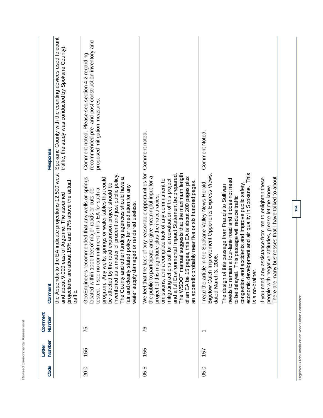|         | Spokane County with the counting devices used to count<br>traffic, the study was conducted by Spokane County).<br>Response                                                               | recommended pre- and post-construction inventory and<br>Comment noted. Please see section 4.2 regarding<br>proposed mitigation measures.                                                                                                                                                                                                                                                                                                                                                                              | Comment noted.                                                                                                                                                                                                                                                                                                                                                                                                                                                                                                                                | <b>Comment Noted.</b>                                                                                                                                                                                                                                                                                                                                                                                                                                                                                                                                                                                                   |
|---------|------------------------------------------------------------------------------------------------------------------------------------------------------------------------------------------|-----------------------------------------------------------------------------------------------------------------------------------------------------------------------------------------------------------------------------------------------------------------------------------------------------------------------------------------------------------------------------------------------------------------------------------------------------------------------------------------------------------------------|-----------------------------------------------------------------------------------------------------------------------------------------------------------------------------------------------------------------------------------------------------------------------------------------------------------------------------------------------------------------------------------------------------------------------------------------------------------------------------------------------------------------------------------------------|-------------------------------------------------------------------------------------------------------------------------------------------------------------------------------------------------------------------------------------------------------------------------------------------------------------------------------------------------------------------------------------------------------------------------------------------------------------------------------------------------------------------------------------------------------------------------------------------------------------------------|
|         | the Appendix to the EA indicate projections 12,500 west<br>re about 15% and 37% above the actual<br>and about 9,000 east of Argonne. The assumed<br>projections a<br>Comment<br>traffic. | inventoried as a matter of prudent and just public policy.<br>is recommended that any wells or springs<br>The County and other funding agencies should have a<br>program. Any wells, springs or water tables that could<br>be affected by the road expansion project should be<br>fair and clearly stated policy for remediation for any<br>tested. I see no commitment in this EA for such a<br>1000 feet of major roads or cuts be<br>damaged or rendered useless.<br>GeoEngineer<br>located withir<br>water supply | the lack of any reasonable opportunities for<br>manual suggests that the maximum length<br>and a full Environmental Impact Statement be prepared.<br>participate and give meaningful input for a<br>5 pages, this EA is about 200 pages plus<br>mitigating actions call for a reevaluation of this project<br>omissions, and a complete lack of any commitment to<br>probably near five or six hundred pages.<br>project of this magnitude plus the inaccuracies,<br>The WSDOT<br>the public to<br>We feel that<br>an appendix<br>of an EA be | This<br>Bigelow Gulch Improvement Opponents Express Views,<br>people with negative attitudes, please let me know.<br>There are many businesses that I have talked to about<br>If you need any assistance from me to enlighten these<br>needs to remain a four-lane road and it does not need<br>I read the article in the Spokane Valley News Herald,<br>congestion and accidents and improve public safety<br>The design of this passage from Francis to Sullivan<br>economic development and air quality in Spokane.<br>to be delayed. This passage will reduce traffic<br>3,2006.<br>is a no-brainer.<br>dated March |
| Comment | Number                                                                                                                                                                                   | 75                                                                                                                                                                                                                                                                                                                                                                                                                                                                                                                    | $\frac{8}{1}$                                                                                                                                                                                                                                                                                                                                                                                                                                                                                                                                 | ↽                                                                                                                                                                                                                                                                                                                                                                                                                                                                                                                                                                                                                       |
| Letter  | Number                                                                                                                                                                                   | 155                                                                                                                                                                                                                                                                                                                                                                                                                                                                                                                   | 155                                                                                                                                                                                                                                                                                                                                                                                                                                                                                                                                           | 157                                                                                                                                                                                                                                                                                                                                                                                                                                                                                                                                                                                                                     |
|         | Code                                                                                                                                                                                     | 20.0                                                                                                                                                                                                                                                                                                                                                                                                                                                                                                                  | 05.5                                                                                                                                                                                                                                                                                                                                                                                                                                                                                                                                          | 05.0                                                                                                                                                                                                                                                                                                                                                                                                                                                                                                                                                                                                                    |

Revised Environmental Assessment

Bigelow Gulch Road/Forker Road Urban Connector **Bigelow Gulch Road/Forker Road Urban Connector** 

**124**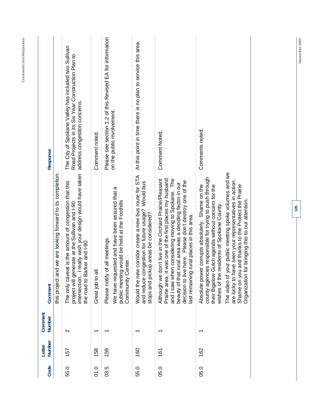| address congestion concerns.<br>on the public involvement.<br>Comments noted.<br>Comment Noted.<br>Comment noted.<br>The video of your public meeting spoke volumes and we<br>really wish your design would have taken<br>id we are looking forward to its completion.<br>Would the new corridor create a new bus route for STA<br>county agencies responsible for trying to push through<br>and I saw when considering moving to Spokane. The<br>Although we don't live in the Orchard Prairie/Pleasant<br>Prairie area, it was one of the first places my husband<br>decision to live here. Please don't destroy one of the<br>are lucky to have seen your representatives in action.<br>at is the amount of congestion that this<br>and reduce congestion for future usage? Would bus<br>beauty of that rural area was a deciding factor in our<br>Absolute power corrupts absolutely. Shame on the<br>Gulch agenda without concern for the<br>Shame on you and thanks to the Protect the Prairie<br>We have requested and have been assured that a<br>Organization for bringing this to our attention.<br>public meeting would be held at the Foothills<br>project will generate at the Sullivan and I-90<br>residents of Spokane County.<br>stops and pickup areas be considered?<br>last remaining rural places in this area.<br>of all meetings.<br>the road to Barker and I-90.<br>Community Center.<br>Great job to all.<br>The only cave<br>their Bigelow<br>this project ar<br>wishes of the<br>Please notify<br>intersection.<br>$\sim$<br>$\overline{\phantom{0}}$<br>$\overline{\phantom{0}}$<br>ᡪ<br>᠇<br>158<br>159<br>162<br>157<br>160<br>161<br>55.0<br>01.0<br>05.0<br>03.5<br>55.0<br>05.0 | Comment<br>Number<br>Number<br>Letter | Comment | Response                                                                                                   |
|-----------------------------------------------------------------------------------------------------------------------------------------------------------------------------------------------------------------------------------------------------------------------------------------------------------------------------------------------------------------------------------------------------------------------------------------------------------------------------------------------------------------------------------------------------------------------------------------------------------------------------------------------------------------------------------------------------------------------------------------------------------------------------------------------------------------------------------------------------------------------------------------------------------------------------------------------------------------------------------------------------------------------------------------------------------------------------------------------------------------------------------------------------------------------------------------------------------------------------------------------------------------------------------------------------------------------------------------------------------------------------------------------------------------------------------------------------------------------------------------------------------------------------------------------------------------------------------------------------------------------------------------------------------------------------------------------------------------|---------------------------------------|---------|------------------------------------------------------------------------------------------------------------|
|                                                                                                                                                                                                                                                                                                                                                                                                                                                                                                                                                                                                                                                                                                                                                                                                                                                                                                                                                                                                                                                                                                                                                                                                                                                                                                                                                                                                                                                                                                                                                                                                                                                                                                                 |                                       |         |                                                                                                            |
|                                                                                                                                                                                                                                                                                                                                                                                                                                                                                                                                                                                                                                                                                                                                                                                                                                                                                                                                                                                                                                                                                                                                                                                                                                                                                                                                                                                                                                                                                                                                                                                                                                                                                                                 |                                       |         | The City of Spokane Valley has included two Sullivan<br>Road Projects in its Six Year Construction Plan to |
|                                                                                                                                                                                                                                                                                                                                                                                                                                                                                                                                                                                                                                                                                                                                                                                                                                                                                                                                                                                                                                                                                                                                                                                                                                                                                                                                                                                                                                                                                                                                                                                                                                                                                                                 |                                       |         |                                                                                                            |
|                                                                                                                                                                                                                                                                                                                                                                                                                                                                                                                                                                                                                                                                                                                                                                                                                                                                                                                                                                                                                                                                                                                                                                                                                                                                                                                                                                                                                                                                                                                                                                                                                                                                                                                 |                                       |         | Please see section 1.2 of this Revised EA for information                                                  |
|                                                                                                                                                                                                                                                                                                                                                                                                                                                                                                                                                                                                                                                                                                                                                                                                                                                                                                                                                                                                                                                                                                                                                                                                                                                                                                                                                                                                                                                                                                                                                                                                                                                                                                                 |                                       |         | At this point in time there is no plan to service this area.                                               |
|                                                                                                                                                                                                                                                                                                                                                                                                                                                                                                                                                                                                                                                                                                                                                                                                                                                                                                                                                                                                                                                                                                                                                                                                                                                                                                                                                                                                                                                                                                                                                                                                                                                                                                                 |                                       |         |                                                                                                            |
|                                                                                                                                                                                                                                                                                                                                                                                                                                                                                                                                                                                                                                                                                                                                                                                                                                                                                                                                                                                                                                                                                                                                                                                                                                                                                                                                                                                                                                                                                                                                                                                                                                                                                                                 |                                       |         |                                                                                                            |

**Comments and Responses** 

Comments and Responses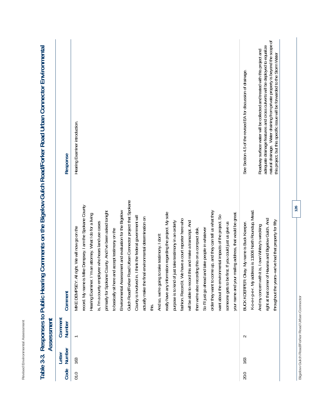| ÷<br>-<br>ı<br>ä<br>٠<br>ι<br>ı.<br>=<br>ï<br>ı<br>١<br>ļ<br>ä<br>I,<br>٠<br>ä<br>٠<br>١<br>٠,<br>é<br>٠<br>٠                                                                                      |  |
|----------------------------------------------------------------------------------------------------------------------------------------------------------------------------------------------------|--|
| $\overline{\phantom{a}}$<br>ā<br>u<br>é<br>-<br>ı<br>ă<br>٠<br>i.<br>ţ<br>í<br>ł<br>ł<br>á<br>1<br>ı<br>۰<br>٠<br>۰.<br>١<br>í<br>I<br>٠<br>$\overline{\phantom{a}}$<br>٠<br>۰<br>é<br>é<br>á<br>٠ |  |
| $\sim$<br>-<br>ì<br>í<br>é<br>ţ<br>¢<br>r.<br>٠<br>-<br>×<br>٠<br>é<br>×<br>î<br>í<br>∼<br>-                                                                                                       |  |

|                   | Hearing Examiner introduction.                                                                                                                                                                                                                                                                                                                                                                                                                                                                                                                                                                                                                                                                                                                                                                                                                                                                                                                                                                                                                                                                                                                                                                                                                                              | natural drainage. Water draining from private property is beyond the scope of<br>adequate drainage features and cross culverts will be deployed to equalize<br>Roadway surface water will be collected and treated with this project and<br>this project, but this specific issue will be forwarded to the Storm Water<br>See Section 4.5 of the revised EA for discussion of drainage. |
|-------------------|-----------------------------------------------------------------------------------------------------------------------------------------------------------------------------------------------------------------------------------------------------------------------------------------------------------------------------------------------------------------------------------------------------------------------------------------------------------------------------------------------------------------------------------------------------------------------------------------------------------------------------------------------------------------------------------------------------------------------------------------------------------------------------------------------------------------------------------------------------------------------------------------------------------------------------------------------------------------------------------------------------------------------------------------------------------------------------------------------------------------------------------------------------------------------------------------------------------------------------------------------------------------------------|-----------------------------------------------------------------------------------------------------------------------------------------------------------------------------------------------------------------------------------------------------------------------------------------------------------------------------------------------------------------------------------------|
| Response          |                                                                                                                                                                                                                                                                                                                                                                                                                                                                                                                                                                                                                                                                                                                                                                                                                                                                                                                                                                                                                                                                                                                                                                                                                                                                             |                                                                                                                                                                                                                                                                                                                                                                                         |
| Comment           | Gulch Road/Forker Road Urban Connector project that Spokane<br>record. My name is Mike Dempsey. I am the Spokane County<br>Environmental Assessment and evaluation for the Bigelow<br>primarily for Spokane County. And I've been asked tonight<br>order they want to come up, and they can tell us what they<br>mailing address, that would be great.<br>really have any information regarding the project. My sole<br>Hearing Examiner. I'm an attorney. What I do for a living<br>want about the environmental impacts of the project. So<br>County is involved in. I think the federal government will<br>actually make the final environmental determination on<br>fashion. Record it. We have a court reporter here who<br>just take testimony in an orderly<br>will be able to record this and make a transcript. And<br>is, I'm a county employee who hears land use cases<br>someone gets to be first. If you could just us give us<br>right. We will now go on the<br>So I'll just go ahead and take people in whatever<br>then we're also recording this on a compact disk<br>to basically sit here and accept testimony on the<br>to take testimony. I don't<br>MIKE DEMPSEY: AI<br>And so, we're going<br>purpose is to kind of<br>your name and your<br>this. | K-o-e-r-p-e-r. My address is 11606 North Roundup, Mead.<br>Havana and Bigelow Gulch. And<br>throughout the years--we've had that property for fifty<br>BUCK KOERPER: Okay. My name is Buck Koerper.<br>it is, I own Whitey's wrecking<br>And my concern with<br>right at that comer of                                                                                                  |
| Comment<br>Number |                                                                                                                                                                                                                                                                                                                                                                                                                                                                                                                                                                                                                                                                                                                                                                                                                                                                                                                                                                                                                                                                                                                                                                                                                                                                             | $\sim$                                                                                                                                                                                                                                                                                                                                                                                  |
| Number<br>Letter  | 163                                                                                                                                                                                                                                                                                                                                                                                                                                                                                                                                                                                                                                                                                                                                                                                                                                                                                                                                                                                                                                                                                                                                                                                                                                                                         | 163                                                                                                                                                                                                                                                                                                                                                                                     |
| Code              | 01.0                                                                                                                                                                                                                                                                                                                                                                                                                                                                                                                                                                                                                                                                                                                                                                                                                                                                                                                                                                                                                                                                                                                                                                                                                                                                        | 20.0                                                                                                                                                                                                                                                                                                                                                                                    |

## Table 3-3 Responses to Public Hearing Comments on the Bigelow Gulch Road/Forker Road Urban Connector Environmental **Table 3-3. Responses to Public Hearing Comments on the Bigelow Gulch Road/Forker Road Urban Connector Environmental**

Bigelow Gulch Road/Forker Road Urban Connector **Bigelow Gulch Road/Forker Road Urban Connector**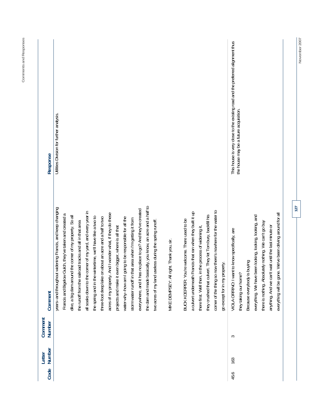|   | Response<br>Comment      | Utilities Division for further analysis<br>isically, you know, an acre and a half to<br>years--and throughout widening Francis, and keep changing<br>everywhere, and it has no place to go? And they've created<br>corner of the thing so now there's nowhere for the water to<br>all soaks down to the corner of my yard, and every year in<br>a culvert underneath Francis that ran when they built it up<br>And I wonder what, if they do these<br>Francis and Bigelow Gulch, they've taken and created a<br>they crushed that culvert. They let Tom bury, backfill his<br>dike, a big dam around the comer of my property. So all<br>the spring and in the wintertime, we'll have like a two to<br>going to be responsible for all the<br>three-foot deep lake on about an acre and a half to two<br>storm water runoff in that area when I'm getting it from<br>BUCK KOERPER: You're welcome. There used to be<br>two acres of my land useless during the spring runoff.<br>the runoff from the railroad tracks and all in that area<br>there first. Well then, in the process of widening it,<br>projects and make it even bigger, where is all that<br>right. Thank you, sir.<br>go except for in my property.<br>the dam and made ba<br>water-why--how am I<br>MIKE DEMPSEY: All<br>acres of my property. | This house is very close to the existing road and the preferred alignment thus<br>the house may be a future acquisition.<br>everything will be gone. We've been driving around for all<br>everything. We have been looking, looking, looking, and<br>there is nothing. Absolutely nothing. We can't go buy<br>anything. And we can't wait until the last minute or<br>VIOLA ORRINO: I want to know specifically, are<br>Because everybody is buying<br>they taking our home? |
|---|--------------------------|-------------------------------------------------------------------------------------------------------------------------------------------------------------------------------------------------------------------------------------------------------------------------------------------------------------------------------------------------------------------------------------------------------------------------------------------------------------------------------------------------------------------------------------------------------------------------------------------------------------------------------------------------------------------------------------------------------------------------------------------------------------------------------------------------------------------------------------------------------------------------------------------------------------------------------------------------------------------------------------------------------------------------------------------------------------------------------------------------------------------------------------------------------------------------------------------------------------------------------------------------------------------------------------------------------------------|------------------------------------------------------------------------------------------------------------------------------------------------------------------------------------------------------------------------------------------------------------------------------------------------------------------------------------------------------------------------------------------------------------------------------------------------------------------------------|
| S | Comment<br><b>Number</b> |                                                                                                                                                                                                                                                                                                                                                                                                                                                                                                                                                                                                                                                                                                                                                                                                                                                                                                                                                                                                                                                                                                                                                                                                                                                                                                                   |                                                                                                                                                                                                                                                                                                                                                                                                                                                                              |
|   | Number<br>Letter<br>Code |                                                                                                                                                                                                                                                                                                                                                                                                                                                                                                                                                                                                                                                                                                                                                                                                                                                                                                                                                                                                                                                                                                                                                                                                                                                                                                                   | 163<br>45.6                                                                                                                                                                                                                                                                                                                                                                                                                                                                  |

Comments and Responses **Comments and Responses** 

**127** 

November 2007 **November 2007**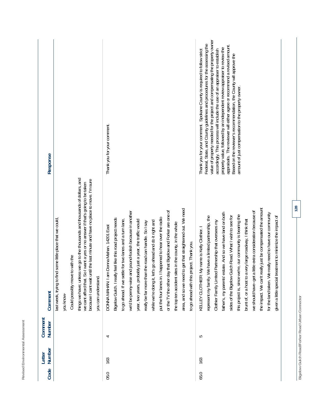| 163<br>65.0 | 5<br>4 | things we have; unless we go to the thousands and thousands of dollars, and<br>because I cant wait until the last minute and have no place to move. I'm sure<br>we cant afford that. So I want a yes or no answer if that's going to be taken<br>area, and so we need to get that straightened out. We need<br>or the TV the other day that Bigelow and Forker are one of<br>we'd be penny-wise and pound-foolish because in another<br>represent my family. We have a limited partnership, the<br>put the four lanes in. I happened to hear over the radio<br>feel like this road project needs<br>some little place that we could<br>to go ahead. If we settle for two lanes and a turn lane,<br>year, two years, probably just a year, the traffic would<br>while we're doing it, let's go ahead and do it right and<br>really be far more than the road can handle. So I say<br>the top ten accident sites in the county, in the whole<br>Donna Mahan. 14201 East<br>KELLEY CLOTHIER: My name is Kelly Clothier. I<br>to go ahead with this project. Thank you.<br>Could possibly move to with the<br>last week, trying to find<br>DONNA MAHAN: I am<br>Bigelow Gulch. I really<br>you can understand.<br>you know- | Federal, State, and County guidelines and procedures for the assessing the<br>Thank you for your comment. Spokane County is required to follow strict<br>Thank you for your comment.<br>Response                                                                                                                                                                                                                                                   |
|-------------|--------|-------------------------------------------------------------------------------------------------------------------------------------------------------------------------------------------------------------------------------------------------------------------------------------------------------------------------------------------------------------------------------------------------------------------------------------------------------------------------------------------------------------------------------------------------------------------------------------------------------------------------------------------------------------------------------------------------------------------------------------------------------------------------------------------------------------------------------------------------------------------------------------------------------------------------------------------------------------------------------------------------------------------------------------------------------------------------------------------------------------------------------------------------------------------------------------------------------------------------|----------------------------------------------------------------------------------------------------------------------------------------------------------------------------------------------------------------------------------------------------------------------------------------------------------------------------------------------------------------------------------------------------------------------------------------------------|
|             |        | the impact. We can't really just be compensated the amount<br>we should have-get a little extra consideration because of<br>father's, my parents' estate. And so we have land on both<br>for the land taken. We really need to have our community<br>this project is, since we're, our community is bearing the<br>sides of the Bigelow Gulch Road. What I wish to see for<br>given a little special treatment to minimize the impact of<br>brunt of, or a host to a very large roadway, I think that<br>Partnership that oversees my<br>Clothier Family Limited                                                                                                                                                                                                                                                                                                                                                                                                                                                                                                                                                                                                                                                        | value of property needed for the project and compensating the property owner<br>appraisals. The reviewer will either agree or recommend a revised amount.<br>property value, followed by an independent review appraiser to review the<br>accordingly. This process will include the use of an appraiser to establish<br>Based on the reviewer's recommendation, the County will approve the<br>amount of just compensation to the property owner. |

Revised Environmental Assessment

Bigelow Gulch Road/Forker Road Urban Connector **Bigelow Gulch Road/Forker Road Urban Connector**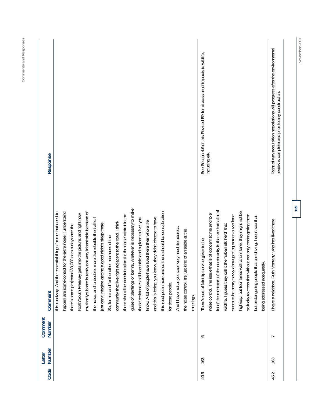| Right of way acquisition negotiations will progress after the environmental<br>See Section 4.6 of this Revised EA for discussion of impacts to wildlife,<br>review is complete and prior to any construction.<br>including elk.<br>129<br>guise of plantings or berms, whatever is necessary to make<br>the community is that we had a lot of<br>this road put in here and so there should be consideration<br>highway, but four lanes with a turn lane, they might not be<br>essential things for me that need to<br>my family's home is really not very inhabitable because of<br>happen are some control for the extra noise. I understand<br>gets into the picture, and right now,<br>noise control. The issue that is of concern to me and to a<br>there should be consideration for the noise control in the<br>so lucky to cross that without not only endangering them<br>seem to be pretty savvy about getting across a two-lane<br>but endangering people that are driving. I don't see that<br>and this is being, you know, they didn't choose to have<br>those residences still habitable and a place to live, you<br>the noise, and to double, more than double the traffic, I<br>I have a neighbor, Ruth Montany, who has lived there<br>nave lived there their whole life<br>community that live right adjacent to the road, I think<br>just can't imagine getting a good night's sleep there.<br>wildlife. I guess they call it the "urban elk herd" that<br>there's some projected 30,000 cars a day once the<br>seen very much to address<br>ust kind of an aside at the<br>So, for me and for the other members of the<br>service given to the<br>being addressed adequately.<br>There's sort of faint lip<br>this roadway. And the<br>know. A lot of people I<br>the noise control. It's j<br>North/South Freeway<br>And I have not as yet<br>lot of the members of<br>for those people.<br>meetings.<br>∘<br>L<br>163<br>163<br>40.5 | Code | Number<br>Letter | Comment<br><b>Number</b> | Comment | Response |
|-----------------------------------------------------------------------------------------------------------------------------------------------------------------------------------------------------------------------------------------------------------------------------------------------------------------------------------------------------------------------------------------------------------------------------------------------------------------------------------------------------------------------------------------------------------------------------------------------------------------------------------------------------------------------------------------------------------------------------------------------------------------------------------------------------------------------------------------------------------------------------------------------------------------------------------------------------------------------------------------------------------------------------------------------------------------------------------------------------------------------------------------------------------------------------------------------------------------------------------------------------------------------------------------------------------------------------------------------------------------------------------------------------------------------------------------------------------------------------------------------------------------------------------------------------------------------------------------------------------------------------------------------------------------------------------------------------------------------------------------------------------------------------------------------------------------------------------------------------------------------------------------------------------------------------------------------------------|------|------------------|--------------------------|---------|----------|
|                                                                                                                                                                                                                                                                                                                                                                                                                                                                                                                                                                                                                                                                                                                                                                                                                                                                                                                                                                                                                                                                                                                                                                                                                                                                                                                                                                                                                                                                                                                                                                                                                                                                                                                                                                                                                                                                                                                                                           |      |                  |                          |         |          |
| 45.2                                                                                                                                                                                                                                                                                                                                                                                                                                                                                                                                                                                                                                                                                                                                                                                                                                                                                                                                                                                                                                                                                                                                                                                                                                                                                                                                                                                                                                                                                                                                                                                                                                                                                                                                                                                                                                                                                                                                                      |      |                  |                          |         |          |
|                                                                                                                                                                                                                                                                                                                                                                                                                                                                                                                                                                                                                                                                                                                                                                                                                                                                                                                                                                                                                                                                                                                                                                                                                                                                                                                                                                                                                                                                                                                                                                                                                                                                                                                                                                                                                                                                                                                                                           |      |                  |                          |         |          |
|                                                                                                                                                                                                                                                                                                                                                                                                                                                                                                                                                                                                                                                                                                                                                                                                                                                                                                                                                                                                                                                                                                                                                                                                                                                                                                                                                                                                                                                                                                                                                                                                                                                                                                                                                                                                                                                                                                                                                           |      |                  |                          |         |          |
| November 2007                                                                                                                                                                                                                                                                                                                                                                                                                                                                                                                                                                                                                                                                                                                                                                                                                                                                                                                                                                                                                                                                                                                                                                                                                                                                                                                                                                                                                                                                                                                                                                                                                                                                                                                                                                                                                                                                                                                                             |      |                  |                          |         |          |
|                                                                                                                                                                                                                                                                                                                                                                                                                                                                                                                                                                                                                                                                                                                                                                                                                                                                                                                                                                                                                                                                                                                                                                                                                                                                                                                                                                                                                                                                                                                                                                                                                                                                                                                                                                                                                                                                                                                                                           |      |                  |                          |         |          |
|                                                                                                                                                                                                                                                                                                                                                                                                                                                                                                                                                                                                                                                                                                                                                                                                                                                                                                                                                                                                                                                                                                                                                                                                                                                                                                                                                                                                                                                                                                                                                                                                                                                                                                                                                                                                                                                                                                                                                           |      |                  |                          |         |          |
|                                                                                                                                                                                                                                                                                                                                                                                                                                                                                                                                                                                                                                                                                                                                                                                                                                                                                                                                                                                                                                                                                                                                                                                                                                                                                                                                                                                                                                                                                                                                                                                                                                                                                                                                                                                                                                                                                                                                                           |      |                  |                          |         |          |
|                                                                                                                                                                                                                                                                                                                                                                                                                                                                                                                                                                                                                                                                                                                                                                                                                                                                                                                                                                                                                                                                                                                                                                                                                                                                                                                                                                                                                                                                                                                                                                                                                                                                                                                                                                                                                                                                                                                                                           |      |                  |                          |         |          |
|                                                                                                                                                                                                                                                                                                                                                                                                                                                                                                                                                                                                                                                                                                                                                                                                                                                                                                                                                                                                                                                                                                                                                                                                                                                                                                                                                                                                                                                                                                                                                                                                                                                                                                                                                                                                                                                                                                                                                           |      |                  |                          |         |          |
|                                                                                                                                                                                                                                                                                                                                                                                                                                                                                                                                                                                                                                                                                                                                                                                                                                                                                                                                                                                                                                                                                                                                                                                                                                                                                                                                                                                                                                                                                                                                                                                                                                                                                                                                                                                                                                                                                                                                                           |      |                  |                          |         |          |
|                                                                                                                                                                                                                                                                                                                                                                                                                                                                                                                                                                                                                                                                                                                                                                                                                                                                                                                                                                                                                                                                                                                                                                                                                                                                                                                                                                                                                                                                                                                                                                                                                                                                                                                                                                                                                                                                                                                                                           |      |                  |                          |         |          |
|                                                                                                                                                                                                                                                                                                                                                                                                                                                                                                                                                                                                                                                                                                                                                                                                                                                                                                                                                                                                                                                                                                                                                                                                                                                                                                                                                                                                                                                                                                                                                                                                                                                                                                                                                                                                                                                                                                                                                           |      |                  |                          |         |          |
|                                                                                                                                                                                                                                                                                                                                                                                                                                                                                                                                                                                                                                                                                                                                                                                                                                                                                                                                                                                                                                                                                                                                                                                                                                                                                                                                                                                                                                                                                                                                                                                                                                                                                                                                                                                                                                                                                                                                                           |      |                  |                          |         |          |
|                                                                                                                                                                                                                                                                                                                                                                                                                                                                                                                                                                                                                                                                                                                                                                                                                                                                                                                                                                                                                                                                                                                                                                                                                                                                                                                                                                                                                                                                                                                                                                                                                                                                                                                                                                                                                                                                                                                                                           |      |                  |                          |         |          |
|                                                                                                                                                                                                                                                                                                                                                                                                                                                                                                                                                                                                                                                                                                                                                                                                                                                                                                                                                                                                                                                                                                                                                                                                                                                                                                                                                                                                                                                                                                                                                                                                                                                                                                                                                                                                                                                                                                                                                           |      |                  |                          |         |          |
|                                                                                                                                                                                                                                                                                                                                                                                                                                                                                                                                                                                                                                                                                                                                                                                                                                                                                                                                                                                                                                                                                                                                                                                                                                                                                                                                                                                                                                                                                                                                                                                                                                                                                                                                                                                                                                                                                                                                                           |      |                  |                          |         |          |
|                                                                                                                                                                                                                                                                                                                                                                                                                                                                                                                                                                                                                                                                                                                                                                                                                                                                                                                                                                                                                                                                                                                                                                                                                                                                                                                                                                                                                                                                                                                                                                                                                                                                                                                                                                                                                                                                                                                                                           |      |                  |                          |         |          |
|                                                                                                                                                                                                                                                                                                                                                                                                                                                                                                                                                                                                                                                                                                                                                                                                                                                                                                                                                                                                                                                                                                                                                                                                                                                                                                                                                                                                                                                                                                                                                                                                                                                                                                                                                                                                                                                                                                                                                           |      |                  |                          |         |          |
|                                                                                                                                                                                                                                                                                                                                                                                                                                                                                                                                                                                                                                                                                                                                                                                                                                                                                                                                                                                                                                                                                                                                                                                                                                                                                                                                                                                                                                                                                                                                                                                                                                                                                                                                                                                                                                                                                                                                                           |      |                  |                          |         |          |
|                                                                                                                                                                                                                                                                                                                                                                                                                                                                                                                                                                                                                                                                                                                                                                                                                                                                                                                                                                                                                                                                                                                                                                                                                                                                                                                                                                                                                                                                                                                                                                                                                                                                                                                                                                                                                                                                                                                                                           |      |                  |                          |         |          |
|                                                                                                                                                                                                                                                                                                                                                                                                                                                                                                                                                                                                                                                                                                                                                                                                                                                                                                                                                                                                                                                                                                                                                                                                                                                                                                                                                                                                                                                                                                                                                                                                                                                                                                                                                                                                                                                                                                                                                           |      |                  |                          |         |          |
|                                                                                                                                                                                                                                                                                                                                                                                                                                                                                                                                                                                                                                                                                                                                                                                                                                                                                                                                                                                                                                                                                                                                                                                                                                                                                                                                                                                                                                                                                                                                                                                                                                                                                                                                                                                                                                                                                                                                                           |      |                  |                          |         |          |
|                                                                                                                                                                                                                                                                                                                                                                                                                                                                                                                                                                                                                                                                                                                                                                                                                                                                                                                                                                                                                                                                                                                                                                                                                                                                                                                                                                                                                                                                                                                                                                                                                                                                                                                                                                                                                                                                                                                                                           |      |                  |                          |         |          |
|                                                                                                                                                                                                                                                                                                                                                                                                                                                                                                                                                                                                                                                                                                                                                                                                                                                                                                                                                                                                                                                                                                                                                                                                                                                                                                                                                                                                                                                                                                                                                                                                                                                                                                                                                                                                                                                                                                                                                           |      |                  |                          |         |          |
|                                                                                                                                                                                                                                                                                                                                                                                                                                                                                                                                                                                                                                                                                                                                                                                                                                                                                                                                                                                                                                                                                                                                                                                                                                                                                                                                                                                                                                                                                                                                                                                                                                                                                                                                                                                                                                                                                                                                                           |      |                  |                          |         |          |
|                                                                                                                                                                                                                                                                                                                                                                                                                                                                                                                                                                                                                                                                                                                                                                                                                                                                                                                                                                                                                                                                                                                                                                                                                                                                                                                                                                                                                                                                                                                                                                                                                                                                                                                                                                                                                                                                                                                                                           |      |                  |                          |         |          |
|                                                                                                                                                                                                                                                                                                                                                                                                                                                                                                                                                                                                                                                                                                                                                                                                                                                                                                                                                                                                                                                                                                                                                                                                                                                                                                                                                                                                                                                                                                                                                                                                                                                                                                                                                                                                                                                                                                                                                           |      |                  |                          |         |          |
|                                                                                                                                                                                                                                                                                                                                                                                                                                                                                                                                                                                                                                                                                                                                                                                                                                                                                                                                                                                                                                                                                                                                                                                                                                                                                                                                                                                                                                                                                                                                                                                                                                                                                                                                                                                                                                                                                                                                                           |      |                  |                          |         |          |
|                                                                                                                                                                                                                                                                                                                                                                                                                                                                                                                                                                                                                                                                                                                                                                                                                                                                                                                                                                                                                                                                                                                                                                                                                                                                                                                                                                                                                                                                                                                                                                                                                                                                                                                                                                                                                                                                                                                                                           |      |                  |                          |         |          |
|                                                                                                                                                                                                                                                                                                                                                                                                                                                                                                                                                                                                                                                                                                                                                                                                                                                                                                                                                                                                                                                                                                                                                                                                                                                                                                                                                                                                                                                                                                                                                                                                                                                                                                                                                                                                                                                                                                                                                           |      |                  |                          |         |          |
|                                                                                                                                                                                                                                                                                                                                                                                                                                                                                                                                                                                                                                                                                                                                                                                                                                                                                                                                                                                                                                                                                                                                                                                                                                                                                                                                                                                                                                                                                                                                                                                                                                                                                                                                                                                                                                                                                                                                                           |      |                  |                          |         |          |

**Comments and Responses**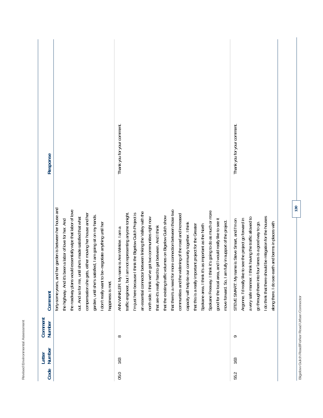| Response                 | forty-some years, and her garden is between her house and<br>the roadway plans would essentially wipe that labor of love<br>compensation she gets, either moving her house and her<br>garden, until she's satisfied, I am going sit on my hands.<br>out. And so for me, until she's made satisfied that what<br>been a labor of love for her. And<br>be--negotiate anything until her | Thank you for your comment.<br>that there's a need for more connection between those two<br>I think it's going to do as much or more<br>an essential connector between linking the Valley with the<br>am not representing anyone tonight.<br>I'm just here because I think the Bigelow Gulch Project is<br>communities and the widening of the road and increased<br>that the existing traffic volumes on Bigelow Gulch show<br>north side. I think we've got two communities right now<br>good for the local area, and I would really like to see it<br>move forward. So, I am fully in support of the project.<br>our community together. I think<br>that this is a really important project for the Greater<br>Spokane area. I think it's as important as the North<br>that are-it's really hard to get between. And I think<br>name is Ann Winkler. I am a | Thank you for your comment.<br>I do think that there should be mitigation for the houses<br>I think having the traffic allowed to<br>Argonne. I'd really like to see the project go forward in<br>name is Steve Smart, and I'm on<br>go through there into four lanes is a good way to go.<br>earth and berms in places with |
|--------------------------|---------------------------------------------------------------------------------------------------------------------------------------------------------------------------------------------------------------------------------------------------------------------------------------------------------------------------------------------------------------------------------------|----------------------------------------------------------------------------------------------------------------------------------------------------------------------------------------------------------------------------------------------------------------------------------------------------------------------------------------------------------------------------------------------------------------------------------------------------------------------------------------------------------------------------------------------------------------------------------------------------------------------------------------------------------------------------------------------------------------------------------------------------------------------------------------------------------------------------------------------------------------|------------------------------------------------------------------------------------------------------------------------------------------------------------------------------------------------------------------------------------------------------------------------------------------------------------------------------|
| Comment                  | the highway. And it's<br>I don't really want to<br>happiness is met.                                                                                                                                                                                                                                                                                                                  | capacity will help tie<br>ANN WINKLER: My<br>traffic engineer, but<br>Spokane Freeway.                                                                                                                                                                                                                                                                                                                                                                                                                                                                                                                                                                                                                                                                                                                                                                         | along there. I do see<br>STEVE SMART: My<br>a very safe manner.                                                                                                                                                                                                                                                              |
| Comment<br>Number        |                                                                                                                                                                                                                                                                                                                                                                                       | $\infty$                                                                                                                                                                                                                                                                                                                                                                                                                                                                                                                                                                                                                                                                                                                                                                                                                                                       | q                                                                                                                                                                                                                                                                                                                            |
| Number<br>Letter<br>Code |                                                                                                                                                                                                                                                                                                                                                                                       | 163                                                                                                                                                                                                                                                                                                                                                                                                                                                                                                                                                                                                                                                                                                                                                                                                                                                            | 163<br>55.2                                                                                                                                                                                                                                                                                                                  |

Revised Environmental Assessment

**Bigelow Gulch Road/Forker Road Urban Connector**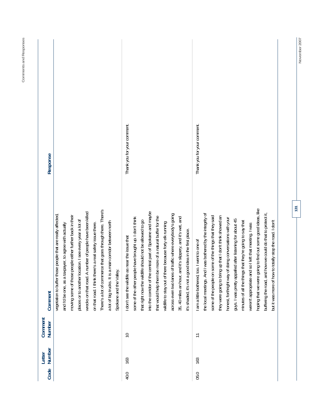| hoping that we were going to find out some good ideas, like<br>There's a lot of commerce that goes through there. There's<br>A number of people have been killed<br>into the corridor of the central part of Spokane and maybe<br>id how we could do that to protect it,<br>the local meetings. And I was bothered by the integrity of<br>across even two lanes of traffic where everybody's going<br>vegetation to buffer those people that are really affected<br>moving some of those people either further back in their<br>some of the people on some of the things that they said<br>they were going to bring up that I don't think showed an<br>that would help them be more of a natural buffer for the<br>some of the other people have brought up. I don't think<br>35, 40 miles an hour, and it's slippery, and it's wet, and<br>honest, forthright way of doing conversations with your<br>guys. I was pretty appalled after listening for about 45<br>places or to another location. I see every year a lot of<br>that right now the wildlife should not be allowed to go<br>minutes of all the things that they're going to say that<br>a lot of big trucks. It is a main corridor between north<br>there because forty elk running<br>on that road. I think there's a real safety issue there.<br>weren't appropriate and so I left that meeting. I was<br>and I'd be one, as a taxpayer, to agree with actually<br>good idea in the first place.<br>I don't see the wildlife as near the issue that<br>too. I went to one of<br>Spokane and the Valley.<br>I am a little bothered,<br>buffering the road, ar<br>wildlife to stay out of<br>it's shaded, it's not a<br>wrecks on that road.<br>Comment<br><b>Number</b><br>$\supseteq$<br>$\overline{1}$<br>Number<br>163<br>163<br>Code<br>05.0<br>40.0 |                             |
|-------------------------------------------------------------------------------------------------------------------------------------------------------------------------------------------------------------------------------------------------------------------------------------------------------------------------------------------------------------------------------------------------------------------------------------------------------------------------------------------------------------------------------------------------------------------------------------------------------------------------------------------------------------------------------------------------------------------------------------------------------------------------------------------------------------------------------------------------------------------------------------------------------------------------------------------------------------------------------------------------------------------------------------------------------------------------------------------------------------------------------------------------------------------------------------------------------------------------------------------------------------------------------------------------------------------------------------------------------------------------------------------------------------------------------------------------------------------------------------------------------------------------------------------------------------------------------------------------------------------------------------------------------------------------------------------------------------------------------------------------------------------------------------------------------------------------|-----------------------------|
|                                                                                                                                                                                                                                                                                                                                                                                                                                                                                                                                                                                                                                                                                                                                                                                                                                                                                                                                                                                                                                                                                                                                                                                                                                                                                                                                                                                                                                                                                                                                                                                                                                                                                                                                                                                                                         | Response                    |
|                                                                                                                                                                                                                                                                                                                                                                                                                                                                                                                                                                                                                                                                                                                                                                                                                                                                                                                                                                                                                                                                                                                                                                                                                                                                                                                                                                                                                                                                                                                                                                                                                                                                                                                                                                                                                         |                             |
|                                                                                                                                                                                                                                                                                                                                                                                                                                                                                                                                                                                                                                                                                                                                                                                                                                                                                                                                                                                                                                                                                                                                                                                                                                                                                                                                                                                                                                                                                                                                                                                                                                                                                                                                                                                                                         |                             |
|                                                                                                                                                                                                                                                                                                                                                                                                                                                                                                                                                                                                                                                                                                                                                                                                                                                                                                                                                                                                                                                                                                                                                                                                                                                                                                                                                                                                                                                                                                                                                                                                                                                                                                                                                                                                                         |                             |
|                                                                                                                                                                                                                                                                                                                                                                                                                                                                                                                                                                                                                                                                                                                                                                                                                                                                                                                                                                                                                                                                                                                                                                                                                                                                                                                                                                                                                                                                                                                                                                                                                                                                                                                                                                                                                         |                             |
|                                                                                                                                                                                                                                                                                                                                                                                                                                                                                                                                                                                                                                                                                                                                                                                                                                                                                                                                                                                                                                                                                                                                                                                                                                                                                                                                                                                                                                                                                                                                                                                                                                                                                                                                                                                                                         |                             |
|                                                                                                                                                                                                                                                                                                                                                                                                                                                                                                                                                                                                                                                                                                                                                                                                                                                                                                                                                                                                                                                                                                                                                                                                                                                                                                                                                                                                                                                                                                                                                                                                                                                                                                                                                                                                                         |                             |
|                                                                                                                                                                                                                                                                                                                                                                                                                                                                                                                                                                                                                                                                                                                                                                                                                                                                                                                                                                                                                                                                                                                                                                                                                                                                                                                                                                                                                                                                                                                                                                                                                                                                                                                                                                                                                         |                             |
|                                                                                                                                                                                                                                                                                                                                                                                                                                                                                                                                                                                                                                                                                                                                                                                                                                                                                                                                                                                                                                                                                                                                                                                                                                                                                                                                                                                                                                                                                                                                                                                                                                                                                                                                                                                                                         |                             |
|                                                                                                                                                                                                                                                                                                                                                                                                                                                                                                                                                                                                                                                                                                                                                                                                                                                                                                                                                                                                                                                                                                                                                                                                                                                                                                                                                                                                                                                                                                                                                                                                                                                                                                                                                                                                                         |                             |
|                                                                                                                                                                                                                                                                                                                                                                                                                                                                                                                                                                                                                                                                                                                                                                                                                                                                                                                                                                                                                                                                                                                                                                                                                                                                                                                                                                                                                                                                                                                                                                                                                                                                                                                                                                                                                         | Thank you for your comment. |
|                                                                                                                                                                                                                                                                                                                                                                                                                                                                                                                                                                                                                                                                                                                                                                                                                                                                                                                                                                                                                                                                                                                                                                                                                                                                                                                                                                                                                                                                                                                                                                                                                                                                                                                                                                                                                         |                             |
|                                                                                                                                                                                                                                                                                                                                                                                                                                                                                                                                                                                                                                                                                                                                                                                                                                                                                                                                                                                                                                                                                                                                                                                                                                                                                                                                                                                                                                                                                                                                                                                                                                                                                                                                                                                                                         |                             |
|                                                                                                                                                                                                                                                                                                                                                                                                                                                                                                                                                                                                                                                                                                                                                                                                                                                                                                                                                                                                                                                                                                                                                                                                                                                                                                                                                                                                                                                                                                                                                                                                                                                                                                                                                                                                                         |                             |
|                                                                                                                                                                                                                                                                                                                                                                                                                                                                                                                                                                                                                                                                                                                                                                                                                                                                                                                                                                                                                                                                                                                                                                                                                                                                                                                                                                                                                                                                                                                                                                                                                                                                                                                                                                                                                         |                             |
|                                                                                                                                                                                                                                                                                                                                                                                                                                                                                                                                                                                                                                                                                                                                                                                                                                                                                                                                                                                                                                                                                                                                                                                                                                                                                                                                                                                                                                                                                                                                                                                                                                                                                                                                                                                                                         |                             |
|                                                                                                                                                                                                                                                                                                                                                                                                                                                                                                                                                                                                                                                                                                                                                                                                                                                                                                                                                                                                                                                                                                                                                                                                                                                                                                                                                                                                                                                                                                                                                                                                                                                                                                                                                                                                                         |                             |
|                                                                                                                                                                                                                                                                                                                                                                                                                                                                                                                                                                                                                                                                                                                                                                                                                                                                                                                                                                                                                                                                                                                                                                                                                                                                                                                                                                                                                                                                                                                                                                                                                                                                                                                                                                                                                         |                             |
|                                                                                                                                                                                                                                                                                                                                                                                                                                                                                                                                                                                                                                                                                                                                                                                                                                                                                                                                                                                                                                                                                                                                                                                                                                                                                                                                                                                                                                                                                                                                                                                                                                                                                                                                                                                                                         |                             |
|                                                                                                                                                                                                                                                                                                                                                                                                                                                                                                                                                                                                                                                                                                                                                                                                                                                                                                                                                                                                                                                                                                                                                                                                                                                                                                                                                                                                                                                                                                                                                                                                                                                                                                                                                                                                                         | Thank you for your comment. |
|                                                                                                                                                                                                                                                                                                                                                                                                                                                                                                                                                                                                                                                                                                                                                                                                                                                                                                                                                                                                                                                                                                                                                                                                                                                                                                                                                                                                                                                                                                                                                                                                                                                                                                                                                                                                                         |                             |
|                                                                                                                                                                                                                                                                                                                                                                                                                                                                                                                                                                                                                                                                                                                                                                                                                                                                                                                                                                                                                                                                                                                                                                                                                                                                                                                                                                                                                                                                                                                                                                                                                                                                                                                                                                                                                         |                             |
|                                                                                                                                                                                                                                                                                                                                                                                                                                                                                                                                                                                                                                                                                                                                                                                                                                                                                                                                                                                                                                                                                                                                                                                                                                                                                                                                                                                                                                                                                                                                                                                                                                                                                                                                                                                                                         |                             |
|                                                                                                                                                                                                                                                                                                                                                                                                                                                                                                                                                                                                                                                                                                                                                                                                                                                                                                                                                                                                                                                                                                                                                                                                                                                                                                                                                                                                                                                                                                                                                                                                                                                                                                                                                                                                                         |                             |
|                                                                                                                                                                                                                                                                                                                                                                                                                                                                                                                                                                                                                                                                                                                                                                                                                                                                                                                                                                                                                                                                                                                                                                                                                                                                                                                                                                                                                                                                                                                                                                                                                                                                                                                                                                                                                         |                             |
|                                                                                                                                                                                                                                                                                                                                                                                                                                                                                                                                                                                                                                                                                                                                                                                                                                                                                                                                                                                                                                                                                                                                                                                                                                                                                                                                                                                                                                                                                                                                                                                                                                                                                                                                                                                                                         |                             |
|                                                                                                                                                                                                                                                                                                                                                                                                                                                                                                                                                                                                                                                                                                                                                                                                                                                                                                                                                                                                                                                                                                                                                                                                                                                                                                                                                                                                                                                                                                                                                                                                                                                                                                                                                                                                                         |                             |
|                                                                                                                                                                                                                                                                                                                                                                                                                                                                                                                                                                                                                                                                                                                                                                                                                                                                                                                                                                                                                                                                                                                                                                                                                                                                                                                                                                                                                                                                                                                                                                                                                                                                                                                                                                                                                         |                             |
|                                                                                                                                                                                                                                                                                                                                                                                                                                                                                                                                                                                                                                                                                                                                                                                                                                                                                                                                                                                                                                                                                                                                                                                                                                                                                                                                                                                                                                                                                                                                                                                                                                                                                                                                                                                                                         |                             |
| but it was more of how to totally stop the road. I don't                                                                                                                                                                                                                                                                                                                                                                                                                                                                                                                                                                                                                                                                                                                                                                                                                                                                                                                                                                                                                                                                                                                                                                                                                                                                                                                                                                                                                                                                                                                                                                                                                                                                                                                                                                |                             |

Comments and Responses **Comments and Responses** 

**131** 

November 2007 **November 2007**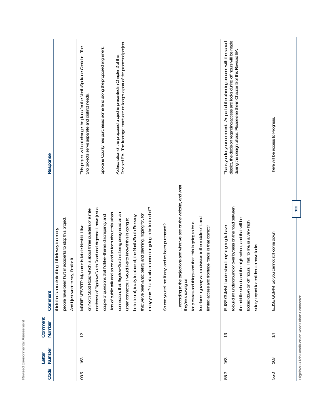| Code                                           | Number<br>Letter | Comment<br>Number | Comment                                                                                                                                                                                                                                                                       | Response                                                                                                                                                                                                                                   |
|------------------------------------------------|------------------|-------------------|-------------------------------------------------------------------------------------------------------------------------------------------------------------------------------------------------------------------------------------------------------------------------------|--------------------------------------------------------------------------------------------------------------------------------------------------------------------------------------------------------------------------------------------|
|                                                |                  |                   | people have been hurt in accidents to stop this project.<br>thing. I think way too many<br>And I just want to say, I'm for it.<br>think that's a realistic                                                                                                                    |                                                                                                                                                                                                                                            |
| 03.5                                           | 163              | $\tilde{c}$       | on North Scott Road which is about three quarters of a mile<br>y name is Marie Nesbitt. I live<br>MARIE NESBITT: MY                                                                                                                                                           | This project will not change the plans for the North Spokane Corridor. The<br>two projects serve separate and distinct needs.                                                                                                              |
|                                                |                  |                   | northeast of Bigelow Gulch Road and Argonne. I have just a<br>couple of questions that I'd like--there's discrepancy and                                                                                                                                                      | Spokane County has purchased some land along the proposed alignment.                                                                                                                                                                       |
|                                                |                  |                   | connection, that Bigelow Gulch is being designated as an<br>lots of public talk and so on and so forth about this urban<br>urban connector. I would like to know if this is going to                                                                                          | Revised EA. The frontage roads are no longer a part of the proposed project.<br>A description of the proposed project is presented in Chapter 2 of this                                                                                    |
|                                                |                  |                   | place of, the North/South Freeway<br>be in lieu of, totally in                                                                                                                                                                                                                |                                                                                                                                                                                                                                            |
|                                                |                  |                   | many years? Is this urban connector going to be instead of?<br>that we've been anticipating and planning, hoping for, for                                                                                                                                                     |                                                                                                                                                                                                                                            |
|                                                |                  |                   | any land as been purchased?<br>So can you tell me if                                                                                                                                                                                                                          |                                                                                                                                                                                                                                            |
|                                                |                  |                   | according to the projections and what we see on the website, and what<br>for pictures and things and that, this is going to be a<br>they're showing us                                                                                                                        |                                                                                                                                                                                                                                            |
|                                                |                  |                   | four-lane highway with a division in the middle of it and<br>limited access and frontage roads; is that correct?                                                                                                                                                              |                                                                                                                                                                                                                                            |
| 55.2                                           | 163              | 13                | to build an underground or over bypass on the road between<br>the middle school and the high school, and that will be<br>locked down on off hours. That, to me, is a very high<br>ELISE GUMM: I understand they're going to have<br>safety impact for children to have locks. | district, the decision regarding access and locks during off hours will be made<br>Thank you for your comment. As part of the planning process with the school<br>during the design phase. Please see the in Chapter 5 of this Revised EA. |
| 55.0                                           | 163              | $\overline{1}$    | ELISE GUMM: So you cannot still come down                                                                                                                                                                                                                                     | There will be access to Progress.                                                                                                                                                                                                          |
| Bigelow Gulch Road/Forker Road Urban Connector |                  |                   | 132                                                                                                                                                                                                                                                                           |                                                                                                                                                                                                                                            |

**Revised Environmental Assessment** 

Revised Environmental Assessment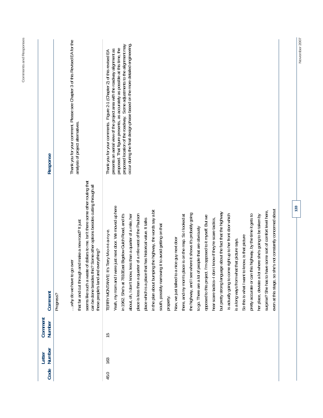| Response                 | Thank you for your comment. Please see Chapter 3 of this Revised EA for the<br>analysis of project alternatives.                                                                                                                                                                                    | occur during the final design phase based on the more detailed engineering<br>proposed location of the roadway. Some adjustments to the alignment may<br>proposed. That figure presents, as accurately as possible at this time, the<br>presents an aerial view of the project area with the roadway alignment as<br>Thank you for your comments. Figure 2-1 (Chapter 2) of this revised EA                                                                                                                                                                                                                                                                                                                                                                                                                                                                                                                                                                                                                                                                                                                                                                                                                                                                                                                                                               |
|--------------------------|-----------------------------------------------------------------------------------------------------------------------------------------------------------------------------------------------------------------------------------------------------------------------------------------------------|-----------------------------------------------------------------------------------------------------------------------------------------------------------------------------------------------------------------------------------------------------------------------------------------------------------------------------------------------------------------------------------------------------------------------------------------------------------------------------------------------------------------------------------------------------------------------------------------------------------------------------------------------------------------------------------------------------------------------------------------------------------------------------------------------------------------------------------------------------------------------------------------------------------------------------------------------------------------------------------------------------------------------------------------------------------------------------------------------------------------------------------------------------------------------------------------------------------------------------------------------------------------------------------------------------------------------------------------------------------|
| Comment                  | seems like such a waste of dollars to me. Isn't there some other routing that<br>can be done besides this? Some other options besides cutting through all<br>that far and cut through and make a new road? It just<br>these people's land and everything?<br>why do we have to go over<br>Progress? | Yeah, my mom and I were just next door. We moved up here<br>even at this stage, so she's not constantly concerned about<br>in the plan about bumping the highway, the words say a bit<br>surprise? She has to have some sort of comfort level here,<br>but pretty strong language about the fact that the highway<br>ee where it shows it's probably going<br>place is less than a quarter of a mile west of the Paulson<br>is actually going to come right up to her front door which<br>pretty accurate or can this highway, by the time it gets to<br>in 1962. She's at 7810East Bigelow Gulch Road, and it's<br>there, and my mom's place is on the map. So I looked at<br>her place, deviate a lot where she's going to be taken by<br>about, oh, I don't know, less than a quarter of a mile, her<br>opposed to this project. I'm opposed to it myself. But we<br>don t know if they're scare tactics,<br>place which is a place that has historical value. It talks<br>south, possibly narrowing it to avoid getting on that<br>to go. There are a lot of people that are obviously<br>TERRY MONTANYE: It's Terry M-o-n-t-a-n-y-e.<br>So this is what I want to know, is that picture<br>Now, we just talked to a nice guy next door<br>is a long ways from what that picture says.<br>the highway, and I se<br>hear scare tactics--I<br>property. |
| Comment<br><b>Number</b> |                                                                                                                                                                                                                                                                                                     | 15                                                                                                                                                                                                                                                                                                                                                                                                                                                                                                                                                                                                                                                                                                                                                                                                                                                                                                                                                                                                                                                                                                                                                                                                                                                                                                                                                        |
| Number<br>Letter         |                                                                                                                                                                                                                                                                                                     | 163                                                                                                                                                                                                                                                                                                                                                                                                                                                                                                                                                                                                                                                                                                                                                                                                                                                                                                                                                                                                                                                                                                                                                                                                                                                                                                                                                       |
| Code                     |                                                                                                                                                                                                                                                                                                     | 45.0                                                                                                                                                                                                                                                                                                                                                                                                                                                                                                                                                                                                                                                                                                                                                                                                                                                                                                                                                                                                                                                                                                                                                                                                                                                                                                                                                      |

Comments and Responses **Comments and Responses**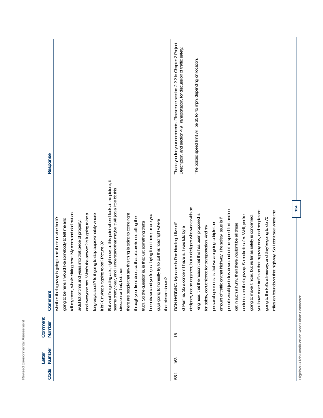| Code | Number | Comment<br>Number | Comment                                                                                                                                                                                             | Response                                                                      |
|------|--------|-------------------|-----------------------------------------------------------------------------------------------------------------------------------------------------------------------------------------------------|-------------------------------------------------------------------------------|
|      |        |                   | is going to be there or whether it's<br>whether the highway                                                                                                                                         |                                                                               |
|      |        |                   | going to be here. I would like somebody to tell me and                                                                                                                                              |                                                                               |
|      |        |                   | tell my mom, who is sitting here. My mom and dad put an                                                                                                                                             |                                                                               |
|      |        |                   | years into that piece of property,<br>awful lot of time and                                                                                                                                         |                                                                               |
|      |        |                   | and everyone has. What's the answer? Is it going to be a                                                                                                                                            |                                                                               |
|      |        |                   | it going to stay approximately where<br>long ways south? Is i                                                                                                                                       |                                                                               |
|      |        |                   | it is? Or what's it going to be? Picture 3?                                                                                                                                                         |                                                                               |
|      |        |                   | But what I'm getting at is, right now, at this point when I look at the picture, it<br>seems pretty clear, and I understand that maybe it will jog a little bit this<br>direction or that, but then |                                                                               |
|      |        |                   | say this thing is going to come right<br>there are people that                                                                                                                                      |                                                                               |
|      |        |                   | through your front door, so that picture is not telling the                                                                                                                                         |                                                                               |
|      |        |                   | truth. So the question is, is that just something that's                                                                                                                                            |                                                                               |
|      |        |                   | been drawn and you're just laying it out there, or are you                                                                                                                                          |                                                                               |
|      |        |                   | guys going to honestly try to put that road right where                                                                                                                                             |                                                                               |
|      |        |                   | that picture shows?                                                                                                                                                                                 |                                                                               |
| 55.1 | 163    | $\frac{6}{1}$     | name is Ron Harding. I live off<br>RON HARDING: My                                                                                                                                                  | Thank you for your comments. Please see section 2.2.2 in Chapter 2 Project    |
|      |        |                   | of Perrine. So a concern I have is, I was told by a                                                                                                                                                 | Description, and section 4.9 Transportation, for discussion of traffic safety |
|      |        |                   | designer, not an engineer, but a designer who works with an                                                                                                                                         |                                                                               |
|      |        |                   | engineer, that the reason that this has been proposed is                                                                                                                                            | The posted speed limit will be 35 to 45 mph, depending on location.           |
|      |        |                   | for safety, convenience for transportation. And my                                                                                                                                                  |                                                                               |
|      |        |                   | personal opinion is, is that we are going to triple the                                                                                                                                             |                                                                               |
|      |        |                   | hat highway. The safety issue is if<br>amount of traffic on t                                                                                                                                       |                                                                               |
|      |        |                   | people would just slow down and do the speed limit and not                                                                                                                                          |                                                                               |
|      |        |                   | get in such a hury, then there wouldn't be all these                                                                                                                                                |                                                                               |
|      |        |                   | accidents on the highway. So make it safer. Well, you're                                                                                                                                            |                                                                               |
|      |        |                   | going to make it nicer, but as far as safety is concerned,                                                                                                                                          |                                                                               |
|      |        |                   | you have more traffic on that highway now, and people are                                                                                                                                           |                                                                               |
|      |        |                   | going to think it's a freeway, and they're going to do 70                                                                                                                                           |                                                                               |
|      |        |                   | miles an hour down that highway. So I don't see where the                                                                                                                                           |                                                                               |

Revised Environmental Assessment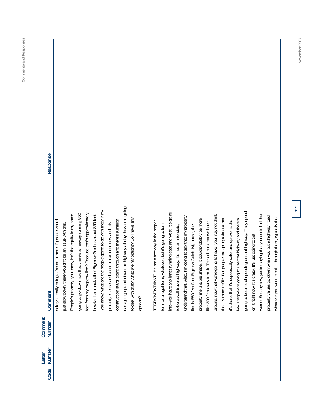| Response          |                                                              |                                                          |                                                          |                                                         |                                                          |                                                           |                                                            |                                                    |                                                         |                                                            |                                                       |          |                                                  |                                                           |                                                            |                                                          |                                                          |                                                    |                                                            |                                                      |                                                        |                                                           |                                                           |                                                       |                                                           |                                                        |                                                           |                                                       |                                                            |
|-------------------|--------------------------------------------------------------|----------------------------------------------------------|----------------------------------------------------------|---------------------------------------------------------|----------------------------------------------------------|-----------------------------------------------------------|------------------------------------------------------------|----------------------------------------------------|---------------------------------------------------------|------------------------------------------------------------|-------------------------------------------------------|----------|--------------------------------------------------|-----------------------------------------------------------|------------------------------------------------------------|----------------------------------------------------------|----------------------------------------------------------|----------------------------------------------------|------------------------------------------------------------|------------------------------------------------------|--------------------------------------------------------|-----------------------------------------------------------|-----------------------------------------------------------|-------------------------------------------------------|-----------------------------------------------------------|--------------------------------------------------------|-----------------------------------------------------------|-------------------------------------------------------|------------------------------------------------------------|
| Comment           | being a factor in there. If people would<br>safety is really | there wouldn't be an issue with this.<br>just slow down, | People's property, you know, isn't the equity in my home | going to go down now that there's a freeway running 850 | feet from my property line? Because that's approximately | how far I am back off of Bigelow Gulch is about 850 feet. | You know, what are the people going to do with that? If my | property is assessed a certain amount now and this | construction starts going through and there's a million | cars going up and down the highway all day; how am I going | to deal with that? What are my options? Do I have any | options? | TERRY MONTANYE: It's not a freeway in the proper | term, whatever, but it's going to turn<br>term or a legal | into--you have two lanes running east and west. It's going | to be a well-traveled highway. It's not an interstate, I | understand that. Also, I'm going to say that my property | line is 850 feet from Bigelow Gulch. My house, the | a pie shape. It could probably be more<br>property line is | like 200 feet away from it. The animals that we have | around, now that we're going to have-you may not think | that it's more traffic. But people are going to know that | it's there, that it's supposedly safer and quicker is the | key. People are going to use that highway and there's | going to be a lot of speeding on that highway. They speed | It's crazy. It's just going to get<br>on it right now. | worse. So, anyhow, you're saying that you don't find that | property values go down when you put a highway, road, | whatever you want to call it through there, typically that |
| Comment<br>Number |                                                              |                                                          |                                                          |                                                         |                                                          |                                                           |                                                            |                                                    |                                                         |                                                            |                                                       |          |                                                  |                                                           |                                                            |                                                          |                                                          |                                                    |                                                            |                                                      |                                                        |                                                           |                                                           |                                                       |                                                           |                                                        |                                                           |                                                       |                                                            |
| Number<br>Letter  |                                                              |                                                          |                                                          |                                                         |                                                          |                                                           |                                                            |                                                    |                                                         |                                                            |                                                       |          |                                                  |                                                           |                                                            |                                                          |                                                          |                                                    |                                                            |                                                      |                                                        |                                                           |                                                           |                                                       |                                                           |                                                        |                                                           |                                                       |                                                            |
| Code              |                                                              |                                                          |                                                          |                                                         |                                                          |                                                           |                                                            |                                                    |                                                         |                                                            |                                                       |          |                                                  |                                                           |                                                            |                                                          |                                                          |                                                    |                                                            |                                                      |                                                        |                                                           |                                                           |                                                       |                                                           |                                                        |                                                           |                                                       |                                                            |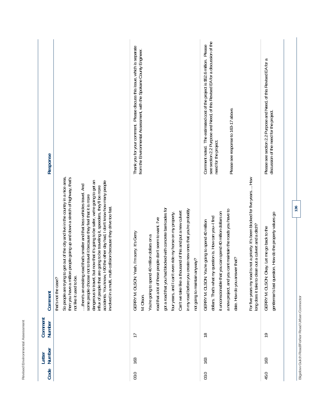| ٠<br>٠<br>ä<br>í<br>ì<br>í<br>ł<br>ä<br>۱<br>J<br>ï<br>ţ<br>I,<br>٠<br>ä<br>۱<br>ı<br>ï<br>۰<br>٠<br>u                                                                      |  |
|-----------------------------------------------------------------------------------------------------------------------------------------------------------------------------|--|
| $\overline{\phantom{a}}$<br>÷<br>١<br>ĭ<br>ι<br>┙<br>٠<br>-<br>ı<br>٦<br>ä<br>ţ<br>ï<br>ī<br>-<br>ì<br>ı.<br>í<br>ı<br>١<br>ï<br>I<br>ä,<br>٠<br>-<br>×<br>٠<br>é<br>r<br>× |  |
| ı<br>٠<br>۰<br>í<br>ì<br>i.<br>ı<br>٠<br>×<br>-<br>٠<br>é<br>ì<br>i<br>é<br>١<br>-                                                                                          |  |

| Code | Number<br>Letter | Comment<br>Number | Comment                                                                                                                                                                                                                                                                                                                                                                                                                                                                                                                                                                                                                                                                                                 | Response                                                                                                                                                                                                                    |
|------|------------------|-------------------|---------------------------------------------------------------------------------------------------------------------------------------------------------------------------------------------------------------------------------------------------------------------------------------------------------------------------------------------------------------------------------------------------------------------------------------------------------------------------------------------------------------------------------------------------------------------------------------------------------------------------------------------------------------------------------------------------------|-----------------------------------------------------------------------------------------------------------------------------------------------------------------------------------------------------------------------------|
|      |                  |                   | So people are trying to get out of the city and live in the country in a nice area,<br>then you have a million people going up and down a stretch of highway, that's<br>dangerous to travel, but now that it's going to be safer, we're going to get an<br>accidents. You know, I-90 the other day had, I don't know how many people<br>road that's smaller and that less vehicles travel. And<br>influx of people that are going to be traveling it, speeders, they'll be more<br>some people choose not to travel it because they feel that it is more<br>involved in a multi, multi-collision because they drive too fast.<br>there's an existing<br>not like it used to be.<br>that's not the case? |                                                                                                                                                                                                                             |
| 03.0 | 163              | $\overline{1}$    | got a road that you had blocked with concrete barricades for<br>create new ones that you're probably<br>Can't we take like a thousand of this and put a new culvert<br>even ride my horse on my property.<br>road that a lot of these people don't seem to want. I've<br>eah, I'm sorry. It's Gerry<br>40 million dollars on a<br>anyway?<br>GERRY M. OLSON: Y<br>You're going to spend<br>four years, and I can't<br>in my road before you<br>not going to maintain<br>M. Olson.                                                                                                                                                                                                                       | Thank you for your comment. Please discuss this issue, which is separate<br>from the Environmental Assessment, with the Spokane County Engineer.                                                                            |
| 03.0 | 163              | $\frac{8}{1}$     | For five years my road is not a priority. It's been blocked for five years How<br>a new project, and you cant maintain the roads you have to<br>it unconscionable that you can spend 40 million dollars on<br>dollars. That's what my question is. How can you--I find<br>GERRY M. OLSON: You're going to spend 40 million<br>long does it take to clean out a culvert and a ditch?<br>date. How do you answer that?                                                                                                                                                                                                                                                                                    | Comment noted. The estimated cost of the project is \$52.6 million. Please<br>see section 2.2 Purpose and Need, of this Revised EA for a discussion of the<br>Please see response to 163-17 above.<br>need for the project. |
| 45.0 | 163              | $\tilde{e}$       | 136<br>gentleman's last question. How do the property values go<br>GERRY M. OLSON: Okay. Let me go back to the                                                                                                                                                                                                                                                                                                                                                                                                                                                                                                                                                                                          | Please see section 2.2 Purpose and Need, of this Revised EA for a<br>discussion of the need for the project.                                                                                                                |

Bigelow Gulch Road/Forker Road Urban Connector **Bigelow Gulch Road/Forker Road Urban Connector**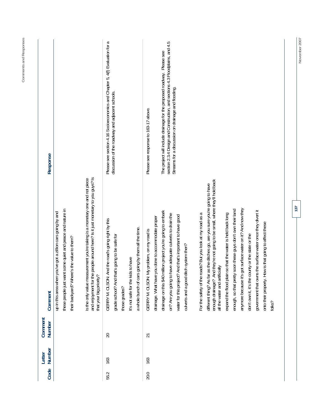| Response          |                                                                                                                                                                        |                                                                                                                                                                                         | Please see section 4.16 Socioeconomics and Chapter 5, 4(f) Evaluation for a<br>discussion of the roadway and adjacent schools.                                                                                     | section 2.3.4 Design and Construction, and sections 4.3 Floodplains, and 4.5<br>The project will include drainage for the proposed roadway. Please see<br>Streams for a discussion on drainage and flooding.<br>Please see response to 163-17 above.                                                                                                                                                                                                                                                                                                                                                                                                                                                                                |                                                                                                                                                                                                                                                      |
|-------------------|------------------------------------------------------------------------------------------------------------------------------------------------------------------------|-----------------------------------------------------------------------------------------------------------------------------------------------------------------------------------------|--------------------------------------------------------------------------------------------------------------------------------------------------------------------------------------------------------------------|-------------------------------------------------------------------------------------------------------------------------------------------------------------------------------------------------------------------------------------------------------------------------------------------------------------------------------------------------------------------------------------------------------------------------------------------------------------------------------------------------------------------------------------------------------------------------------------------------------------------------------------------------------------------------------------------------------------------------------------|------------------------------------------------------------------------------------------------------------------------------------------------------------------------------------------------------------------------------------------------------|
| Comment           | these people just want some quiet and peace and nature in<br>up in this area when you've got a zillion cars going by and<br>their backyard? Where's the value to them? | and enjoyment for the people around here? Is it just monetary to you guys? Is<br>is the only value measurement you're taking is a monetary one and not piece<br>that your big priority? | And the road's going right by this<br>a whole bunch of cars going by them all the time.<br>grade school? And that's going to be safe for<br>It's not safe for the kids to have<br>GERRY M. OLSON:<br>those grades? | enough drainage? And they're not going to be small, where they'll hold back<br>as the ditches go, are you sure you're going to have<br>enough, so that pretty soon these guys don't own their land<br>drainage on this \$40 million project you're going to embark<br>For the safety of the roads? But you look at my road as a<br>on? Are you going to have adequate culverts to drain the<br>expand the flood plain so that the water is held back long<br>water for this project? And that's important to have good<br>drainage. What have you done to accommodate proper<br>My problem, on my road is<br>culverts and a good ditch system then?<br>all the water and artificially<br>different thing? As far<br>GERRY M. OLSON: | got surface water on it? And now they<br>government that owns the surface water once they divert it<br>onto their property. How is that going to affect these<br>don't own it, it's the county or the state or the<br>anymore because it's<br>folks? |
| Comment<br>Number |                                                                                                                                                                        |                                                                                                                                                                                         | $\Omega$                                                                                                                                                                                                           |                                                                                                                                                                                                                                                                                                                                                                                                                                                                                                                                                                                                                                                                                                                                     |                                                                                                                                                                                                                                                      |
| Number<br>Letter  |                                                                                                                                                                        |                                                                                                                                                                                         | 163                                                                                                                                                                                                                |                                                                                                                                                                                                                                                                                                                                                                                                                                                                                                                                                                                                                                                                                                                                     |                                                                                                                                                                                                                                                      |
| Code              |                                                                                                                                                                        |                                                                                                                                                                                         | 55.2                                                                                                                                                                                                               |                                                                                                                                                                                                                                                                                                                                                                                                                                                                                                                                                                                                                                                                                                                                     |                                                                                                                                                                                                                                                      |

November 2007

**137** 

**Comments and Responses**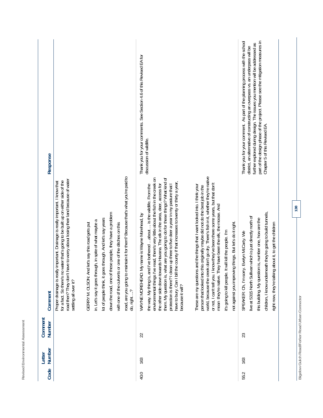| I<br>ı<br>¢<br>ï<br>š                                    |  |
|----------------------------------------------------------|--|
| Ó<br>ï<br>ı<br>i<br>í<br>ı<br>i,<br>ï<br>¢<br>-<br>۰     |  |
| ć<br>ł<br>í<br>¢<br>¢<br>ļ<br>ï<br>í<br>í<br>I<br>I<br>ï |  |
| ł<br>i<br>h<br>I<br>I                                    |  |
| ł<br>Ċ<br>í<br>-                                         |  |

| Response          |                                                                                                                                                                                                                                                                              |                                                     |                                                                                                                             |                                                         |                                                                                                                                                             | Thank you for your comments. See Section 4.6 of this Revised EA for | discussion of wildlife.                                                                                                                                                                                                                                                                                                                                                                                                                                                                                                    |                                                                                                                                                                                                                                                                                                                                                                                                                                                                                                                              | part of the design phase of the project. Please see the mitigation measures in<br>Thank you for your comment. As part of the planning process with the school<br>further explored during design. The issues you mention will be addressed as<br>district, an alternative of constructing an overpass vs. an underpass will be<br>Chapter 5 of this Revised EA. |  |
|-------------------|------------------------------------------------------------------------------------------------------------------------------------------------------------------------------------------------------------------------------------------------------------------------------|-----------------------------------------------------|-----------------------------------------------------------------------------------------------------------------------------|---------------------------------------------------------|-------------------------------------------------------------------------------------------------------------------------------------------------------------|---------------------------------------------------------------------|----------------------------------------------------------------------------------------------------------------------------------------------------------------------------------------------------------------------------------------------------------------------------------------------------------------------------------------------------------------------------------------------------------------------------------------------------------------------------------------------------------------------------|------------------------------------------------------------------------------------------------------------------------------------------------------------------------------------------------------------------------------------------------------------------------------------------------------------------------------------------------------------------------------------------------------------------------------------------------------------------------------------------------------------------------------|----------------------------------------------------------------------------------------------------------------------------------------------------------------------------------------------------------------------------------------------------------------------------------------------------------------------------------------------------------------|--|
| Comment           | road then? They don't have to worry about losing their land because of water<br>for a fact. So there's no water that's going to be built up on either side of the<br>Proper drainage is really important. Drainage is really important. I know that<br>settling all over it? | And let's say this road gets put<br>GERRY M. OLSON: | goes through. And let's say years<br>hrough, in spite of what maybe a<br>lot of people think, it<br>in. Let's say it goes t | down the road, one of these people, they have a problem | o maintain it for them? Because that's what you're paid to<br>with one of the culverts or one of the ditches on this<br>road, are you going t<br>do, right? | D: My name is Wayne Morehead, by<br>WAYNE MOREHEAI                  | environmental things I've read, there's very little about the fish in the creek on<br>them. My question is, what are you going to do for these things? What kind of<br>have to bury. Can I bill the county if that increases to twenty or thirty a year,<br>clean up three to five deer a year in my pasture that I<br>and I've bothered about is the wildlife. From the<br>the other side down towards Havana. The elk in the area, deer, access for<br>the way. My thing is,<br>protection is there?<br>because it will? | world, because the creek don't go dry. There's fish in it, whether they're native<br>or not, I can't tell you. I know they've been there some years, but that don't<br>These are my questions and the things that I want looked into. I think your<br>person that looked into this originally maybe did not do the best job in the<br>mean they're native. They have been the elk, the moose. And<br>oving things. But let's do it right.<br>it's going to kill people. It will kill the people. I'm<br>not against you impr | children, I know underneath they're going to build tunnels,<br>ullivan which is just directly north of<br>this building. My question is, number one, how are the<br>right now, they're talking about it, to get the children<br>SPEAKER: Oh, I'm sorry. Evelyn McCarty. We<br>live at 5315 North Su                                                            |  |
| Comment<br>Number |                                                                                                                                                                                                                                                                              |                                                     |                                                                                                                             |                                                         |                                                                                                                                                             | 22                                                                  |                                                                                                                                                                                                                                                                                                                                                                                                                                                                                                                            |                                                                                                                                                                                                                                                                                                                                                                                                                                                                                                                              | 23                                                                                                                                                                                                                                                                                                                                                             |  |
| Number<br>Letter  |                                                                                                                                                                                                                                                                              |                                                     |                                                                                                                             |                                                         |                                                                                                                                                             | 163                                                                 |                                                                                                                                                                                                                                                                                                                                                                                                                                                                                                                            |                                                                                                                                                                                                                                                                                                                                                                                                                                                                                                                              | 163                                                                                                                                                                                                                                                                                                                                                            |  |
| Code              |                                                                                                                                                                                                                                                                              |                                                     |                                                                                                                             |                                                         |                                                                                                                                                             | 40.0                                                                |                                                                                                                                                                                                                                                                                                                                                                                                                                                                                                                            |                                                                                                                                                                                                                                                                                                                                                                                                                                                                                                                              | 55.2                                                                                                                                                                                                                                                                                                                                                           |  |

Bigelow Gulch Road/Forker Road Urban Connector **Bigelow Gulch Road/Forker Road Urban Connector**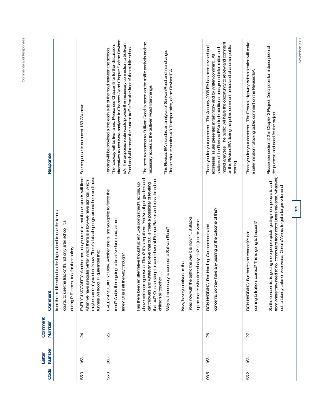| Alternatives routes were analyzed in Chapters 3 and Chapter 5 of the Revised<br>Thank you for your comment. The Federal Highway Administration will make<br>The need to connect to Sullivan Road is based on the traffic analysis and the<br>impact analyses. The public will have the opportunity to review and comment<br>EA. The proposed route would provide the necessary connection to Sullivan<br>The roadway will be five-lanes. Please see Chapter 5 for further discussion.<br>on this Revised EA during the public comment period and at another public<br>Thank you for your comment. The January 2006 EA has been revised and<br>Please see section 2.2 in Chapter 2 Project Description for a description of<br>Road and will remove the current traffic from the front of the middle school.<br>Fencing will be provided along each side of the road between the schools.<br>sections of the Revised EA include additional background information and<br>This Revised EA includes an analysis of Sullivan Road and interchange.<br>addresses issues presented in testimony and by written comment. All<br>Please refer to section 4.9 Transportation, of the Revised EA.<br>a determination following public comment on the Revised EA.<br>necessary access to the Sullivan Road Interchange.<br>See response to comment 163-23 above.<br>hearing. | EVELYN MCCARTY: Another one, do you realize that those tunnels will flood<br>maybe some of you don't know. There's lots of springs around here and those<br>above and coming down at Flora? It's steep there. You've all got graders and<br>that out? Or is so steep to come down at Flora or Barker and miss the school<br>when we have a regular winter which there is a low-we have springs, which<br>dirt throwers and whatever to level that out. Is there a possibility of leveling<br>Has there been an alternative thought at all? Like going straight across, up<br>EVELYN MCCARTY: Okay. Another one is, are you going to fence the<br>concerns, do they have any bearing on the outcome of this?<br>to the high school to use the tennis<br>road now with the traffic the way it is now? " it stacks<br>road? And is there going to be a five-lane road, a turn<br>up no matter what time of day it is? It'll just be worse.<br>courts, to use the track? It's not only after school, it's<br>coming to fruition; correct? This is going to happen?<br>larding. Our comments and<br>Why is it necessary to connect to Sullivan Road?<br>RON HARDING: But there's no chance it's not<br>for their safety.<br>tunnels will flood, I'll guarantee that.<br>lane? Or is it all the way through?<br>Now, have you driven on that<br>RON HARDING: Ron H<br>from the middle school<br>children all together<br>during P.E. times, too,<br>Comment |
|-------------------------------------------------------------------------------------------------------------------------------------------------------------------------------------------------------------------------------------------------------------------------------------------------------------------------------------------------------------------------------------------------------------------------------------------------------------------------------------------------------------------------------------------------------------------------------------------------------------------------------------------------------------------------------------------------------------------------------------------------------------------------------------------------------------------------------------------------------------------------------------------------------------------------------------------------------------------------------------------------------------------------------------------------------------------------------------------------------------------------------------------------------------------------------------------------------------------------------------------------------------------------------------------------------------------------------------------------------------------|-------------------------------------------------------------------------------------------------------------------------------------------------------------------------------------------------------------------------------------------------------------------------------------------------------------------------------------------------------------------------------------------------------------------------------------------------------------------------------------------------------------------------------------------------------------------------------------------------------------------------------------------------------------------------------------------------------------------------------------------------------------------------------------------------------------------------------------------------------------------------------------------------------------------------------------------------------------------------------------------------------------------------------------------------------------------------------------------------------------------------------------------------------------------------------------------------------------------------------------------------------------------------------------------------------------------------------------------------------------------------------------------------------------------------------------------------------|
| the purpose and need for the project.                                                                                                                                                                                                                                                                                                                                                                                                                                                                                                                                                                                                                                                                                                                                                                                                                                                                                                                                                                                                                                                                                                                                                                                                                                                                                                                             | from where they need to go, commuters from north Deer Park area, whatever,<br>So the concern is, is getting more people quick-getting more people to and<br>out to Liberty Lake or vise versa, Coeur d'Alene, to get a larger volume of                                                                                                                                                                                                                                                                                                                                                                                                                                                                                                                                                                                                                                                                                                                                                                                                                                                                                                                                                                                                                                                                                                                                                                                                               |
|                                                                                                                                                                                                                                                                                                                                                                                                                                                                                                                                                                                                                                                                                                                                                                                                                                                                                                                                                                                                                                                                                                                                                                                                                                                                                                                                                                   |                                                                                                                                                                                                                                                                                                                                                                                                                                                                                                                                                                                                                                                                                                                                                                                                                                                                                                                                                                                                                                                                                                                                                                                                                                                                                                                                                                                                                                                       |
|                                                                                                                                                                                                                                                                                                                                                                                                                                                                                                                                                                                                                                                                                                                                                                                                                                                                                                                                                                                                                                                                                                                                                                                                                                                                                                                                                                   |                                                                                                                                                                                                                                                                                                                                                                                                                                                                                                                                                                                                                                                                                                                                                                                                                                                                                                                                                                                                                                                                                                                                                                                                                                                                                                                                                                                                                                                       |
|                                                                                                                                                                                                                                                                                                                                                                                                                                                                                                                                                                                                                                                                                                                                                                                                                                                                                                                                                                                                                                                                                                                                                                                                                                                                                                                                                                   |                                                                                                                                                                                                                                                                                                                                                                                                                                                                                                                                                                                                                                                                                                                                                                                                                                                                                                                                                                                                                                                                                                                                                                                                                                                                                                                                                                                                                                                       |
|                                                                                                                                                                                                                                                                                                                                                                                                                                                                                                                                                                                                                                                                                                                                                                                                                                                                                                                                                                                                                                                                                                                                                                                                                                                                                                                                                                   |                                                                                                                                                                                                                                                                                                                                                                                                                                                                                                                                                                                                                                                                                                                                                                                                                                                                                                                                                                                                                                                                                                                                                                                                                                                                                                                                                                                                                                                       |
|                                                                                                                                                                                                                                                                                                                                                                                                                                                                                                                                                                                                                                                                                                                                                                                                                                                                                                                                                                                                                                                                                                                                                                                                                                                                                                                                                                   |                                                                                                                                                                                                                                                                                                                                                                                                                                                                                                                                                                                                                                                                                                                                                                                                                                                                                                                                                                                                                                                                                                                                                                                                                                                                                                                                                                                                                                                       |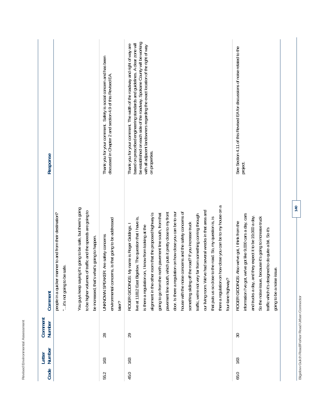| ë<br>٠<br>í<br>ļ<br>á<br>ä<br>ı,<br>l<br>٠<br>ł<br>J<br>ä<br>١<br>ä<br>۱<br>ı<br>י<br>i<br>י<br>ı<br>é<br>٠<br>∼<br>ı                                                                     |  |
|-------------------------------------------------------------------------------------------------------------------------------------------------------------------------------------------|--|
| $\overline{\phantom{a}}$<br>-<br>ı<br>t,<br>J<br>٠<br>-<br>ä<br>÷<br>ï<br>ŝ<br>l<br>-<br>ł<br>i<br>J<br>۰<br>ă<br>÷<br>٠<br>۱<br>í<br>ر<br>ī<br>۰<br>٠<br>٠<br>×<br>۰<br>ï<br>≓<br>∼<br>п |  |
| -<br>ı<br>ì,<br>ĭ<br>Ä<br>١<br>ţ<br>ï<br>ı<br>i i<br>×<br>i.<br>r<br>۰<br>k<br>×<br>í<br>۱<br>١,<br>۵<br>ň<br>v                                                                           |  |

| Response                                                                                                                                                                                                                                                                                  | Thank you for your comment. Safety is social concern and has been<br>discussed in Chapter 2 and section 4.9 of this Revised EA. | be established on each side of the roadway. Spokane County will be working<br>based on prescribed engineering standards and guidelines. A clear zone will<br>Thank you for your comment. The width of the roadway and right of way are<br>with all adjacent landowners regarding the exact location of the right of way<br>on properties.                                                                                                                                                                                                                                                                                                                                                                                                                                                                                  | See Section 4.11 of this Revised EA for discussions of noise related to the<br>project.                                                                                                                                                                                                                                                  |
|-------------------------------------------------------------------------------------------------------------------------------------------------------------------------------------------------------------------------------------------------------------------------------------------|---------------------------------------------------------------------------------------------------------------------------------|----------------------------------------------------------------------------------------------------------------------------------------------------------------------------------------------------------------------------------------------------------------------------------------------------------------------------------------------------------------------------------------------------------------------------------------------------------------------------------------------------------------------------------------------------------------------------------------------------------------------------------------------------------------------------------------------------------------------------------------------------------------------------------------------------------------------------|------------------------------------------------------------------------------------------------------------------------------------------------------------------------------------------------------------------------------------------------------------------------------------------------------------------------------------------|
| You guys keep saying it's going to be safe, but there's going<br>to be higher volumes of traffic and the speeds are going to<br>manner to and from their destination?<br>what's going to happen.<br>" it's not going to be safe<br>be increased, that's<br>people in a quicker<br>Comment | environmental concerns, is that going to be addressed<br>UNKNOWN SPEAKER: Are safety concerns<br>later?                         | there a regulation on how close you can be to my house on a<br>our living room. We've had several wrecks in that area and<br>house with the noise concerns and the safety concerns of<br>pavement line south, which puts it pretty close to my front<br>door. Is there a regulation on how close you can be to our<br>alignment in the other room that the proposed highway is<br>going to go from the north pavement line south, from that<br>y far from something coming through<br>live at 11812 East Bigelow. The question that I have is,<br>that puts us so close to the road. So, my question is, is<br>something sliding off the road? If you increase truck<br>ROGER GIDDINGS: My name is Roger Giddings.<br>is there a regulation on, I know from looking at the<br>traffic, we're not ver<br>four-lane highway? | we've got like 9,000 cars a day, cars<br>and trucks a day, and they expect it to be 19,000 a day.<br>because it's going to increase truck<br>ROGER GIDDINGS: Also we've got, I think from the<br>traffic which it's designed to do quite a bit. So it's<br>issue.<br>So the noise issue,<br>information I've got,<br>going to be a noise |
| Comment<br>Number                                                                                                                                                                                                                                                                         | 28                                                                                                                              | 29                                                                                                                                                                                                                                                                                                                                                                                                                                                                                                                                                                                                                                                                                                                                                                                                                         | $30\,$                                                                                                                                                                                                                                                                                                                                   |
| Number<br>Letter                                                                                                                                                                                                                                                                          | 163                                                                                                                             | 163                                                                                                                                                                                                                                                                                                                                                                                                                                                                                                                                                                                                                                                                                                                                                                                                                        | 163                                                                                                                                                                                                                                                                                                                                      |
| Code                                                                                                                                                                                                                                                                                      | 55.2                                                                                                                            | 45.0                                                                                                                                                                                                                                                                                                                                                                                                                                                                                                                                                                                                                                                                                                                                                                                                                       | 65.0                                                                                                                                                                                                                                                                                                                                     |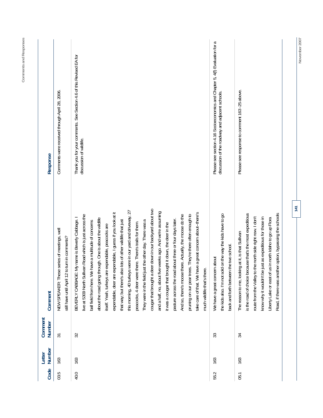| Code | Number<br>Letter | Comment<br>Number | Comment                                                                                                                                                                                                                                                                                                                                                                                                                                                                                                                                                                                                                                                                                                                                                                                                                                                                                                                                                                                                                                                                  | Response                                                                                                                       |
|------|------------------|-------------------|--------------------------------------------------------------------------------------------------------------------------------------------------------------------------------------------------------------------------------------------------------------------------------------------------------------------------------------------------------------------------------------------------------------------------------------------------------------------------------------------------------------------------------------------------------------------------------------------------------------------------------------------------------------------------------------------------------------------------------------------------------------------------------------------------------------------------------------------------------------------------------------------------------------------------------------------------------------------------------------------------------------------------------------------------------------------------|--------------------------------------------------------------------------------------------------------------------------------|
| 03.5 | 163              | $\overline{31}$   | NEW SPEAKER: These series of meetings, well<br>still have until April 12 to turn in comments?                                                                                                                                                                                                                                                                                                                                                                                                                                                                                                                                                                                                                                                                                                                                                                                                                                                                                                                                                                            | Comments were received through April 28, 2006.                                                                                 |
| 40.0 | 163              | 32                | deer down in our backyard about two<br>this morning, 40 turkeys were in our yard and driveway, 27<br>and a half, no, about five weeks ago. And we're assuming<br>expendable, deer are expendable, I guess if you look at it<br>take care of that. We have a great concern about-there's<br>pruning on our pear trees. They're there often enough to<br>And so, there's moose there. Actually, the moose do the<br>live at 5309 North Sullivan Road which is just across the<br>BEVERLY CABBAGE: My name is Beverly Cabbage. I<br>about the road going through. One is about the wildlife<br>pasture across the road about three or four days later.<br>that way; but there's also lots of other wildlife that just<br>just the other day. There was a<br>ball field from here. We have a multitude of concerns<br>peacocks, 4 deer were there. There's trails for them.<br>it was a cougar that brought it down, the deer in the<br>itself. Yeah, turkeys are expendable, peacocks are<br>much wildlife that's there.<br>They were in the field<br>cougar that brought a | Thank you for your comments. See Section 4.6 of this Revised EA for<br>discussion of wildlife.                                 |
| 55.2 | 163              | 33                | sold on the way the kids have to go<br>back and forth between the two school.<br>We have a great concern about<br>the kids also. I'm not                                                                                                                                                                                                                                                                                                                                                                                                                                                                                                                                                                                                                                                                                                                                                                                                                                                                                                                                 | Please see section 4.16 Socioeconomics and Chapter 5, 4(f) Evaluation for a<br>discussion of the roadway and adjacent schools. |
| 05.1 | 163              | 34                | is the road of choice because that's the most expeditious<br>other option, bypassing the schools<br>to the north side right now. I don't<br>be just as expeditious for those in<br>Liberty Lake or east of us in north Idaho to go up Flora<br>The reason to me, looking at it, is that Sullivan<br>route from the Valley<br>know why it wouldn't<br>Road, if there was an                                                                                                                                                                                                                                                                                                                                                                                                                                                                                                                                                                                                                                                                                               | Please see response to comment 163 -25 above.                                                                                  |

Comments and Responses **Comments and Responses** 

**141** 

November 2007 **November 2007**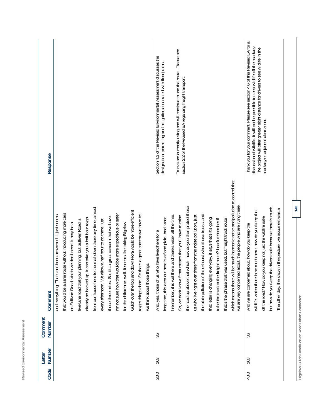| Response                 |                                                                                                                                                                                                                                                                                                                                                                                                                                                                                                                                                                                                                                                                                                                                                                            | Trucks are currently using and will continue to use the route. Please see<br>section 2.2 of the Revised EA regarding freight transport.<br>Section 4.3 of the Revised Environmental Assessment discusses the<br>designation, permitting and mitigation associated with floodplains.                                                                                                                                                                                                                                                                                                                                                                                                                                                                                                    | Thank you for your comment. Please see section 4.6 of this Revised EA for a<br>discussion of wildlife. It will not be possible to keep wildlife off the roadway.<br>The project will offer greater sight distance for drivers to see wildlife in the<br>roadway or adjacent clear zone.                  |
|--------------------------|----------------------------------------------------------------------------------------------------------------------------------------------------------------------------------------------------------------------------------------------------------------------------------------------------------------------------------------------------------------------------------------------------------------------------------------------------------------------------------------------------------------------------------------------------------------------------------------------------------------------------------------------------------------------------------------------------------------------------------------------------------------------------|----------------------------------------------------------------------------------------------------------------------------------------------------------------------------------------------------------------------------------------------------------------------------------------------------------------------------------------------------------------------------------------------------------------------------------------------------------------------------------------------------------------------------------------------------------------------------------------------------------------------------------------------------------------------------------------------------------------------------------------------------------------------------------------|----------------------------------------------------------------------------------------------------------------------------------------------------------------------------------------------------------------------------------------------------------------------------------------------------------|
| Comment                  | from our house here to the mall down there any time, almost<br>Gulch over the top and down Flora would be more efficient<br>that would be a safer route without introducing more cars<br>I'm not sure how that would be more expeditious or safer<br>to get things done. So that's a great concern we have as<br>'s not been answered. It just seems<br>those three miles. So, it's a great concern that we have.<br>already so backed up. It can take you a half hour to go<br>five-lane road that your planning, but Sullivan Road is<br>every afternoon. We allow a half hour to go there, just<br>on Sullivan Road, which we don't need. It may be a<br>for the children as well. It seems like taking Bigelow<br>we think about those things.<br>and everything. That | which means there will be much harmonic noise and pollution to control that<br>we are very concerned about, the people who are living there<br>the road up above that which--how do you then protect those<br>the exhaust when those trucks, and<br>there and there's water all the time.<br>us who live right over there from the noise pollution, just<br>that means that you'll have to raise<br>long time, this area out here is a flood plain. And, what<br>that letter is changing everyday, it says that's it's going<br>freight route? I can't remember if<br>that's the phrase that was used, but freight truck route<br>And, yes, those of us who have lived here for a<br>to be the truck or the<br>I remember, it is wet<br>So, we don't know if<br>the plain pollution of | but how do you keep the drivers safe because there is much.<br>The other day, the show in the pasture, we assume it was a<br>wildlife, which there is so much here, how do you keep that<br>off the road? How do you keep not just the wildlife safe,<br>And we are concerned about, how do you keep the |
| Comment<br><b>Number</b> |                                                                                                                                                                                                                                                                                                                                                                                                                                                                                                                                                                                                                                                                                                                                                                            | 35                                                                                                                                                                                                                                                                                                                                                                                                                                                                                                                                                                                                                                                                                                                                                                                     | 36                                                                                                                                                                                                                                                                                                       |
| Number<br>Letter         |                                                                                                                                                                                                                                                                                                                                                                                                                                                                                                                                                                                                                                                                                                                                                                            | 163                                                                                                                                                                                                                                                                                                                                                                                                                                                                                                                                                                                                                                                                                                                                                                                    | 163                                                                                                                                                                                                                                                                                                      |
| Code                     |                                                                                                                                                                                                                                                                                                                                                                                                                                                                                                                                                                                                                                                                                                                                                                            | 20.0                                                                                                                                                                                                                                                                                                                                                                                                                                                                                                                                                                                                                                                                                                                                                                                   | 40.0                                                                                                                                                                                                                                                                                                     |

Revised Environmental Assessment

Bigelow Gulch Road/Forker Road Urban Connector **Bigelow Gulch Road/Forker Road Urban Connector**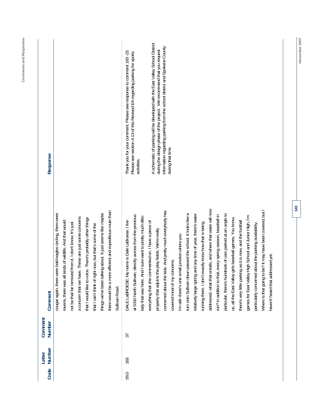| Code | Number<br>Letter | Comment<br>Number | Comment                                                                                                                                                                                                                                                                                                                                                                                                                                                                                                          | Response                                                                                                                                                                                                                                                 |
|------|------------------|-------------------|------------------------------------------------------------------------------------------------------------------------------------------------------------------------------------------------------------------------------------------------------------------------------------------------------------------------------------------------------------------------------------------------------------------------------------------------------------------------------------------------------------------|----------------------------------------------------------------------------------------------------------------------------------------------------------------------------------------------------------------------------------------------------------|
|      |                  |                   | there would be a more efficient and expeditious route than<br>things we've been talking about. It just seems like maybe<br>cougar again, there were bald eagles circling, there were<br>a concern that we have. These are just some concerns<br>that I would like to voice. There's probably other things<br>kinds of wildlife. And that would<br>not be that far removed from it. I don't know. It's just<br>that I can't think of right now, but that's some of the<br>ravens, there was all<br>Sullivan Road. |                                                                                                                                                                                                                                                          |
| 55.0 | 163              | 37                | at 5310 North Sullivan, directly across from the previous<br>lady that was here. And I sure want to pretty much ditto<br>DALE LaBROESE: My name is Dale LaBroese. I live                                                                                                                                                                                                                                                                                                                                         | Thank you for your comment. Please see response to comment 163 -23.<br>Please see section 4.13 of this Revised EA regarding parking for sports<br>activities.                                                                                            |
|      |                  |                   | concerned about the kids. And pretty much everybody has<br>everything that she commented on. I have a piece of<br>property that adjoins the play fields. We're really<br>covered most of my concerns.                                                                                                                                                                                                                                                                                                            | A schematic of parking will be developed with the East Valley School District<br>information regarding parking from the school district and Spokane County<br>during the design phase of the project. We recommend that you request<br>during that time. |
|      |                  |                   | addressed, what that entails, and where that water will now<br>turn onto Sullivan down passed the school. It looks like a<br>particular, there's hundreds of cars parked at an angle to<br>and any time of year, there's water<br>run? In addition to that, every spring season, baseball in<br>exactly know how that is being<br>I'm still--there's one small junction where you<br>relatively large spring<br>running there. I don't                                                                           |                                                                                                                                                                                                                                                          |

**Comments and Responses** 

Comments and Responses

**143** 

haven't heard that addressed yet.

haven't heard that addressed yet.

Where is that going to be? It may have been covered, but I

us, all the East Valley girls baseball games. You know, there's very little parking as it is now, and the football games for East Valley High School and Junior High, I'm particularly concerned about the parking availability. Where is that going to be? It may have been covered, but I

us, all the East Valley girls baseball games. You know, there's very little parking as it is now, and the football

games for East Valley High School and Junior High, I'm

particularly concerned about the parking availability.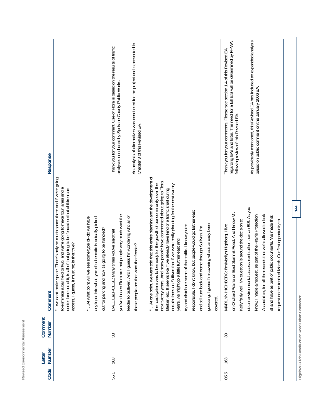| Response          |                                                                                                                                                                                                                                                                                              |                                                                                                                                                                         | An analysis of alternatives was conducted for the project and is presented in<br>Thank you for your comment. Use of Flora is based on the results of traffic<br>analyses conducted by Spokane County Public Works.<br>Chapter 3 of this Revised EA. |                                                                                                                                                                                                                                                                                                                                                                                                                                                                                                                                                                                                                                                                                                       | As previously mentioned, this Revised EA has included an expanded analysis<br>regarding EAs and EISs. The need for a full EIS will be determined by FHWA<br>Thank you for your comments. Please see section 1.4 of this Revised EA<br>based on public comment on the January 2006 EA<br>following review of this Revised EA.                                                                                                                                                            |     |
|-------------------|----------------------------------------------------------------------------------------------------------------------------------------------------------------------------------------------------------------------------------------------------------------------------------------------|-------------------------------------------------------------------------------------------------------------------------------------------------------------------------|-----------------------------------------------------------------------------------------------------------------------------------------------------------------------------------------------------------------------------------------------------|-------------------------------------------------------------------------------------------------------------------------------------------------------------------------------------------------------------------------------------------------------------------------------------------------------------------------------------------------------------------------------------------------------------------------------------------------------------------------------------------------------------------------------------------------------------------------------------------------------------------------------------------------------------------------------------------------------|-----------------------------------------------------------------------------------------------------------------------------------------------------------------------------------------------------------------------------------------------------------------------------------------------------------------------------------------------------------------------------------------------------------------------------------------------------------------------------------------|-----|
| Comment           | ace. There's only so much space there and if we're going<br>to eliminate a ball field or two, and we're going to make four lanes and a<br>center lane out of it, is all of that going to be fenced so that children can<br>access, I guess, it must be; is that true?<br>" we can't make spa | we see some type of--do we have<br>any input into what type of schematic is actually picked<br>out for parking and how it's going to be handled?<br>"At what point will | are that people very much want the<br>feeder to Sullivan. And I guess I'm wondering who all of<br>DALE LaBROESE: Many times you've said that<br>these people are that want that feeder?<br>you've chosen Flora                                      | " At one point, we were told that this entire planning and the development of<br>next twenty years. And many people have commented about going to Flora,<br>the road system was to be ready for the growth of our community over the<br>certain times on Sullivan that if we were really planning for the next twenty<br>Barker, etc. It seems like if we already have kind of a traffic snarl during<br>responsible, I don't know, but people would go farther east<br>guessing. I guess I'm covering what's already been<br>try and distribute some of that traffic. I know you're<br>and still turn back and come through Sullivan, I'm<br>years, we might go a little further east and<br>covered | assessment rather than an EIS. As you<br>on Orchard Prairie on East Summit Road. And I know Mr.<br>Association, for all the records that we're allowed to look<br>know, I made a request, as part of the Prairie Protection<br>at and have as part of public documents. We made that<br>Kelly fairly well. My question is around the decision to<br>of March. Our first opportunity to<br>MARILYN HIGHBERG: I'm Marilyn Highberg. I live<br>do an environmental<br>request on the tenth | 144 |
| Comment<br>Number |                                                                                                                                                                                                                                                                                              |                                                                                                                                                                         | 38                                                                                                                                                                                                                                                  |                                                                                                                                                                                                                                                                                                                                                                                                                                                                                                                                                                                                                                                                                                       | 39                                                                                                                                                                                                                                                                                                                                                                                                                                                                                      |     |
| Number<br>Letter  |                                                                                                                                                                                                                                                                                              |                                                                                                                                                                         | 163                                                                                                                                                                                                                                                 |                                                                                                                                                                                                                                                                                                                                                                                                                                                                                                                                                                                                                                                                                                       | 163                                                                                                                                                                                                                                                                                                                                                                                                                                                                                     |     |
| Code              |                                                                                                                                                                                                                                                                                              |                                                                                                                                                                         | 55.1                                                                                                                                                                                                                                                |                                                                                                                                                                                                                                                                                                                                                                                                                                                                                                                                                                                                                                                                                                       | 05.5                                                                                                                                                                                                                                                                                                                                                                                                                                                                                    |     |

**144** 

Bigelow Gulch Road/Forker Road Urban Connector **Bigelow Gulch Road/Forker Road Urban Connector**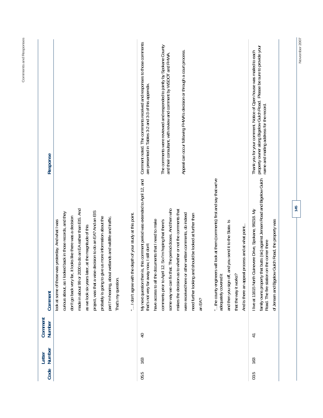| Code | Number<br>Letter | Comment<br>Number | Comment                                                                                                                                                                                                                                                                                                                                                                                                                                                                                                                                                                                                                                                                                                     | Response                                                                                                                                                                                                                                                                                                                                             |
|------|------------------|-------------------|-------------------------------------------------------------------------------------------------------------------------------------------------------------------------------------------------------------------------------------------------------------------------------------------------------------------------------------------------------------------------------------------------------------------------------------------------------------------------------------------------------------------------------------------------------------------------------------------------------------------------------------------------------------------------------------------------------------|------------------------------------------------------------------------------------------------------------------------------------------------------------------------------------------------------------------------------------------------------------------------------------------------------------------------------------------------------|
|      |                  |                   | made in about 99 or 2000 to do an EA rather than EIS. And<br>project, was that a wise decision to do an EA? And an EIS<br>curious about, as I looked back in those records, and they<br>the depth of your study at this point.<br>probably is going to give us more information about the<br>part I'm hearing, about wetlands and wildlife and traffic.<br>don't go back very far, it looks like there was a decision<br>was yesterday. And what I was<br>as we look six years later, at the magnitude of this<br>look at some of those<br>" I don't agree with<br>That's my question.                                                                                                                      |                                                                                                                                                                                                                                                                                                                                                      |
| 05.5 | 163              | $\overline{Q}$    | "the county engineers will look at them (comments) first and say that we've<br>My next question then is, this comment period was extended to April 12, and<br>that. The period closes. And then who<br>makes the decision as to whether or not the comments that<br>were received here or other written comments, do indeed<br>need further looking and should be looked at further than<br>have access to all the documents that I need to make<br>comments prior to April 12. So I'm hoping that there's<br>and you send it to the State. Is<br>that's not very far away now, I still don't<br>adequately covered it<br>and then you sign off,<br>that the way it works?<br>some way we can fix<br>an EA? | Comment noted. The comments received and responses to those comments<br>The comments were reviewed and responded to jointly by Spokane County<br>Appeal can occur following FHWA's decision or through a court process.<br>and their consultant, with review and comment by WSDOT and FHWA.<br>are presented in Tables 3-2 and 3-3 of this appendix. |
| 03.5 | 163              | $\overline{4}$    | that butts (sic) against Jensen Road and Bigelow Gulch<br>I live at 11615 North Guinevere Drive, Spokane, 99218. My<br>of Jensen and Bjgelow Gulch Road, the property was<br>And is there an appeal process and at what point<br>Road. The fire station on the comer there<br>family owns property                                                                                                                                                                                                                                                                                                                                                                                                          | property owner along Bigelow Gulch Road. Please be sure to provide your<br>Thank you for your comment. Notice of Open house was mailed to each<br>name and mailing address for the record.                                                                                                                                                           |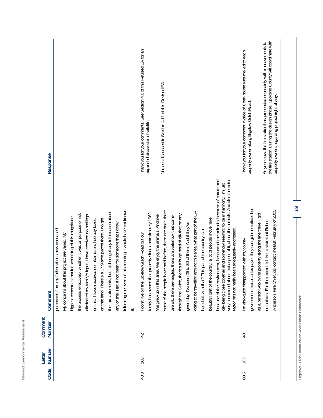| Response          |                                                                                                                                                                                                                                                                                                                                                                                                                                                                                                                                                                                                    | Thank you for your comments. See Section 4.6 of this Revised EA for an<br>Noise is discussed in Section 4.11 of this Revised EA.<br>expanded discussion of wildlife.                                                                                                                                                                                                                                                                                                                                                                                                                                                                                                                                                                                                                                                                                                                                          | the fire station. During the design phase, Spokane County will coordinate with<br>As you know, the fire station has proceeded separately with improvements to<br>Thank you for your comment. Notice of Open house was mailed to each<br>property owners regarding project right of way.<br>property owner along Bigelow Gulch Road. |
|-------------------|----------------------------------------------------------------------------------------------------------------------------------------------------------------------------------------------------------------------------------------------------------------------------------------------------------------------------------------------------------------------------------------------------------------------------------------------------------------------------------------------------------------------------------------------------------------------------------------------------|---------------------------------------------------------------------------------------------------------------------------------------------------------------------------------------------------------------------------------------------------------------------------------------------------------------------------------------------------------------------------------------------------------------------------------------------------------------------------------------------------------------------------------------------------------------------------------------------------------------------------------------------------------------------------------------------------------------------------------------------------------------------------------------------------------------------------------------------------------------------------------------------------------------|-------------------------------------------------------------------------------------------------------------------------------------------------------------------------------------------------------------------------------------------------------------------------------------------------------------------------------------|
| Comment           | informing me even of this meeting, I would have not known<br>the tax statements, but I did not get any information about<br>the process effectively, whether it was on purpose or not,<br>eliminated my family's input. I have received no mailings<br>biggest concern is that for something of this magnitude,<br>a 17.9-acre parcel there. I do get<br>on this. I have received no information. I do pay taxes<br>any of this. Had it not been for someone that I know<br>purchased from my father who is now deceased<br>My concerns about this project are varied. My<br>on that land. There's | very concerned about that aspect of it, about the animals. And also the noise<br>onment, because of the animals, because of nature and<br>city being close together and somehow seeming to be in harmony. I'm just<br>some of the people have said before, there are deer, there<br>going to be traveling around this area, what part of the EA<br>family has owned that property since approximately 1962.<br>through the Gulch, there's a huge herd of elk that on any<br>We grew up in this area. We enjoy the animals. And like<br>are elk, there are eagles, there are waterfowl that come<br>beautiful part of the country, a lot of people move here<br>given day, I've seen 25 to 30 of them. And if they've<br>been adequately addressed<br>This part of the country is a<br>I don't live on the Bigelow Gulch Road but our<br>because of the envir<br>factor has not really<br>has dealt with that? | government that as a tax payer they can get me notices but<br>Anderson, Fire Chief, did contact me last February of 2005<br>as a person who owns property along the line there, I got<br>no notices. For the record, I'd like to state that Robert<br>I'm also quite disappointed with my county                                    |
| Comment<br>Number |                                                                                                                                                                                                                                                                                                                                                                                                                                                                                                                                                                                                    | $\overline{4}$                                                                                                                                                                                                                                                                                                                                                                                                                                                                                                                                                                                                                                                                                                                                                                                                                                                                                                | 43                                                                                                                                                                                                                                                                                                                                  |
| Number<br>Letter  |                                                                                                                                                                                                                                                                                                                                                                                                                                                                                                                                                                                                    | 163                                                                                                                                                                                                                                                                                                                                                                                                                                                                                                                                                                                                                                                                                                                                                                                                                                                                                                           | 163                                                                                                                                                                                                                                                                                                                                 |
| Code              |                                                                                                                                                                                                                                                                                                                                                                                                                                                                                                                                                                                                    | 40.0                                                                                                                                                                                                                                                                                                                                                                                                                                                                                                                                                                                                                                                                                                                                                                                                                                                                                                          | 03.5                                                                                                                                                                                                                                                                                                                                |

**Bigelow Gulch Road/Forker Road Urban Connector** 

Bigelow Gulch Road/Forker Road Urban Connector

**Revised Environmental Assessment** 

Revised Environmental Assessment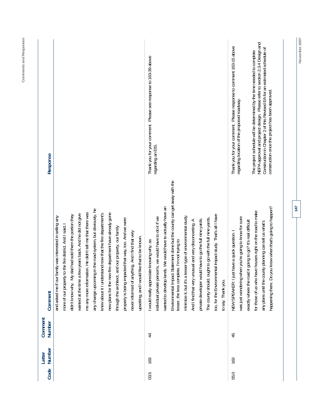| $\overline{4}$<br>45<br>163<br>163 | Statement done but the county can get away with the<br>wanted to develop lands. We would have to actually have an<br>in the road system, but obviously, he<br>me any more information. He didn't tell me that there was<br>knew about it I understand now that the fire department's<br>new plans for the new fire department have already gone<br>wanted at the time a few years back. And he did not give<br>too, for the Environmental Impact study. That's all I have<br>didn't know why. My dad had sold them the portion they<br>minimize it, but it's a lesser type of environmental study.<br>and asked me if our family was interested in selling any<br>individual private person's, we would have to do it if we<br>was just wondering when you're going to know for sure<br>The county should, ought to go with the full nine yards,<br>property is being impacted that way, too. And we were<br>private developer would have to go the full nine yards.<br>And I find that very unusual and very disconcerting. A<br>exactly where the road it going to go? It's real difficult<br>o the fire district. And I said,<br>and our property, our family<br>NEW SPEAKER: I just have a quick question. I<br>never informed of anything. And I find that very<br>upsetting, and I would like that to be known.<br>lesser, the less complete. I'm not trying to<br>I would really appreciate knowing why, as<br>any change upcoming<br>Environmental Impact<br>through the architect,<br>more of our property t<br>to say. Thank you.<br>Comment | Thank you for your comment. Please response to comment 163-15 above<br>Thank you for your comment. Please see response to 163-39 above<br>regarding location of the proposed roadway.<br>regarding an EIS.<br>Response                                                                |
|------------------------------------|--------------------------------------------------------------------------------------------------------------------------------------------------------------------------------------------------------------------------------------------------------------------------------------------------------------------------------------------------------------------------------------------------------------------------------------------------------------------------------------------------------------------------------------------------------------------------------------------------------------------------------------------------------------------------------------------------------------------------------------------------------------------------------------------------------------------------------------------------------------------------------------------------------------------------------------------------------------------------------------------------------------------------------------------------------------------------------------------------------------------------------------------------------------------------------------------------------------------------------------------------------------------------------------------------------------------------------------------------------------------------------------------------------------------------------------------------------------------------------------------------------------------------------------------------------|---------------------------------------------------------------------------------------------------------------------------------------------------------------------------------------------------------------------------------------------------------------------------------------|
|                                    | happening there. Do you know when that's going to happen?<br>for those of us who have houses right on the road to make<br>any plans until the county planning can tell us what's                                                                                                                                                                                                                                                                                                                                                                                                                                                                                                                                                                                                                                                                                                                                                                                                                                                                                                                                                                                                                                                                                                                                                                                                                                                                                                                                                                       | NEPA approval and project design. Please refer to section 2.3.4 Design and<br>Construction in Chapter 2 of this Revised EA for an estimated schedule of<br>The project schedule will be determined by the time needed to complete<br>construction once the project has been approved. |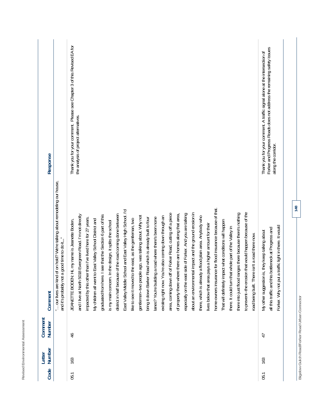| Code | Number<br>Letter | Comment<br>Number                              | Comment                                                                                                                                                                                                                                                                                                                                                                                                                                                                                                                                                                                                                                                                                                                                                                                                                                                                                                                                                                                                                                                                                                                                                                                                                                                                                                                                                                                                                                                                                                                                  | Response                                                                                                                                                                   |
|------|------------------|------------------------------------------------|------------------------------------------------------------------------------------------------------------------------------------------------------------------------------------------------------------------------------------------------------------------------------------------------------------------------------------------------------------------------------------------------------------------------------------------------------------------------------------------------------------------------------------------------------------------------------------------------------------------------------------------------------------------------------------------------------------------------------------------------------------------------------------------------------------------------------------------------------------------------------------------------------------------------------------------------------------------------------------------------------------------------------------------------------------------------------------------------------------------------------------------------------------------------------------------------------------------------------------------------------------------------------------------------------------------------------------------------------------------------------------------------------------------------------------------------------------------------------------------------------------------------------------------|----------------------------------------------------------------------------------------------------------------------------------------------------------------------------|
|      |                  |                                                | our lives are kind of on hold? We're talking about remodeling our house,<br>good time to do it"<br>and it's probably not a                                                                                                                                                                                                                                                                                                                                                                                                                                                                                                                                                                                                                                                                                                                                                                                                                                                                                                                                                                                                                                                                                                                                                                                                                                                                                                                                                                                                               |                                                                                                                                                                            |
| 05.1 | 163              | 46                                             | home-owners insurance for flood insurance because of that<br>East Valley Middle School and East Valley High School. I'd<br>to prevent-the erosion that would happen because of the<br>about an environmental impact and the ground erosion in<br>of Forker Road, cutting off a piece<br>side of Forker. And you are talking<br>there into just flood ranges there because there's nothing<br>district in half because of the road coming done between<br>of property there where there are homes along that area,<br>and I live at North 5018 Evergreen Road. I'm not directly<br>see that the Section 6 part of this<br>gentlemen--two people ago, was talking about. Why not<br>existing right now. You're also coming down through an<br>there, which is already a flood plain area. Anybody who<br>a road where there's been none<br>impacted by this other than I've lived here for 27 years.<br>bring it down Barker Road which is already built to four<br>like to see it moved to the east, as the gentleman, two<br>My children all went to East Valley School District and<br>Hi, my name is Jeanette Boden,<br>That will definitely impact what conditions will happen<br>is my main concern. In the design, it splits the school<br>lives below that area pays a higher amount for their<br>there. It could turn that whole part of the Valley in<br>road being built. There isn't a road there now.<br>lanes? You're building<br>area, coming down off<br>especially on the east<br>JEANETTE BODEN:<br>graduated from here. | Thank you for your comment. Please see Chapter 3 of this Revised EA for<br>the analysis of project alternatives.                                                           |
| 05.1 | 163              | 47                                             | Forker. Why not put a traffic light in there. It would<br>bottleneck at Progress and<br>My other suggestion is, they keep talking about<br>all this traffic and this                                                                                                                                                                                                                                                                                                                                                                                                                                                                                                                                                                                                                                                                                                                                                                                                                                                                                                                                                                                                                                                                                                                                                                                                                                                                                                                                                                     | Forker and Progress Roads does not address the remaining safety issues<br>Thank you for your comment. A traffic signal alone at the intersection of<br>along the corridor. |
|      |                  | Bigelow Gulch Road/Forker Road Urban Connector | 148                                                                                                                                                                                                                                                                                                                                                                                                                                                                                                                                                                                                                                                                                                                                                                                                                                                                                                                                                                                                                                                                                                                                                                                                                                                                                                                                                                                                                                                                                                                                      |                                                                                                                                                                            |

**Revised Environmental Assessment** 

Revised Environmental Assessment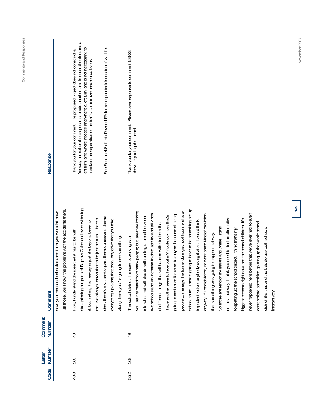| Code<br>55.2<br>40.0 | Number<br>Letter<br>163<br>163 | Comment<br>Number<br>$\frac{8}{4}$<br>9 | is of Bigelow Gulch and even widening<br>going to have to be something set up<br>the problems with the accidents there.<br>people to manage the tunnel during school hours and after<br>you, as I've heard from many people; but, are they looking<br>save you thousands of dollars and then you wouldn't have<br>two schools and an increase in drug activity and all kinds<br>anyway. If I had children, I'd want some kind of provision<br>going to cost more for us as taxpayers because of hiring<br>hide out in? You know, how that's<br>deer, there's elk, there's quail, there's pheasant, there's<br>into what that will also do with putting a tunnel between<br>on this, that way. I think you need to find an alternative<br>me. I've always known that to be just be rural. There's<br>hat area. Any drive that you take<br>to protect kids or anybody using it at all, I would think<br>it, but making it a freeway is just like beyond belief to<br>t will happen with students that<br>my issues and where I stand<br>to splitting up the school district. I think that's my<br>e idea that it has to be with<br>that something was going to happen that way.<br>along there, you 're going to see something.<br>The school district, I'm sure, is working with<br>everything up along th<br>of different things that<br>have another area to<br>school hours. There's<br>Now, I understand the<br>straightening out part<br>So those are kind of<br>all those, you know,<br>Comment | ß<br>freeway but rather the proposal is to add another lane in each direction and<br>left turn lane where needed and where a left turn lane is not necessary, to<br>See Section 4.6 of this Revised EA for an expanded discussion of wildlife.<br>Thank you for your comment. The proposed project does not construct a<br>Thank you for your comment. Please see response to comment 163-23<br>maintain the separation of the traffic to minimize head-on collisions.<br>above regarding the tunnel.<br>Response |
|----------------------|--------------------------------|-----------------------------------------|------------------------------------------------------------------------------------------------------------------------------------------------------------------------------------------------------------------------------------------------------------------------------------------------------------------------------------------------------------------------------------------------------------------------------------------------------------------------------------------------------------------------------------------------------------------------------------------------------------------------------------------------------------------------------------------------------------------------------------------------------------------------------------------------------------------------------------------------------------------------------------------------------------------------------------------------------------------------------------------------------------------------------------------------------------------------------------------------------------------------------------------------------------------------------------------------------------------------------------------------------------------------------------------------------------------------------------------------------------------------------------------------------------------------------------------------------------------------------------------------------|-------------------------------------------------------------------------------------------------------------------------------------------------------------------------------------------------------------------------------------------------------------------------------------------------------------------------------------------------------------------------------------------------------------------------------------------------------------------------------------------------------------------|
|                      |                                |                                         | never happened here before that we've ever had to even<br>biggest concern right now, are the school children. It's<br>contemplate something splitting up the whole school<br>e kids do use both schools<br>district like that and th<br>interactively.                                                                                                                                                                                                                                                                                                                                                                                                                                                                                                                                                                                                                                                                                                                                                                                                                                                                                                                                                                                                                                                                                                                                                                                                                                               |                                                                                                                                                                                                                                                                                                                                                                                                                                                                                                                   |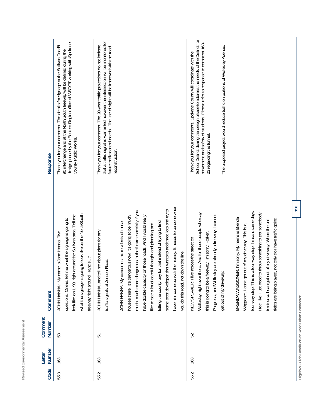| j                                                   |  |
|-----------------------------------------------------|--|
| Accoccomon <sup>2</sup><br>j<br>a un una a un è a i |  |
| a Ewaler<br>j<br>Doule of                           |  |

| Response          | design phase by the Eastern Region office of WSDOT working with Spokane<br>Thank you for your comment. The details for signage at the Sullivan Road/I-<br>90 interchange and at the North/South freeway will be defined during the<br>County Public Works.       | that a traffic signal is warranted however the intersection will be monitored for<br>Thank you for your comment. The 20-year traffic projections do not indicate<br>future traffic control needs. The line of sight will be improved with the road<br>reconstruction.                                                                                                                                                                                                                                                                                                                                                 | School District during the design phase to address the needs of the District for<br>movement and safely of students. Please refer to response to comment 163-<br>The proposed project would reduce traffic on portions of Wellesley Avenue.<br>Thank you for your comments. Spokane County will coordinate with the<br>23 regarding the tunnel.                                                                                                                                                                                                                                                                   |
|-------------------|------------------------------------------------------------------------------------------------------------------------------------------------------------------------------------------------------------------------------------------------------------------|-----------------------------------------------------------------------------------------------------------------------------------------------------------------------------------------------------------------------------------------------------------------------------------------------------------------------------------------------------------------------------------------------------------------------------------------------------------------------------------------------------------------------------------------------------------------------------------------------------------------------|-------------------------------------------------------------------------------------------------------------------------------------------------------------------------------------------------------------------------------------------------------------------------------------------------------------------------------------------------------------------------------------------------------------------------------------------------------------------------------------------------------------------------------------------------------------------------------------------------------------------|
| Comment           | what the signage is going to look like on the North/South<br>look like on 1-90, right around the Sullivan area. Tell me<br>questions. One is, tell me what the signage is going to<br>name is John Hanna. Two<br>freeway right around Francis"<br>JOHN HANNA: My | have him come up with the money. It needs to be done when<br>some poor developer that wants to add three lots and try to<br>much, much more dangerous in the future especially if you<br>have double capacity on those roads. And I would really<br>houses there. It's dangerous now. It's going to be much,<br>letting the county pay for that instead of trying to find<br>JOHN HANNA: My concern is the residents of those<br>like to see a lot of careful thought and planning and<br>tell me about plans for any<br>down the line.<br>traffic signals at Jensen Road<br>you do this road, not<br>JOHN HANNA: And | four-way stop. This is a four-way stop. I mean, some days<br>Wellesley, right over there. And for those people who say<br>to throw something to get somebody<br>Progress, and Wellesley are already a freeway. I cannot<br>BRENDA WAGGONER: I'm sorry. My name is Brenda<br>ed, not only do I have traffic going<br>to stop so I can get out of my driveway. When the ball<br>Waggoner. I can't get out of my driveway. This is a<br>this is going to be a freeway, I'm sorry. Forker,<br>NEW SPEAKER: I live across the street on<br>get out of my driveway.<br>fields are being play<br>I feel like I just need |
| Comment<br>Number | 50                                                                                                                                                                                                                                                               | 51                                                                                                                                                                                                                                                                                                                                                                                                                                                                                                                                                                                                                    | 52                                                                                                                                                                                                                                                                                                                                                                                                                                                                                                                                                                                                                |
| Number<br>Letter  | 163                                                                                                                                                                                                                                                              | 163                                                                                                                                                                                                                                                                                                                                                                                                                                                                                                                                                                                                                   | 163                                                                                                                                                                                                                                                                                                                                                                                                                                                                                                                                                                                                               |
| Code              | 55.0                                                                                                                                                                                                                                                             | 55.2                                                                                                                                                                                                                                                                                                                                                                                                                                                                                                                                                                                                                  | 55.2                                                                                                                                                                                                                                                                                                                                                                                                                                                                                                                                                                                                              |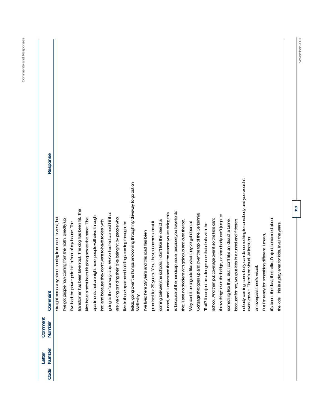| Response                 |                                                         |                                                         |                                                       |                                                              |                                                        |                                                           |                                                       |                                                               |                                                          |                                                      |                                                                                           |                                                 |                                                      |                                                        |                                                            |                                                          |                                                        |                                                      |                                                         |                                                           |                                                        |                                                          |                                                            |                                                         |                                                                                                                         |                             |                                                |                                                            |                                                             |
|--------------------------|---------------------------------------------------------|---------------------------------------------------------|-------------------------------------------------------|--------------------------------------------------------------|--------------------------------------------------------|-----------------------------------------------------------|-------------------------------------------------------|---------------------------------------------------------------|----------------------------------------------------------|------------------------------------------------------|-------------------------------------------------------------------------------------------|-------------------------------------------------|------------------------------------------------------|--------------------------------------------------------|------------------------------------------------------------|----------------------------------------------------------|--------------------------------------------------------|------------------------------------------------------|---------------------------------------------------------|-----------------------------------------------------------|--------------------------------------------------------|----------------------------------------------------------|------------------------------------------------------------|---------------------------------------------------------|-------------------------------------------------------------------------------------------------------------------------|-----------------------------|------------------------------------------------|------------------------------------------------------------|-------------------------------------------------------------|
| Comment                  | straight across my street coming from east to west, but | I've got people now coming from the north, directly up. | I've had the power pole hit in front of my house. The | taken out. The dog has been hit. The<br>transformer has been | kids have almost been hit going across the street. The | apartments that are right here, people will drive through | hat land because they don't want to have to deal with | stop. We've had kids almost hit that<br>going to the four-way | are walking or riding their bike being hit by people who | live in those apartment buildings coming through the | humps and coming through my driveway to go out on<br>fields, going over the<br>Wellesley. | I've lived here 29 years and this road has been | promised for 29 years. Yes, I have concerns about it | coming between the schools. I don't like the idea of a | tunnel, and I understand that the reason you're doing this | is because of the handicap issue, because you have to do | that. I see no problem with going up and over the top. | Why cant it be a grade like what they've got down at | Gonzaga that goes up and over the top of the Centennial | longer one that deals with the<br>Trail? It can just be a | school. And then put coverage over it so the kids cant | throw things over the bridge, or somebody can't jump, or | something like that. But I don't like an idea of a tunnel, | because for me, you put kids in a tunnel and if there's | nobody coming, some bully can do something to somebody and you wouldn't<br>even know it. There's no visual. At least on | an overpass there's visual. | But I'm ready for something different. I mean, | it's been--the dust, the traffic, I'm just concerned about | area for kids. In all the years<br>the kids. This is a play |
| Comment<br>Number        |                                                         |                                                         |                                                       |                                                              |                                                        |                                                           |                                                       |                                                               |                                                          |                                                      |                                                                                           |                                                 |                                                      |                                                        |                                                            |                                                          |                                                        |                                                      |                                                         |                                                           |                                                        |                                                          |                                                            |                                                         |                                                                                                                         |                             |                                                |                                                            |                                                             |
| Number<br>Letter<br>Code |                                                         |                                                         |                                                       |                                                              |                                                        |                                                           |                                                       |                                                               |                                                          |                                                      |                                                                                           |                                                 |                                                      |                                                        |                                                            |                                                          |                                                        |                                                      |                                                         |                                                           |                                                        |                                                          |                                                            |                                                         |                                                                                                                         |                             |                                                |                                                            |                                                             |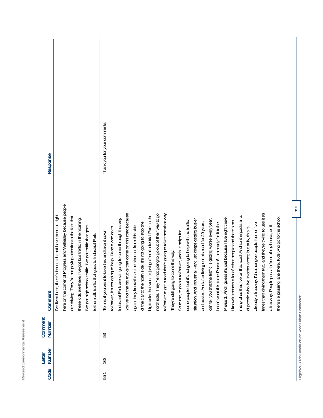| ╾<br>٠<br>-<br>á<br>-<br>ï<br>ī<br>J<br>j<br>í<br>h<br>ï<br>٠<br>۰<br>٠<br>u<br>٠                                                                                                           |  |
|---------------------------------------------------------------------------------------------------------------------------------------------------------------------------------------------|--|
| $-$<br>◡<br>ı<br>٠<br>-<br>í<br>ä<br>ı.<br>ä<br>l<br>í<br>۰<br>¢<br>i<br>×<br>¢<br>á<br>í<br>۱<br>J<br>ς<br>×<br>ĵ<br>۰<br>$\overline{\phantom{a}}$<br>٠<br>۰<br>⇁<br>é<br>┶<br>i<br>×<br>∸ |  |
| ı<br>$\sim$<br>ì<br>í<br>A.<br>h<br>۱<br>J<br>×<br>٠<br>۰<br>ł<br>í<br>ì<br>é<br>٠<br>ν<br>ᅩ                                                                                                |  |

| Code | Number<br>Letter | Comment<br><b>Number</b> | Comment                                                                                                                                                                                                                                                                                                                                                                                                                                                                                                                                                                                                                                                                                                                                                                                                                                                                                                                                                                                                                                                                                                                                                                                                                                                                                                                                                                                                                                                         | Response                     |
|------|------------------|--------------------------|-----------------------------------------------------------------------------------------------------------------------------------------------------------------------------------------------------------------------------------------------------------------------------------------------------------------------------------------------------------------------------------------------------------------------------------------------------------------------------------------------------------------------------------------------------------------------------------------------------------------------------------------------------------------------------------------------------------------------------------------------------------------------------------------------------------------------------------------------------------------------------------------------------------------------------------------------------------------------------------------------------------------------------------------------------------------------------------------------------------------------------------------------------------------------------------------------------------------------------------------------------------------------------------------------------------------------------------------------------------------------------------------------------------------------------------------------------------------|------------------------------|
|      |                  |                          | here on the comer of Progress and Wellesley because people<br>I've lived here, there's been kids that have been hit right<br>paying attention to the fact that<br>these kids are there. I've got bus traffic in the morning.<br>I've got high school traffic. I've got traffic that goes<br>to the mall, traffic that goes to Industrial Park.<br>are driving. They're not                                                                                                                                                                                                                                                                                                                                                                                                                                                                                                                                                                                                                                                                                                                                                                                                                                                                                                                                                                                                                                                                                      |                              |
| 55.1 | 163              | 53                       | to Barker to get a road that's going to take them that way<br>lanes than giving them two, and they're trying to use it as<br>You've got the big trucks that come on this road because<br>going to go out of their way to go<br>big trucks that want to just go from Industrial Park to the<br>many of us that live on that road. And so it impacts a lot<br>there's a passing lane there. Kids who go to the school,<br>Phase 1. And I guess it's just because I live right there.<br>Industrial Park are still going to come through this way.<br>can tell you that the traffic is getting worse every year.<br>situation. And Industrial Park just keeps getting busier<br>and busier. And after living on this road for 29 years, I<br>I know it impacts a lot of other people and there's not<br>some people, but it's not going to help with the traffic<br>of the city to the north side. It's not going to stop the<br>I don't want this to be Phase 6. I'm ready for it to be<br>already a freeway. I'd rather give people four or five<br>a freeway. People pass, in front of my house, as if<br>again, they know this is the shortcut from this side<br>to help. People who go to<br>of people who live in other areas; but truly, this is<br>To me, if you want to take this and take it down<br>So to me, to go out to Barker, yeah, it helps for<br>They're still going to come this way.<br>to Barker, it's not going<br>north side. They 're not | Thank you for your comments. |

Bigelow Gulch Road/Forker Road Urban Connector **Bigelow Gulch Road/Forker Road Urban Connector**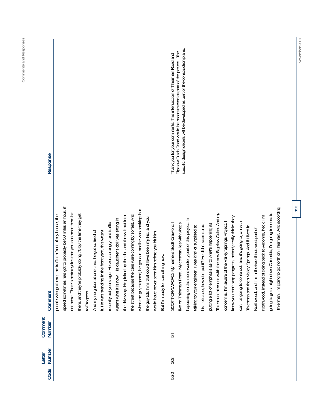| Response                 |                                                                                                                                                                                                                                                                                                                                                                                                                                                                                                                                                                                                                                                                                                                                                                                                                                            | specific design details will be developed as part of the construction plans.<br>Bigelow Gulch Road would be reconstructed as part of the project. The<br>Thank you for your comments. The intersection of Thierman Road and                                                                                                                                                                                                                                                                                                                                                                                                                                                                                                                                                                                                                                                                 |     |
|--------------------------|--------------------------------------------------------------------------------------------------------------------------------------------------------------------------------------------------------------------------------------------------------------------------------------------------------------------------------------------------------------------------------------------------------------------------------------------------------------------------------------------------------------------------------------------------------------------------------------------------------------------------------------------------------------------------------------------------------------------------------------------------------------------------------------------------------------------------------------------|---------------------------------------------------------------------------------------------------------------------------------------------------------------------------------------------------------------------------------------------------------------------------------------------------------------------------------------------------------------------------------------------------------------------------------------------------------------------------------------------------------------------------------------------------------------------------------------------------------------------------------------------------------------------------------------------------------------------------------------------------------------------------------------------------------------------------------------------------------------------------------------------|-----|
| Comment                  | speed sometimes has got to probably be 50 miles an hour, if<br>when the guy stopped, he got out, and he was shaking; but<br>not more. There's motorcycles that you can hear them hit<br>there, and they're probably doing 70 by the time they get<br>the street because the cars were coming by so fast. And<br>people who go there, the traffic in front of my house, the<br>the driveway. He picked up the doll and threw it out into<br>the guy told him, that could have been my kid, and you<br>wasn't what it is now. His daughter's doll was sitting in<br>He was so angry, and traffic<br>e time, he got so tired of<br>it. He was standing in the front yard, this wasn't<br>would have never seen him before you hit him<br>But I'm ready for something new.<br>recently but years ago.<br>And my neighbor at on<br>to Progress. | go north on Thierman. And according<br>Thierman intersects with the new Bigelow Gulch. And my<br>going to go straight down Columbia, I'm going to come to<br>going back to Argonne, heck, I'm<br>know you can't stop progress, nobody really thinks they<br>happening on the more westerly part of this project. In<br>can. It's going to come out, and it's going to join with<br>concern is, I'm aware of the Valley Springs Project. I<br>My name is Scott Crawford. I<br>putting a lot of emphasis as to what's happening as<br>My concern lies with what's<br>his-let's see, how do I put it? He didn't seem to be<br>Thierman and then Valley Springs. And if I lived in<br>talking to your engineer, I was kind of surprised at<br>Northwood, and I'm in the two-thirds west part of<br>live on Thierman Road.<br>Thierman, I'm going to<br>SCOTT CRAWFORD:<br>Northwood, instead of | 153 |
| Comment<br>Number        |                                                                                                                                                                                                                                                                                                                                                                                                                                                                                                                                                                                                                                                                                                                                                                                                                                            | 54                                                                                                                                                                                                                                                                                                                                                                                                                                                                                                                                                                                                                                                                                                                                                                                                                                                                                          |     |
| Number<br>Letter<br>Code |                                                                                                                                                                                                                                                                                                                                                                                                                                                                                                                                                                                                                                                                                                                                                                                                                                            | 163<br>55.0                                                                                                                                                                                                                                                                                                                                                                                                                                                                                                                                                                                                                                                                                                                                                                                                                                                                                 |     |

November 2007 **November 2007**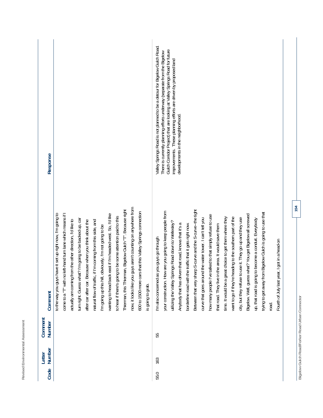| ┙<br>٠                                                      |
|-------------------------------------------------------------|
| -<br>ä<br>ä<br>ı<br>é<br>-                                  |
| ۰<br>J<br>ä<br>ä<br>۱<br>ı<br>J                             |
| ٠<br>h<br>í<br>١<br>ï<br>I<br>J<br>۰                        |
| ı<br>∼<br>∽                                                 |
| $\overline{\phantom{a}}$<br>-<br>-<br>١<br>ł<br>ì<br>ë<br>٠ |
| I<br><u> —</u><br>ı<br>٠<br>ı,<br>l<br>۰                    |
| ł<br>i<br>á<br>I<br>ă<br>ı<br>∽                             |
| ۱<br>ر<br>×<br>I<br>-<br>٠<br>۰                             |
| ×<br>í<br>∽<br>п                                            |
| ۳<br>ì<br>ı<br>í<br>r<br>ä<br>ţ<br>ь<br>ä                   |
| ı<br>$\overline{\phantom{a}}$<br>٠<br>u<br>٠<br>é<br>×      |
| J<br>ч<br>∼                                                 |

| Response                |                                                                                                                                                                                                                                                                                                                                                                                                                                                                                                                                                                                                                                                                                                                                                                                  | Valley Springs Road is not planned to be a detour for Bigelow Gulch Road.<br>Gulch Corridor Project) that are looking at Valley Springs Road for future<br>There is currently planning efforts underway (separate from the Bigelow<br>improvements. These planning efforts are driven by proposed land<br>developments in the neighborhood.                                                                                                                                                                                                                                                                                                                                                                                                                                                                                                                                                                                                                      |
|-------------------------|----------------------------------------------------------------------------------------------------------------------------------------------------------------------------------------------------------------------------------------------------------------------------------------------------------------------------------------------------------------------------------------------------------------------------------------------------------------------------------------------------------------------------------------------------------------------------------------------------------------------------------------------------------------------------------------------------------------------------------------------------------------------------------|------------------------------------------------------------------------------------------------------------------------------------------------------------------------------------------------------------------------------------------------------------------------------------------------------------------------------------------------------------------------------------------------------------------------------------------------------------------------------------------------------------------------------------------------------------------------------------------------------------------------------------------------------------------------------------------------------------------------------------------------------------------------------------------------------------------------------------------------------------------------------------------------------------------------------------------------------------------|
| Comment                 | guys aren't counting on anywhere from<br>Thierman, this Thierman, Bigelow Gulch "T". Because right<br>600 to 1500 more cars that this Valley Springs connection<br>come to a "T" with no left-hand turn lane which means if I<br>to the way you guys have it set up right now, I'm going to<br>wanting to head back east if I'm headed west. So, I'd like<br>to hear if there's going to be some attention paid to this<br>turn right. Guess what? I'm going to be backed up, car<br>actually am coming from the other direction, I'd like to<br>after car after car. Because when you think about the<br>if I'm coming from this side, and<br>I'm going up this hill, obviously, I'm not going to be<br>now, it looks like you<br>natural flow of traffic,<br>is going to grab. | Between that very sharp S-curve and the S-curve--the tight<br>your construction. How are you going to keep people from<br>trying to get away from Bigelow Gulch is going to use that<br>Bigelow. Well, guess what? You get Bigelow all screwed<br>how many people I've talked to that simply refuse to use<br>want to go if they're heading to the southern part of the<br>time. It would be a great choice to get them where they<br>city, but they refuse to use it. They go up and they use<br>curve that goes around the water tower. I can't tell you<br>to become a conduit. Everybody<br>utilizing the Valley Springs Road down to Wellesley?<br>Anybody that has driven that road, knows that it's a<br>borderline road with the traffic that it gets right now.<br>that road. They live in the area. It would save them<br>I'm also concerned as you guys go through<br>Fourth of July last year, I got in a head-on<br>up, that road is going<br>road. |
| Comment<br>Number       |                                                                                                                                                                                                                                                                                                                                                                                                                                                                                                                                                                                                                                                                                                                                                                                  | 55                                                                                                                                                                                                                                                                                                                                                                                                                                                                                                                                                                                                                                                                                                                                                                                                                                                                                                                                                               |
| <b>Number</b><br>Letter |                                                                                                                                                                                                                                                                                                                                                                                                                                                                                                                                                                                                                                                                                                                                                                                  | 163                                                                                                                                                                                                                                                                                                                                                                                                                                                                                                                                                                                                                                                                                                                                                                                                                                                                                                                                                              |
| Code                    |                                                                                                                                                                                                                                                                                                                                                                                                                                                                                                                                                                                                                                                                                                                                                                                  | 55.0                                                                                                                                                                                                                                                                                                                                                                                                                                                                                                                                                                                                                                                                                                                                                                                                                                                                                                                                                             |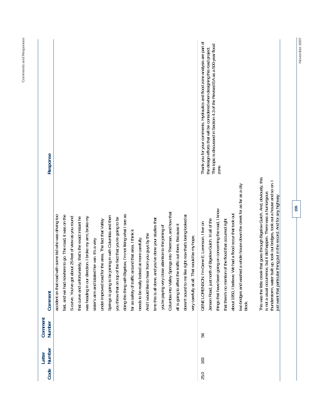| Response          |                                                         |                                                         |                                                        |                                                           |                                                            |                                               |                                                        |                                                             |                                                           |                                                             |                                                       |                                              |                                               |                                                          |                                                      |                                                          |                                                          |                                                           |                                               | Thank you for your comments. Hydraulics and flood zone analysis are part of | This topic is discussed in Section 4.3 of the Revised EA as a 500-year flood<br>the design efforts that will be considered when designing this road project. | zone.                                                         |                                                          |                                                              |                                                                                    |                                                                                                                                                        |                                                                                                                                                         |
|-------------------|---------------------------------------------------------|---------------------------------------------------------|--------------------------------------------------------|-----------------------------------------------------------|------------------------------------------------------------|-----------------------------------------------|--------------------------------------------------------|-------------------------------------------------------------|-----------------------------------------------------------|-------------------------------------------------------------|-------------------------------------------------------|----------------------------------------------|-----------------------------------------------|----------------------------------------------------------|------------------------------------------------------|----------------------------------------------------------|----------------------------------------------------------|-----------------------------------------------------------|-----------------------------------------------|-----------------------------------------------------------------------------|--------------------------------------------------------------------------------------------------------------------------------------------------------------|---------------------------------------------------------------|----------------------------------------------------------|--------------------------------------------------------------|------------------------------------------------------------------------------------|--------------------------------------------------------------------------------------------------------------------------------------------------------|---------------------------------------------------------------------------------------------------------------------------------------------------------|
| Comment           | accident on that road with some kid who was driving too | fast, and we had nowhere to go. The road, it was on the | S-curve. You've got about 25-feet of view as you round | that curve and unfortunately, that's the exact instant he | ection. I broke my arm, broke my<br>was heading in our dir | sister's arm and totaled her van. It's a very | under improved road for the area. The fact that Valley | joining in with Columbia and then<br>Springs is going to be | you throw that on top of the fact that you're going to be | doing this thing with Bigelow, I'm not liking what I see as | far as safety of traffic around that area. I think it | needs to be really looked at more carefully. | And I would like to hear from you guys by the | time this is all done, and you've done your studies that | you're paying very close attention to the joining of | Columbia into Valley Springs into Thierman, and how that | all is going to affect the traffic out there. Because it | doesn't sound to me like right now that's being looked at | very carefully at all. That would be my hope. | GENE LORENSON: I'm Gene E. Lorenson. I live on                              | Jensen Road, just north of Bigelow Gulch. In all of the                                                                                                      | going on concerning the road, I know<br>things that have been | that there's no mention of the flood that occurred right | We had a flood occur that took out<br>about 1950, I believe. | two bridges and washed a whole house down the creek for as far as a city<br>block. | This was the little creek that goes through Bigelow Gulch. And, obviously, this<br>is not a usual occurrence, but it did happen. There was a humongous | thunderstorm, water built up, took out bridges, took out a house and so on. I<br>just want that particular thing put in the record. And for any highway |
| Comment<br>Number |                                                         |                                                         |                                                        |                                                           |                                                            |                                               |                                                        |                                                             |                                                           |                                                             |                                                       |                                              |                                               |                                                          |                                                      |                                                          |                                                          |                                                           |                                               | 56                                                                          |                                                                                                                                                              |                                                               |                                                          |                                                              |                                                                                    |                                                                                                                                                        |                                                                                                                                                         |
| Number<br>Letter  |                                                         |                                                         |                                                        |                                                           |                                                            |                                               |                                                        |                                                             |                                                           |                                                             |                                                       |                                              |                                               |                                                          |                                                      |                                                          |                                                          |                                                           |                                               | 163                                                                         |                                                                                                                                                              |                                                               |                                                          |                                                              |                                                                                    |                                                                                                                                                        |                                                                                                                                                         |
| Code              |                                                         |                                                         |                                                        |                                                           |                                                            |                                               |                                                        |                                                             |                                                           |                                                             |                                                       |                                              |                                               |                                                          |                                                      |                                                          |                                                          |                                                           |                                               | 25.0                                                                        |                                                                                                                                                              |                                                               |                                                          |                                                              |                                                                                    |                                                                                                                                                        |                                                                                                                                                         |

**November 2007** 

November 2007

**155** 

**Comments and Responses** 

Comments and Responses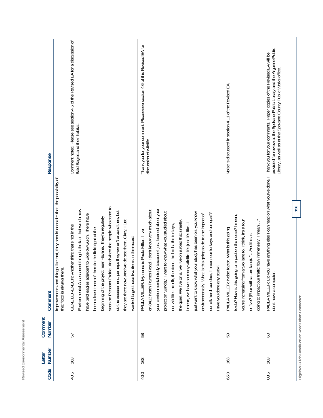| u<br>٠<br>۰<br>ä<br>۰<br>ä<br>i,<br>י<br>٠<br>۰<br>۰<br>۰                                                                                                  |  |
|------------------------------------------------------------------------------------------------------------------------------------------------------------|--|
| $\overline{\phantom{a}}$<br>ä<br>١,<br>i.<br>i<br>J<br>í<br>í<br>ı<br>J<br>١<br>ł<br>I<br>۰<br>$\overline{\phantom{a}}$<br>۰<br>×<br>è<br>ŕ<br>┶<br>л<br>٠ |  |
| $\sim$<br>ì<br>۷<br>×<br>ä<br>ı<br>í<br>٠<br>×<br>ł<br>ä<br>ë<br>ŕ<br>v<br>ш<br>-<br>۰                                                                     |  |

| Response          |                                                                                                                 | Comment noted. Please see section 4.6 of the Revised EA for a discussion of<br>Bald Eagles and their habitat.                                                                                                                                                                                                                                                                                                                                                                                                                      | Thank you for your comment. Please see section 4.6 of this Revised EA for<br>discussion of wildlife.                                                                                                                                                                                                                                                                                                                                                                                                                                                                                                                                                    | Noise is discussed in section 4.11 of the Revised EA.                                                                                                                                                                                                                             | provided for review at the Spokane Public Library and the Argonne Public<br>you have anything else I can read on what you've done. I Thank you for your comments. Paper copies of the Revised EA will be<br>Library, as well as at the Spokane County Public Works office. |
|-------------------|-----------------------------------------------------------------------------------------------------------------|------------------------------------------------------------------------------------------------------------------------------------------------------------------------------------------------------------------------------------------------------------------------------------------------------------------------------------------------------------------------------------------------------------------------------------------------------------------------------------------------------------------------------------|---------------------------------------------------------------------------------------------------------------------------------------------------------------------------------------------------------------------------------------------------------------------------------------------------------------------------------------------------------------------------------------------------------------------------------------------------------------------------------------------------------------------------------------------------------------------------------------------------------------------------------------------------------|-----------------------------------------------------------------------------------------------------------------------------------------------------------------------------------------------------------------------------------------------------------------------------------|----------------------------------------------------------------------------------------------------------------------------------------------------------------------------------------------------------------------------------------------------------------------------|
| Comment           | improvements and things like that, they should consider that, the possibility of<br>that flood is always there. | seen on Pleasant Prairie. And when the people who came to<br>Environmental Assessment thing is the fact that we do now<br>do the assessment, perhaps they weren't around then, but<br>have bald eagles adjacent to Bigelow Gulch. There have<br>beginning of the project near Havana. They're regularly<br>they are there now. And we do see them. Okay, I just<br>Another thing that's not in the<br>them in the field right at the<br>two items in the record.<br>been a least three of<br>GENE LORENSON:<br>wanted to get those | your environmental study because I just learned about your<br>on 8413 North Palmer Road. I don't know very much about<br>just want to know what your study has been on, you know,<br>project on Sunday. I want to know what you studied about<br>our elk herd, our deer, I mean, our turkeys and our quali?<br>environmentally. What is this going to do to the impact of<br>a, we live on a road that's really,<br>I mean, we have so many wildlife. It's just, it's like--I<br>ne deer, the birds, the turkeys,<br>name is Paula Miller. I live<br>Have you done any study?<br>our wildlife, the elk, th<br>the quail. We live on<br>PAULA MILLER: My | to do? How is this going to impact on the noise? I mean,<br>going to impact our traffic flow immensely. I mean"<br>you're increasing from a two lane to, I think, it's a four<br>PAULA MILLER: Noise factor. What is this going<br>or five? (Four with a turn lane). "And this is | don't have a computer.<br>PAULA MILLER: Do                                                                                                                                                                                                                                 |
| Comment<br>Number |                                                                                                                 | 57                                                                                                                                                                                                                                                                                                                                                                                                                                                                                                                                 | 58                                                                                                                                                                                                                                                                                                                                                                                                                                                                                                                                                                                                                                                      | 59                                                                                                                                                                                                                                                                                | $\infty$                                                                                                                                                                                                                                                                   |
| Number<br>Letter  |                                                                                                                 | 163                                                                                                                                                                                                                                                                                                                                                                                                                                                                                                                                | 163                                                                                                                                                                                                                                                                                                                                                                                                                                                                                                                                                                                                                                                     | 163                                                                                                                                                                                                                                                                               | 163                                                                                                                                                                                                                                                                        |
| Code              |                                                                                                                 | 40.5                                                                                                                                                                                                                                                                                                                                                                                                                                                                                                                               | 40.0                                                                                                                                                                                                                                                                                                                                                                                                                                                                                                                                                                                                                                                    | 65.0                                                                                                                                                                                                                                                                              | 03.5                                                                                                                                                                                                                                                                       |

Bigelow Gulch Road/Forker Road Urban Connector **Bigelow Gulch Road/Forker Road Urban Connector**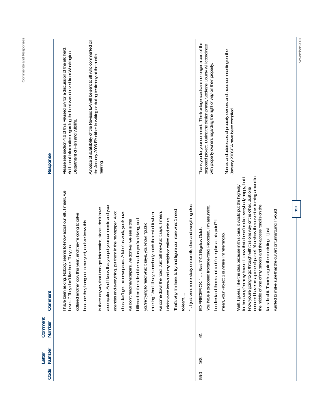| Code | Number<br>Letter | Comment<br>Number | Comment                                                                                                                                                                                                                                                                                                                                                                                       | Response                                                                                                                                                                                                                                                                                                                                  |
|------|------------------|-------------------|-----------------------------------------------------------------------------------------------------------------------------------------------------------------------------------------------------------------------------------------------------------------------------------------------------------------------------------------------------------------------------------------------|-------------------------------------------------------------------------------------------------------------------------------------------------------------------------------------------------------------------------------------------------------------------------------------------------------------------------------------------|
|      |                  |                   | I have been asking. Nobody seems to know about our elk. I mean, we<br>collared another cow this year, and they're going to calve<br>because they hang out in our yard, and we know this<br>have" They don't live here. They just                                                                                                                                                              | Please see section 4.6 of this Revised EA for a discussion of the elk herd.<br>Additional information regarding the herd was derived from Washington<br>Department of Fish and Wildlife.                                                                                                                                                  |
|      |                  |                   | a computer. And I know that you put your comments and your<br>Is there anyway that I can get information, since I don't have                                                                                                                                                                                                                                                                  | A notice of availability of the Revised EA will be sent to all who commented on<br>the January 2006 EA either in writing or during testimony at the public<br>hearing.                                                                                                                                                                    |
|      |                  |                   | agendas and everything, put them in the newspaper. A lot<br>of us don't get the newspaper. A lot of us work, you know,<br>billboard on the side of the road as you're driving, and<br>we don't read newspapers, we don't-all we see is this                                                                                                                                                   |                                                                                                                                                                                                                                                                                                                                           |
|      |                  |                   | meeting." And I'll say, somebody catch the rest of it when<br>you're trying to read what it says, you know, "public                                                                                                                                                                                                                                                                           |                                                                                                                                                                                                                                                                                                                                           |
|      |                  |                   | That's why I'm here, to try and figure our more what 1 need<br>id. Just tell me what it says. I mean,<br>didn't even know until my neighbor called and told us.<br>we come down the roa                                                                                                                                                                                                       |                                                                                                                                                                                                                                                                                                                                           |
|      |                  |                   | idy on our elk, deer and everything else.<br>" I just want more stu<br>to learn                                                                                                                                                                                                                                                                                                               |                                                                                                                                                                                                                                                                                                                                           |
| 55.0 | 163              | 51                | frontage road. Proposed, I'm assuming.<br>understand there's not a definite plan at this point?<br>East 7411 Bigelow Gulch<br>mean, your Project 3 is where I'm referring to<br>You have a proposed<br>ED FREDERICK: "                                                                                                                                                                        | Thank you for your comment. The frontage roads are no longer a part of the<br>proposed project. During the design phase, Spokane County will coordinate<br>Names and addresses of property owners and those commenting on the<br>with property owners regarding the right of way on their property<br>January 2006 EA have been compiled. |
|      |                  |                   | concern I have on a piece of parcel. You show the culvert as turning around in<br>house. I know that doesn't make everybody happy, but I<br>Well, I guess I like the idea because in this case, it would put the highway<br>know you're going to go through with this one way or the other. Just one<br>the middle of one of my parcels and the access road is on the<br>further away from my |                                                                                                                                                                                                                                                                                                                                           |
|      |                  |                   | wanted to make sure that the culvert or turnaround, I would<br>gate there existing. I just<br>far side of it. There's a                                                                                                                                                                                                                                                                       |                                                                                                                                                                                                                                                                                                                                           |

**November 2007** 

November 2007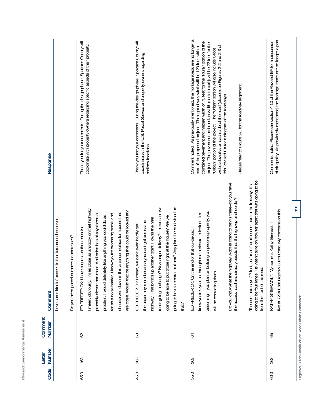| ö<br>٠<br>I<br>í<br>ä<br>٠<br>ł<br>ī<br>ä<br>ı<br>ä<br>١<br>l<br>ä<br>۱<br>ı<br>ä<br>۱<br>ï<br>⊴                          |  |
|---------------------------------------------------------------------------------------------------------------------------|--|
| -<br>٠<br>a<br>٦<br>í<br>ţ<br>ł<br>i<br>ī<br>-<br>ä<br>ı<br>ä<br>١<br>┙<br>ï<br>I<br>۰<br>٠<br>×<br>٠<br>ŕ<br>┶<br>л<br>- |  |
| ۰<br>×<br>۳<br>ر<br>ì<br>ä<br>ŗ,<br>ţ<br>¢<br>٠<br>×<br>ł<br>ı<br>k<br>ä<br>ë<br>ŕ<br>v<br>-                              |  |

| Response          |                                                                                                     | Thank you for your comments. During the design phase, Spokane County will<br>coordinate with property owners regarding specific aspects of their property.                                                                                                                                                                                                                                                                      | Thank you for your comments. During the design phase, Spokane County will<br>coordinate with the U.S. Postal Service and property owners regarding<br>mailbox locations.                                                                                                                                                                                       | Comment noted. As previously mentioned, the frontage roads are no longer a<br>combined pavement and median width of 76 feet for the "Rural" portion of the<br>project. The pavement and median width (curb-to-curb) will be 72 feet for the<br>wide sidewalks on each side of the road (please see Figures 2-2 and 2-3 of<br>part of the proposed project. The right of way width will be 120 feet, with a<br>"Urban" portion of the project. The "Urban" portion will also include 6-foot<br>Please refer to Figure 2-1 for the roadway alignment.<br>this Revised EA for a diagram of the roadways. | of air quality. As previously mentioned, the frontage roads are no longer a part<br>Comments noted. Please see section 4.10 of the Revised EA for a discussion |
|-------------------|-----------------------------------------------------------------------------------------------------|---------------------------------------------------------------------------------------------------------------------------------------------------------------------------------------------------------------------------------------------------------------------------------------------------------------------------------------------------------------------------------------------------------------------------------|----------------------------------------------------------------------------------------------------------------------------------------------------------------------------------------------------------------------------------------------------------------------------------------------------------------------------------------------------------------|-------------------------------------------------------------------------------------------------------------------------------------------------------------------------------------------------------------------------------------------------------------------------------------------------------------------------------------------------------------------------------------------------------------------------------------------------------------------------------------------------------------------------------------------------------------------------------------------------------|----------------------------------------------------------------------------------------------------------------------------------------------------------------|
| Comment           | have some kind of access to that turnaround or culvert.<br>Do you need parcel numbers or addresses? | I mean, obviously, I'm as close as anybody on that highway,<br>be anything that could be looked at?<br>of noise wall down in this area someplace for houses that<br>far as a noise barrier. I know you're proposing some kind<br>probably closer than most. And noise has always been a<br>problem. I would definitely like anything you could do as<br>ED FREDERICK: I have a question then on noise.<br>are close. Would that | route going to change? Newspaper delivery? I mean, are we<br>going to have a central mailbox? Any plans been devised on<br>going to be able to put those right at the house? Are we<br>highway. That brings up another point. How is the mail<br>the paper any more because you cant get across the<br>ED FREDERICK: I mean, we can't even hardly get<br>that? | going to be four lanes. He wasn't sure on how far apart that was going to be<br>Do you know what the highway width is going to be? Is there--do you have<br>The one road says 22 feet, as far as from the one road to the freeway, it's<br>the access road and directly beside that the highway or shoulder?<br>on building on people's property, you<br>know you're--you just brought me a picture to look at. I'm<br>ED FREDERICK: On the end of that cul-de-sac, I<br>from the front of the road.<br>will be contacting them.<br>assuming if you plan                                              | live at 7204 East Bigelow Gulch Road. My concerns on this<br>: My name is Kathy Stierwalt. I<br>KATHY STIERWALT                                                |
| Comment<br>Number |                                                                                                     | 62                                                                                                                                                                                                                                                                                                                                                                                                                              | 63                                                                                                                                                                                                                                                                                                                                                             | $\overline{6}$                                                                                                                                                                                                                                                                                                                                                                                                                                                                                                                                                                                        | 65                                                                                                                                                             |
| Number<br>Letter  |                                                                                                     | 163                                                                                                                                                                                                                                                                                                                                                                                                                             | 163                                                                                                                                                                                                                                                                                                                                                            | 163                                                                                                                                                                                                                                                                                                                                                                                                                                                                                                                                                                                                   | 163                                                                                                                                                            |
| Code              |                                                                                                     | 65.0                                                                                                                                                                                                                                                                                                                                                                                                                            | 45.0                                                                                                                                                                                                                                                                                                                                                           | 55.0                                                                                                                                                                                                                                                                                                                                                                                                                                                                                                                                                                                                  | 60.0                                                                                                                                                           |

Bigelow Gulch Road/Forker Road Urban Connector **Bigelow Gulch Road/Forker Road Urban Connector**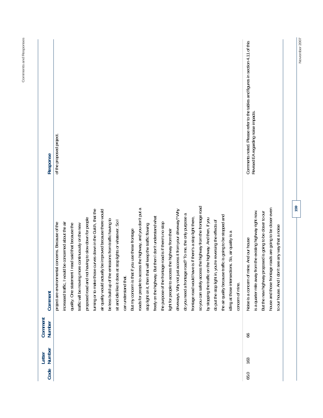| Response          | of the proposed project                            |                                                       |                                                     |                                                     |                                                      |                                                             |                                                            |                                                          |                                                            |                      |                                                  |                                                             |                                                           |                                                            |                                                        |                                                   |                                                           |                                                        |                                                            |                                                             |                                                          |                                                           |                                                            |                                                     |                  | Comments noted. Please refer to the tables and figures in section 4.11 of this | Revised EA regarding noise impacts.                         |                                                              |                                                            |                                                    |
|-------------------|----------------------------------------------------|-------------------------------------------------------|-----------------------------------------------------|-----------------------------------------------------|------------------------------------------------------|-------------------------------------------------------------|------------------------------------------------------------|----------------------------------------------------------|------------------------------------------------------------|----------------------|--------------------------------------------------|-------------------------------------------------------------|-----------------------------------------------------------|------------------------------------------------------------|--------------------------------------------------------|---------------------------------------------------|-----------------------------------------------------------|--------------------------------------------------------|------------------------------------------------------------|-------------------------------------------------------------|----------------------------------------------------------|-----------------------------------------------------------|------------------------------------------------------------|-----------------------------------------------------|------------------|--------------------------------------------------------------------------------|-------------------------------------------------------------|--------------------------------------------------------------|------------------------------------------------------------|----------------------------------------------------|
| Comment           | project are environmental concerns. Because of the | increased traffic, I would be concerned about the air | quality. One statement I read said that because the | traffic will be moving more continuously on the new | proposed road and not having to slow down for people | turning or to make those curves down in the Gulch, that the | air quality would actually be improved because there would | be less build up of the emissions from traffic having to | sit and idle like it does at stop lights or whatever. So I | can understand that. | But my concern is that if you use these frontage | roads for people to access the highway, and you don't put a | stop light on it, then that will keep the traffic flowing | But then I don't understand what<br>freely on the highway. | the purpose of the frontage road is if there's no stop | light for people to access the highway from their | driveways. Why not just access it from your driveway? Why | do you need a frontage road? To me, the only purpose a | frontage road would have is if there's a stop light there, | so you can safely access the highway from the frontage road | by stopping the traffic on the highway. And then, if you | do put the stop light in, you're reversing the effects of | the air quality because traffic is going to be stopped and | idling at those intersections. So, air quality is a | concern of mine. | mine. And our house<br>Noise is a concern of                                   | is a quarter mile away from the existing highway right now. | proposed is going to be closer to our<br>But the new highway | house and those frontage roads are going to be closer even | to our house. And I don't see any way that a noise |
| Comment<br>Number |                                                    |                                                       |                                                     |                                                     |                                                      |                                                             |                                                            |                                                          |                                                            |                      |                                                  |                                                             |                                                           |                                                            |                                                        |                                                   |                                                           |                                                        |                                                            |                                                             |                                                          |                                                           |                                                            |                                                     |                  | 99                                                                             |                                                             |                                                              |                                                            |                                                    |
| Number<br>Letter  |                                                    |                                                       |                                                     |                                                     |                                                      |                                                             |                                                            |                                                          |                                                            |                      |                                                  |                                                             |                                                           |                                                            |                                                        |                                                   |                                                           |                                                        |                                                            |                                                             |                                                          |                                                           |                                                            |                                                     |                  | 163                                                                            |                                                             |                                                              |                                                            |                                                    |
| Code              |                                                    |                                                       |                                                     |                                                     |                                                      |                                                             |                                                            |                                                          |                                                            |                      |                                                  |                                                             |                                                           |                                                            |                                                        |                                                   |                                                           |                                                        |                                                            |                                                             |                                                          |                                                           |                                                            |                                                     |                  | 65.0                                                                           |                                                             |                                                              |                                                            |                                                    |

**November 2007** 

November 2007

**159** 

**Comments and Responses** 

Comments and Responses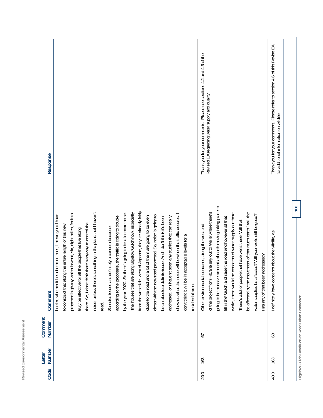| Code | Number<br>Letter | Comment<br>Number                                    | Comment                                                                                                                                                                                                                                                                                                                                                                                                                                                                                                                                                                                                                                                                                                                                                                                                                                                                                                                                                                                                                                                                                      | Response                                                                                                              |
|------|------------------|------------------------------------------------------|----------------------------------------------------------------------------------------------------------------------------------------------------------------------------------------------------------------------------------------------------------------------------------------------------------------------------------------------------------------------------------------------------------------------------------------------------------------------------------------------------------------------------------------------------------------------------------------------------------------------------------------------------------------------------------------------------------------------------------------------------------------------------------------------------------------------------------------------------------------------------------------------------------------------------------------------------------------------------------------------------------------------------------------------------------------------------------------------|-----------------------------------------------------------------------------------------------------------------------|
|      |                  |                                                      | from the west side, west of Argonne, they 're already fairly<br>noise, unless there's something in the plans that I haven't<br>The houses that are along Bigelow Gulch now, especially<br>by the year 2020. So there's going to be a lot more noise.<br>proposed highway which is what, six, eight miles, for it to<br>berm or trees, I mean you'd have<br>show us what the noise will be when the traffic doubles.<br>closer with the new road proposed. So, noise is going to<br>according to the proposals, the traffic is going to double<br>close to the road and a lot of them are going to be even<br>seen any studies that can really<br>issue. And I don't think it's been<br>there. So, I don't think there's anyway to control the<br>the entire length of this new<br>So noise issues are definitely a concern because,<br>truly be effective for all the people that live along<br>don't think it will be in acceptable levels for a<br>barrier, whether it be a<br>be an absolute definite<br>addressed, or I haven't<br>to construct that along<br>residential area.<br>read. |                                                                                                                       |
| 20.0 | 163              | 57                                                   | going to be massive amounts of earth moving taking place to<br>of the project from Havana say out to Weile where there's<br>works, there would be concerns of water supply out there.<br>be affected by the movement of that much earth? Will the<br>water supplies be affected? Will your wells still be good?<br>fill in the' Gulch and raise the road and however all that<br>There's a lot of people that have wells there. Will that<br>Other environmental concerns, along the west end<br>Has any of that been addressed?                                                                                                                                                                                                                                                                                                                                                                                                                                                                                                                                                             | Thank you for your comments. Please see sections 4.2 and 4.5 of the<br>Revised EA regarding water supply and quality. |
| 40.0 | 163              | Bigelow Gulch Road/Forker Road Urban Connector<br>89 | 160<br>I definitely have concerns about the wildlife, as                                                                                                                                                                                                                                                                                                                                                                                                                                                                                                                                                                                                                                                                                                                                                                                                                                                                                                                                                                                                                                     | Thank you for your comments. Please refer to section 4.6 of this Revise EA<br>for additional information on wildlife. |

**Revised Environmental Assessment** 

Revised Environmental Assessment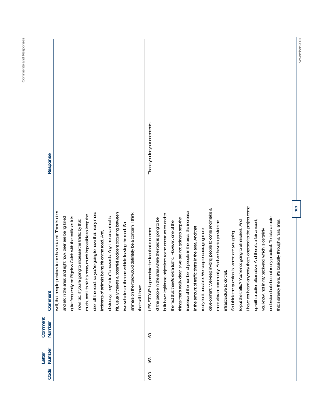| î<br>I |  |
|--------|--|

| Code | Number<br>Letter | Comment<br>Number | Comment                                                                                                                                                                                                                                                                                                                                                                                                                                                                                                                                                                                                                                                                                                                                                                                                                                                                                                                                                                                                                                                         | Response                     |
|------|------------------|-------------------|-----------------------------------------------------------------------------------------------------------------------------------------------------------------------------------------------------------------------------------------------------------------------------------------------------------------------------------------------------------------------------------------------------------------------------------------------------------------------------------------------------------------------------------------------------------------------------------------------------------------------------------------------------------------------------------------------------------------------------------------------------------------------------------------------------------------------------------------------------------------------------------------------------------------------------------------------------------------------------------------------------------------------------------------------------------------|------------------------------|
|      |                  |                   | well, that people previous to me have stated. There's deer<br>deer off the road, so you're going to have that many more<br>hit, usually there's a potential accident occurring between<br>animals on the road would definitely be a concern. I think<br>much, and I think it's pretty much impossible to keep the<br>quite frequently on Bigelow Gulch with the traffic as it is<br>obviously, they're traffic hazards. Any time an animal is<br>and elk in the area; and right now, deer are being killed<br>now. So, if you're going to increase the traffic by that<br>two vehicles or the one vehicle leaving the road. So<br>incidents of animals being hit on the road. And,<br>that's all I have.                                                                                                                                                                                                                                                                                                                                                        |                              |
| 05.0 | 163              | 69                | I have not heard anybody that's opposed to the project come<br>development. We keep inviting people to come and make a<br>of people in the area, the increase<br>built have legitimate objections to the construction and to<br>understandable but not really practical. To take a route<br>is we are not going to stop the<br>of the people in the area where the road is going to be<br>up with a better alternative. And there's a fair amount,<br>to put the traffic? You're not going to eliminate it. And<br>basically through a rural area<br>more vibrant community. And we have to provide the<br>the fact that there's extra traffic. However, one of the<br>in the amount of traffic that's in the area. And that<br>LES STONE: I appreciate the fact that a number<br>keep encouraging more<br>you know, not in my backyard, which is certainly<br>So I think the question is, where are you going<br>things that's really clear<br>really isn't possible. We<br>infrastructure to do that.<br>increase of the number<br>that's already there, it's | Thank you for your comments. |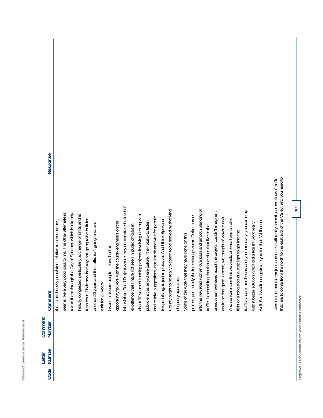| -<br>i<br>ä<br>-<br>٠<br>۰<br>í<br>ł<br>J<br>í<br>ï<br>۱<br>ä<br>ı,<br>ä<br>١<br>ä<br>٠<br>ï<br>پ<br>∼ |
|--------------------------------------------------------------------------------------------------------|
|                                                                                                        |
| $\overline{\phantom{a}}$<br>-<br>ı<br>ţ<br>٠<br>۰                                                      |
| ı<br>ă<br>í<br>١<br>u                                                                                  |
| ۰<br>٠<br>-                                                                                            |
| 2<br>∽<br>ب<br>I<br>-<br>$\sim$<br>٠                                                                   |
| ⇁<br>≓                                                                                                 |
| ∽<br>٠<br>٠                                                                                            |
| ۰<br>ì<br>ŀ<br>٠<br>l<br>ä<br>۱<br>ı<br>×<br>ı<br>٠<br>٠<br>₫<br>J                                     |
| ۰<br>ó<br>ν<br>∸                                                                                       |

|         | Response       |                                                           |                                                           |                                                             |                                                            |                                                          |                                                         |                    |                                        |                                                      |                                                          |                                                        |                                                           |                                                          |                                                           |                                                          |                                                             |                       |                                              |                                                               |                                                           |                                                            |                                                            |                                                             |                                                        |                                                      |                                                             |                                                           |                                                         |                                                                                       |                                                                                |
|---------|----------------|-----------------------------------------------------------|-----------------------------------------------------------|-------------------------------------------------------------|------------------------------------------------------------|----------------------------------------------------------|---------------------------------------------------------|--------------------|----------------------------------------|------------------------------------------------------|----------------------------------------------------------|--------------------------------------------------------|-----------------------------------------------------------|----------------------------------------------------------|-----------------------------------------------------------|----------------------------------------------------------|-------------------------------------------------------------|-----------------------|----------------------------------------------|---------------------------------------------------------------|-----------------------------------------------------------|------------------------------------------------------------|------------------------------------------------------------|-------------------------------------------------------------|--------------------------------------------------------|------------------------------------------------------|-------------------------------------------------------------|-----------------------------------------------------------|---------------------------------------------------------|---------------------------------------------------------------------------------------|--------------------------------------------------------------------------------|
|         | Comment        | that is not heavily populated, relative to other options, | seems like a very good idea to me. The other alternate is | the City of Spokane which is already<br>to run them through | heavily congested, particularly at change of shifts and at | rush hour. Their new freeway isn't going to be built for | another 20 years and the traffic isn't going to sit and | wait for 20 years. | I want to assure people, I have had an | opportunity to work with the county engineers on the | MacMahan Road Project where they demonstrated a level of | excellence that I have not seen in public officials in | about 30 years of running projects involving dealing with | public entities anywhere before. Their ability to listen | and to take suggestions, not just sit and wait for people | to quit talking, is just impressive. And I think Spokane | County ought to be really pleased to be served by that kind | of quality operation. | Some of the work that they have done on this | the interchange where Forker comes<br>project, particularly t | into the new road with an overpass and smooth blending of | that those of us that live in the<br>traffic, is something | area, when we heard about the project, couldn't imagine it | mean, we thought of ways to do it.<br>could be that good. I | And we were sure that we would at least have a traffic | light or a long stop at a stop light to get into the | traffic stream, and because of your creativity, you came up | with a better solution which looks like it'll work really | well. So, I would congratulate you for that. Well done. | And I think that the project looks like it will really smooth out the flow of traffic | that has to come from the north to the east end of the Valley, and you need to |
| Comment | Number         |                                                           |                                                           |                                                             |                                                            |                                                          |                                                         |                    |                                        |                                                      |                                                          |                                                        |                                                           |                                                          |                                                           |                                                          |                                                             |                       |                                              |                                                               |                                                           |                                                            |                                                            |                                                             |                                                        |                                                      |                                                             |                                                           |                                                         |                                                                                       |                                                                                |
| Letter  | Number<br>Code |                                                           |                                                           |                                                             |                                                            |                                                          |                                                         |                    |                                        |                                                      |                                                          |                                                        |                                                           |                                                          |                                                           |                                                          |                                                             |                       |                                              |                                                               |                                                           |                                                            |                                                            |                                                             |                                                        |                                                      |                                                             |                                                           |                                                         |                                                                                       |                                                                                |

Bigelow Gulch Road/Forker Road Urban Connector **Bigelow Gulch Road/Forker Road Urban Connector**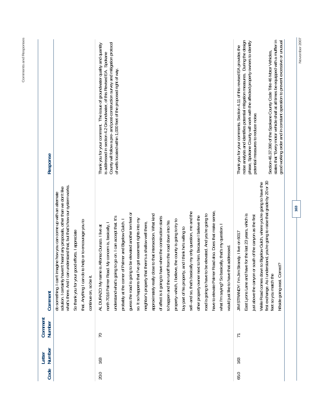| Response          |                                                                                                                                                                                                                                                                                                                                                                            | County will follow a pre- and post-construction survey and mitigation protocol<br>Thank you for your comment. The issue of groundwater quality and quantity<br>is addressed in section 4.2 Groundwater, of this Revised EA. Spokane<br>of wells located within 1,000 feet of the proposed right of way.                                                                                                                                                                                                                                                                                                                                                                                                                                                                                                                                                                                                                                                                                                                                                                          | states that "Every motor vehicle shall at all times be equipped with a muffler in<br>noise analysis and identifies potential mitigation measures. During the design<br>good working order and in constant operation to prevent excessive or unusual<br>phase, Spokane County will work with the affected property owners to identify<br>Thank you for your comments. Section 4.11 of this revised EA provides the<br>Section 46.37.390 of the Spokane County Code Title 46 Motor Vehicles,<br>potential measures to reduce noise. |
|-------------------|----------------------------------------------------------------------------------------------------------------------------------------------------------------------------------------------------------------------------------------------------------------------------------------------------------------------------------------------------------------------------|----------------------------------------------------------------------------------------------------------------------------------------------------------------------------------------------------------------------------------------------------------------------------------------------------------------------------------------------------------------------------------------------------------------------------------------------------------------------------------------------------------------------------------------------------------------------------------------------------------------------------------------------------------------------------------------------------------------------------------------------------------------------------------------------------------------------------------------------------------------------------------------------------------------------------------------------------------------------------------------------------------------------------------------------------------------------------------|-----------------------------------------------------------------------------------------------------------------------------------------------------------------------------------------------------------------------------------------------------------------------------------------------------------------------------------------------------------------------------------------------------------------------------------------------------------------------------------------------------------------------------------|
| Comment           | what's there. And I can understand that, but that's how our system works.<br>solution. I certainly haven't heard any proposals, other than we don't like<br>do something. I can't imagine how you can come up with an alternate<br>to help or to encourage you to<br>So thank you for your good efforts. I appreciate<br>that. Anything I can do<br>continue on, so be it. | have to elevate Palmer Road also. Does that make sense,<br>sell--and so, that's basically my only question, me and the<br>guess the road is going to be elevated another ten feet or<br>approximately really close to that intersection. What kind<br>road is going to have to be elevated. And you're going to<br>other property owner next to him. Because I believe the<br>understand what's going to go on. I can accept that. It's<br>of affect is it going to have when the construction starts<br>I've got easement rights into my<br>property--which, I believe, the county is going to try to<br>probably at the comer of Palmer and Bigelow Gulch. I<br>to happen and the runoff from the road down into his<br>neighbor's property that there's a shallow well there,<br>north 7016 Palmer Road. My concern is, basically, I<br>what I'm saying? So basically, that's my question. I<br>AL DURAZO: My name is Alfonso Durazo. I live at<br>buy part of his property, and I think he's willing to<br>would just like to have that addressed.<br>so. It so happens that | first exchange. As I understand, you're going to raise that grade by 20 or 30<br>Weile Road comes down to Bigelow Gulch, where you're going to have the<br>East Lyons Lane and have for the last 23 years, which is<br>or south of the canyon as the first<br>JIM STRANDY: I'm Jim Strandy. I live on 6017<br>hillside going east. Correct?<br>just above the canyon<br>feet so you match the                                                                                                                                     |
| Comment<br>Number |                                                                                                                                                                                                                                                                                                                                                                            | $\overline{70}$                                                                                                                                                                                                                                                                                                                                                                                                                                                                                                                                                                                                                                                                                                                                                                                                                                                                                                                                                                                                                                                                  | $\overline{1}$                                                                                                                                                                                                                                                                                                                                                                                                                                                                                                                    |
| Number<br>Letter  |                                                                                                                                                                                                                                                                                                                                                                            | 163                                                                                                                                                                                                                                                                                                                                                                                                                                                                                                                                                                                                                                                                                                                                                                                                                                                                                                                                                                                                                                                                              | 163                                                                                                                                                                                                                                                                                                                                                                                                                                                                                                                               |
| Code              |                                                                                                                                                                                                                                                                                                                                                                            | 20.0                                                                                                                                                                                                                                                                                                                                                                                                                                                                                                                                                                                                                                                                                                                                                                                                                                                                                                                                                                                                                                                                             | 65.0                                                                                                                                                                                                                                                                                                                                                                                                                                                                                                                              |

**Comments and Responses** 

Comments and Responses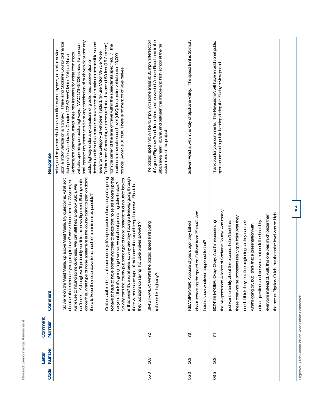| Response          | shall operate any motor vehicle or any combination of such vehicles upon any<br>upon a motor vehicle on a highway." There is no Spokane County ordinance<br>deceleration in such a manner as to exceed the maximum permissible sound<br>Performance Standards), as measured at a distance of 50 feet (15.2 meters)<br>vehicles operating on public highways. WAC 173-62-030 states "No person<br>from the center of the lane of travel within the speed limits specified" The<br>noise, and no person shall use a muffler cutout, bypass, or similar device<br>evels for the category of vehicle in Table 1 (In-use Motor Vehicle Noise<br>Performance Standards, establishes requirements for noise from motor<br>maximum allowable sound level (dBA) for a motor vehicle over 10,000<br>that specifies Jake brakes. Chapter 173-62 WAC Motor Vehicle Noise<br>public highway under any conditions of grade, load, acceleration or<br>pounds GVWR is 86 dBA. There is no mention of Jake brakes.                                              | The posted sped limit will be 45 mph, with some areas at 35 mph (intersection<br>of Argonne/Bigelow Road, for a short section west of Jensen Road, and in the<br>urban area near Havana, and between the middle and high school at the far<br>eastern end of the project | Sullivan Road is within the City of Spokane Valley. The speed limit is 35 mph.                                                                         | Thank you for your comments. The Revised EA will have an additional public<br>open house and a public hearing during the 30-day review period.                                                                                                                                                                                                                                                                                                                                                                                                      |
|-------------------|------------------------------------------------------------------------------------------------------------------------------------------------------------------------------------------------------------------------------------------------------------------------------------------------------------------------------------------------------------------------------------------------------------------------------------------------------------------------------------------------------------------------------------------------------------------------------------------------------------------------------------------------------------------------------------------------------------------------------------------------------------------------------------------------------------------------------------------------------------------------------------------------------------------------------------------------------------------------------------------------------------------------------------------------|--------------------------------------------------------------------------------------------------------------------------------------------------------------------------------------------------------------------------------------------------------------------------|--------------------------------------------------------------------------------------------------------------------------------------------------------|-----------------------------------------------------------------------------------------------------------------------------------------------------------------------------------------------------------------------------------------------------------------------------------------------------------------------------------------------------------------------------------------------------------------------------------------------------------------------------------------------------------------------------------------------------|
| Comment           | to have to have to have something there to abate that noise as it roars up that<br>On the south side, it's all open country. It's open pasture land, so you're going<br>in that area? It's a rural area, so why are they having a freeway going through<br>of noise abatement is the county going to plan on doing<br>So why can't the county put some type of noise abatement of no Jake brakes<br>So we're on the West Weile, up above West Weile. My question is, what sort<br>of noise abatement are you going to have? We've been here for 23 years, so<br>can't see it. Although we'll probably see it in the new alignment. But my main<br>canyon. I think it's going to get worse. What about prohibiting Jake brakes?<br>there without some type of ordinance that would keep that down. Shouldn't<br>we're use to having some quietness. We can still hear Bigelow Gulch. We<br>e down to as much of a minimum as possible?<br>they put signs up saying "No Jake brakes allowed"?<br>concern is, what type<br>there to keep the nois | 's the posted speed limit going<br><b>JIM STRANDY: What</b><br>to be on his highway?                                                                                                                                                                                     | about increasing the speed on Sullivan from 35 to 40. And<br>NEW SPEAKER: A couple of years ago, they talked<br>didn't know whatever happened to that? | the Neighborhood Alliance of Spokane County. And mainly, I<br>ulch, but the noise level was so high<br>everyone instead of, well, this one was much better than<br>ocesses really give folks what they<br>BONNIE MAGER: Okay. Okay. And I'm representing<br>need. I think they're a fine beginning so they can see<br>answers that could be heard by<br>just want to testify about the process. I don't feel that<br>think that a presentation with<br>the one at Bigelow G<br>these open-house pro<br>actual questions and<br>what's going on, but |
| Comment<br>Number |                                                                                                                                                                                                                                                                                                                                                                                                                                                                                                                                                                                                                                                                                                                                                                                                                                                                                                                                                                                                                                                | 72                                                                                                                                                                                                                                                                       | 73                                                                                                                                                     | $\overline{7}$                                                                                                                                                                                                                                                                                                                                                                                                                                                                                                                                      |
| Number<br>Letter  |                                                                                                                                                                                                                                                                                                                                                                                                                                                                                                                                                                                                                                                                                                                                                                                                                                                                                                                                                                                                                                                | 163                                                                                                                                                                                                                                                                      | 163                                                                                                                                                    | 163                                                                                                                                                                                                                                                                                                                                                                                                                                                                                                                                                 |
| Code              |                                                                                                                                                                                                                                                                                                                                                                                                                                                                                                                                                                                                                                                                                                                                                                                                                                                                                                                                                                                                                                                | 55.0                                                                                                                                                                                                                                                                     | 55.0                                                                                                                                                   | 03.5                                                                                                                                                                                                                                                                                                                                                                                                                                                                                                                                                |

**Bigelow Gulch Road/Forker Road Urban Connector** 

Bigelow Gulch Road/Forker Road Urban Connector

**164** 

**Revised Environmental Assessment** 

Revised Environmental Assessment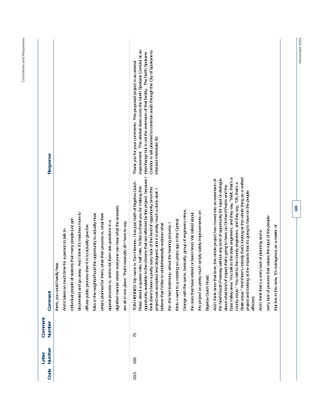| Code | Number<br>Letter | Comment<br>Number | Comment                                                                                                                                                                                                                                      | Response                                                                   |
|------|------------------|-------------------|----------------------------------------------------------------------------------------------------------------------------------------------------------------------------------------------------------------------------------------------|----------------------------------------------------------------------------|
|      |                  |                   | there, you could hardly hear.                                                                                                                                                                                                                |                                                                            |
|      |                  |                   | And it takes so much time for a person to talk to                                                                                                                                                                                            |                                                                            |
|      |                  |                   | individual people at stations that many people just get                                                                                                                                                                                      |                                                                            |
|      |                  |                   | disoriented and go away. And I think it's matched more to                                                                                                                                                                                    |                                                                            |
|      |                  |                   | diffuse public process than it is to actually give the                                                                                                                                                                                       |                                                                            |
|      |                  |                   | folks in the neighborhood the opportunity to actually hear                                                                                                                                                                                   |                                                                            |
|      |                  |                   | what's planned for them, what their process is, what their                                                                                                                                                                                   |                                                                            |
|      |                  |                   | appeal process is, and to let them ask questions in a                                                                                                                                                                                        |                                                                            |
|      |                  |                   | dignified manner where everyone can hear what the answers                                                                                                                                                                                    |                                                                            |
|      |                  |                   | That's basically all I have to say.<br>are all in one place.                                                                                                                                                                                 |                                                                            |
| 03.5 | 163              | 75                | name is Tom Hennes. I live just north of Bigelow Gulch<br>TOM HENNES: My r                                                                                                                                                                   | Thank you for your comments. This proposed project is an arterial          |
|      |                  |                   | Road, about a quarter mile, half mile. I'd like to thank you for making this                                                                                                                                                                 | improvement. This arterial does cross the North Spokane Corridor at an     |
|      |                  |                   | opportunity available to the citizens that are affected by this project, because I                                                                                                                                                           | interchange but is not the extension of that facility. The North Spokane   |
|      |                  |                   | think there's been a pretty sorry lack of this kind of opportunity since this                                                                                                                                                                | Corridor is still planned to continue south through the City of Spokane to |
|      |                  |                   | project was accepted and designed, and it is pretty much a done deal. I<br>believe that I'd like to wholeheartedly endorse what                                                                                                              | intersect Interstate 90.                                                   |
|      |                  |                   | the--the last testimony, about the hearing process. I                                                                                                                                                                                        |                                                                            |
|      |                  |                   | think-I went to a meeting six years ago in the Central                                                                                                                                                                                       |                                                                            |
|      |                  |                   | Grange with the same, basically, group of engineers minus                                                                                                                                                                                    |                                                                            |
|      |                  |                   | the ones that have retired or been hired. We talked about                                                                                                                                                                                    |                                                                            |
|      |                  |                   | this project as pretty much simply safety improvements on                                                                                                                                                                                    |                                                                            |
|      |                  |                   | <b>Bigelow Gulch Road</b>                                                                                                                                                                                                                    |                                                                            |
|      |                  |                   | the North/South Freeway without any kind of opportunity for input or dialogue<br>And I think since that time, this whole project has moved into an extension of<br>about what kind of impact that's going to have on Orchard Prairie and the |                                                                            |
|      |                  |                   | East Valley area. You talk to the state engineers, and they say, "Well, that's a                                                                                                                                                             |                                                                            |
|      |                  |                   | State issue." And there's nobody that's looking at this whole thing as a unified<br>county issue." You talk to the county engineers, and they say, "Oh, that's a                                                                             |                                                                            |
|      |                  |                   | project and looking at the impacts that it's going to have on the people<br>affected.                                                                                                                                                        |                                                                            |
|      |                  |                   | And I think that's a sorry lack of planning and a                                                                                                                                                                                            |                                                                            |
|      |                  |                   | sorry lack of process that values the input of the people                                                                                                                                                                                    |                                                                            |
|      |                  |                   | It's outrageous as a matter of<br>that live in this area.                                                                                                                                                                                    |                                                                            |

**165** 

November 2007 **November 2007**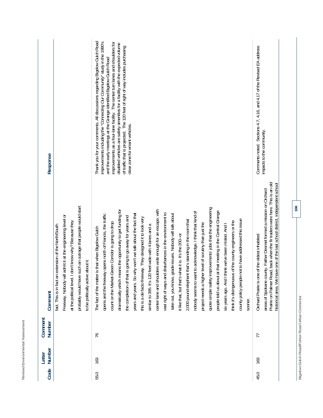| a<br>۰<br>ă<br>ï<br>ı<br>ï<br>í<br>í<br>×                                                                    |  |
|--------------------------------------------------------------------------------------------------------------|--|
| $-$<br>-<br>ţ<br>U<br>é<br>۰<br>ï<br>ă<br>ä<br>ł<br>ļ<br>í<br>ï<br>٠<br>۰<br>é<br>é<br>à<br>ı<br>I<br>l<br>ï |  |
| j<br>ì<br>ş<br>i,<br>ï<br>ï<br>ļ<br>--                                                                       |  |

| Response          |                                                                                                                                                                                                                                                                                       | Thank you for your comments. All discussions regarding Bigelow Gulch Road<br>improvements including the "Connecting Our Community" study in the 1990's<br>improvements as a four-lane facility. The center turn lanes and shoulders for<br>disabled vehicles are safety amenities for a facility with the expected volume<br>of traffic that is projected. The 120 feet of right of way includes purchasing<br>and the early meetings at the Grange identified Bigelow Gulch Road<br>clear zone for errant vehicles.                                                                                                                                                                                                                                                                                                                                                                                                                                                                                                                                                                                                                                                                                                                          | Comments noted. Sections 4.7, 4.16, and 4.17 of the Revised EA address<br>impacts to the community                                                                                                                                                                                  |
|-------------------|---------------------------------------------------------------------------------------------------------------------------------------------------------------------------------------------------------------------------------------------------------------------------------------|-----------------------------------------------------------------------------------------------------------------------------------------------------------------------------------------------------------------------------------------------------------------------------------------------------------------------------------------------------------------------------------------------------------------------------------------------------------------------------------------------------------------------------------------------------------------------------------------------------------------------------------------------------------------------------------------------------------------------------------------------------------------------------------------------------------------------------------------------------------------------------------------------------------------------------------------------------------------------------------------------------------------------------------------------------------------------------------------------------------------------------------------------------------------------------------------------------------------------------------------------|-------------------------------------------------------------------------------------------------------------------------------------------------------------------------------------------------------------------------------------------------------------------------------------|
| Comment           | such an outrage that people would start<br>Freeway. Nobody will admit it at the engineering level or<br>don't know why? Because they<br>fact. This is in fact an extension of the North/South<br>to be politically active about it.<br>probably would have<br>at the political level. | improvements' jobs that the engineering<br>center lane and shoulders wide enough for an escape, with<br>dramatically which means the opportunity to get funding for<br>at that meeting in the Central Grange<br>nobody seems to want to acknowledge. I think that kind of<br>vast right of ways and disturbances in the environment to<br>grade issues. Nobody will talk about<br>years and years. So why won't we talk about the fact that<br>opens and the freeway opens north of Francis, the traffic<br>the completion of that is going to go away for years and<br>this is a de facto freeway. They designed it to look very<br>county policy people not to have addressed this issue<br>2,000 pound elephant that's standing in the room that<br>think it's disingenuous of the county engineers or the<br>count on the Market-Green Corridor is going to drop<br>project needs a higher level of scrutiny than just the<br>six years ago. And I think we've been misled. And I<br>similar to 395. It's 120 feet wide with 4 lanes and a<br>The fact of the matter is that when Bigelow Gulch<br>it like that, but that's what it is. It's the 200--or<br>people told us about<br>take out, you know,<br>quote simple safety<br>sooner. | Prairie on Palmer Road, back when the fir traders were here. This is an old<br>historical area. We have one of the last school district, independent school<br>areas of Spokane county. Father Desmet formed a mission on Orchard<br>Orchard Prairie is one of the oldest inhabited |
| Comment<br>Number |                                                                                                                                                                                                                                                                                       | 76                                                                                                                                                                                                                                                                                                                                                                                                                                                                                                                                                                                                                                                                                                                                                                                                                                                                                                                                                                                                                                                                                                                                                                                                                                            | 77                                                                                                                                                                                                                                                                                  |
| Number<br>Letter  |                                                                                                                                                                                                                                                                                       | 163                                                                                                                                                                                                                                                                                                                                                                                                                                                                                                                                                                                                                                                                                                                                                                                                                                                                                                                                                                                                                                                                                                                                                                                                                                           | 163                                                                                                                                                                                                                                                                                 |
| Code              |                                                                                                                                                                                                                                                                                       | 55.0                                                                                                                                                                                                                                                                                                                                                                                                                                                                                                                                                                                                                                                                                                                                                                                                                                                                                                                                                                                                                                                                                                                                                                                                                                          | 45.0                                                                                                                                                                                                                                                                                |

Bigelow Gulch Road/Forker Road Urban Connector **Bigelow Gulch Road/Forker Road Urban Connector**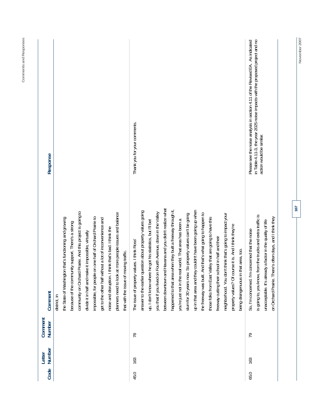| Code | Number<br>Letter<br>163<br>163 | Comment<br>district, in<br>Comment<br>Number<br>78<br>79 | between downtown and Havana and you didn't realize what<br>happened to that area when they built a freeway through it,<br>up in that area and they couldn't have been going up when<br>answer to the earlier question about property values going<br>community on Orchard Prairie. And this project is going to<br>you that if you lived on Fourth Avenue, down in the Valley<br>at more people issues and balance<br>And that's what going to happen to<br>slum for 30 years now. So property values can't be going<br>neighborhood. You don't think that's going to impact your<br>from the trucks and extra traffic is<br>impossible, for people on one half of Orchard Prairie to<br>the State of Washington that's functioning and growing<br>Valley that are going to have this<br>on Orchard Prairie. There's often days, and I think they<br>get to the other half without a lot of inconvenience and<br>you're just not in the real world. That area has been a<br>unacceptable. It's already a factor in the quality of life<br>up, I don't know where he got his statistics, but I'll bet<br>because of the community support. There's a strong<br>property values? Of course it is. And I think they're<br>noise and disruption. I think that's bad. I think the<br>So, I'm concerned. I'm concerned that the noise<br>divide it in half and make it impossible, virtually<br>freeway cutting their school in half and their<br>values. I think Ross'<br>that area, too.<br>that with the issue of moving traffic.<br>planners need to look<br>the freeway was built.<br>being disingenuous in<br>is going to, you know,<br>The issue of property<br>those folks from East | in Table 4.11-3, the year 2025 noise impacts with the proposed project and no<br>Please see the noise analysis in section 4.11 of the Revised EA. As indicated<br>Thank you for your comments.<br>action would be similar.<br>Response |
|------|--------------------------------|----------------------------------------------------------|----------------------------------------------------------------------------------------------------------------------------------------------------------------------------------------------------------------------------------------------------------------------------------------------------------------------------------------------------------------------------------------------------------------------------------------------------------------------------------------------------------------------------------------------------------------------------------------------------------------------------------------------------------------------------------------------------------------------------------------------------------------------------------------------------------------------------------------------------------------------------------------------------------------------------------------------------------------------------------------------------------------------------------------------------------------------------------------------------------------------------------------------------------------------------------------------------------------------------------------------------------------------------------------------------------------------------------------------------------------------------------------------------------------------------------------------------------------------------------------------------------------------------------------------------------------------------------------------------------------------------------------------------------------------------------------|----------------------------------------------------------------------------------------------------------------------------------------------------------------------------------------------------------------------------------------|
|------|--------------------------------|----------------------------------------------------------|----------------------------------------------------------------------------------------------------------------------------------------------------------------------------------------------------------------------------------------------------------------------------------------------------------------------------------------------------------------------------------------------------------------------------------------------------------------------------------------------------------------------------------------------------------------------------------------------------------------------------------------------------------------------------------------------------------------------------------------------------------------------------------------------------------------------------------------------------------------------------------------------------------------------------------------------------------------------------------------------------------------------------------------------------------------------------------------------------------------------------------------------------------------------------------------------------------------------------------------------------------------------------------------------------------------------------------------------------------------------------------------------------------------------------------------------------------------------------------------------------------------------------------------------------------------------------------------------------------------------------------------------------------------------------------------|----------------------------------------------------------------------------------------------------------------------------------------------------------------------------------------------------------------------------------------|

**November 2007** 

November 2007

**167** 

**Comments and Responses** 

Comments and Responses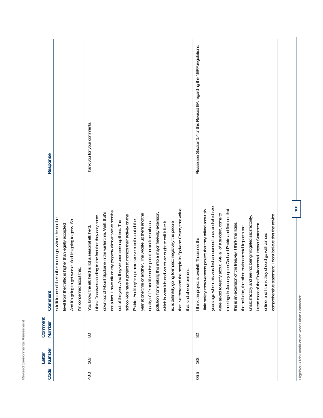| Code | Number<br>Letter | Comment<br>Number | Comment                                                                                                                                                                                                                                                                                                                                                                                                                                                                                                                                                                                                                                                                                                                                                                                                                                               | Response                                                                  |
|------|------------------|-------------------|-------------------------------------------------------------------------------------------------------------------------------------------------------------------------------------------------------------------------------------------------------------------------------------------------------------------------------------------------------------------------------------------------------------------------------------------------------------------------------------------------------------------------------------------------------------------------------------------------------------------------------------------------------------------------------------------------------------------------------------------------------------------------------------------------------------------------------------------------------|---------------------------------------------------------------------------|
|      |                  |                   | other meetings, where the decibel<br>worse. And it's going to grow. So<br>is higher than legally accepted<br>I'm concerned about that.<br>said it in one of their<br>level from the traffic<br>And it's going to get                                                                                                                                                                                                                                                                                                                                                                                                                                                                                                                                                                                                                                  |                                                                           |
| 40.0 | 163              | 80                | that live there and the people in Spokane County that value<br>on my property almost twelve months<br>down out of Mount Spokane in the wintertime. Well, that's<br>pollution from making this into a major freeway extension,<br>year at one time or another. The wildlife up there and the<br>school kids have a project to monitor their activity on the<br>I think Ross was alluding to the fact that they only come<br>Prairie. And they're up there twelve months out of the<br>out of the year. And they've been seen up there. The<br>quality of life and the noise pollution and the exhaust<br>d which we ought to call it like it<br>to impact negatively the people<br>You know, the elk herd is not a seasonal elk herd.<br>hent.<br>is, is definitely going<br>that kind of environm<br>not a fact. I have elk<br>which is what it is an | Thank you for your comments.                                              |
| 05.5 | 163              | 82                | years ago when this was first announced to us and which we<br>little safety improvements project that they talked about six<br>up on Orchard Prairie and find out that<br>about. We, all of a sudden, come to<br>comprehensive statement. I don't believe that the advice<br>unsatisfactory and are not being mitigated satisfactorily.<br>this is an extension of the freeway. I think the noise,<br>wironmental Impact Statement<br>the pollution, the other environmental impacts are<br>online, and I think they should go with a more<br>I think the project is overkill. This is not the<br>were asked to testify<br>meetings in January<br>I read most of the En                                                                                                                                                                               | Please see Section 1.4 of this Revised EA regarding the NEPA regulations. |

**Revised Environmental Assessment** 

Revised Environmental Assessment

Bigelow Gulch Road/Forker Road Urban Connector **Bigelow Gulch Road/Forker Road Urban Connector**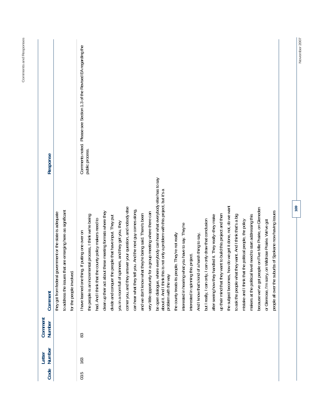| Response          |                                                                                                                                                         | Comments noted. Please see Section 1.3 of the Revised EA regarding the<br>public process.                                                                                                                                                                                                                                                                                                                                                                                                                                                                                                                                                                                                                                                                                                                                                                                                                                                                                                                                                                                                                                                                                                                                                                                                                                                                                                                                                                                                                                                                                                                                                                  |
|-------------------|---------------------------------------------------------------------------------------------------------------------------------------------------------|------------------------------------------------------------------------------------------------------------------------------------------------------------------------------------------------------------------------------------------------------------------------------------------------------------------------------------------------------------------------------------------------------------------------------------------------------------------------------------------------------------------------------------------------------------------------------------------------------------------------------------------------------------------------------------------------------------------------------------------------------------------------------------------------------------------------------------------------------------------------------------------------------------------------------------------------------------------------------------------------------------------------------------------------------------------------------------------------------------------------------------------------------------------------------------------------------------------------------------------------------------------------------------------------------------------------------------------------------------------------------------------------------------------------------------------------------------------------------------------------------------------------------------------------------------------------------------------------------------------------------------------------------------|
| Comment           | to address the issues that are emerging here as significant<br>government or the state is adequate<br>for the people involved.<br>they got from federal | be open dialogue, where everybody can hear what everybody else has to say<br>about it. And I think this is not only a problem with this project, but it's a<br>the subject becomes, how do we get it done, not, do we want<br>corner you, and they answer your question, and nobody else<br>because we've got people on Five Mile Prairie, on Gleneden<br>can hear what they tell you. And the next guy comes along,<br>people all over the suburbs of Spokane now having issues<br>clean up their act about these meeting formats where they<br>for a group meeting where there can<br>and we don't know what they're being said. There's been<br>up their mind that they want to build this project and then<br>handled it. They really--they make<br>the people is an incremental process, I think we're being<br>to ask the people what they want. And I think that's a big<br>makers at the political level need to start addressing this<br>divide and conquer the people that have input. They put<br>had. And I think that the county policy makers need to<br>but I really, I can only, I can only draw that conclusion<br>mistake and I think that the political people, the policy<br>or Glenrose, I'm sorry, on Wildrose Prairie. We've got<br>you in a room full of spinners, and they get you, they<br>interested in hearing what you have to say. They're<br>I have learned one thing. If putting one over on<br>the county treats its people. They're not really<br>of a harsh thing to say,<br>interested in spinning this project.<br>problem with the way<br>And I know that's kind<br>after seeing how they<br>very little opportunity |
| Comment<br>Number |                                                                                                                                                         | 83                                                                                                                                                                                                                                                                                                                                                                                                                                                                                                                                                                                                                                                                                                                                                                                                                                                                                                                                                                                                                                                                                                                                                                                                                                                                                                                                                                                                                                                                                                                                                                                                                                                         |
| Number<br>Letter  |                                                                                                                                                         | 163                                                                                                                                                                                                                                                                                                                                                                                                                                                                                                                                                                                                                                                                                                                                                                                                                                                                                                                                                                                                                                                                                                                                                                                                                                                                                                                                                                                                                                                                                                                                                                                                                                                        |
| Code              |                                                                                                                                                         | 03.5                                                                                                                                                                                                                                                                                                                                                                                                                                                                                                                                                                                                                                                                                                                                                                                                                                                                                                                                                                                                                                                                                                                                                                                                                                                                                                                                                                                                                                                                                                                                                                                                                                                       |

**169** 

November 2007 **November 2007**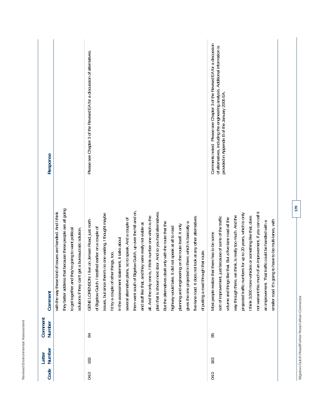| ٠<br>×.<br>-<br>f<br>ä<br>۰<br>i.<br>ı,<br>í<br>-<br>ı<br>÷<br>ł<br>ï<br>ι<br>J<br>ä<br>ч<br>J<br>š<br>ä<br>١<br>ä<br>r<br>I,<br>٠<br>i<br>ï<br>١<br>í<br>è<br>∼<br>ч                                                       |  |
|-----------------------------------------------------------------------------------------------------------------------------------------------------------------------------------------------------------------------------|--|
| $\overline{\phantom{a}}$<br>-<br>١<br>ŀ<br>ー<br>٠<br>۰<br>I<br>á<br>÷<br>n<br>٠<br>ţ<br>ź<br>í<br>Ş<br>ă<br>-<br>Ë<br>í<br>C<br>۱<br>J<br>ï<br>$\overline{\phantom{a}}$<br>٠<br>∼<br>٠<br>نر<br>÷<br>∽<br>$\mathbf{r}$<br>∸ |  |
| –<br>ı<br>ζ<br>í<br>n<br>ţ<br>ı<br>é<br>r<br>ı<br>ı<br>J<br>٠<br>٠<br>×<br>٠<br>⇁<br>×<br>Ć<br>U<br>v<br>--                                                                                                                 |  |

| Response          |                                                                                                                                                                                                                                                  | Please see Chapter 3 of the Revised EA for a discussion of alternatives.                                                                                                                                                                                                                                                                                                                                                                                                                                                                                                                                                                                                                                                                                                                                                                                                                                                           | Comments noted. Please see Chapter 3 of the Revised EA for a discussion<br>of alternatives, including the engineering analysis. Additional information is<br>provided in Appendix B of the January 2006 EA.                                                                                                                                                                                                                                                                                                                                             |
|-------------------|--------------------------------------------------------------------------------------------------------------------------------------------------------------------------------------------------------------------------------------------------|------------------------------------------------------------------------------------------------------------------------------------------------------------------------------------------------------------------------------------------------------------------------------------------------------------------------------------------------------------------------------------------------------------------------------------------------------------------------------------------------------------------------------------------------------------------------------------------------------------------------------------------------------------------------------------------------------------------------------------------------------------------------------------------------------------------------------------------------------------------------------------------------------------------------------------|---------------------------------------------------------------------------------------------------------------------------------------------------------------------------------------------------------------------------------------------------------------------------------------------------------------------------------------------------------------------------------------------------------------------------------------------------------------------------------------------------------------------------------------------------------|
| Comment           | that because these people are all going<br>with the way these kind of issues are handled. And I think<br>to get together and they're going to want political<br>get a bureaucratic solution.<br>solutions if they can't<br>they better address t | them went south of Bigelow Gulch, up over the hill and on,<br>plan that is shown next door. And so you had alternatives.<br>issues, but since there's no one waiting, I thought maybe<br>is, I think number one which is the<br>five-lane road. It does not look at any other alternatives<br>several alternative plans, so to speak. And a couple of<br>I live on Jensen Road, just north<br>gives the one projected in there, which is basically a<br>But the alternatives dealt only with the route that the<br>and stuff like that, and they were really not viable at<br>planning and engineering on the route itself. It only<br>It did not speak at all to road<br>of Bigelow Gulch. I testified earlier on a couple of<br>In the assessment statement, it talks about<br>of putting a road through that route.<br>I'd try a couple of other things, too.<br>all. And the only one<br>highway would take.<br>GENE LORENSON: | not warrant this much of an improvement, if you can call it<br>projected traffic numbers for up to 20 years, which is only<br>way through there, we think, is really too much. And the<br>sort of improvement, just because of some of the traffic<br>I think 3,000 more vehicles or something like that, does<br>volume and things like that. But a five-lane road all the<br>ng to have to be multi-lanes, with<br>an improvement. That traffic could be handled with a<br>that there has to be some<br>Most people realize<br>smaller road. It's goi |
| Comment<br>Number |                                                                                                                                                                                                                                                  | 84                                                                                                                                                                                                                                                                                                                                                                                                                                                                                                                                                                                                                                                                                                                                                                                                                                                                                                                                 | 85                                                                                                                                                                                                                                                                                                                                                                                                                                                                                                                                                      |
| Number<br>Letter  |                                                                                                                                                                                                                                                  | 163                                                                                                                                                                                                                                                                                                                                                                                                                                                                                                                                                                                                                                                                                                                                                                                                                                                                                                                                | 163                                                                                                                                                                                                                                                                                                                                                                                                                                                                                                                                                     |
| Code              |                                                                                                                                                                                                                                                  | 04.0                                                                                                                                                                                                                                                                                                                                                                                                                                                                                                                                                                                                                                                                                                                                                                                                                                                                                                                               | 04.0                                                                                                                                                                                                                                                                                                                                                                                                                                                                                                                                                    |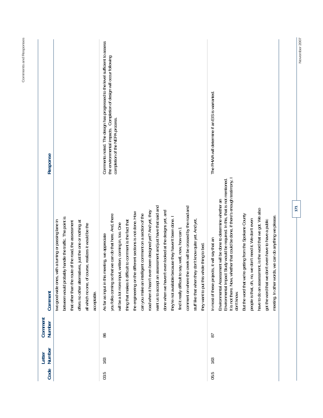| Code | Number<br>Letter | Comment<br>Number | Comment                                                                                                                                                                                                                                                                                                                                                                                                                                                                                                                                                                                                                                                                                                                                                                                                                                               | Response                                                                                                                                                                               |
|------|------------------|-------------------|-------------------------------------------------------------------------------------------------------------------------------------------------------------------------------------------------------------------------------------------------------------------------------------------------------------------------------------------------------------------------------------------------------------------------------------------------------------------------------------------------------------------------------------------------------------------------------------------------------------------------------------------------------------------------------------------------------------------------------------------------------------------------------------------------------------------------------------------------------|----------------------------------------------------------------------------------------------------------------------------------------------------------------------------------------|
|      |                  |                   | between would probably handle the traffic. The point is<br>two good wide ones, with a turning or passing lane in<br>offers no other alternatives, just the one or nothing at<br>that other than the route of the road, the assessment<br>all which no one, of course, realizes it would be the<br>acceptable.                                                                                                                                                                                                                                                                                                                                                                                                                                                                                                                                         |                                                                                                                                                                                        |
| 03.5 | 163              | 86                | want us to accept an assessment and just have that said and<br>comment on where the creek will be crossed by the road and<br>done when we haven't even looked at the designs yet, and<br>road when it hasn't even been designed yet? And yet, they<br>the engineering on the different sections is not done. How<br>you folks coming so that we can do that here. And, there<br>ligent comment on a section of the<br>they're not available because they haven't been done. I<br>stuff like that when they don't know quite yet. And yet,<br>thing that makes it difficult to comment is the fact that<br>will be a lot more input, written, coming in, too. One<br>say, well, now, how can 1<br>As far as input in this meeting, we appreciate<br>they want to put this whole thing to bed.<br>can you make an intell<br>find it really difficult to | Comments noted. The design has progressed to the level sufficient to assess<br>the environmental impacts. Completion of design will occur following<br>completion of the NEPA process. |
| 05.5 | 163              | 55                | nether that could be done, if there's enough testimony, I<br>Environmental Impact Study would be required. In this, that is not mentioned<br>Environmental Assessment will be done to determine whether an<br>have to do an assessment, is the word that we got. We also<br>But the word that we're getting from the Spokane County<br>meeting. In other words, we can do anything we please<br>we don't need it. We don't even<br>got the word that we don't even have to have a public<br>In most of these projects, it will say that an<br>It is not there. Now, wh<br>people is that, oh, no,<br>don't know.                                                                                                                                                                                                                                      | The FHWA will determine if an EIS is warranted.                                                                                                                                        |

**November 2007** 

November 2007

**171** 

**Comments and Responses** 

Comments and Responses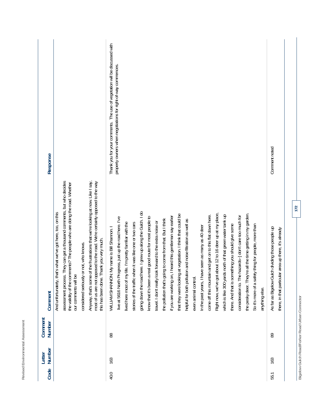| smer.                        | Commant |
|------------------------------|---------|
| Revised Environmental Asses: | I attar |

| Response          |                                                                                                                                                                                                                                                                                                                                                                                                                                                                                                        | Thank you for your comments. The use of vegetation will be discussed with<br>property owners when negotiations for right-of-way commences.                                                                                                                                                                                                                                                                                                                                                                                                                                                                                                                                                                                                                                                                                                                                                                                                                                                                                                                                                                                                                                                                                | Comment noted                                                                                                |
|-------------------|--------------------------------------------------------------------------------------------------------------------------------------------------------------------------------------------------------------------------------------------------------------------------------------------------------------------------------------------------------------------------------------------------------------------------------------------------------------------------------------------------------|---------------------------------------------------------------------------------------------------------------------------------------------------------------------------------------------------------------------------------------------------------------------------------------------------------------------------------------------------------------------------------------------------------------------------------------------------------------------------------------------------------------------------------------------------------------------------------------------------------------------------------------------------------------------------------------------------------------------------------------------------------------------------------------------------------------------------------------------------------------------------------------------------------------------------------------------------------------------------------------------------------------------------------------------------------------------------------------------------------------------------------------------------------------------------------------------------------------------------|--------------------------------------------------------------------------------------------------------------|
| Comment           | They can get a thousand comments, but who decides<br>Anyway, that's some of the frustrations that we're looking at now. Like I say,<br>most of us are not opposed to the road. We're certainly opposed to the way<br>ments? The people who are doing the road. Whether<br>And unfortunately, that's what we've got here, too, on this<br>this has been done. Thank you very much.<br>considered seriously or not, who knows.<br>the validity of the com<br>our comments will be<br>assessment process. | going down the road here. I grew up along the Gulch. I do<br>Right now, we've got about 12 to 16 deer up at my place,<br>re all the time getting in my garden.<br>at vegetation. I think that could be<br>which is like 300 yards north of that green water tank up<br>come off this mountain and get on to this flat down here.<br>hazards--] don't care too much for<br>I heard this gentleman say earlier<br>know that it's been a real good route for most people to<br>live at 5616 North Progress, just up the road here. I've<br>the pollution that's going to come from that. But I think<br>helpful for both pollution and noise filtration as well as<br>travel. I don't really look forward to the extra noise or<br>life. I'm pretty familiar with the<br>stories of the traffic when it was like one or two cars<br>So it's more of a safety thing for people, more than<br>there. And that is something you should give some<br>In the past years, I have seen as many as 40 deer<br>My name is Bill Shannon.<br>that they were looking<br>WILLIAM SHANNON:<br>lived here most of my<br>the pesky deer. They'r<br>if you are working on,<br>consideration to. The<br>even animal control.<br>anything else. | As far as Bigelow Gulch dividing those people up<br>area up there, it's already<br>there, in that particular |
| Comment<br>Number |                                                                                                                                                                                                                                                                                                                                                                                                                                                                                                        | 88                                                                                                                                                                                                                                                                                                                                                                                                                                                                                                                                                                                                                                                                                                                                                                                                                                                                                                                                                                                                                                                                                                                                                                                                                        | 89                                                                                                           |
| Number<br>Letter  |                                                                                                                                                                                                                                                                                                                                                                                                                                                                                                        | 163                                                                                                                                                                                                                                                                                                                                                                                                                                                                                                                                                                                                                                                                                                                                                                                                                                                                                                                                                                                                                                                                                                                                                                                                                       | 163                                                                                                          |
| Code              |                                                                                                                                                                                                                                                                                                                                                                                                                                                                                                        | 40.0                                                                                                                                                                                                                                                                                                                                                                                                                                                                                                                                                                                                                                                                                                                                                                                                                                                                                                                                                                                                                                                                                                                                                                                                                      | 55.1                                                                                                         |

Bigelow Gulch Road/Forker Road Urban Connector **Bigelow Gulch Road/Forker Road Urban Connector**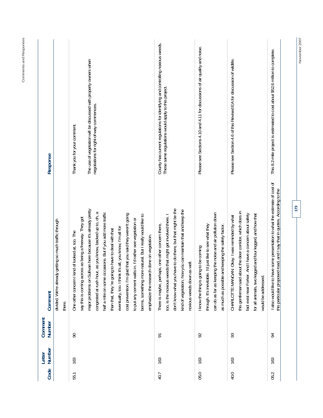| Code | Number<br>Letter | Comment<br>Number | Comment                                                                                                                                                                                                                                                                                       | Response                                                                                                                             |
|------|------------------|-------------------|-----------------------------------------------------------------------------------------------------------------------------------------------------------------------------------------------------------------------------------------------------------------------------------------------|--------------------------------------------------------------------------------------------------------------------------------------|
|      |                  |                   | getting so much traffic through<br>divided. We're already<br>there.                                                                                                                                                                                                                           |                                                                                                                                      |
| 55.1 | 163              | $\infty$          | say this is coming across as being a freeway. They got<br>One other concern I kind of looked at, too. The                                                                                                                                                                                     | Thank you for your comment.                                                                                                          |
|      |                  |                   | llivan here because it's already pretty<br>congested at rush hour, as you know, backed up to, oh, a<br>half a mile on some occasions. But if you add more traffic<br>than that, they 're going to have to deal with that<br>major problems on Su                                              | The use of vegetation will be discussed with property owners when<br>negotiations for right-of-way commences.                        |
|      |                  |                   | cost prevention. I'm glad that you said they weren't going<br>berms, something more natural. But I really would like to<br>to put any cement walls in. I'd rather see vegetation or<br>eventually, too. I think it's all, you know, I'm all for<br>emphasize the research done on vegetation. |                                                                                                                                      |
| 40.7 | 163              | $\overline{5}$    | don't know what you have to do there, but that might be the<br>kind of vegetation, how you can maintain that and keep the<br>too, is the noxious weeds that might get involved there. I<br>There is maybe, perhaps, one other concern there,<br>noxious weeds down as well.                   | County has current regulations for identifying and controlling noxious weeds.<br>These same regulations would apply to this project. |
| 05.0 | 163              | 92                | can do as far as keeping the noise and air pollution down<br>through. It's inevitable. I'd just like to see what they<br>as much as possible and keeping the safety factor.<br>I know the thing is going to be coming                                                                         | Please see Sections 4.10 and 4.11 for discussions of air quality and noise.                                                          |
| 40.0 | 163              | 93                | this gentleman said about the deer corridor, which does in<br>fact exist near Forker. And I have a concern about safety<br>for all animals, two legged and four legged, and how that<br>CHARLOTTE MANGAN: Okay. I was reminded by what<br>would be addressed.                                 | Please see Section 4.6 of this Revised EA for discussion of wildlife.                                                                |
| 05.2 | 163              | $\overline{5}$    | I also would like to have some presentation to what the estimate of cost of<br>this particular proposed road, and I say that in quotes. According to the                                                                                                                                      | This 8.2-mile project is estimated to cost about \$52.6 million to complete.                                                         |
|      |                  |                   | 173                                                                                                                                                                                                                                                                                           | November 2007                                                                                                                        |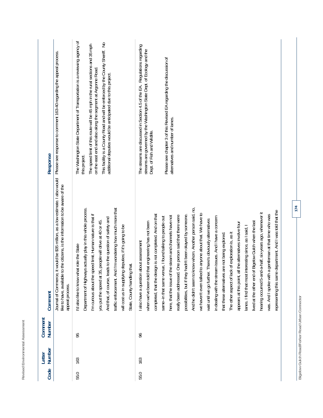| Response          | Please see response to comment 163-40 regarding the appeal process.                                                                                                                 | The Washington State Department of Transportation is a reviewing agency of<br>This facility is a County Road and will be enforced by the County Sheriff. No<br>The speed limit of this route will be 45 mph in the rural sections and 35 mph<br>on the east end and also along the segment at Argonne Road.<br>additional deputies would be anticipated due to this project.<br>this project.                                                                | The streams are discussed in Section 4.5 of the EA. Regulations regarding<br>streams are governed by the Washington State Dept. of Ecology and the<br>Please see chapter 3 of this Revised EA regarding the discussion of<br>alternatives and number of lanes.<br>Dept. of Fish and Wildlife.                                                                                                                                                                                                                                                                                                                                                                                                                                                                                                                                                                                                                                                                                                                                                                                                                                                |
|-------------------|-------------------------------------------------------------------------------------------------------------------------------------------------------------------------------------|--------------------------------------------------------------------------------------------------------------------------------------------------------------------------------------------------------------------------------------------------------------------------------------------------------------------------------------------------------------------------------------------------------------------------------------------------------------|----------------------------------------------------------------------------------------------------------------------------------------------------------------------------------------------------------------------------------------------------------------------------------------------------------------------------------------------------------------------------------------------------------------------------------------------------------------------------------------------------------------------------------------------------------------------------------------------------------------------------------------------------------------------------------------------------------------------------------------------------------------------------------------------------------------------------------------------------------------------------------------------------------------------------------------------------------------------------------------------------------------------------------------------------------------------------------------------------------------------------------------------|
| Comment           | Journal of Commerce, it would be \$35 million, as a low estimate. I also would<br>like to have, available to the citizens, is the information to be aware of the<br>appeal process. | Department of Highways actually play in this whole process.<br>traffic enforcement. And I'm wondering how much more that<br>I'm curious about the speed limit. Human nature is that if<br>eads to the question of safety and<br>35, people will drive at 40 or 45.<br>will cost us in supplying deputies; if it's going to be<br>I'd also like to know what role the State<br>State, County handling that.<br>And that, of course, I<br>you put the speed at | And he didn't seem to know whom. Another person said, no,<br>e department. And I was told that the<br>hearing occurred 5-and-a-half, six-years ago, whenever it<br>we haven't even talked to anyone about that. We have to<br>completed, that the design is not completed. And on that<br>possibilities, but if they hadn't been okayed by someone.<br>was. And I spoke with a gentleman at that time who was<br>really been addressed. One person said that there were<br>here, that the issue of the steam and channels have not<br>same--in that same venue, I found talking to people out<br>in dealing with the stream issues. And I have a concern<br>wait until we go further. There's obviously alternatives<br>of Bigelow Gulch when the last<br>when we've been told that engineering has not been<br>all the alternatives involve four<br>lanes. I find that most interesting since, as I said, I<br>The other aspect of lack of exploration is, as it<br>that these alternatives are not being explored.<br>I also have a question about assessment<br>appears at this point,<br>lived at the other end<br>representing this sam |
| Comment<br>Number |                                                                                                                                                                                     | 95                                                                                                                                                                                                                                                                                                                                                                                                                                                           | 96                                                                                                                                                                                                                                                                                                                                                                                                                                                                                                                                                                                                                                                                                                                                                                                                                                                                                                                                                                                                                                                                                                                                           |
| Number<br>Letter  |                                                                                                                                                                                     | 163                                                                                                                                                                                                                                                                                                                                                                                                                                                          | 163                                                                                                                                                                                                                                                                                                                                                                                                                                                                                                                                                                                                                                                                                                                                                                                                                                                                                                                                                                                                                                                                                                                                          |
| Code              |                                                                                                                                                                                     | 55.0                                                                                                                                                                                                                                                                                                                                                                                                                                                         | 55.0                                                                                                                                                                                                                                                                                                                                                                                                                                                                                                                                                                                                                                                                                                                                                                                                                                                                                                                                                                                                                                                                                                                                         |

**Revised Environmental Assessment** 

Revised Environmental Assessment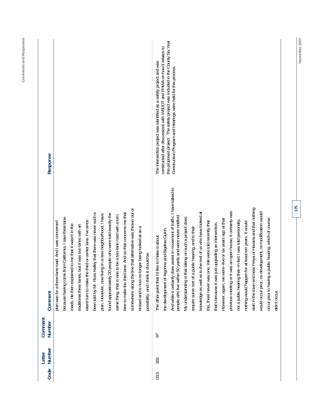| Response          |                                                                                                                                                                                                                               |                                                                                                                      |                                                                                                                                                                                    |                                                                                                                          |                                                                                                  | constructed after discussions with WSDOT and FHWA on how it relates to<br>The intersection project was identified as a safety project and was | this proposed project. The safety project was included in the County Six Year<br>Construction Program and Hearings were held for this process. |                                                                                                               |                                                              |                                                       |                                                                                                                 |                                                                 |                                                           |                                                       |                                                             |                                                          |                                                            |               |
|-------------------|-------------------------------------------------------------------------------------------------------------------------------------------------------------------------------------------------------------------------------|----------------------------------------------------------------------------------------------------------------------|------------------------------------------------------------------------------------------------------------------------------------------------------------------------------------|--------------------------------------------------------------------------------------------------------------------------|--------------------------------------------------------------------------------------------------|-----------------------------------------------------------------------------------------------------------------------------------------------|------------------------------------------------------------------------------------------------------------------------------------------------|---------------------------------------------------------------------------------------------------------------|--------------------------------------------------------------|-------------------------------------------------------|-----------------------------------------------------------------------------------------------------------------|-----------------------------------------------------------------|-----------------------------------------------------------|-------------------------------------------------------|-------------------------------------------------------------|----------------------------------------------------------|------------------------------------------------------------|---------------|
| Comment           | because having come from California, I saw three lane<br>plan was for a three-lane road. And I was concerned<br>roads. He then explained to me that it wasn't in the<br>traditional three lanes, but it was two lanes with an | been told by Mr. Ross Kelley that there was never such a<br>island turn to make the third or center lane. I've since | 20 people who were told exactly the<br>plan. However, now living in a new neighborhood, I have<br>same thing, that is was to be a two-lane road with a turn<br>found approximately | somewhere along the line that alternative was thrown out or<br>lane to make the third lane. And so that concerns me that | longer being looked at as a<br>it should be.<br>erased and is now no<br>possibility, and I think | the development of Argonne and Bigelow Gulch.<br>The other point that I'd like to make is about                                               | does assist in movement of traffic, I have talked to<br>people who live within 50 yards and were never notified<br>And while it certainly      | My understanding is that taking on such a project does<br>require some sort of a public hearing, and to their | to the rest of us who have looked at<br>knowledge as well as | this, there never was one. We were told recently that | However, again, we were--five or six years ago at that<br>that's because it was just upgrading an intersection. | t was an open house, it certainly was<br>previous meeting or it | not a public hearing that--In fact I was told personally, | nothing would happen for at least ten years. It would | start in the town end near Freya or Havana and that nothing | would occur prior, no development, no modification would | a public hearing, which of course<br>occur prior to having | didn't occur. |
| Comment<br>Number |                                                                                                                                                                                                                               |                                                                                                                      |                                                                                                                                                                                    |                                                                                                                          |                                                                                                  | 5                                                                                                                                             |                                                                                                                                                |                                                                                                               |                                                              |                                                       |                                                                                                                 |                                                                 |                                                           |                                                       |                                                             |                                                          |                                                            |               |
| Number<br>Letter  |                                                                                                                                                                                                                               |                                                                                                                      |                                                                                                                                                                                    |                                                                                                                          |                                                                                                  | 163                                                                                                                                           |                                                                                                                                                |                                                                                                               |                                                              |                                                       |                                                                                                                 |                                                                 |                                                           |                                                       |                                                             |                                                          |                                                            |               |
| Code              |                                                                                                                                                                                                                               |                                                                                                                      |                                                                                                                                                                                    |                                                                                                                          |                                                                                                  | 03.5                                                                                                                                          |                                                                                                                                                |                                                                                                               |                                                              |                                                       |                                                                                                                 |                                                                 |                                                           |                                                       |                                                             |                                                          |                                                            |               |

**175** 

November 2007 **November 2007**